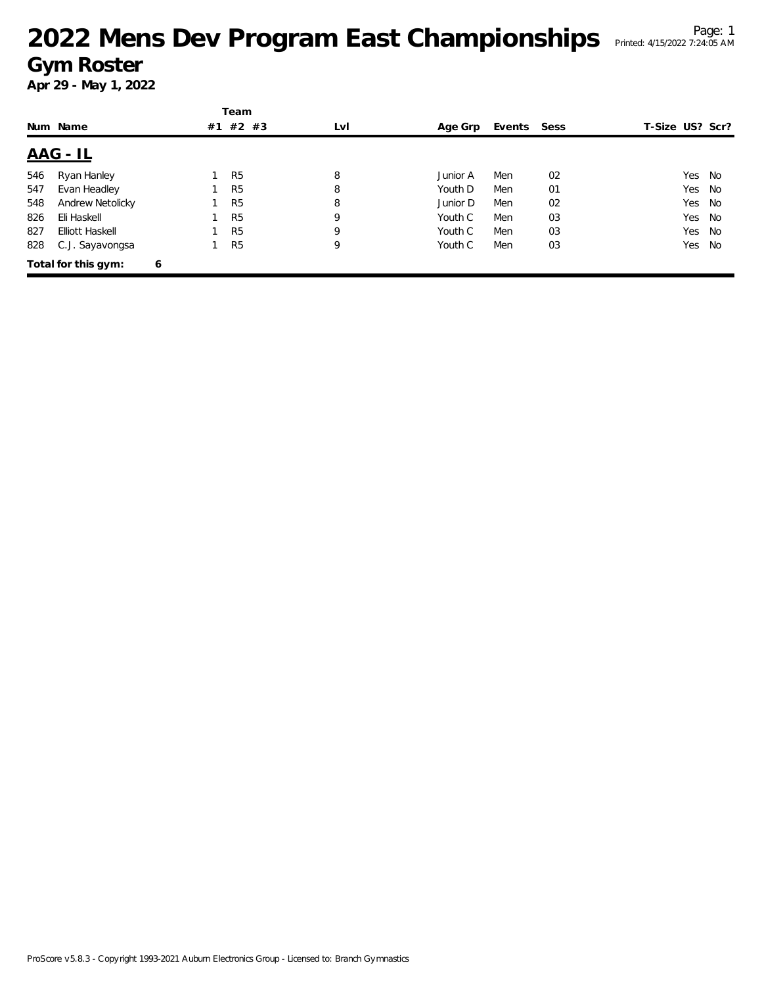|     |                     |   |    | Team           |     |          |             |    |                 |        |
|-----|---------------------|---|----|----------------|-----|----------|-------------|----|-----------------|--------|
|     | Num Name            |   | #1 | #2 #3          | LvI | Age Grp  | Events Sess |    | T-Size US? Scr? |        |
|     | <u> AAG - IL</u>    |   |    |                |     |          |             |    |                 |        |
| 546 | Ryan Hanley         |   |    | R <sub>5</sub> | 8   | Junior A | Men         | 02 |                 | Yes No |
| 547 | Evan Headley        |   |    | R <sub>5</sub> | 8   | Youth D  | Men         | 01 | Yes             | No     |
| 548 | Andrew Netolicky    |   |    | R <sub>5</sub> | 8   | Junior D | Men         | 02 | Yes             | No     |
| 826 | Eli Haskell         |   |    | R <sub>5</sub> | 9   | Youth C  | Men         | 03 | Yes             | No     |
| 827 | Elliott Haskell     |   |    | R <sub>5</sub> | 9   | Youth C  | Men         | 03 | Yes             | No     |
| 828 | C.J. Sayavongsa     |   |    | R <sub>5</sub> | 9   | Youth C  | Men         | 03 | Yes             | No     |
|     | Total for this gym: | 6 |    |                |     |          |             |    |                 |        |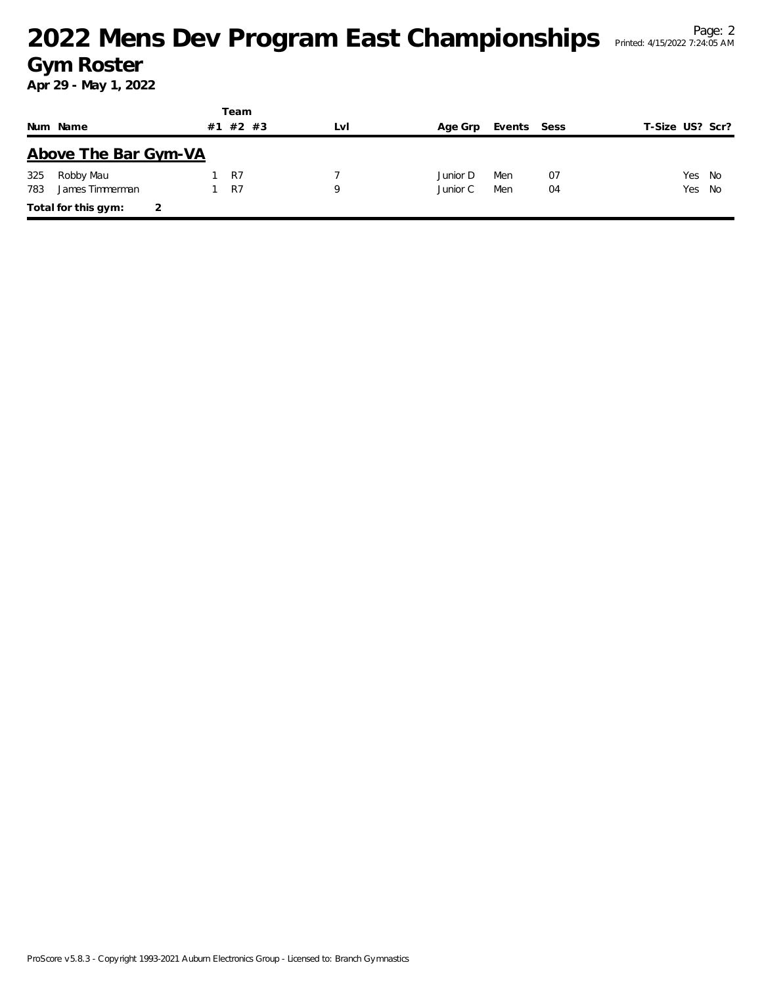|     |                      |    | Team  |     |          |             |    |                 |  |
|-----|----------------------|----|-------|-----|----------|-------------|----|-----------------|--|
|     | Num Name             | #1 | #2 #3 | LvI | Age Grp  | Events Sess |    | T-Size US? Scr? |  |
|     | Above The Bar Gym-VA |    |       |     |          |             |    |                 |  |
| 325 | Robby Mau            |    | R7    |     | Junior D | Men         | 07 | Yes No          |  |
| 783 | James Timmerman      |    | R7    | 9   | Junior C | Men         | 04 | Yes No          |  |
|     | Total for this gym:  |    |       |     |          |             |    |                 |  |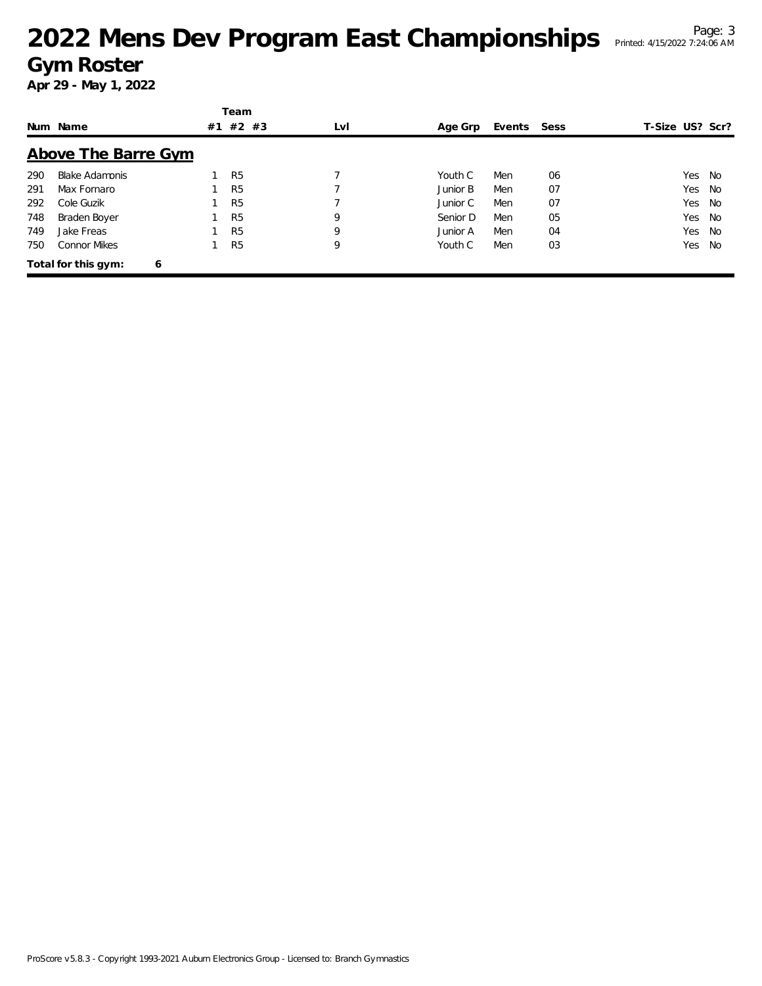|     |                          |    | Team           |     |          |             |    |                 |    |
|-----|--------------------------|----|----------------|-----|----------|-------------|----|-----------------|----|
|     | Num Name                 | #1 | $#2$ #3        | LvI | Age Grp  | Events Sess |    | T-Size US? Scr? |    |
|     | Above The Barre Gym      |    |                |     |          |             |    |                 |    |
| 290 | <b>Blake Adamonis</b>    |    | R <sub>5</sub> |     | Youth C  | Men         | 06 | Yes             | No |
| 291 | Max Fornaro              |    | R <sub>5</sub> |     | Junior B | Men         | 07 | Yes             | No |
| 292 | Cole Guzik               |    | R <sub>5</sub> |     | Junior C | Men         | 07 | Yes             | No |
| 748 | Braden Boyer             |    | R <sub>5</sub> | 9   | Senior D | Men         | 05 | Yes             | No |
| 749 | Jake Freas               |    | R <sub>5</sub> | 9   | Junior A | Men         | 04 | Yes             | No |
| 750 | <b>Connor Mikes</b>      |    | R <sub>5</sub> | 9   | Youth C  | Men         | 03 | Yes             | No |
|     | Total for this gym:<br>6 |    |                |     |          |             |    |                 |    |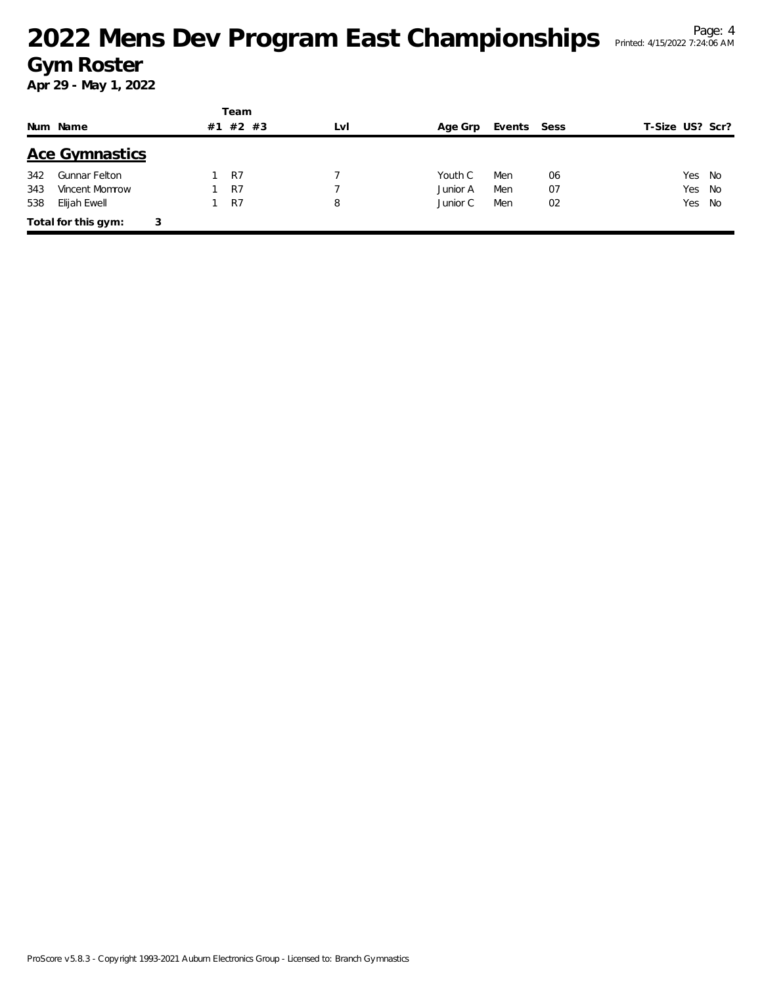|     |                       |    | Team    |     |          |             |    |                 |  |
|-----|-----------------------|----|---------|-----|----------|-------------|----|-----------------|--|
|     | Num Name              | #1 | $#2$ #3 | LvI | Age Grp  | Events Sess |    | T-Size US? Scr? |  |
|     | <b>Ace Gymnastics</b> |    |         |     |          |             |    |                 |  |
| 342 | <b>Gunnar Felton</b>  |    | R7      |     | Youth C  | Men         | 06 | Yes<br>No       |  |
| 343 | Vincent Momrow        |    | R7      |     | Junior A | Men         | 07 | Yes<br>- No     |  |
| 538 | Elijah Ewell          |    | R7      | 8   | Junior C | Men         | 02 | Yes<br>No       |  |
|     | Total for this gym:   | 3  |         |     |          |             |    |                 |  |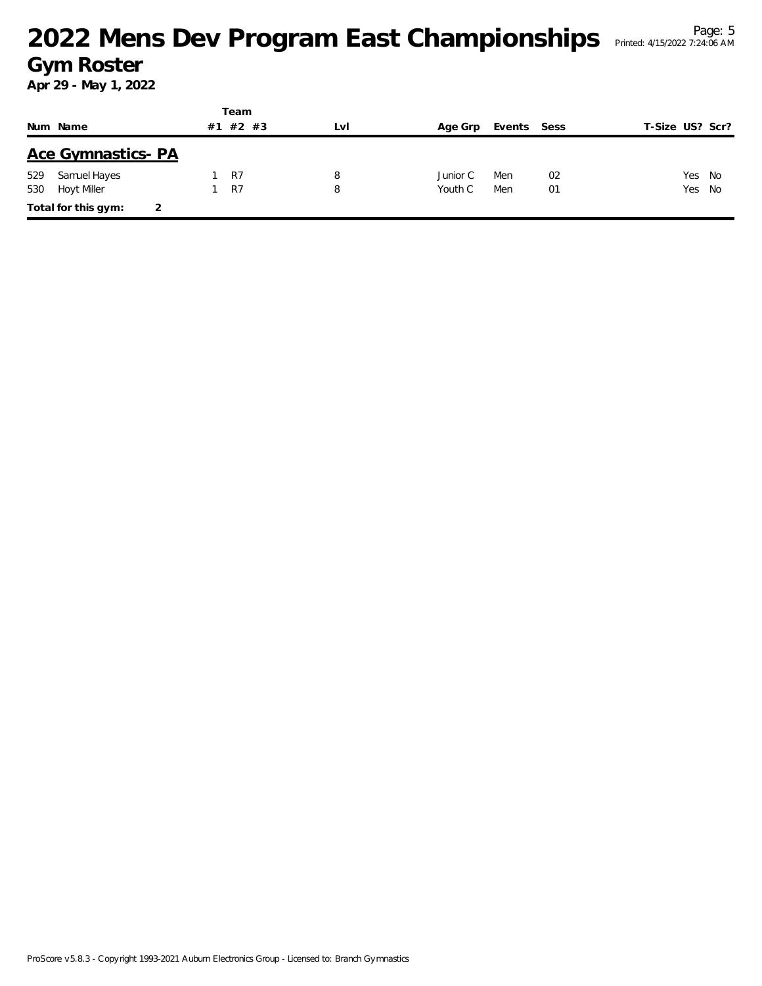|     |                          |    | Team    |     |          |             |    |                 |        |
|-----|--------------------------|----|---------|-----|----------|-------------|----|-----------------|--------|
|     | Num Name                 | #1 | $#2$ #3 | LvI | Age Grp  | Events Sess |    | T-Size US? Scr? |        |
|     | <b>Ace Gymnastics-PA</b> |    |         |     |          |             |    |                 |        |
| 529 | Samuel Hayes             |    | R7      | 8   | Junior C | Men         | 02 |                 | Yes No |
| 530 | <b>Hoyt Miller</b>       |    | R7      | 8   | Youth C  | Men         | 01 | Yes No          |        |
|     | Total for this gym:      |    |         |     |          |             |    |                 |        |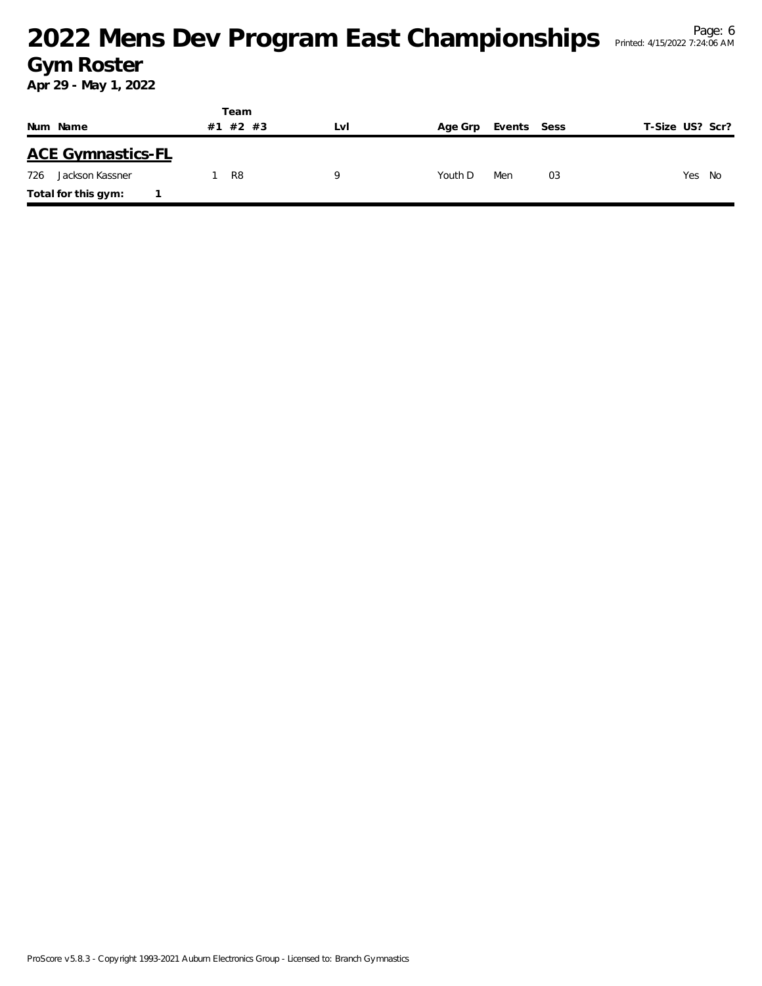|     |                          |    | Team           |           |         |             |    |                 |
|-----|--------------------------|----|----------------|-----------|---------|-------------|----|-----------------|
|     | Num Name                 | #1 | #2 #3          | <b>Lv</b> | Age Grp | Events Sess |    | T-Size US? Scr? |
|     | <b>ACE Gymnastics-FL</b> |    |                |           |         |             |    |                 |
| 726 | Jackson Kassner          |    | R <sub>8</sub> |           | Youth D | Men         | 03 | Yes No          |
|     | Total for this gym:      |    |                |           |         |             |    |                 |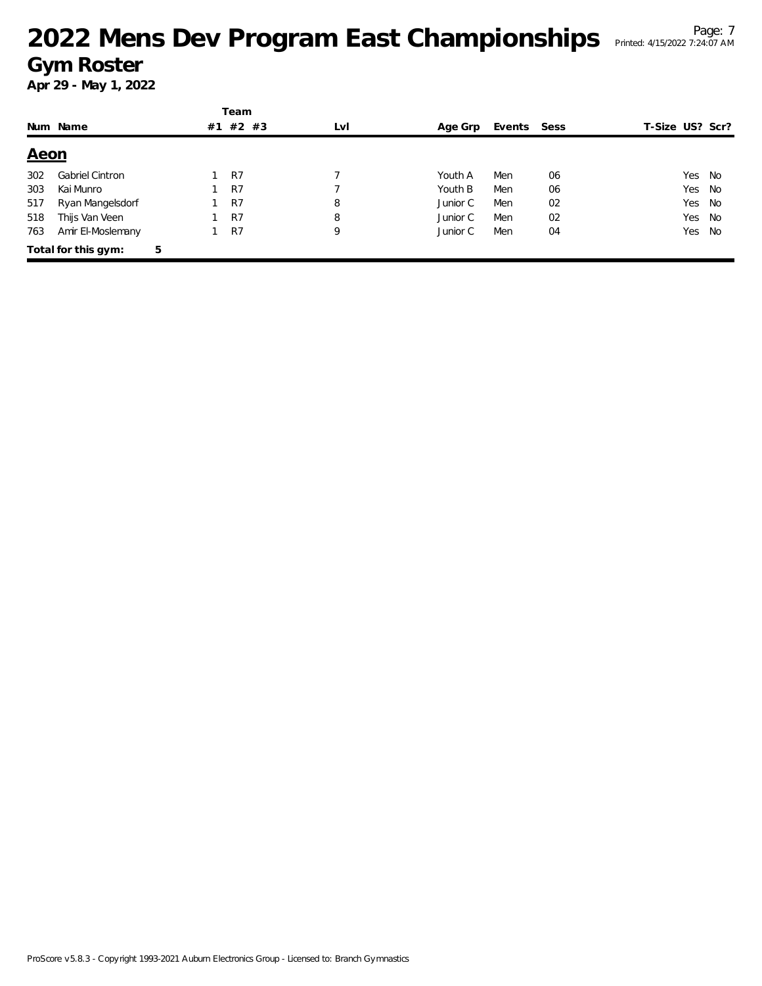|             |                        |    | Team    |     |          |             |    |                 |      |
|-------------|------------------------|----|---------|-----|----------|-------------|----|-----------------|------|
|             | Num Name               | #1 | $#2$ #3 | LvI | Age Grp  | Events Sess |    | T-Size US? Scr? |      |
| <u>Aeon</u> |                        |    |         |     |          |             |    |                 |      |
| 302         | <b>Gabriel Cintron</b> |    | R7      |     | Youth A  | Men         | 06 | Yes.            | - No |
| 303         | Kai Munro              |    | R7      |     | Youth B  | Men         | 06 | Yes             | No   |
| 517         | Ryan Mangelsdorf       |    | R7      | 8   | Junior C | Men         | 02 | Yes             | No   |
| 518         | Thijs Van Veen         |    | R7      | 8   | Junior C | Men         | 02 | Yes             | No   |
| 763         | Amir El-Moslemany      |    | R7      | 9   | Junior C | Men         | 04 | Yes             | No   |
|             | Total for this gym:    | 5  |         |     |          |             |    |                 |      |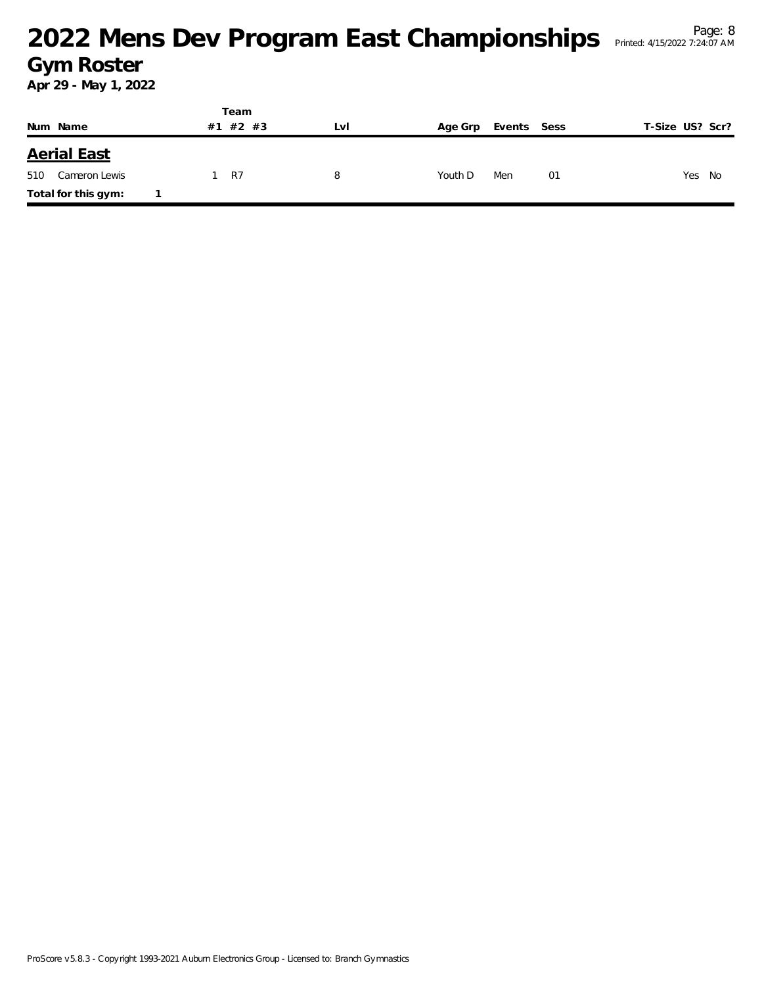|                      | Team     |     |         |             |                 |
|----------------------|----------|-----|---------|-------------|-----------------|
| Num Name             | #1 #2 #3 | Lvi | Age Grp | Events Sess | T-Size US? Scr? |
| <b>Aerial East</b>   |          |     |         |             |                 |
| 510<br>Cameron Lewis | R7       | 8   | Youth D | Men<br>01   | Yes No          |
| Total for this gym:  |          |     |         |             |                 |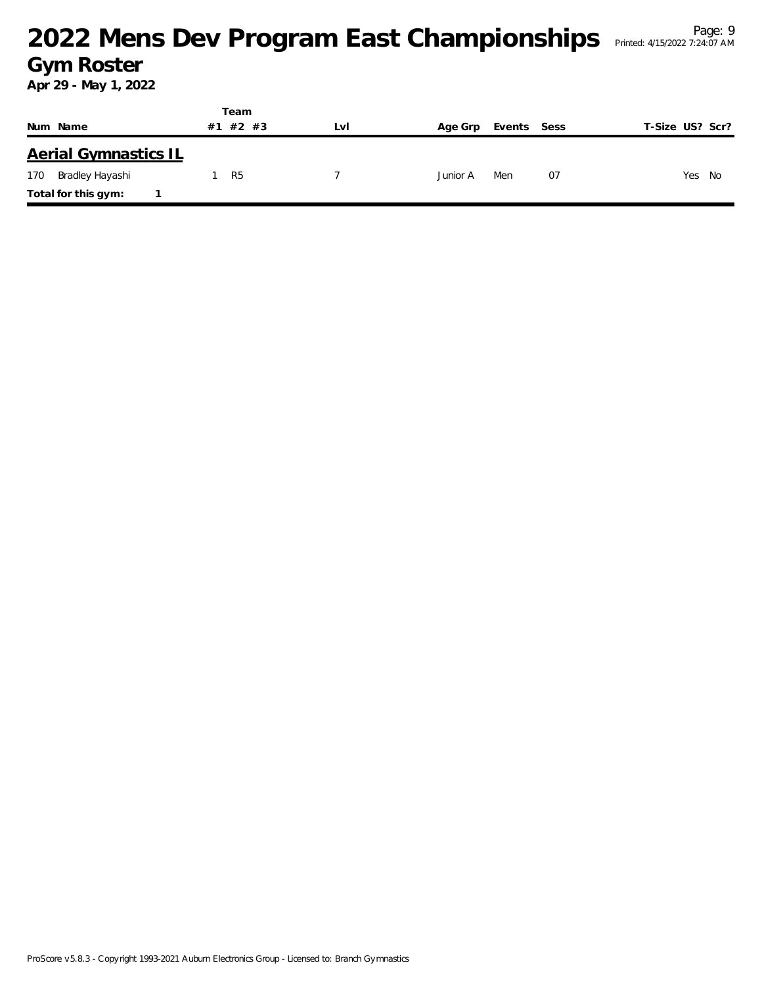|                             | Team           |     |                        |                 |
|-----------------------------|----------------|-----|------------------------|-----------------|
| Num Name                    | #2 #3<br>#1    | Lvi | Age Grp<br>Events Sess | T-Size US? Scr? |
| <b>Aerial Gymnastics IL</b> |                |     |                        |                 |
| Bradley Hayashi<br>170      | R <sub>5</sub> |     | 07<br>Junior A<br>Men  | Yes<br>No       |
| Total for this gym:         |                |     |                        |                 |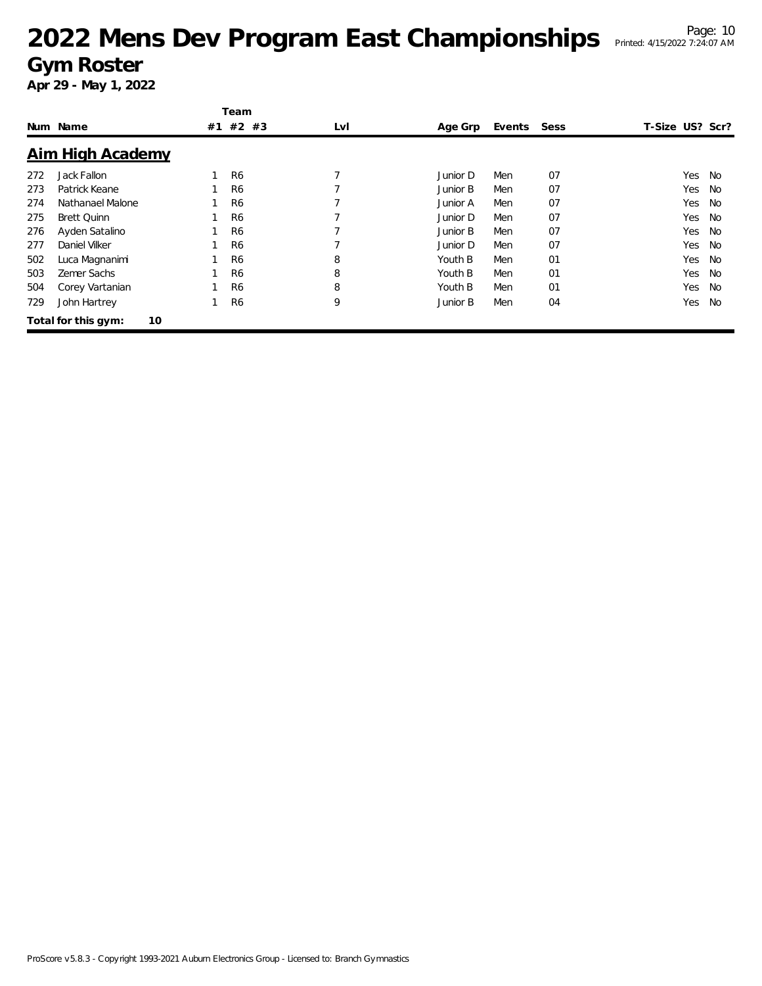### <sup>Page: 10</sup><br><sup>Page: 10</sup> Printed: 4/15/2022 7:24:07 AM</sup> **Gym Roster**

|     |                     |    | Team           |     |          |        |      |                 |           |
|-----|---------------------|----|----------------|-----|----------|--------|------|-----------------|-----------|
|     | Num Name            | #1 | #2 #3          | LvI | Age Grp  | Events | Sess | T-Size US? Scr? |           |
|     | Aim High Academy    |    |                |     |          |        |      |                 |           |
| 272 | Jack Fallon         |    | R <sub>6</sub> |     | Junior D | Men    | 07   | Yes             | No        |
| 273 | Patrick Keane       |    | R <sub>6</sub> |     | Junior B | Men    | 07   | Yes             | No        |
| 274 | Nathanael Malone    |    | R <sub>6</sub> |     | Junior A | Men    | 07   | Yes             | No        |
| 275 | <b>Brett Quinn</b>  |    | R <sub>6</sub> |     | Junior D | Men    | 07   | Yes             | No        |
| 276 | Ayden Satalino      |    | R <sub>6</sub> |     | Junior B | Men    | 07   | Yes             | No        |
| 277 | Daniel Vilker       |    | R <sub>6</sub> |     | Junior D | Men    | 07   | Yes             | No        |
| 502 | Luca Magnanimi      |    | R <sub>6</sub> | 8   | Youth B  | Men    | 01   | Yes             | <b>No</b> |
| 503 | Zemer Sachs         |    | R <sub>6</sub> | 8   | Youth B  | Men    | 01   | Yes             | No        |
| 504 | Corey Vartanian     |    | R <sub>6</sub> | 8   | Youth B  | Men    | 01   | Yes             | No        |
| 729 | John Hartrey        |    | R <sub>6</sub> | 9   | Junior B | Men    | 04   | Yes             | No        |
|     | Total for this gym: | 10 |                |     |          |        |      |                 |           |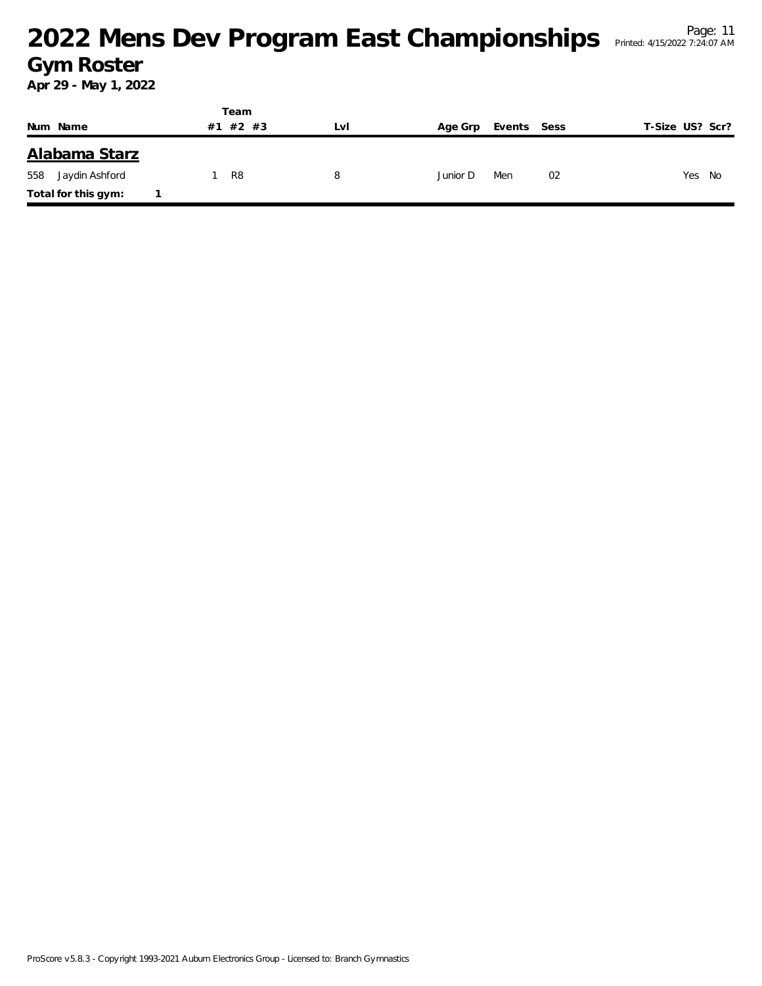|                       | Team        |     |          |             |                 |
|-----------------------|-------------|-----|----------|-------------|-----------------|
| Num Name              | #2 #3<br>#1 | LVI | Age Grp  | Events Sess | T-Size US? Scr? |
| Alabama Starz         |             |     |          |             |                 |
| 558<br>Jaydin Ashford | R8          | 8   | Junior D | Men<br>02   | Yes<br>No       |
| Total for this gym:   |             |     |          |             |                 |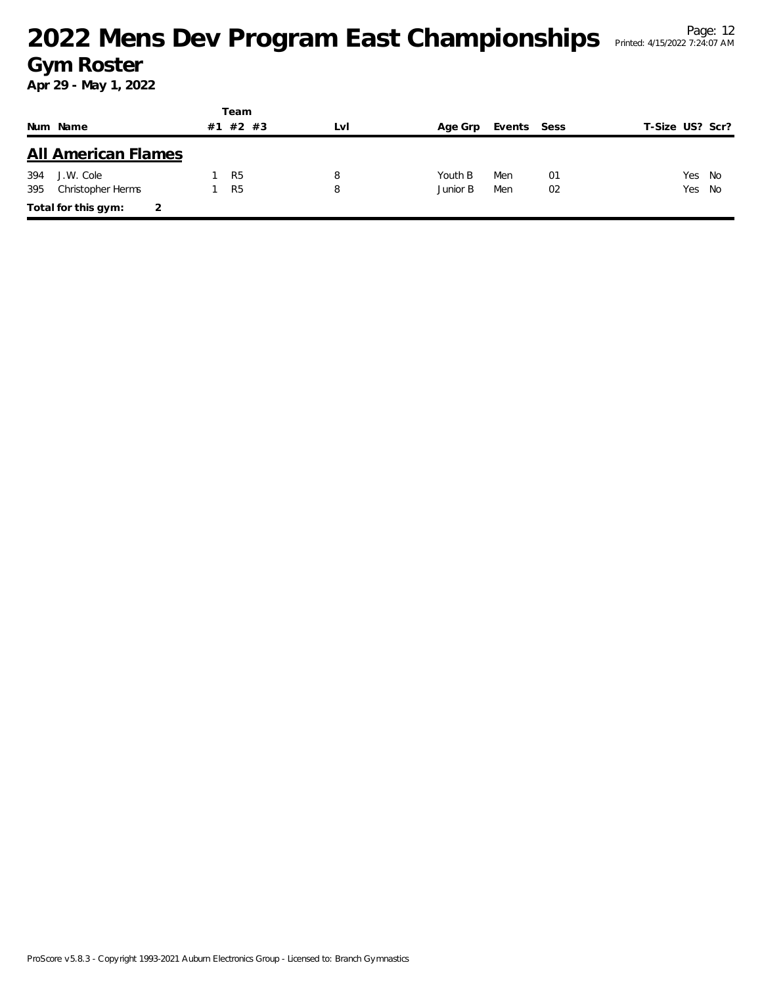|     |                            |    | Team           |     |          |             |    |                 |        |
|-----|----------------------------|----|----------------|-----|----------|-------------|----|-----------------|--------|
|     | Num Name                   | #1 | #2 #3          | LvI | Age Grp  | Events Sess |    | T-Size US? Scr? |        |
|     | <b>All American Flames</b> |    |                |     |          |             |    |                 |        |
| 394 | J.W. Cole                  |    | R <sub>5</sub> | 8   | Youth B  | Men         | 01 | Yes No          |        |
| 395 | Christopher Herms          |    | R <sub>5</sub> | 8   | Junior B | Men         | 02 |                 | Yes No |
|     | Total for this gym:        |    |                |     |          |             |    |                 |        |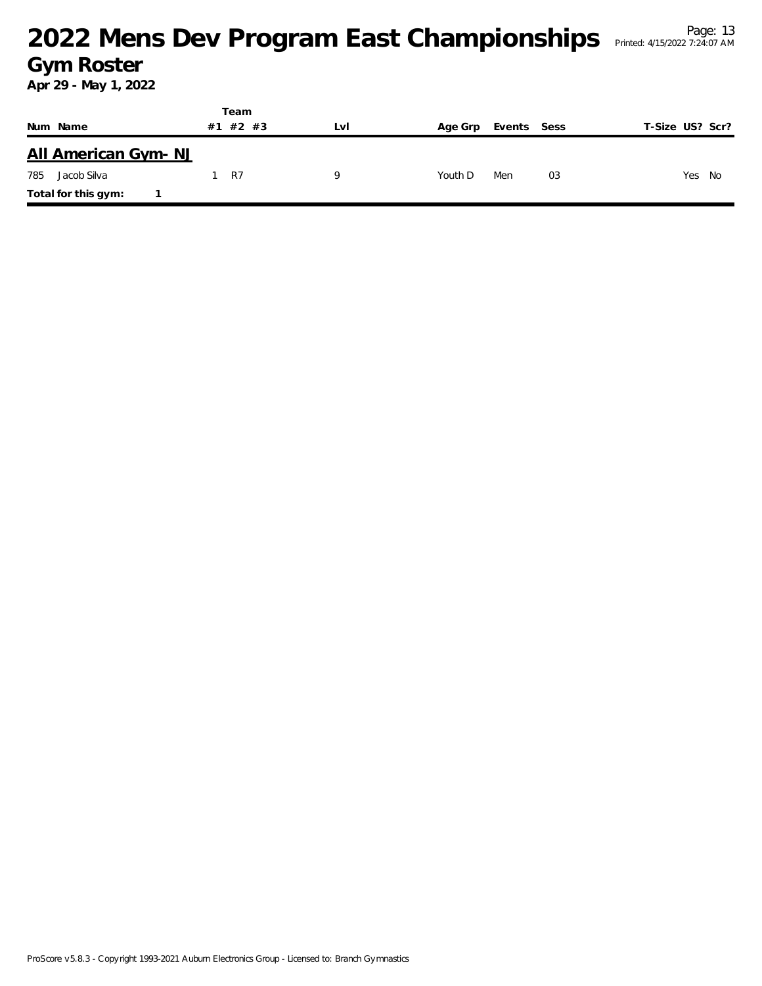|                     | Team     |     |         |             |    |                 |
|---------------------|----------|-----|---------|-------------|----|-----------------|
| Num Name            | #1 #2 #3 | Lvi | Age Grp | Events Sess |    | T-Size US? Scr? |
| All American Gym-NJ |          |     |         |             |    |                 |
| 785<br>Jacob Silva  | - R7     | Q   | Youth D | Men         | 03 | Yes No          |
| Total for this gym: |          |     |         |             |    |                 |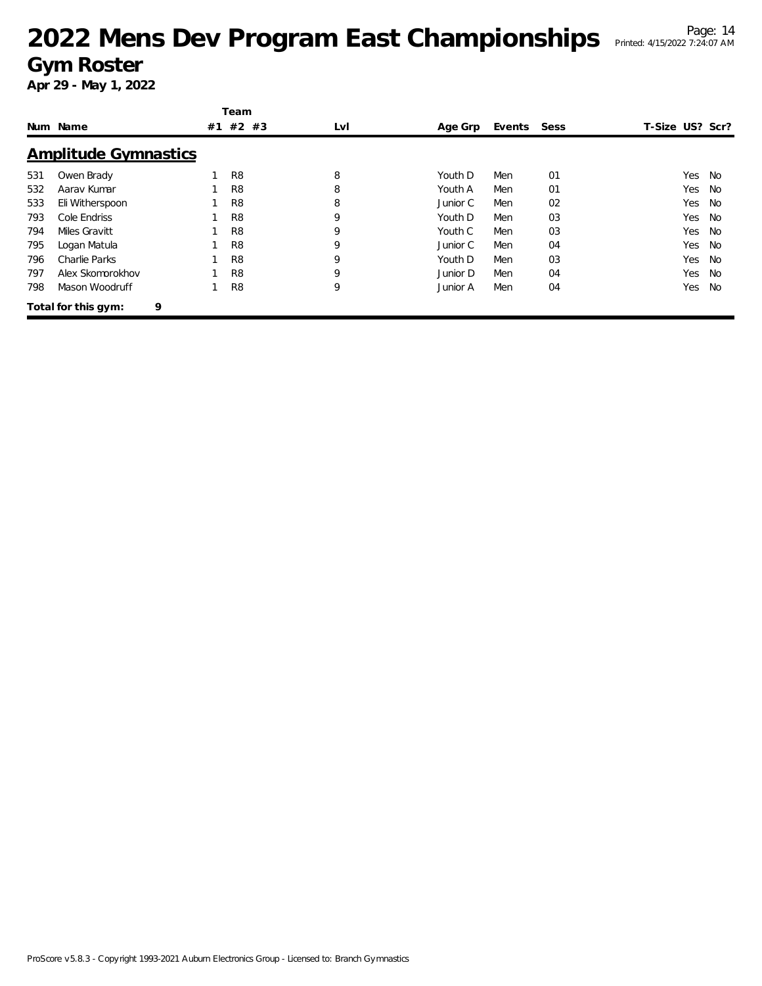|     |                             |    | Team           |     |          |             |    |                 |           |
|-----|-----------------------------|----|----------------|-----|----------|-------------|----|-----------------|-----------|
|     | Num Name                    | #1 | #2 #3          | LvI | Age Grp  | Events Sess |    | T-Size US? Scr? |           |
|     | <b>Amplitude Gymnastics</b> |    |                |     |          |             |    |                 |           |
| 531 | Owen Brady                  |    | R <sub>8</sub> | 8   | Youth D  | Men         | 01 | Yes.            | No        |
| 532 | Aarav Kumar                 |    | R8             | 8   | Youth A  | Men         | 01 | Yes             | No        |
| 533 | Eli Witherspoon             |    | R <sub>8</sub> | 8   | Junior C | Men         | 02 | Yes             | <b>No</b> |
| 793 | Cole Endriss                |    | R8             | 9   | Youth D  | Men         | 03 | Yes             | No        |
| 794 | Miles Gravitt               |    | R8             | 9   | Youth C  | Men         | 03 | Yes             | No        |
| 795 | Logan Matula                |    | R8             | 9   | Junior C | Men         | 04 | Yes             | <b>No</b> |
| 796 | Charlie Parks               |    | R <sub>8</sub> | 9   | Youth D  | Men         | 03 | Yes             | <b>No</b> |
| 797 | Alex Skomorokhov            |    | R <sub>8</sub> | 9   | Junior D | Men         | 04 | Yes             | No        |
| 798 | Mason Woodruff              |    | R8             | 9   | Junior A | Men         | 04 | Yes             | No        |
|     | Total for this gym:         | 9  |                |     |          |             |    |                 |           |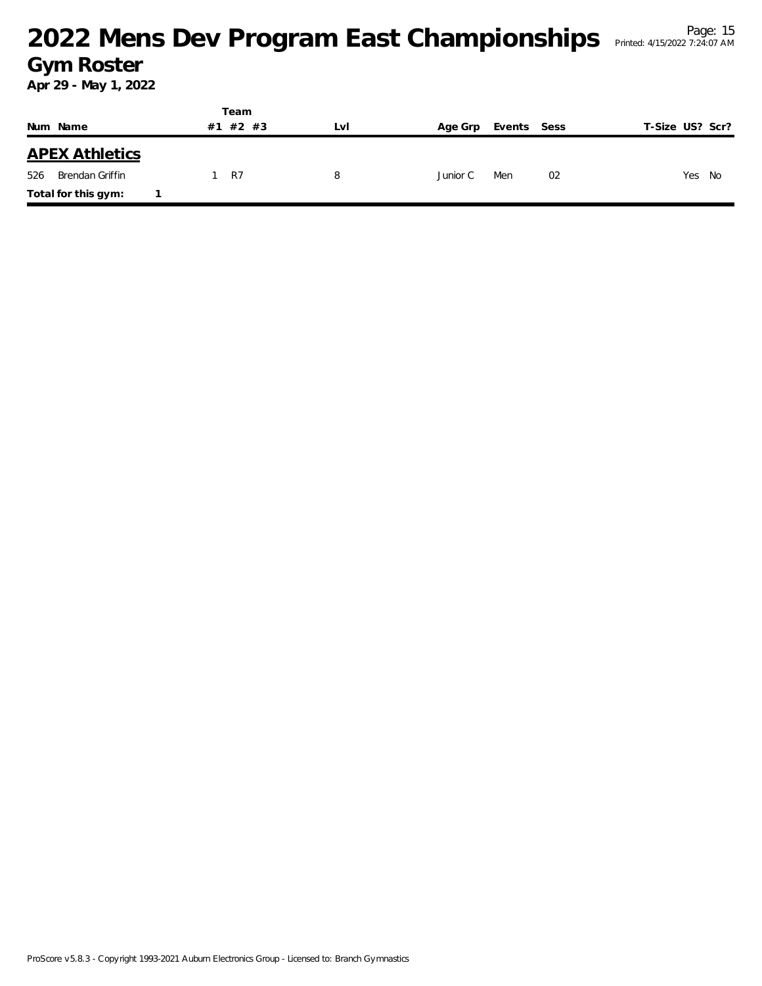|                        | Team      |     |          |             |                 |
|------------------------|-----------|-----|----------|-------------|-----------------|
| Num Name               | #1 #2 #3  | LvI | Age Grp  | Events Sess | T-Size US? Scr? |
| <b>APEX Athletics</b>  |           |     |          |             |                 |
| 526<br>Brendan Griffin | <b>R7</b> | 8   | Junior C | Men<br>02   | Yes<br>No       |
| Total for this gym:    |           |     |          |             |                 |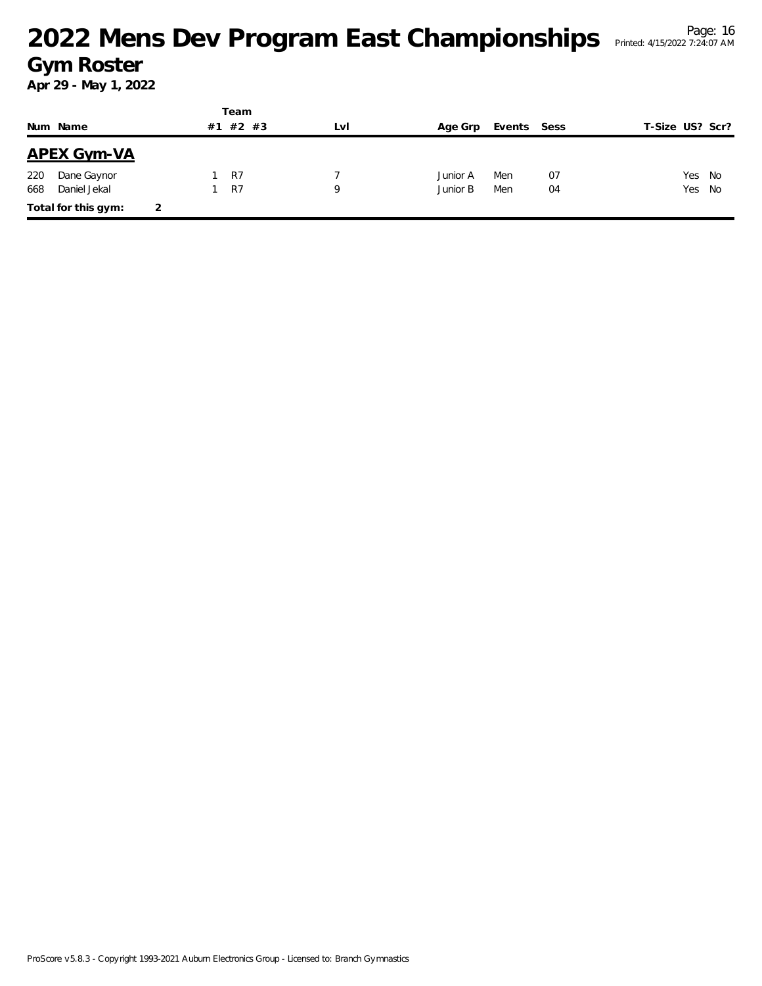|     |                     |   |    | Team           |     |          |             |    |                 |      |
|-----|---------------------|---|----|----------------|-----|----------|-------------|----|-----------------|------|
|     | Num Name            |   | #1 | #2 #3          | Lvi | Age Grp  | Events Sess |    | T-Size US? Scr? |      |
|     | <b>APEX Gym-VA</b>  |   |    |                |     |          |             |    |                 |      |
| 220 | Dane Gaynor         |   |    | R7             |     | Junior A | Men         | 07 | Yes             | - No |
| 668 | Daniel Jekal        |   |    | R <sub>7</sub> | 9   | Junior B | Men         | 04 | Yes No          |      |
|     | Total for this gym: | 2 |    |                |     |          |             |    |                 |      |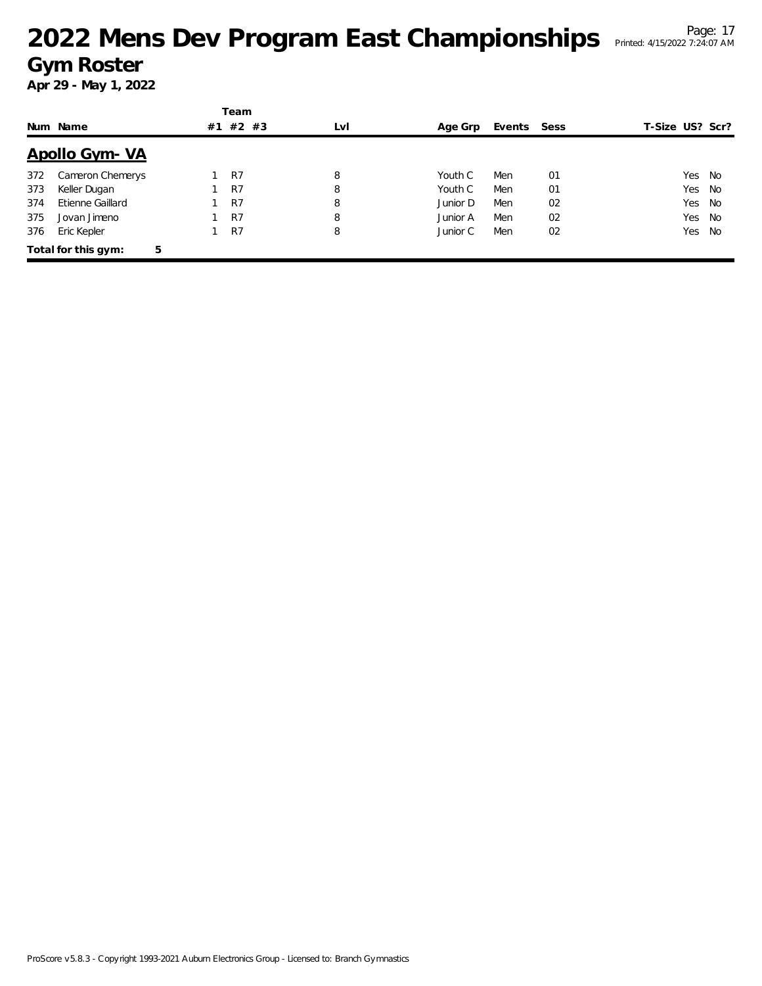# <sup>Page: 17</sup><br><sup>Page: 17</sup> Page: 17 Championships Printed: 4/15/2022 7:24:07 AM **Gym Roster**

|     |                          |    | Team  |     |          |             |    |                 |           |
|-----|--------------------------|----|-------|-----|----------|-------------|----|-----------------|-----------|
|     | Num Name                 | #1 | #2 #3 | LvI | Age Grp  | Events Sess |    | T-Size US? Scr? |           |
|     | <u>Apollo Gym-VA</u>     |    |       |     |          |             |    |                 |           |
| 372 | Cameron Chemerys         |    | R7    | 8   | Youth C  | Men         | 01 |                 | Yes No    |
| 373 | Keller Dugan             |    | R7    | 8   | Youth C  | Men         | 01 |                 | Yes No    |
| 374 | Etienne Gaillard         |    | R7    | 8   | Junior D | Men         | 02 |                 | Yes<br>No |
| 375 | Jovan Jimeno             |    | R7    | 8   | Junior A | Men         | 02 |                 | Yes No    |
| 376 | Eric Kepler              |    | R7    | 8   | Junior C | Men         | 02 |                 | Yes<br>No |
|     | 5<br>Total for this gym: |    |       |     |          |             |    |                 |           |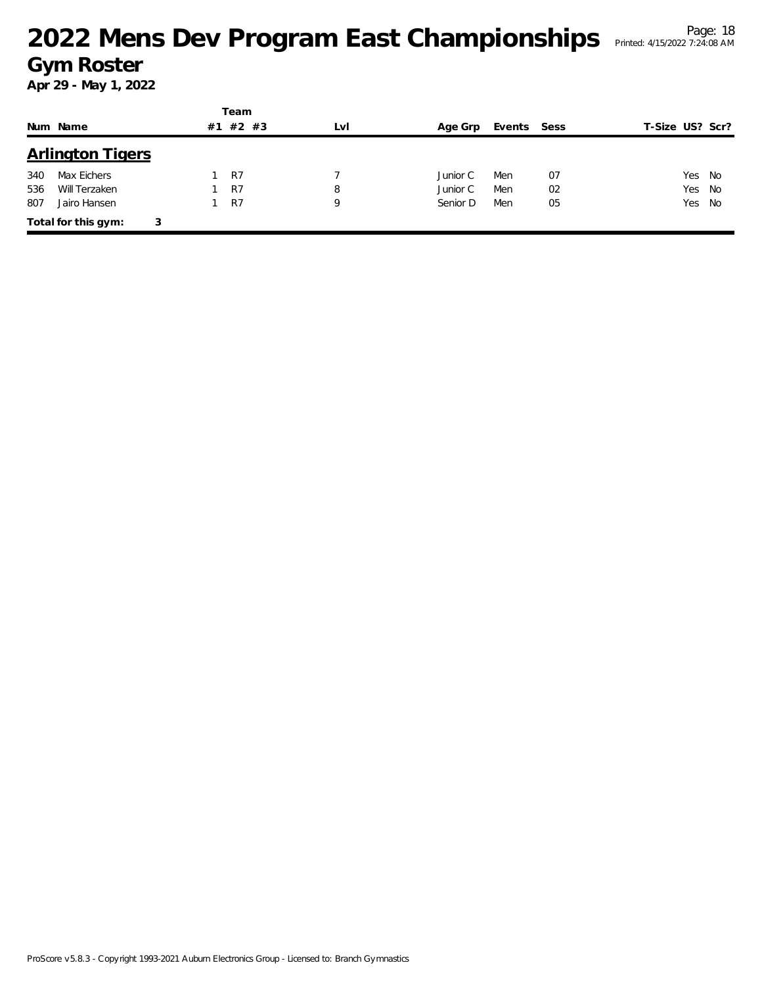|     |                          |    | Team    |     |          |        |      |                 |
|-----|--------------------------|----|---------|-----|----------|--------|------|-----------------|
|     | Num Name                 | #1 | $#2$ #3 | LvI | Age Grp  | Events | Sess | T-Size US? Scr? |
|     | <b>Arlington Tigers</b>  |    |         |     |          |        |      |                 |
| 340 | Max Eichers              |    | R7      |     | Junior C | Men    | 07   | Yes No          |
| 536 | Will Terzaken            |    | R7      | 8   | Junior C | Men    | 02   | Yes No          |
| 807 | Jairo Hansen             |    | R7      | 9   | Senior D | Men    | 05   | Yes No          |
|     | Total for this gym:<br>3 |    |         |     |          |        |      |                 |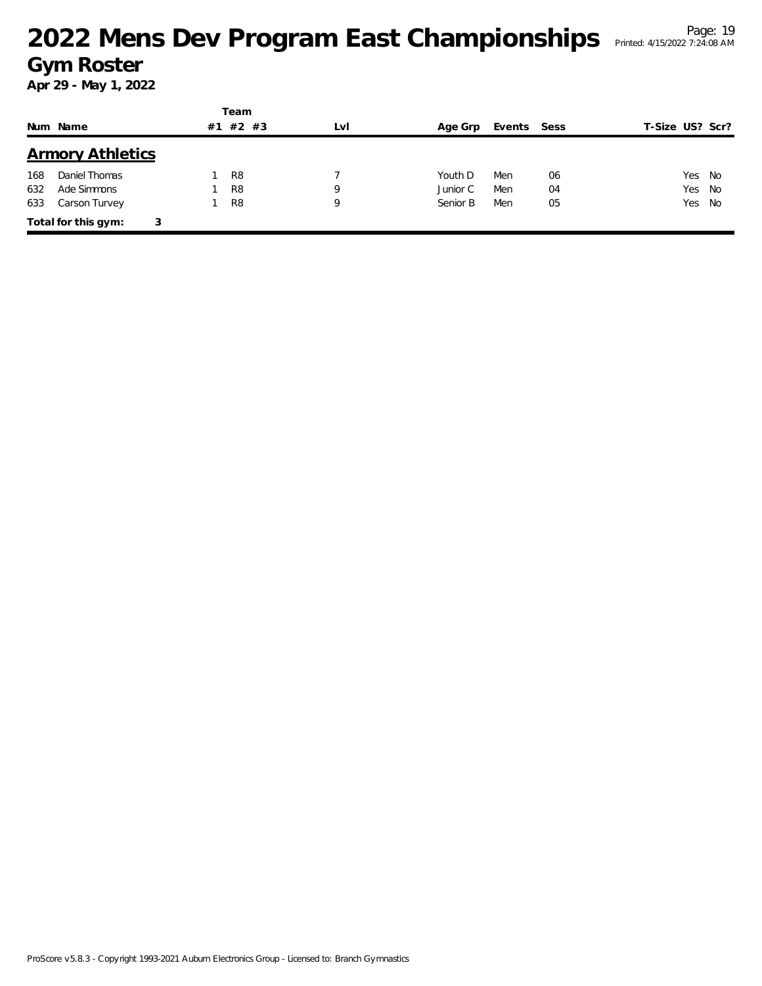|     |                          |    | Team           |     |          |        |      |                 |
|-----|--------------------------|----|----------------|-----|----------|--------|------|-----------------|
|     | Num Name                 | #1 | #2 #3          | LvI | Age Grp  | Events | Sess | T-Size US? Scr? |
|     | <b>Armory Athletics</b>  |    |                |     |          |        |      |                 |
| 168 | Daniel Thomas            |    | R <sub>8</sub> |     | Youth D  | Men    | 06   | Yes No          |
| 632 | Ade Simmons              |    | R <sub>8</sub> | 9   | Junior C | Men    | 04   | Yes<br>No       |
| 633 | Carson Turvey            |    | R <sub>8</sub> | 9   | Senior B | Men    | 05   | Yes No          |
|     | Total for this gym:<br>3 |    |                |     |          |        |      |                 |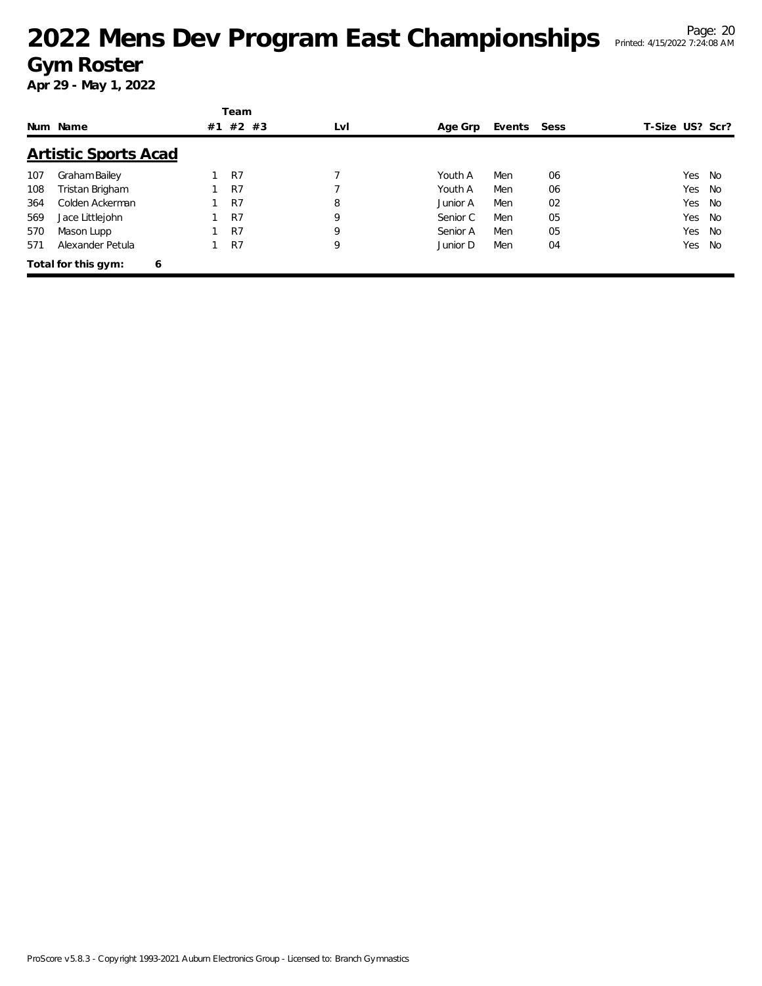|     | Num Name                    | #1 | Team<br>#2 #3  | LvI | Age Grp  | Events Sess |    | T-Size US? Scr? |      |
|-----|-----------------------------|----|----------------|-----|----------|-------------|----|-----------------|------|
|     | <b>Artistic Sports Acad</b> |    |                |     |          |             |    |                 |      |
| 107 | Graham Bailey               |    | R7             |     | Youth A  | Men         | 06 | Yes             | - No |
| 108 | Tristan Brigham             |    | R7             |     | Youth A  | Men         | 06 | Yes             | No   |
| 364 | Colden Ackerman             |    | R7             | 8   | Junior A | Men         | 02 | Yes             | No   |
| 569 | Jace Littlejohn             |    | R <sub>7</sub> | 9   | Senior C | Men         | 05 | Yes             | No   |
| 570 | Mason Lupp                  |    | R7             | 9   | Senior A | Men         | 05 | Yes             | No   |
| 571 | Alexander Petula            |    | R7             | 9   | Junior D | Men         | 04 | Yes             | No   |
|     | Total for this gym:<br>6    |    |                |     |          |             |    |                 |      |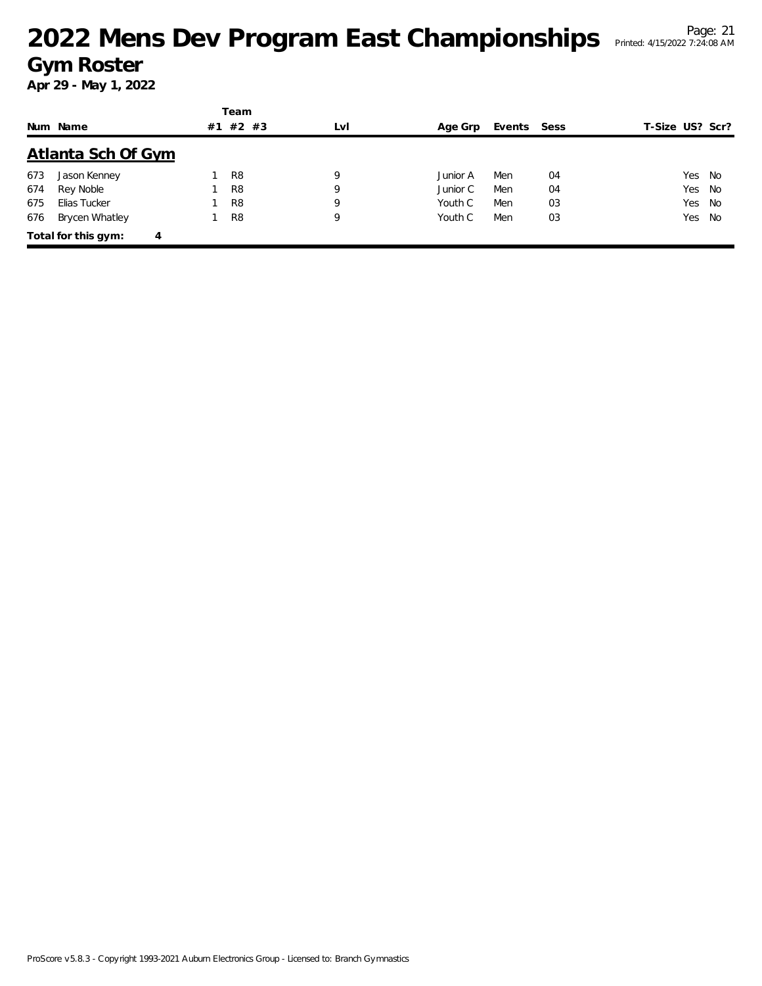|     |                          |    | Team           |     |          |             |    |                 |  |
|-----|--------------------------|----|----------------|-----|----------|-------------|----|-----------------|--|
|     | Num Name                 | #1 | $#2$ #3        | LvI | Age Grp  | Events Sess |    | T-Size US? Scr? |  |
|     | Atlanta Sch Of Gym       |    |                |     |          |             |    |                 |  |
| 673 | Jason Kenney             |    | R <sub>8</sub> | 9   | Junior A | Men         | 04 | Yes No          |  |
| 674 | Rey Noble                |    | R <sub>8</sub> | 9   | Junior C | Men         | 04 | Yes No          |  |
| 675 | Elias Tucker             |    | R <sub>8</sub> | 9   | Youth C  | Men         | 03 | Yes No          |  |
| 676 | <b>Brycen Whatley</b>    |    | R <sub>8</sub> | 9   | Youth C  | Men         | 03 | Yes No          |  |
|     | Total for this gym:<br>4 |    |                |     |          |             |    |                 |  |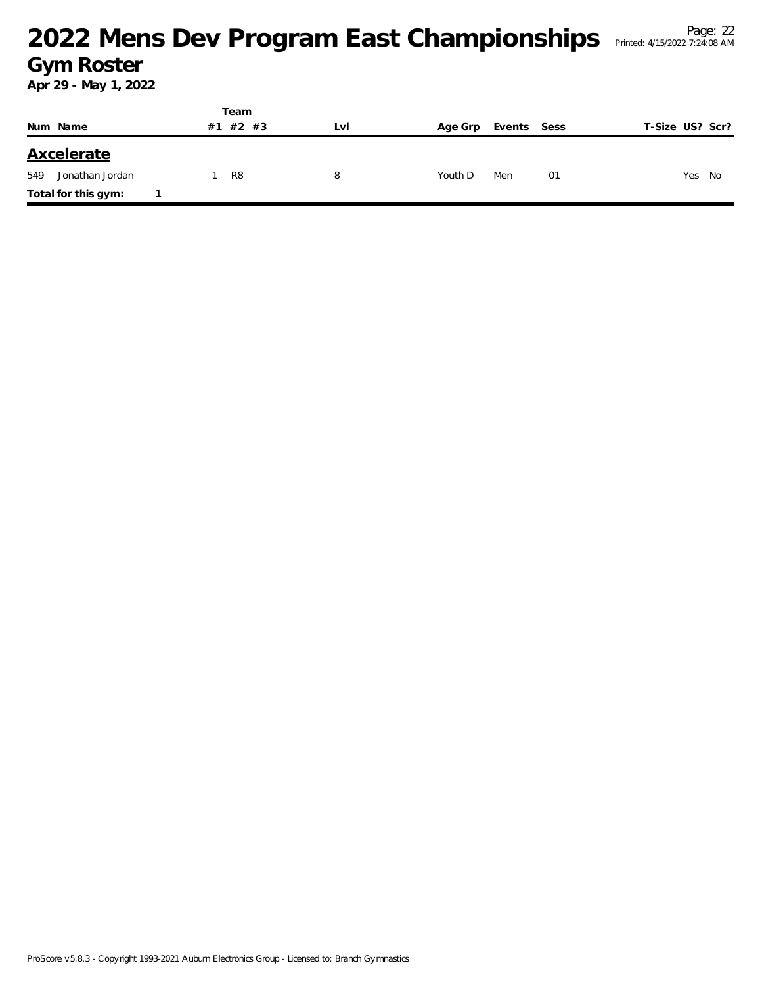|     |                     |    | Team    |   |     |         |             |    |                 |
|-----|---------------------|----|---------|---|-----|---------|-------------|----|-----------------|
|     | Num Name            | #1 | $#2$ #3 |   | LvI | Age Grp | Events Sess |    | T-Size US? Scr? |
|     | <b>Axcelerate</b>   |    |         |   |     |         |             |    |                 |
| 549 | Jonathan Jordan     |    | R8      | 8 |     | Youth D | Men         | 01 | Yes No          |
|     | Total for this gym: |    |         |   |     |         |             |    |                 |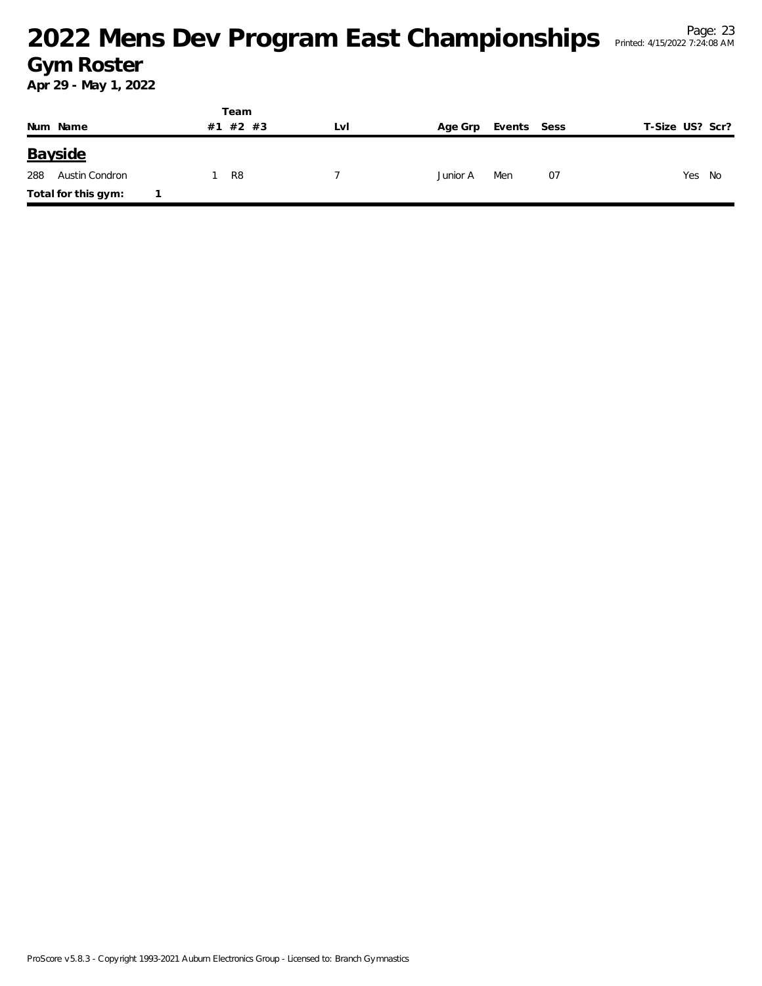|     |                     |    | Team  |     |          |             |                 |
|-----|---------------------|----|-------|-----|----------|-------------|-----------------|
|     | Num Name            | #1 | 1#2#3 | LvI | Age Grp  | Events Sess | T-Size US? Scr? |
|     | Bayside             |    |       |     |          |             |                 |
| 288 | Austin Condron      |    | R8    |     | Junior A | 07<br>Men   | Yes No          |
|     | Total for this gym: |    |       |     |          |             |                 |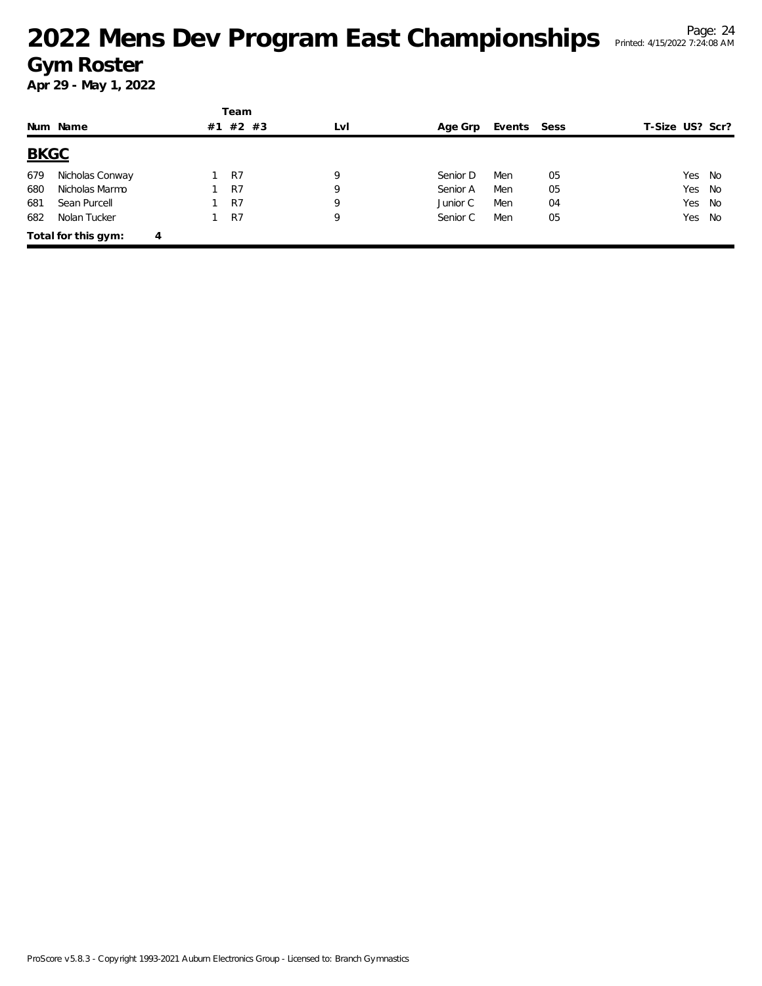|             |                     |   |    | Team  |     |          |             |    |                 |        |
|-------------|---------------------|---|----|-------|-----|----------|-------------|----|-----------------|--------|
|             | Num Name            |   | #1 | #2 #3 | LvI | Age Grp  | Events Sess |    | T-Size US? Scr? |        |
| <b>BKGC</b> |                     |   |    |       |     |          |             |    |                 |        |
| 679         | Nicholas Conway     |   |    | R7    | 9   | Senior D | Men         | 05 |                 | Yes No |
| 680         | Nicholas Marmo      |   |    | R7    | 9   | Senior A | Men         | 05 |                 | Yes No |
| 681         | Sean Purcell        |   |    | R7    | 9   | Junior C | Men         | 04 |                 | Yes No |
| 682         | Nolan Tucker        |   |    | R7    | 9   | Senior C | Men         | 05 |                 | Yes No |
|             | Total for this gym: | 4 |    |       |     |          |             |    |                 |        |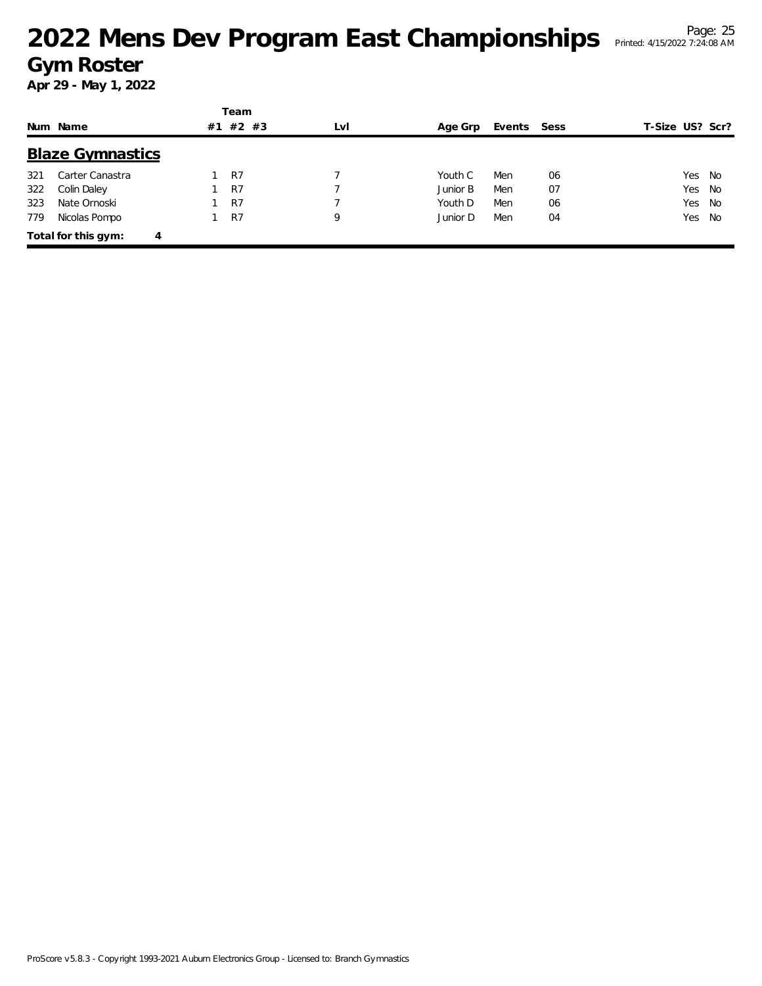|     | Num Name                 | #1 | Team<br>$#2$ #3 | LvI | Age Grp  | Events Sess |    | T-Size US? Scr? |        |
|-----|--------------------------|----|-----------------|-----|----------|-------------|----|-----------------|--------|
|     | <b>Blaze Gymnastics</b>  |    |                 |     |          |             |    |                 |        |
| 321 | Carter Canastra          |    | R <sub>7</sub>  |     | Youth C  | Men         | 06 | Yes             | No     |
| 322 | Colin Daley              |    | R7              |     | Junior B | Men         | 07 | Yes             | No     |
| 323 | Nate Ornoski             |    | R7              |     | Youth D  | Men         | 06 |                 | Yes No |
| 779 | Nicolas Pompo            |    | R7              | 9   | Junior D | Men         | 04 | Yes             | No     |
|     | Total for this gym:<br>4 |    |                 |     |          |             |    |                 |        |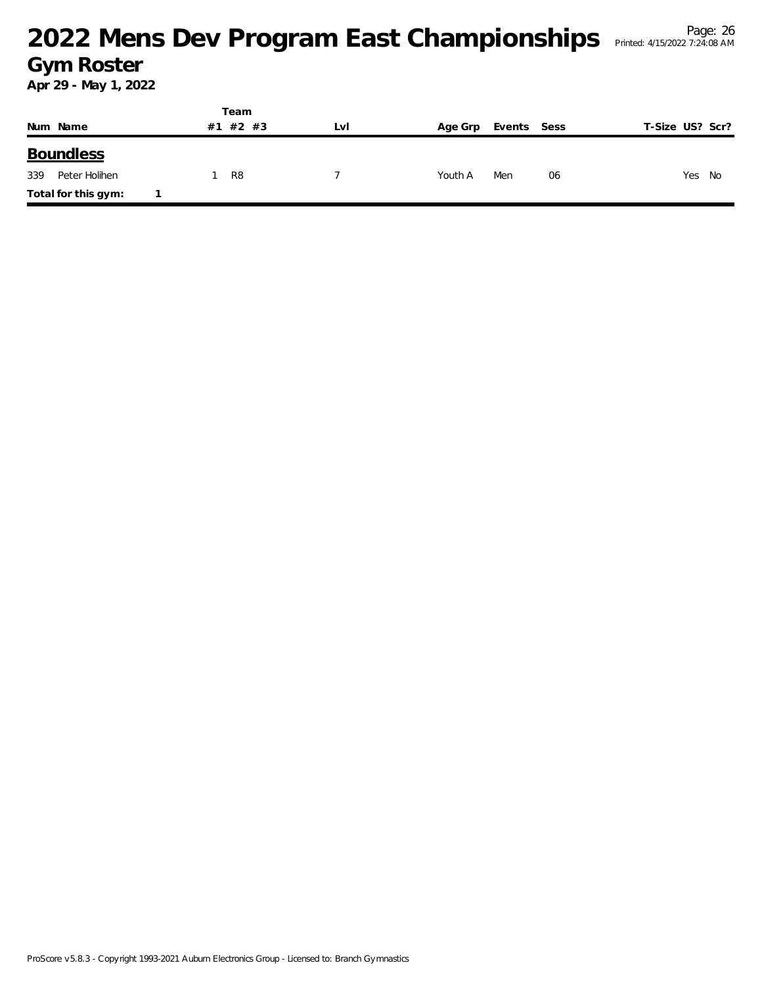|     |                     |  | Team     |     |         |             |                 |
|-----|---------------------|--|----------|-----|---------|-------------|-----------------|
|     | Num Name            |  | #1 #2 #3 | LVI | Age Grp | Events Sess | T-Size US? Scr? |
|     | <b>Boundless</b>    |  |          |     |         |             |                 |
| 339 | Peter Holihen       |  | R8       |     | Youth A | Men<br>06   | Yes<br>- No     |
|     | Total for this gym: |  |          |     |         |             |                 |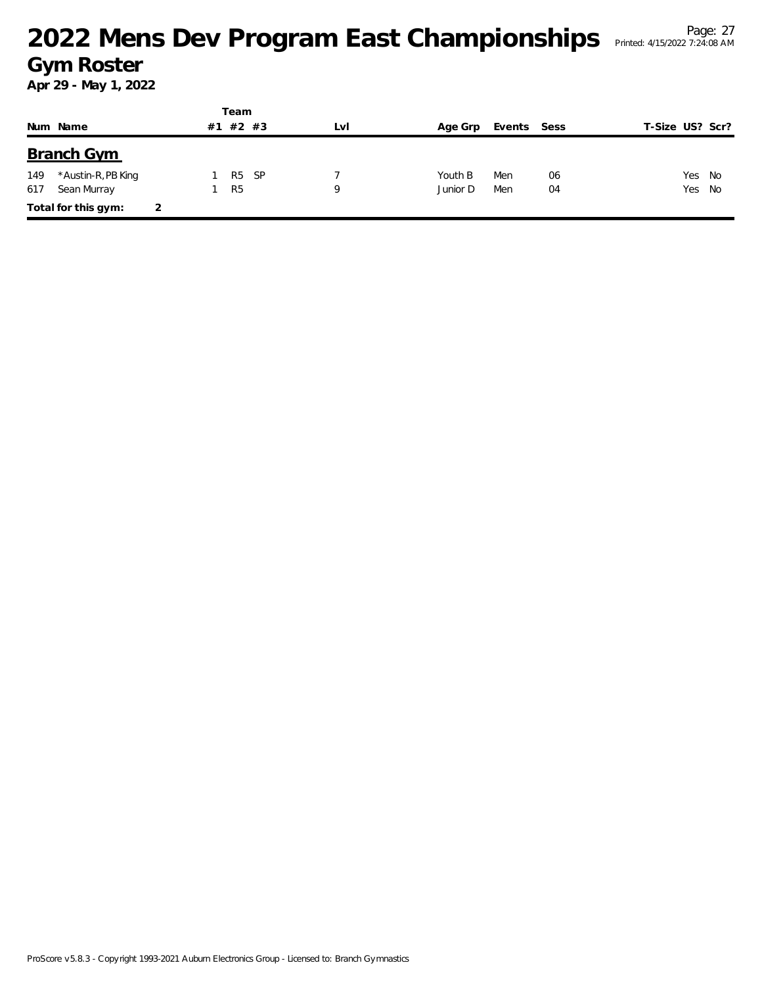|     |                     |    | Team           |      |     |          |             |    |                 |        |
|-----|---------------------|----|----------------|------|-----|----------|-------------|----|-----------------|--------|
|     | Num Name            | #1 | $#2$ #3        |      | LvI | Age Grp  | Events Sess |    | T-Size US? Scr? |        |
|     | <b>Branch Gym</b>   |    |                |      |     |          |             |    |                 |        |
| 149 | *Austin-R,PB King   |    | R <sub>5</sub> | - SP |     | Youth B  | Men         | 06 |                 | Yes No |
| 617 | Sean Murray         |    | R <sub>5</sub> |      | Q   | Junior D | Men         | 04 |                 | Yes No |
|     | Total for this gym: |    |                |      |     |          |             |    |                 |        |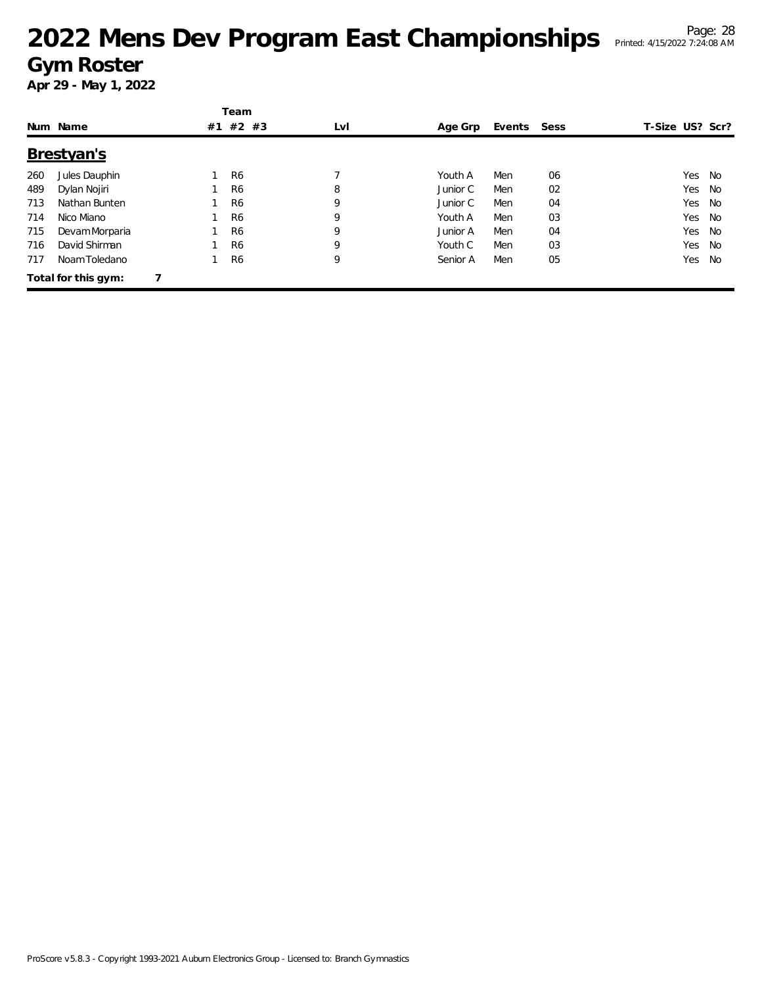|     |                     |    | Team           |     |          |        |      |                 |           |
|-----|---------------------|----|----------------|-----|----------|--------|------|-----------------|-----------|
|     | Num Name            | #1 | #2 #3          | LvI | Age Grp  | Events | Sess | T-Size US? Scr? |           |
|     | Brestyan's          |    |                |     |          |        |      |                 |           |
| 260 | Jules Dauphin       |    | R <sub>6</sub> |     | Youth A  | Men    | 06   | Yes             | No        |
| 489 | Dylan Nojiri        |    | R <sub>6</sub> | 8   | Junior C | Men    | 02   | Yes             | No        |
| 713 | Nathan Bunten       |    | R <sub>6</sub> | 9   | Junior C | Men    | 04   | Yes             | No        |
| 714 | Nico Miano          |    | R <sub>6</sub> | 9   | Youth A  | Men    | 03   | Yes             | No        |
| 715 | Devam Morparia      |    | R <sub>6</sub> | 9   | Junior A | Men    | 04   | Yes             | No        |
| 716 | David Shirman       |    | R <sub>6</sub> | 9   | Youth C  | Men    | 03   | Yes             | <b>No</b> |
| 717 | Noam Toledano       |    | R <sub>6</sub> | 9   | Senior A | Men    | 05   | Yes             | No        |
|     | Total for this gym: |    |                |     |          |        |      |                 |           |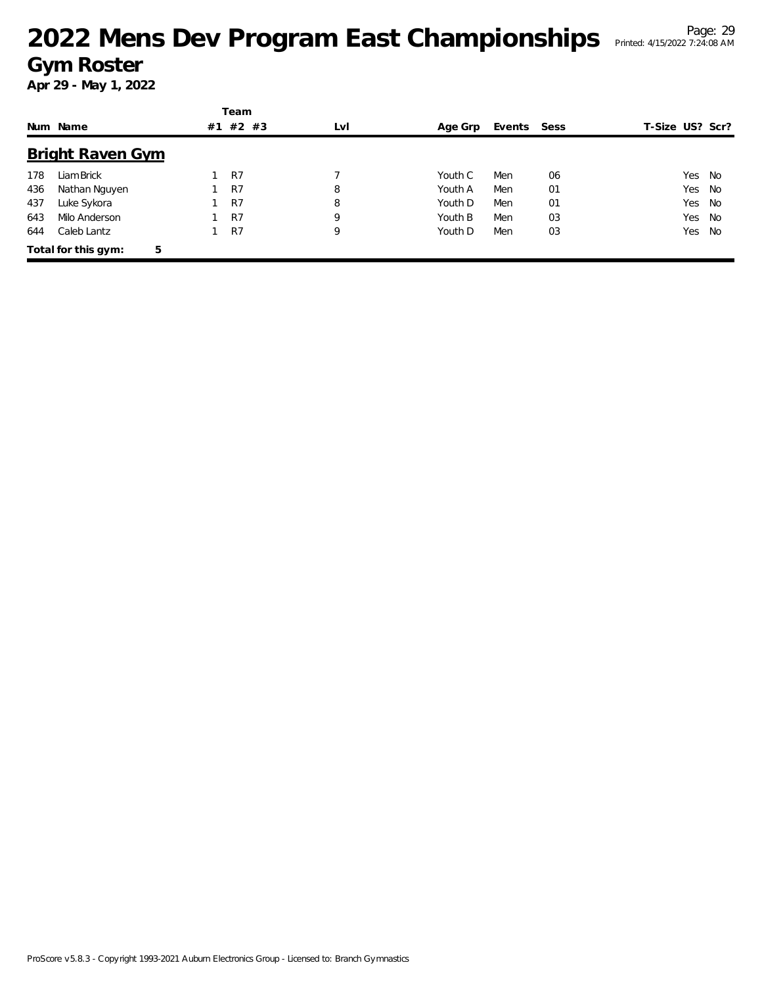|     |                          |    | Team    |     |         |             |    |                 |        |
|-----|--------------------------|----|---------|-----|---------|-------------|----|-----------------|--------|
|     | Num Name                 | #1 | $#2$ #3 | LvI | Age Grp | Events Sess |    | T-Size US? Scr? |        |
|     | <b>Bright Raven Gym</b>  |    |         |     |         |             |    |                 |        |
| 178 | Liam Brick               |    | R7      |     | Youth C | Men         | 06 |                 | Yes No |
| 436 | Nathan Nguyen            |    | R7      | 8   | Youth A | Men         | 01 | Yes             | No     |
| 437 | Luke Sykora              |    | R7      | 8   | Youth D | Men         | 01 | Yes             | No     |
| 643 | Milo Anderson            |    | R7      | 9   | Youth B | Men         | 03 |                 | Yes No |
| 644 | Caleb Lantz              |    | R7      | 9   | Youth D | Men         | 03 | Yes             | No.    |
|     | 5<br>Total for this gym: |    |         |     |         |             |    |                 |        |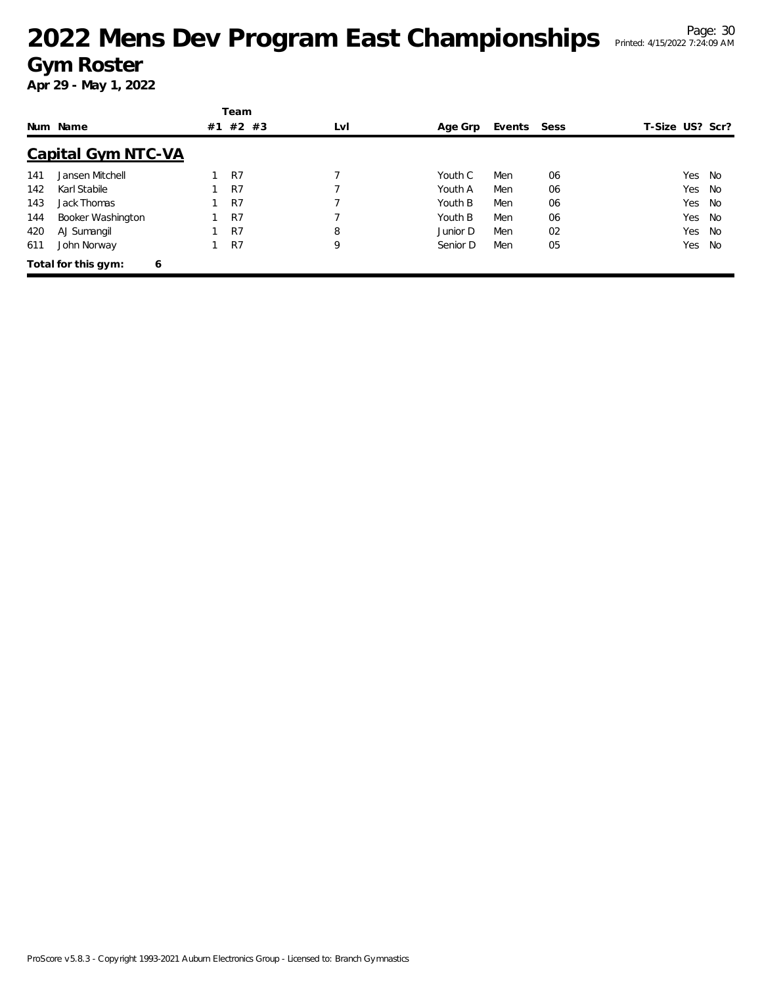|     | Num Name                  | #1 | Team<br>#2 #3 | LvI | Age Grp  | Events Sess |    | T-Size US? Scr? |    |
|-----|---------------------------|----|---------------|-----|----------|-------------|----|-----------------|----|
|     | <b>Capital Gym NTC-VA</b> |    |               |     |          |             |    |                 |    |
| 141 | Jansen Mitchell           |    | R7            |     | Youth C  | Men         | 06 | Yes             | No |
| 142 | Karl Stabile              |    | R7            |     | Youth A  | Men         | 06 | Yes             | No |
| 143 | Jack Thomas               |    | R7            |     | Youth B  | Men         | 06 | Yes             | No |
| 144 | Booker Washington         |    | R7            |     | Youth B  | Men         | 06 | Yes             | No |
| 420 | AJ Sumangil               |    | R7            | 8   | Junior D | Men         | 02 | Yes             | No |
| 611 | John Norway               |    | R7            | 9   | Senior D | Men         | 05 | Yes             | No |
|     | Total for this gym:<br>6  |    |               |     |          |             |    |                 |    |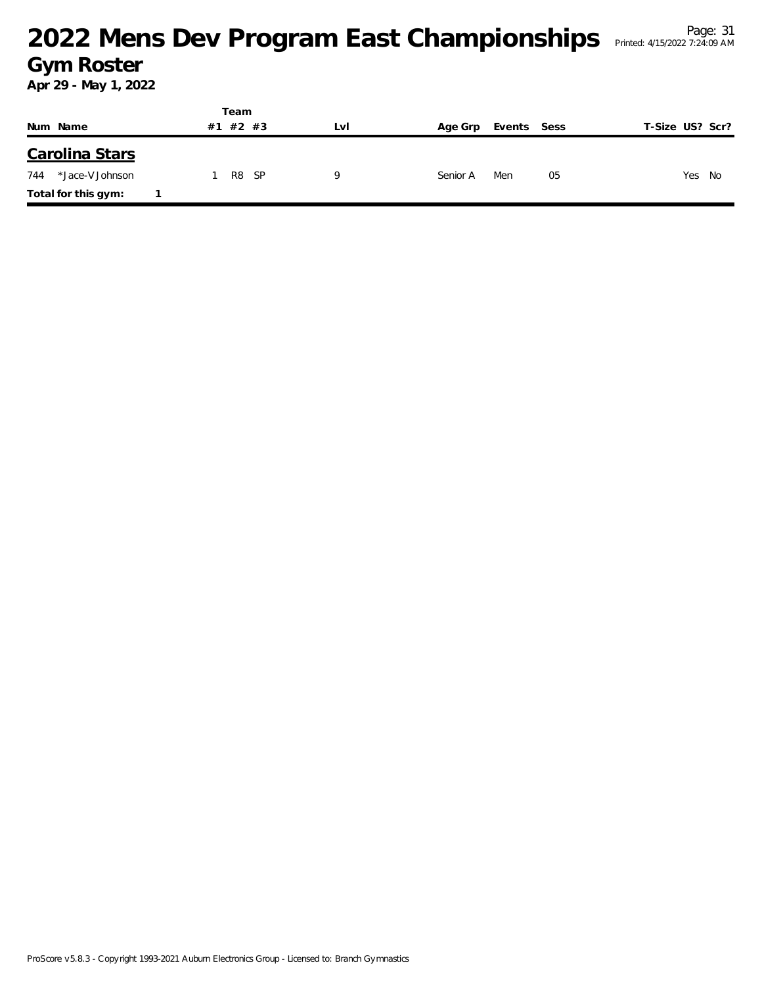|                        |    | Team       |     |          |             |                 |
|------------------------|----|------------|-----|----------|-------------|-----------------|
| Num Name               | #1 | #2 #3      | Lvi | Age Grp  | Events Sess | T-Size US? Scr? |
| Carolina Stars         |    |            |     |          |             |                 |
| *Jace-V Johnson<br>744 |    | R8<br>- SP |     | Senior A | Men<br>05   | Yes No          |
| Total for this gym:    |    |            |     |          |             |                 |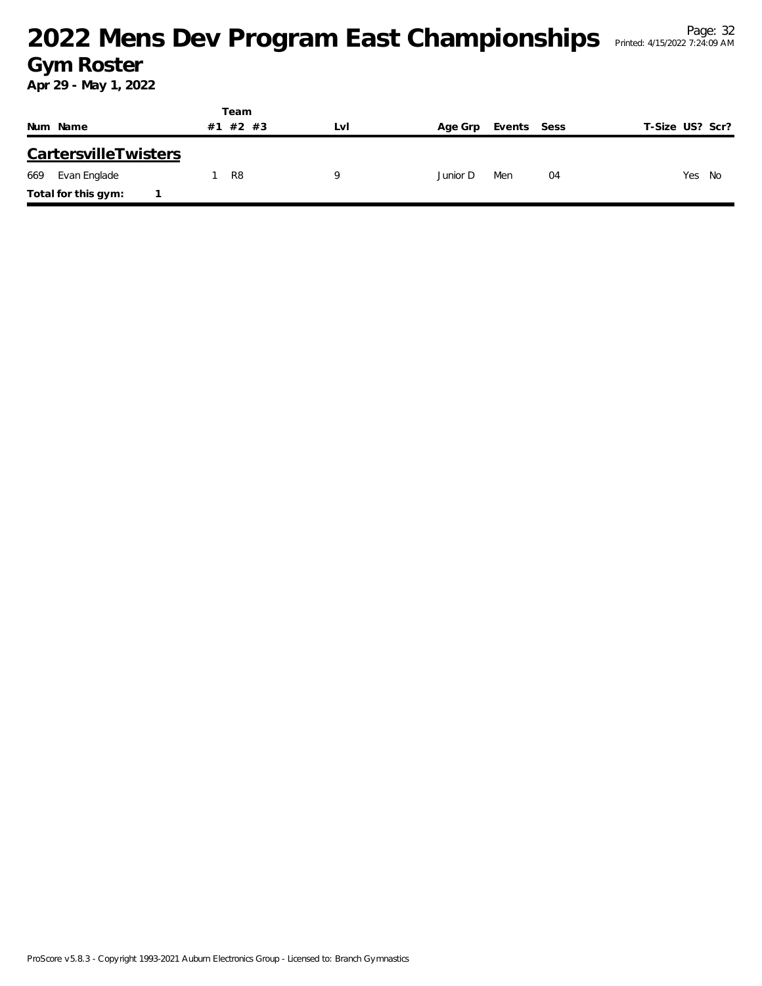|     |                             |    | Team  |     |          |             |    |                 |
|-----|-----------------------------|----|-------|-----|----------|-------------|----|-----------------|
|     | Num Name                    | #1 | #2 #3 | LVI | Age Grp  | Events Sess |    | T-Size US? Scr? |
|     | <b>CartersvilleTwisters</b> |    |       |     |          |             |    |                 |
| 669 | Evan Englade                |    | R8    | Q   | Junior D | Men         | 04 | Yes<br>No       |
|     | Total for this gym:         |    |       |     |          |             |    |                 |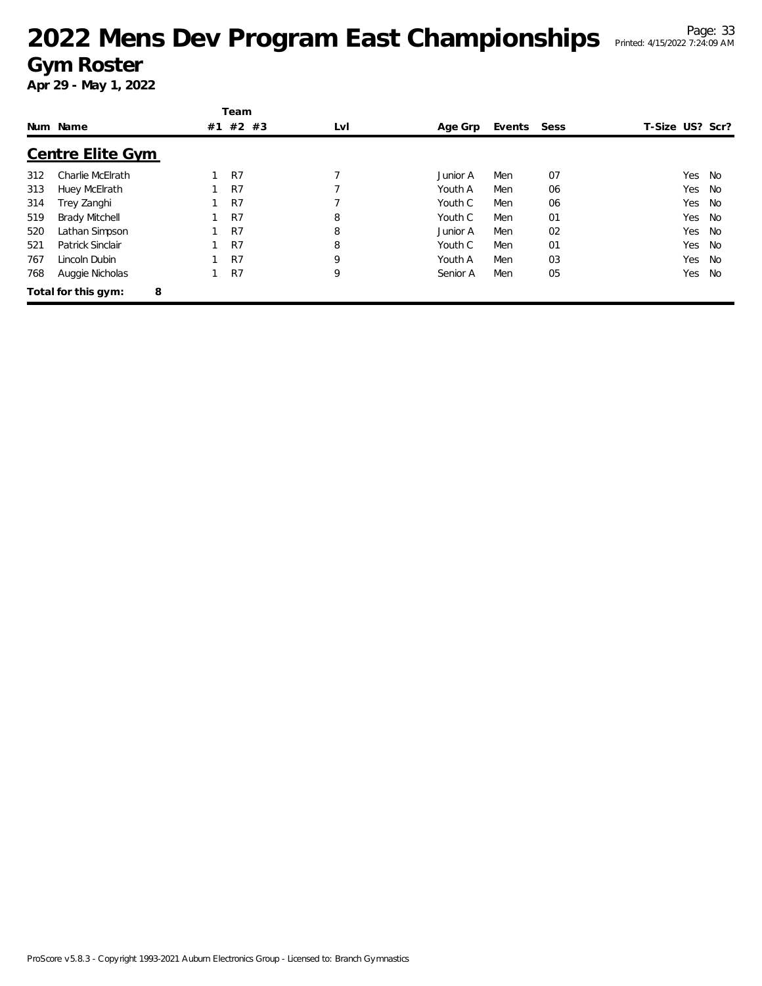|     |                          |    | Team    |     |          |        |      |                 |           |
|-----|--------------------------|----|---------|-----|----------|--------|------|-----------------|-----------|
|     | Num Name                 | #1 | $#2$ #3 | LvI | Age Grp  | Events | Sess | T-Size US? Scr? |           |
|     | <b>Centre Elite Gym</b>  |    |         |     |          |        |      |                 |           |
| 312 | Charlie McElrath         |    | R7      | 7   | Junior A | Men    | 07   | Yes             | No        |
| 313 | Huey McElrath            |    | R7      |     | Youth A  | Men    | 06   | Yes             | No        |
| 314 | Trey Zanghi              |    | R7      |     | Youth C  | Men    | 06   | Yes             | No        |
| 519 | <b>Brady Mitchell</b>    |    | R7      | 8   | Youth C  | Men    | 01   | Yes             | <b>No</b> |
| 520 | Lathan Simpson           |    | R7      | 8   | Junior A | Men    | 02   | Yes             | No        |
| 521 | Patrick Sinclair         |    | R7      | 8   | Youth C  | Men    | 01   | Yes             | No        |
| 767 | Lincoln Dubin            |    | R7      | 9   | Youth A  | Men    | 03   | Yes             | No        |
| 768 | Auggie Nicholas          |    | R7      | 9   | Senior A | Men    | 05   | Yes             | No        |
|     | 8<br>Total for this gym: |    |         |     |          |        |      |                 |           |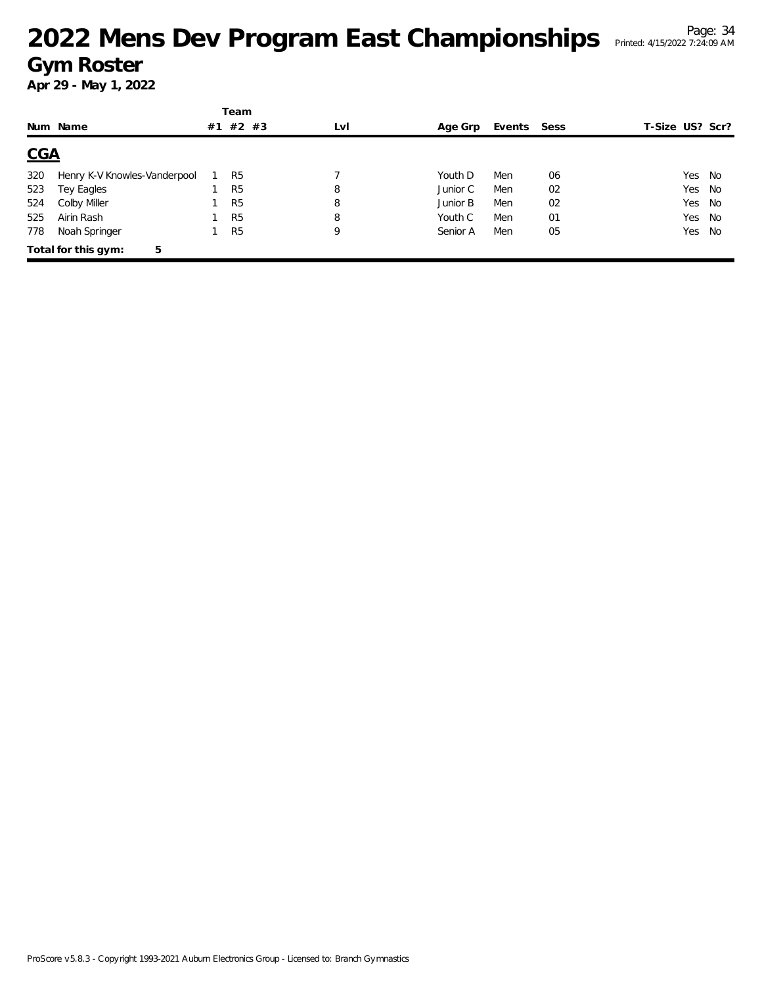|            |                              |    | Team           |     |          |             |    |                 |      |
|------------|------------------------------|----|----------------|-----|----------|-------------|----|-----------------|------|
|            | Num Name                     | #1 | $#2$ #3        | LvI | Age Grp  | Events Sess |    | T-Size US? Scr? |      |
| <u>CGA</u> |                              |    |                |     |          |             |    |                 |      |
| 320        | Henry K-V Knowles-Vanderpool |    | R <sub>5</sub> |     | Youth D  | Men         | 06 | Yes             | - No |
| 523        | Tey Eagles                   |    | R <sub>5</sub> | 8   | Junior C | Men         | 02 | Yes             | No   |
| 524        | Colby Miller                 |    | R <sub>5</sub> | 8   | Junior B | Men         | 02 | Yes             | No   |
| 525        | Airin Rash                   |    | R <sub>5</sub> | 8   | Youth C  | Men         | 01 | Yes             | No   |
| 778        | Noah Springer                |    | R <sub>5</sub> | 9   | Senior A | Men         | 05 | Yes             | No   |
|            | Total for this gym:<br>5     |    |                |     |          |             |    |                 |      |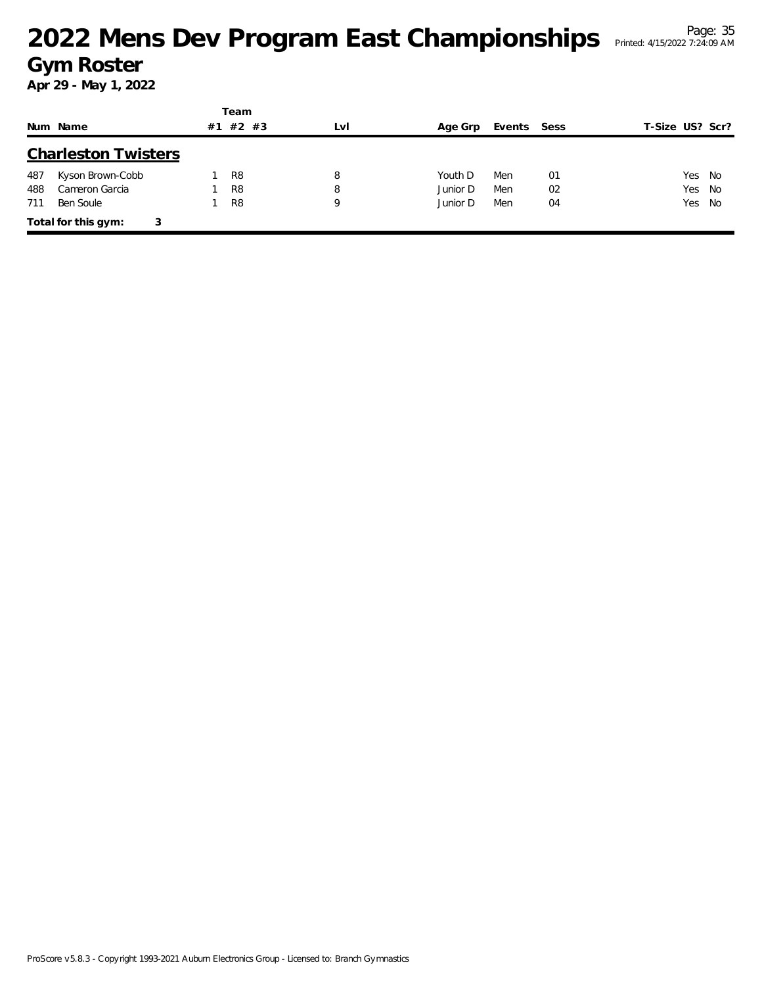|     |                            |    | Team           |     |          |             |    |                 |
|-----|----------------------------|----|----------------|-----|----------|-------------|----|-----------------|
|     | Num Name                   | #1 | #2 #3          | LvI | Age Grp  | Events Sess |    | T-Size US? Scr? |
|     | <b>Charleston Twisters</b> |    |                |     |          |             |    |                 |
| 487 | Kyson Brown-Cobb           |    | R <sub>8</sub> | 8   | Youth D  | Men         | 01 | Yes<br>No       |
| 488 | Cameron Garcia             |    | R <sub>8</sub> | 8   | Junior D | Men         | 02 | Yes<br>No       |
| 711 | Ben Soule                  |    | R <sub>8</sub> | 9   | Junior D | Men         | 04 | Yes No          |
|     | Total for this gym:        | 3  |                |     |          |             |    |                 |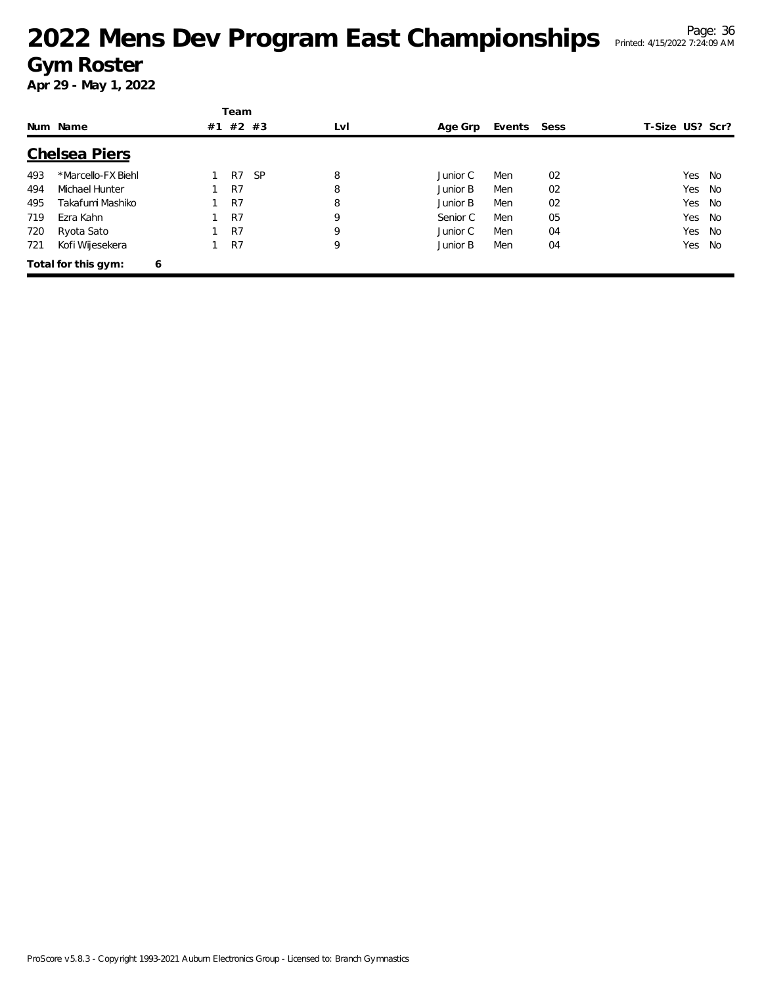|     |                      |   | Team     |           |     |          |        |      |                 |        |
|-----|----------------------|---|----------|-----------|-----|----------|--------|------|-----------------|--------|
|     | Num Name             |   | #1 #2 #3 |           | LvI | Age Grp  | Events | Sess | T-Size US? Scr? |        |
|     | <b>Chelsea Piers</b> |   |          |           |     |          |        |      |                 |        |
| 493 | *Marcello-FX Biehl   |   | R7       | <b>SP</b> | 8   | Junior C | Men    | 02   | Yes             | No     |
| 494 | Michael Hunter       |   | R7       |           | 8   | Junior B | Men    | 02   | Yes             | No     |
| 495 | Takafumi Mashiko     |   | R7       |           | 8   | Junior B | Men    | 02   | Yes             | No.    |
| 719 | Ezra Kahn            |   | R7       |           | 9   | Senior C | Men    | 05   |                 | Yes No |
| 720 | Ryota Sato           |   | R7       |           | 9   | Junior C | Men    | 04   | Yes             | No.    |
| 721 | Kofi Wijesekera      |   | R7       |           | 9   | Junior B | Men    | 04   | Yes             | No     |
|     | Total for this gym:  | 6 |          |           |     |          |        |      |                 |        |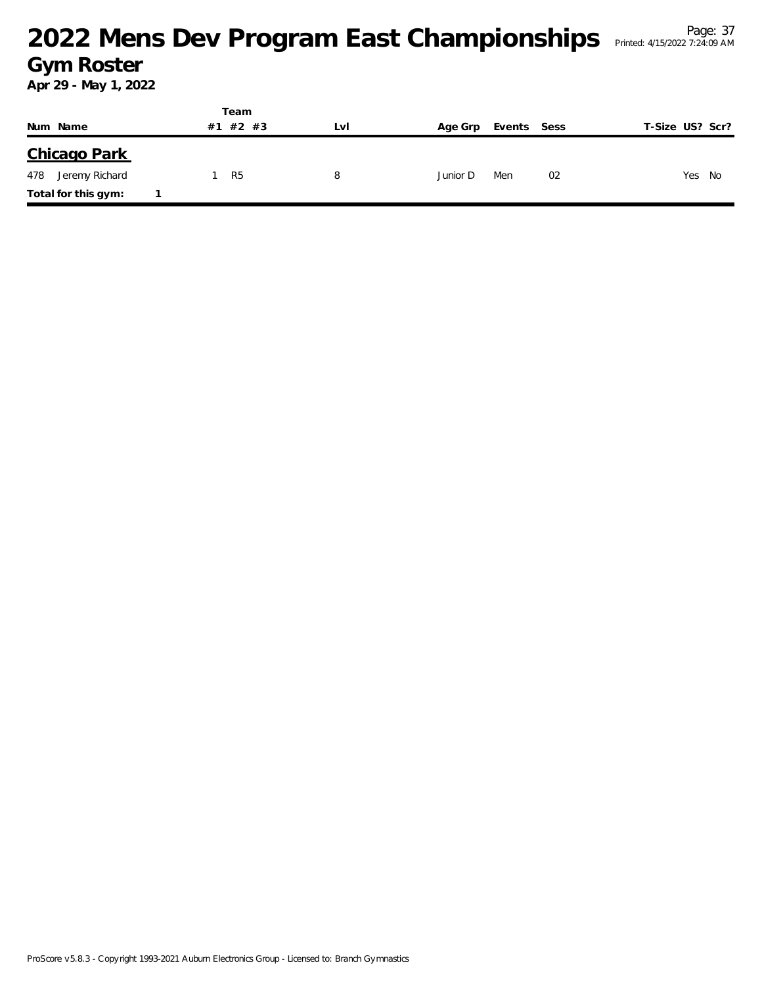|                       |    | Team  |     |          |             |    |                 |
|-----------------------|----|-------|-----|----------|-------------|----|-----------------|
| Num Name              | #1 | #2 #3 | LVI | Age Grp  | Events Sess |    | T-Size US? Scr? |
| Chicago Park          |    |       |     |          |             |    |                 |
| 478<br>Jeremy Richard |    | R5    | 8   | Junior D | Men         | 02 | Yes<br>- No     |
| Total for this gym:   |    |       |     |          |             |    |                 |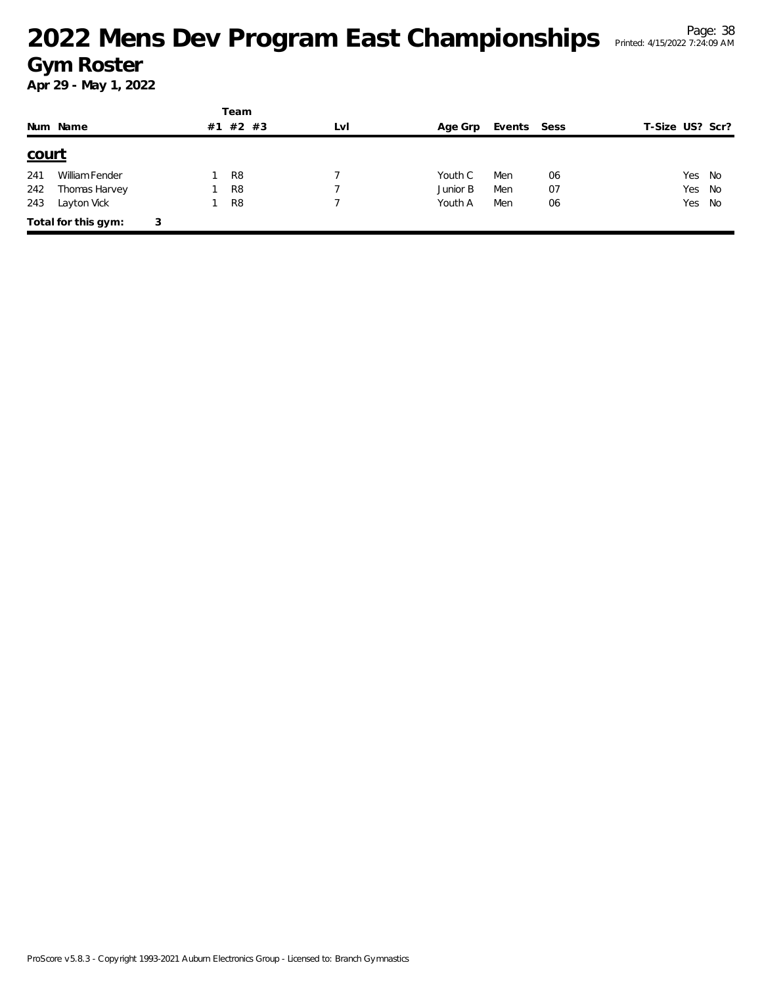|              |                     |   |    | Team           |     |          |             |    |                 |
|--------------|---------------------|---|----|----------------|-----|----------|-------------|----|-----------------|
|              | Num Name            |   | #1 | #2 #3          | LvI | Age Grp  | Events Sess |    | T-Size US? Scr? |
| <u>court</u> |                     |   |    |                |     |          |             |    |                 |
| 241          | William Fender      |   |    | R <sub>8</sub> |     | Youth C  | Men         | 06 | Yes<br>No       |
| 242          | Thomas Harvey       |   |    | R <sub>8</sub> |     | Junior B | Men         | 07 | Yes<br>No       |
| 243          | Layton Vick         |   |    | R <sub>8</sub> |     | Youth A  | Men         | 06 | Yes No          |
|              | Total for this gym: | 3 |    |                |     |          |             |    |                 |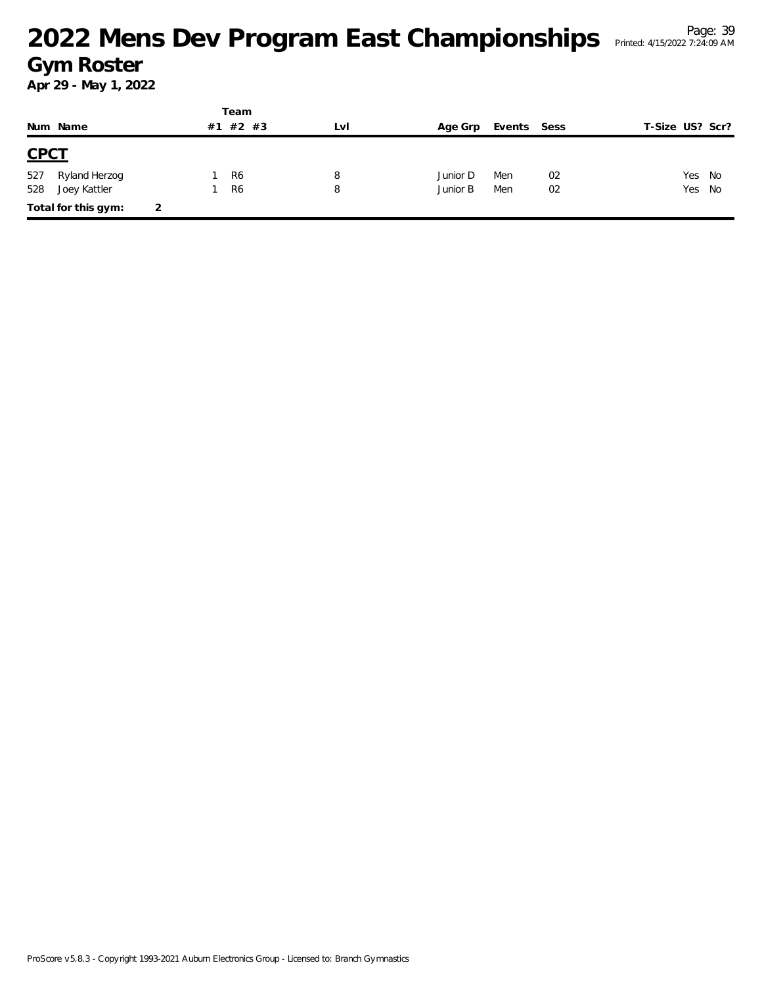|             |                     |   |    | Team           |     |          |             |    |                 |        |
|-------------|---------------------|---|----|----------------|-----|----------|-------------|----|-----------------|--------|
|             | Num Name            |   | #1 | #2 #3          | LVI | Age Grp  | Events Sess |    | T-Size US? Scr? |        |
| <b>CPCT</b> |                     |   |    |                |     |          |             |    |                 |        |
| 527         | Ryland Herzog       |   |    | R <sub>6</sub> | 8   | Junior D | Men         | 02 | Yes             | No     |
| 528         | Joey Kattler        |   |    | R <sub>6</sub> | 8   | Junior B | Men         | 02 |                 | Yes No |
|             | Total for this gym: | 2 |    |                |     |          |             |    |                 |        |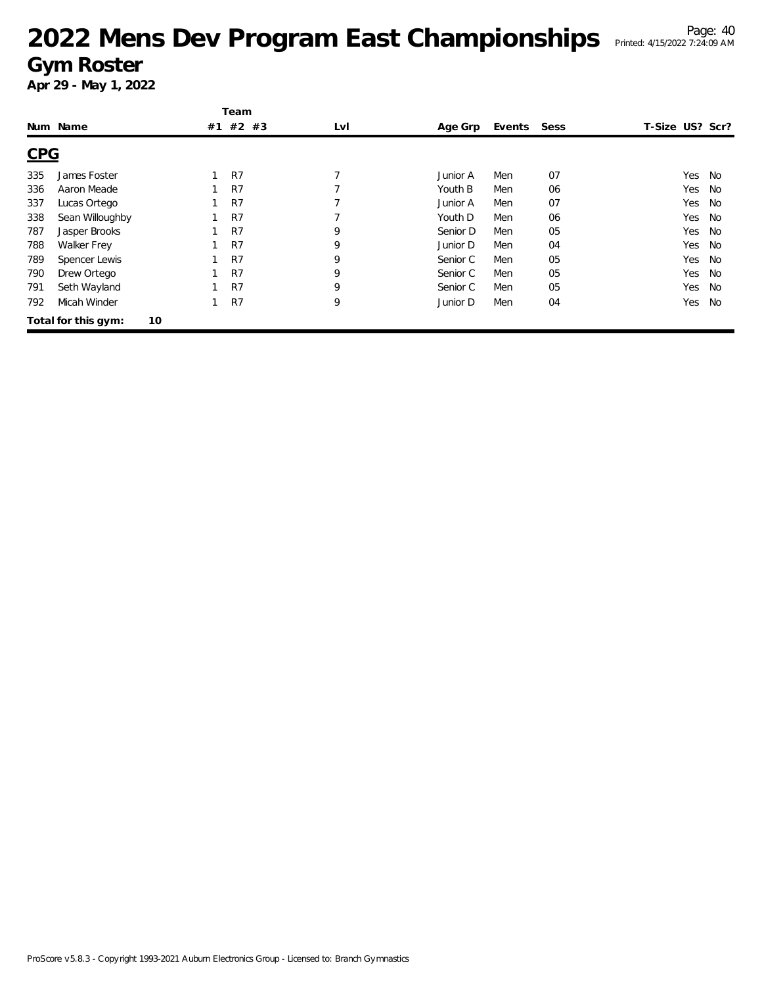|            |                           | Team           |                |          |        |      |                 |    |
|------------|---------------------------|----------------|----------------|----------|--------|------|-----------------|----|
|            | Num Name                  | #1 #2 #3       | LvI            | Age Grp  | Events | Sess | T-Size US? Scr? |    |
| <b>CPG</b> |                           |                |                |          |        |      |                 |    |
| 335        | James Foster              | R7             | 7              | Junior A | Men    | 07   | Yes             | No |
| 336        | Aaron Meade               | R7             |                | Youth B  | Men    | 06   | Yes             | No |
| 337        | Lucas Ortego              | R <sub>7</sub> | $\overline{7}$ | Junior A | Men    | 07   | Yes             | No |
| 338        | Sean Willoughby           | R7             | 7              | Youth D  | Men    | 06   | Yes             | No |
| 787        | Jasper Brooks             | R <sub>7</sub> | 9              | Senior D | Men    | 05   | Yes             | No |
| 788        | <b>Walker Frey</b>        | R7             | 9              | Junior D | Men    | 04   | Yes             | No |
| 789        | Spencer Lewis             | R7             | 9              | Senior C | Men    | 05   | Yes             | No |
| 790        | Drew Ortego               | R7             | 9              | Senior C | Men    | 05   | Yes             | No |
| 791        | Seth Wayland              | R7             | 9              | Senior C | Men    | 05   | Yes             | No |
| 792        | Micah Winder              | R7             | 9              | Junior D | Men    | 04   | Yes             | No |
|            | 10<br>Total for this gym: |                |                |          |        |      |                 |    |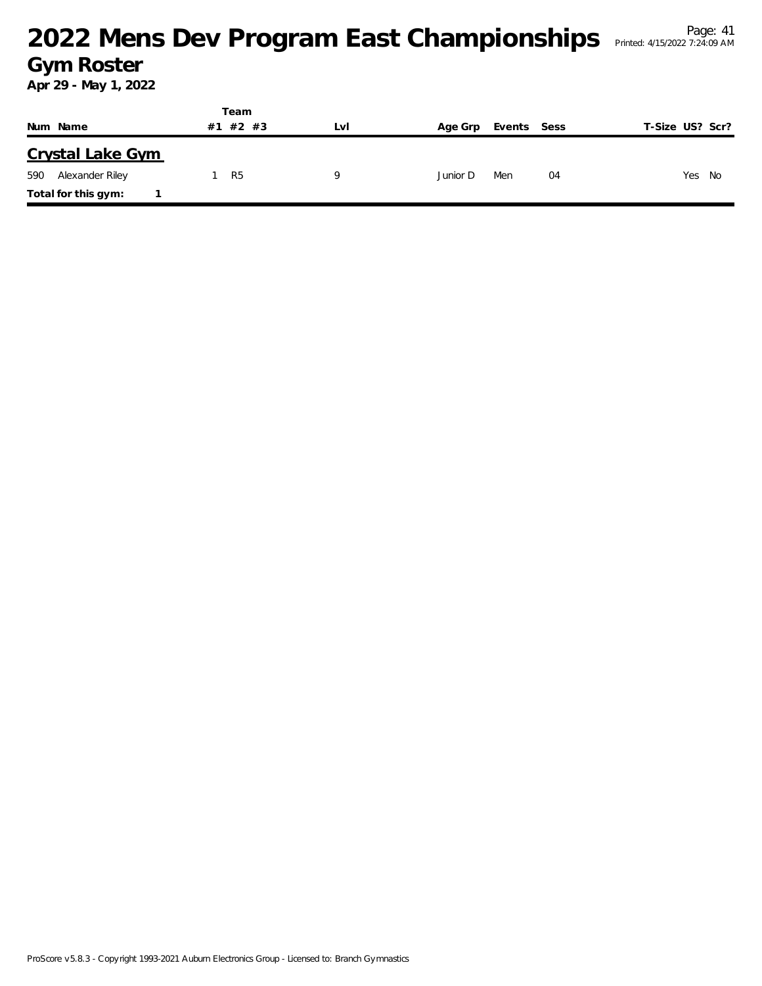|                        | Team        |     |          |             |                 |
|------------------------|-------------|-----|----------|-------------|-----------------|
| Num Name               | #2 #3<br>#1 | Lvi | Age Grp  | Events Sess | T-Size US? Scr? |
| Crystal Lake Gym       |             |     |          |             |                 |
| Alexander Riley<br>590 | R5          | Q   | Junior D | Men<br>04   | Yes No          |
| Total for this gym:    |             |     |          |             |                 |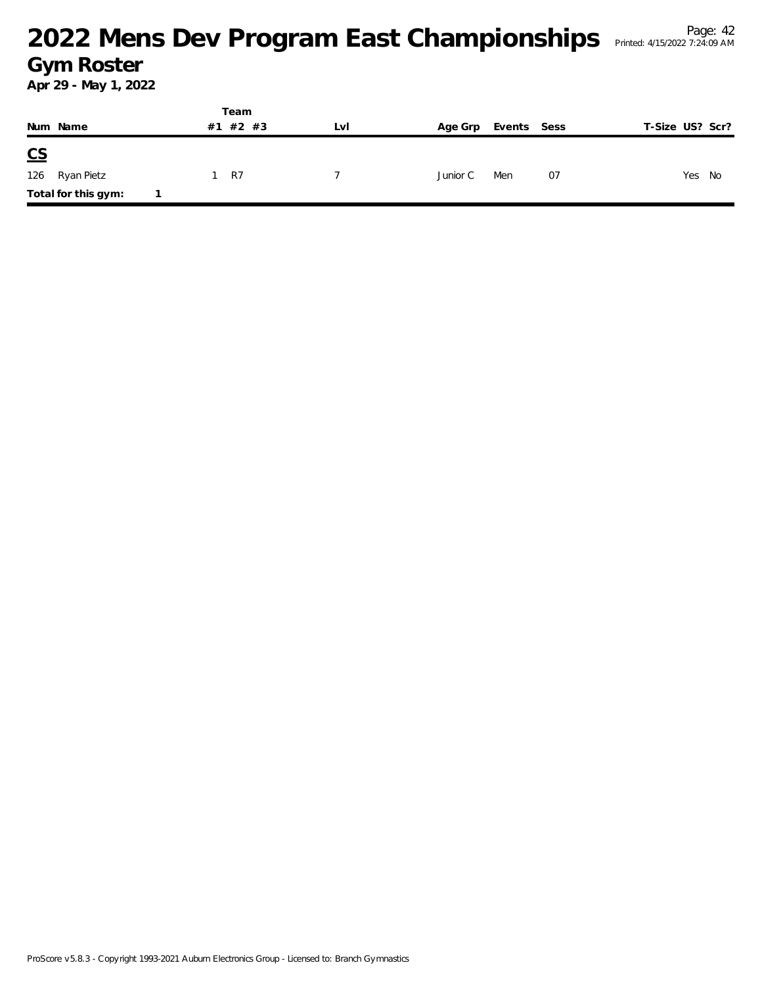|               |                     |    | Team  |     |          |             |    |                 |
|---------------|---------------------|----|-------|-----|----------|-------------|----|-----------------|
|               | Num Name            | #1 | #2 #3 | LvI | Age Grp  | Events Sess |    | T-Size US? Scr? |
| $\mathsf{CS}$ |                     |    |       |     |          |             |    |                 |
|               | 126 Ryan Pietz      |    | 1 R7  |     | Junior C | Men         | 07 | Yes No          |
|               | Total for this gym: |    |       |     |          |             |    |                 |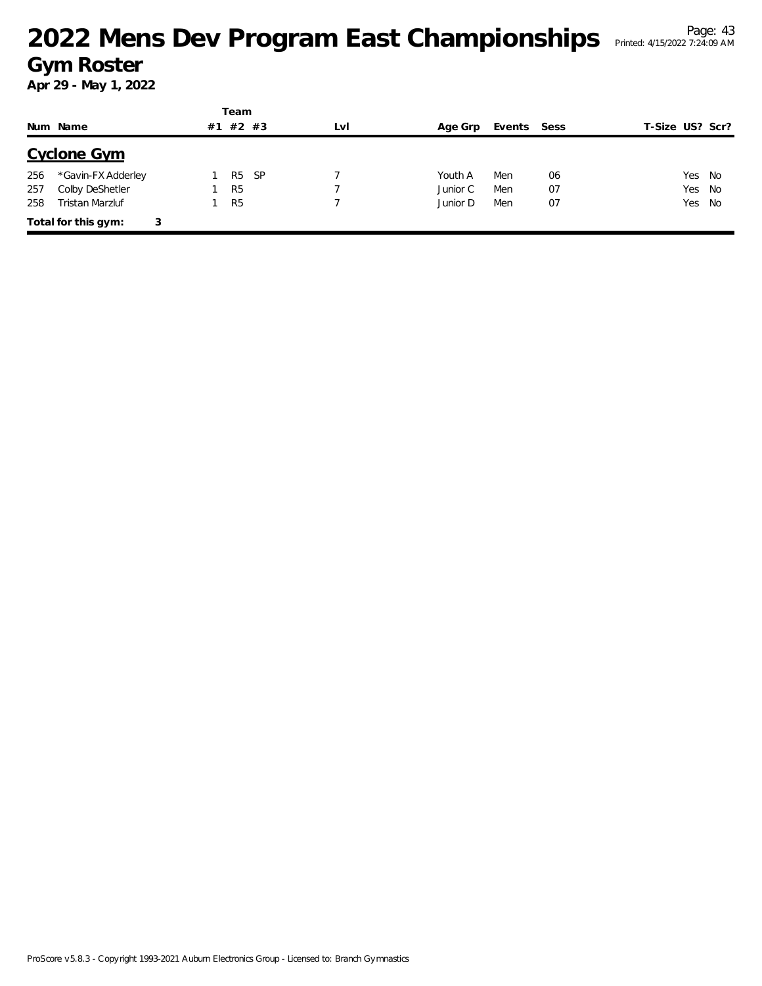|     |                     |    | Team           |     |     |          |             |    |                 |  |
|-----|---------------------|----|----------------|-----|-----|----------|-------------|----|-----------------|--|
|     | Num Name            | #1 | $#2$ #3        |     | LvI | Age Grp  | Events Sess |    | T-Size US? Scr? |  |
|     | Cyclone Gym         |    |                |     |     |          |             |    |                 |  |
| 256 | *Gavin-FX Adderley  |    | R5             | -SP |     | Youth A  | Men         | 06 | Yes No          |  |
| 257 | Colby DeShetler     |    | R <sub>5</sub> |     |     | Junior C | Men         | 07 | Yes<br>No       |  |
| 258 | Tristan Marzluf     |    | R <sub>5</sub> |     |     | Junior D | Men         | 07 | Yes No          |  |
|     | Total for this gym: | 3  |                |     |     |          |             |    |                 |  |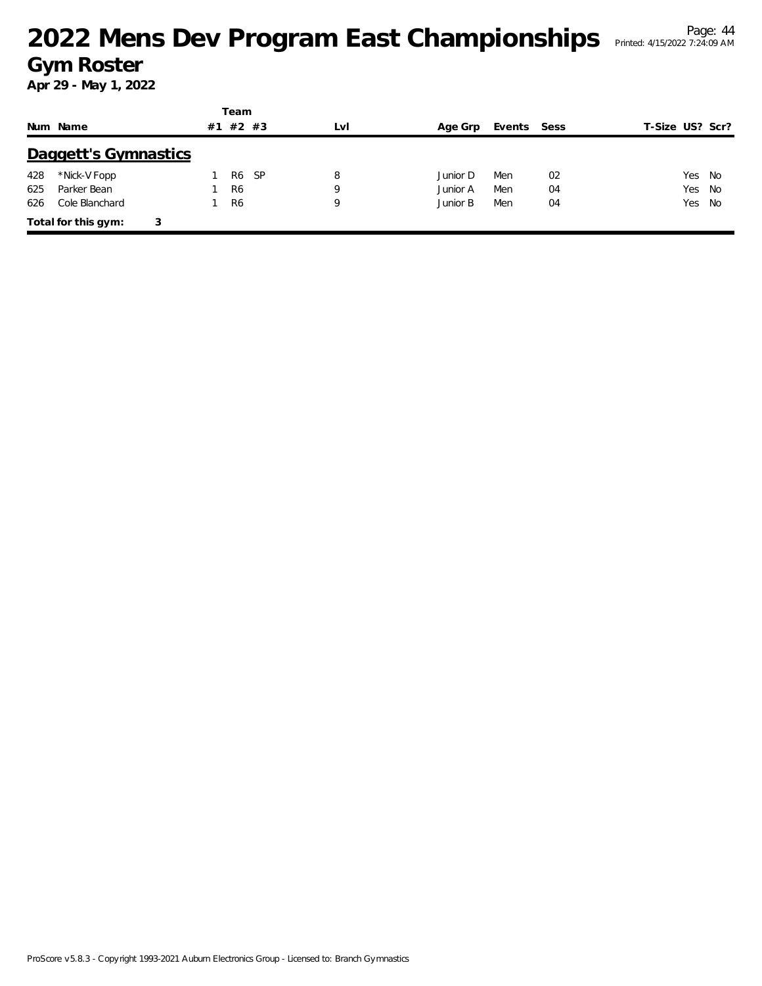|     |                          |    | Team           |     |          |             |    |                 |
|-----|--------------------------|----|----------------|-----|----------|-------------|----|-----------------|
|     | Num Name                 | #1 | $#2$ #3        | LvI | Age Grp  | Events Sess |    | T-Size US? Scr? |
|     | Daggett's Gymnastics     |    |                |     |          |             |    |                 |
| 428 | *Nick-V Fopp             |    | - SP<br>R6     | 8   | Junior D | Men         | 02 | Yes<br>- No     |
| 625 | Parker Bean              |    | R <sub>6</sub> | 9   | Junior A | Men         | 04 | Yes No          |
| 626 | Cole Blanchard           |    | R <sub>6</sub> | 9   | Junior B | Men         | 04 | Yes No          |
|     | Total for this gym:<br>3 |    |                |     |          |             |    |                 |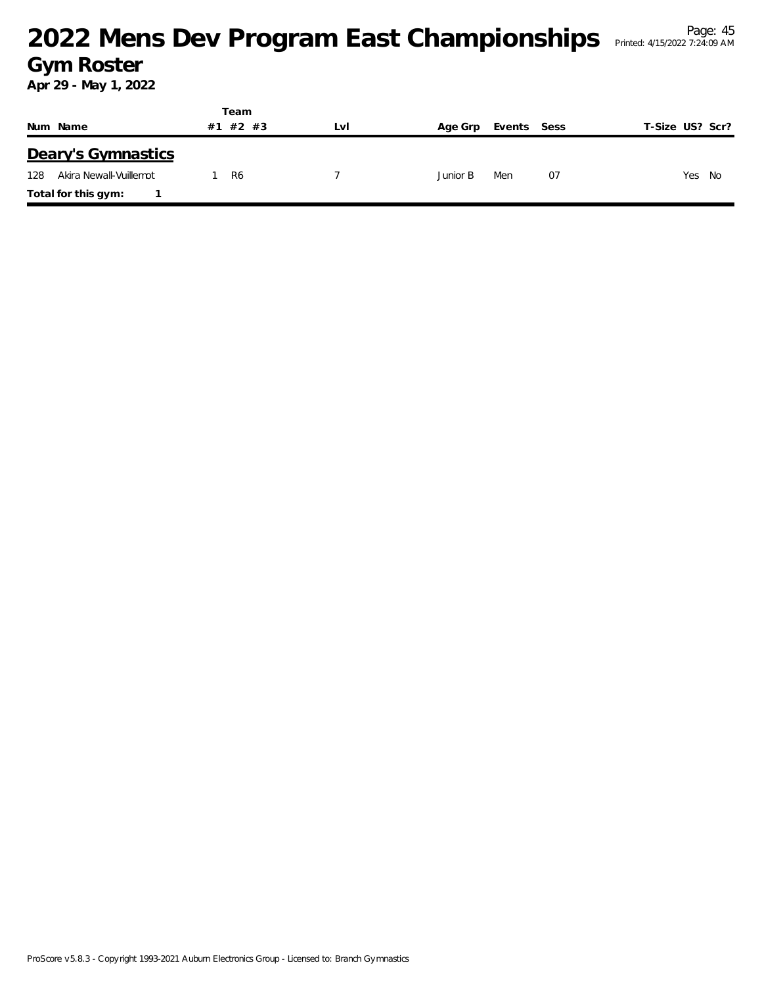|                               | Team     |     |          |             |                 |
|-------------------------------|----------|-----|----------|-------------|-----------------|
| Num Name                      | #1 #2 #3 | LVI | Age Grp  | Events Sess | T-Size US? Scr? |
| Deary's Gymnastics            |          |     |          |             |                 |
| Akira Newall-Vuillemot<br>128 | R6       |     | Junior B | 07<br>Men   | Yes<br>No       |
| Total for this gym:           |          |     |          |             |                 |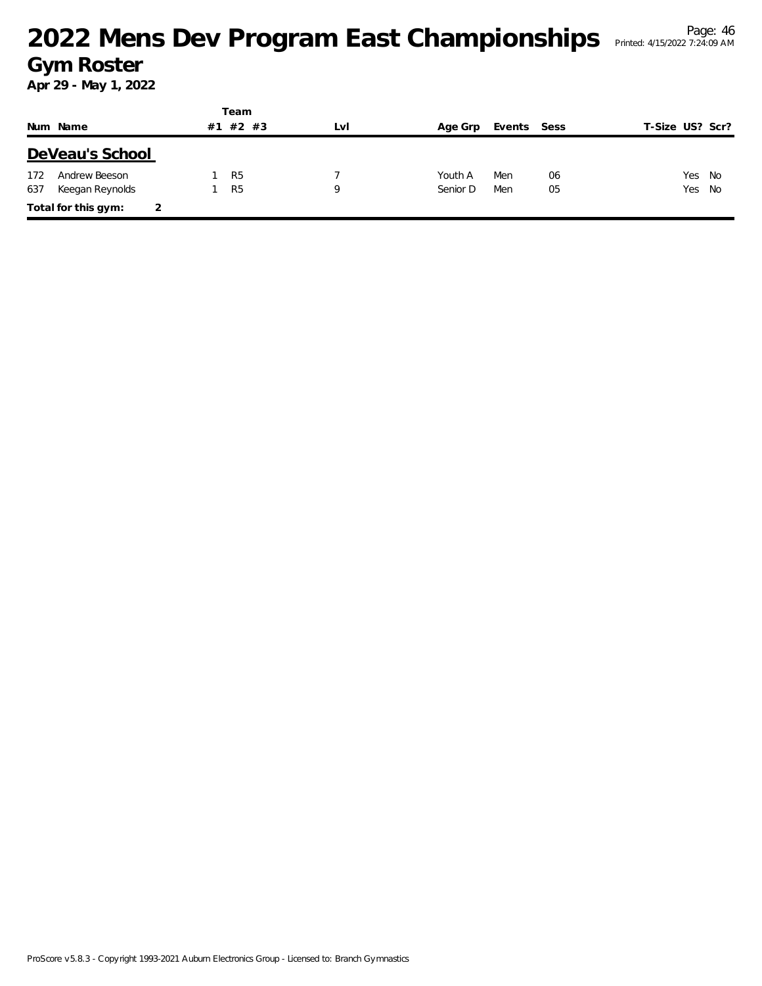|     |                     |    | Team           |     |          |             |    |                 |  |
|-----|---------------------|----|----------------|-----|----------|-------------|----|-----------------|--|
|     | Num Name            | #1 | #2<br>#3       | LvI | Age Grp  | Events Sess |    | T-Size US? Scr? |  |
|     | DeVeau's School     |    |                |     |          |             |    |                 |  |
| 172 | Andrew Beeson       |    | R <sub>5</sub> |     | Youth A  | Men         | 06 | Yes No          |  |
| 637 | Keegan Reynolds     |    | R <sub>5</sub> | Q   | Senior D | Men         | 05 | Yes No          |  |
|     | Total for this gym: |    |                |     |          |             |    |                 |  |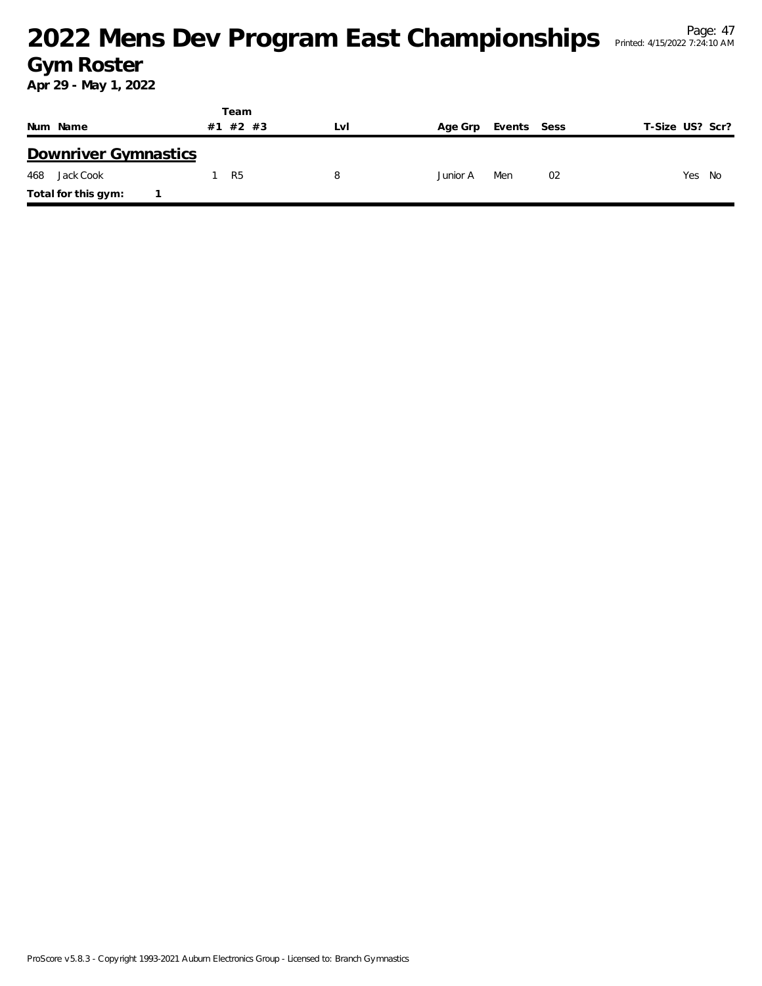#### <sup>Page: 47</sup><br>Mens Dev Program East Championships Printed: 4/15/2022 7:24:10 AM **Gym Roster**

|                      | Team           |     |                        |                 |
|----------------------|----------------|-----|------------------------|-----------------|
| Num Name             | #2 #3<br>#1    | LvI | Events Sess<br>Age Grp | T-Size US? Scr? |
| Downriver Gymnastics |                |     |                        |                 |
| 468<br>Jack Cook     | R <sub>5</sub> | 8   | 02<br>Men<br>Junior A  | Yes<br>No       |
| Total for this gym:  |                |     |                        |                 |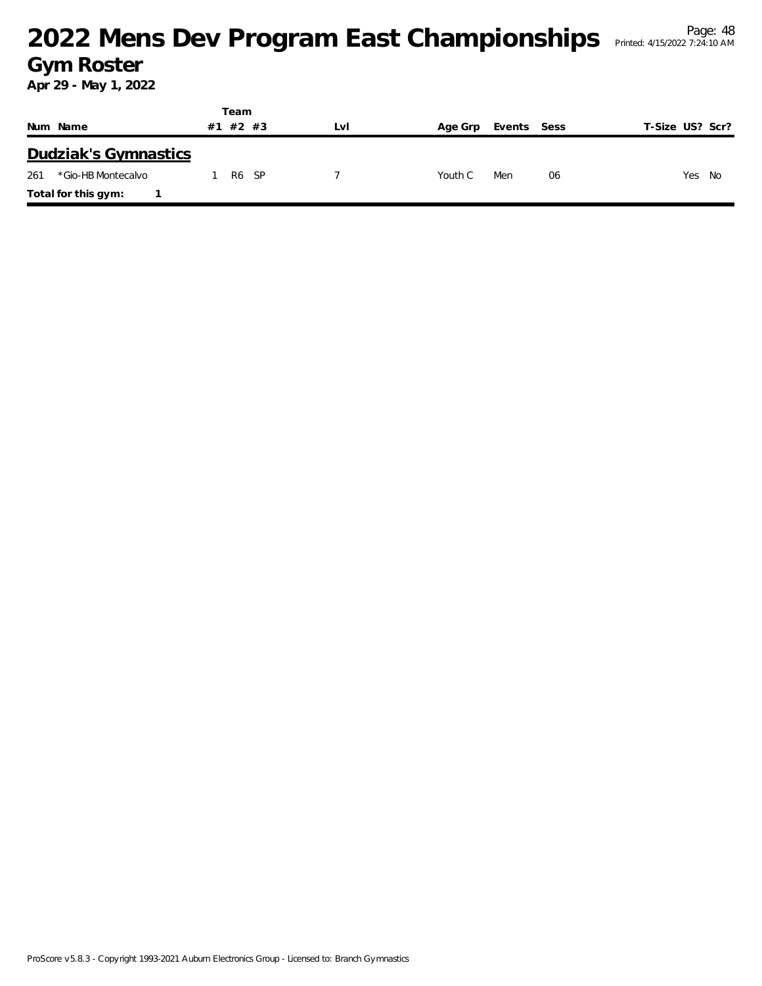|                           | Team |                   |     |         |             |    |                 |
|---------------------------|------|-------------------|-----|---------|-------------|----|-----------------|
| Num Name                  | #1   | #2 #3             | LvI | Age Grp | Events Sess |    | T-Size US? Scr? |
| Dudziak's Gymnastics      |      |                   |     |         |             |    |                 |
| *Gio-HB Montecalvo<br>261 |      | R <sub>6</sub> SP |     | Youth C | Men         | 06 | Yes<br>No       |
| Total for this gym:       |      |                   |     |         |             |    |                 |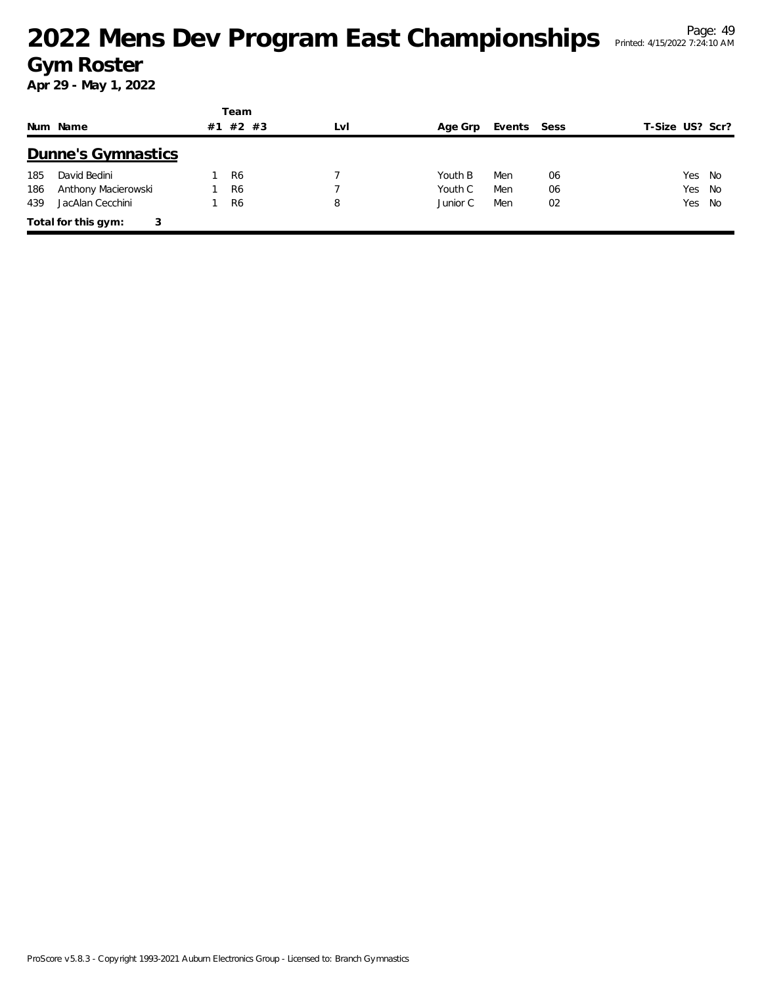|     |                          |    | Team           |     |          |             |    |                 |
|-----|--------------------------|----|----------------|-----|----------|-------------|----|-----------------|
|     | Num Name                 | #1 | #2 #3          | LvI | Age Grp  | Events Sess |    | T-Size US? Scr? |
|     | Dunne's Gymnastics       |    |                |     |          |             |    |                 |
| 185 | David Bedini             |    | R <sub>6</sub> |     | Youth B  | Men         | 06 | Yes<br>No       |
| 186 | Anthony Macierowski      |    | R <sub>6</sub> |     | Youth C  | Men         | 06 | Yes<br>No       |
| 439 | JacAlan Cecchini         |    | R <sub>6</sub> | 8   | Junior C | Men         | 02 | Yes No          |
|     | Total for this gym:<br>3 |    |                |     |          |             |    |                 |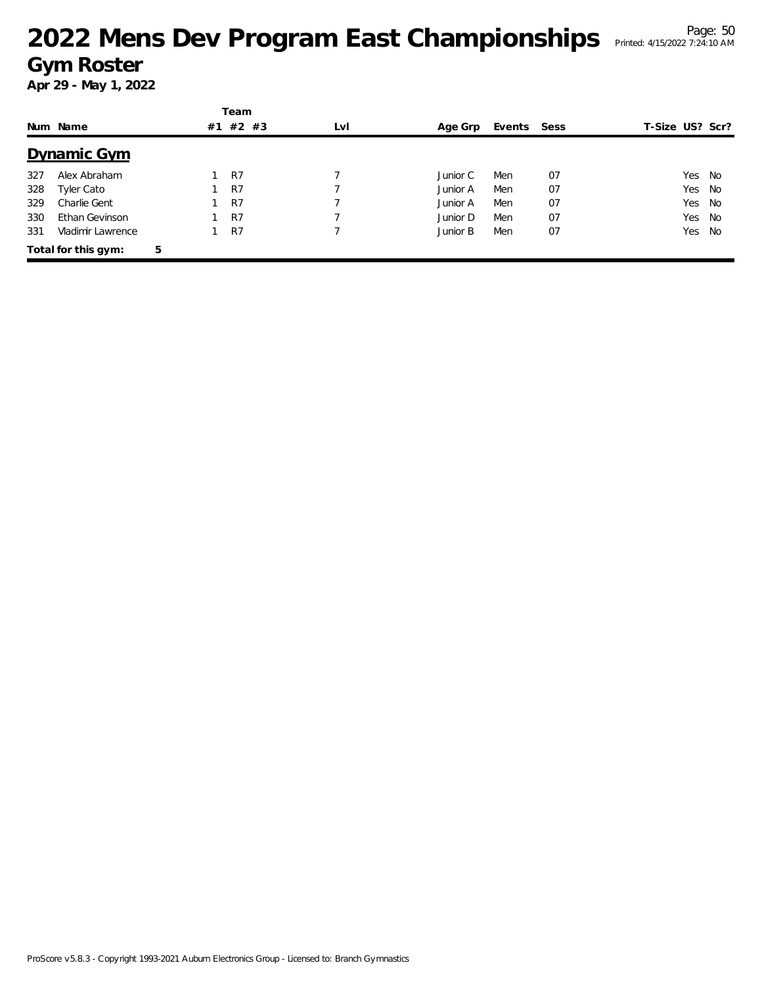|     |                     |   |    | Team  |     |          |             |    |                 |        |
|-----|---------------------|---|----|-------|-----|----------|-------------|----|-----------------|--------|
|     | Num Name            |   | #1 | #2 #3 | LvI | Age Grp  | Events Sess |    | T-Size US? Scr? |        |
|     | Dynamic Gym         |   |    |       |     |          |             |    |                 |        |
| 327 | Alex Abraham        |   |    | R7    |     | Junior C | Men         | 07 | Yes             | - No   |
| 328 | Tyler Cato          |   |    | R7    |     | Junior A | Men         | 07 |                 | Yes No |
| 329 | Charlie Gent        |   |    | R7    |     | Junior A | Men         | 07 |                 | Yes No |
| 330 | Ethan Gevinson      |   |    | R7    |     | Junior D | Men         | 07 | Yes             | No     |
| 331 | Vladimir Lawrence   |   |    | R7    |     | Junior B | Men         | 07 | Yes             | No     |
|     | Total for this gym: | 5 |    |       |     |          |             |    |                 |        |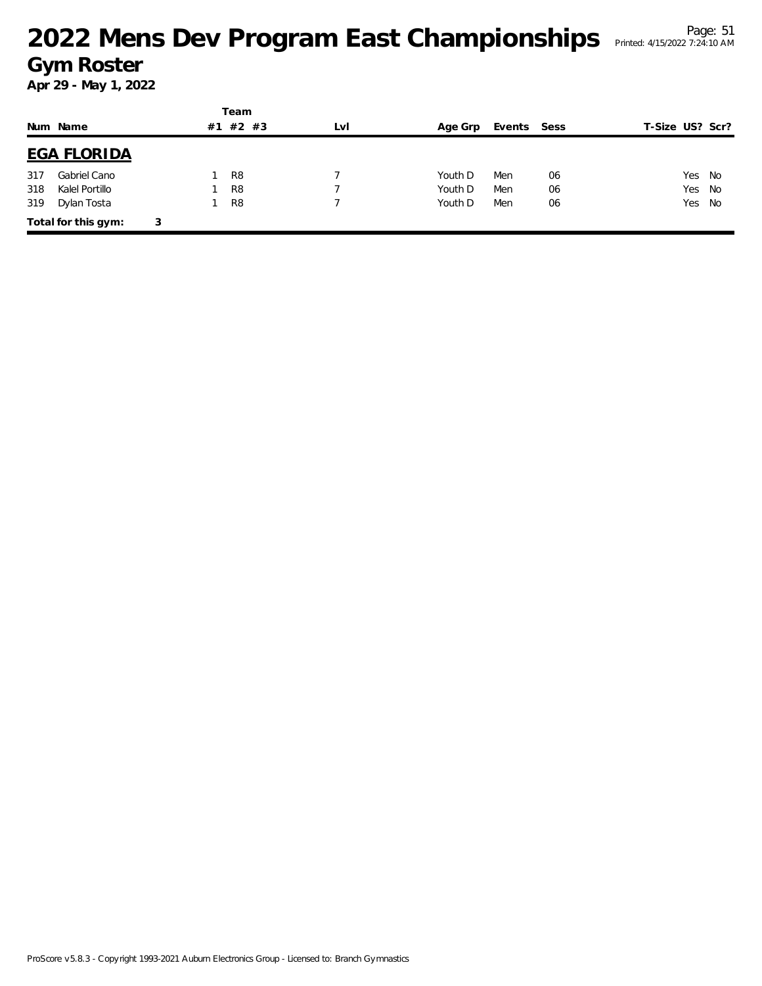|     |                     |   |    | Team           |     |         |             |    |                 |
|-----|---------------------|---|----|----------------|-----|---------|-------------|----|-----------------|
|     | Num Name            |   | #1 | #2 #3          | LvI | Age Grp | Events Sess |    | T-Size US? Scr? |
|     | <b>EGA FLORIDA</b>  |   |    |                |     |         |             |    |                 |
| 317 | Gabriel Cano        |   |    | R8             |     | Youth D | Men         | 06 | Yes No          |
| 318 | Kalel Portillo      |   |    | R <sub>8</sub> |     | Youth D | Men         | 06 | Yes<br>- No     |
| 319 | Dylan Tosta         |   |    | R <sub>8</sub> |     | Youth D | Men         | 06 | Yes No          |
|     | Total for this gym: | 3 |    |                |     |         |             |    |                 |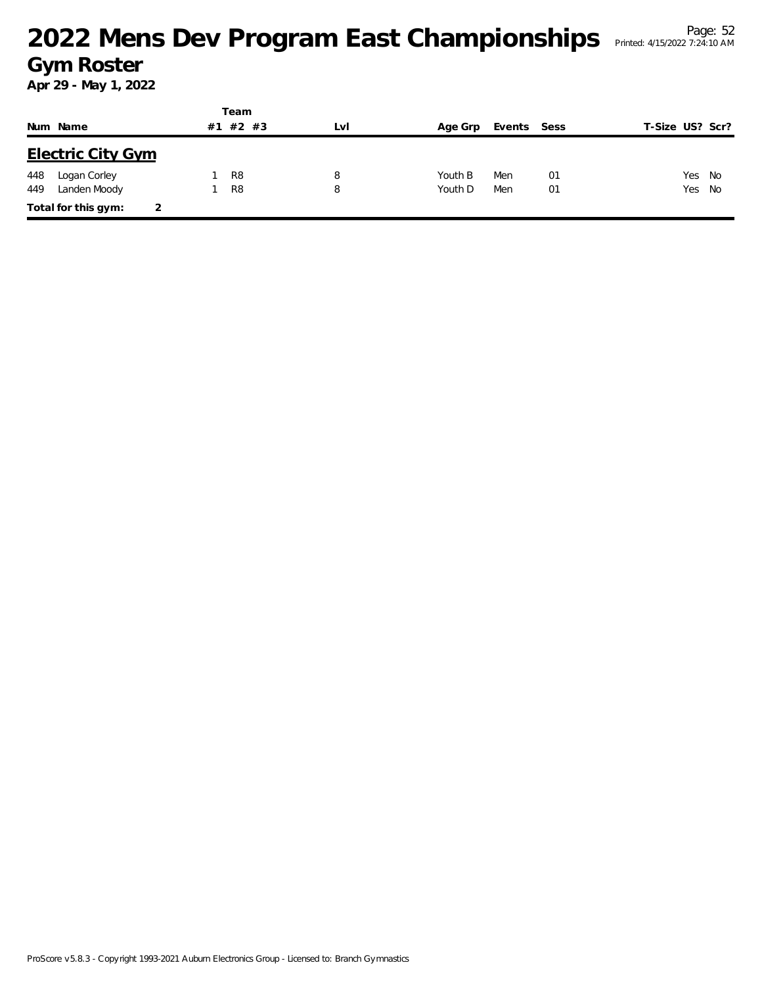|     |                          |    | Team           |     |         |             |    |                 |    |
|-----|--------------------------|----|----------------|-----|---------|-------------|----|-----------------|----|
|     | Num Name                 | #1 | $#2$ #3        | LvI | Age Grp | Events Sess |    | T-Size US? Scr? |    |
|     | <b>Electric City Gym</b> |    |                |     |         |             |    |                 |    |
| 448 | Logan Corley             |    | R <sub>8</sub> | 8   | Youth B | Men         | 01 | Yes             | No |
| 449 | Landen Moody             |    | R <sub>8</sub> | 8   | Youth D | Men         | 01 | Yes No          |    |
|     | Total for this gym:      |    |                |     |         |             |    |                 |    |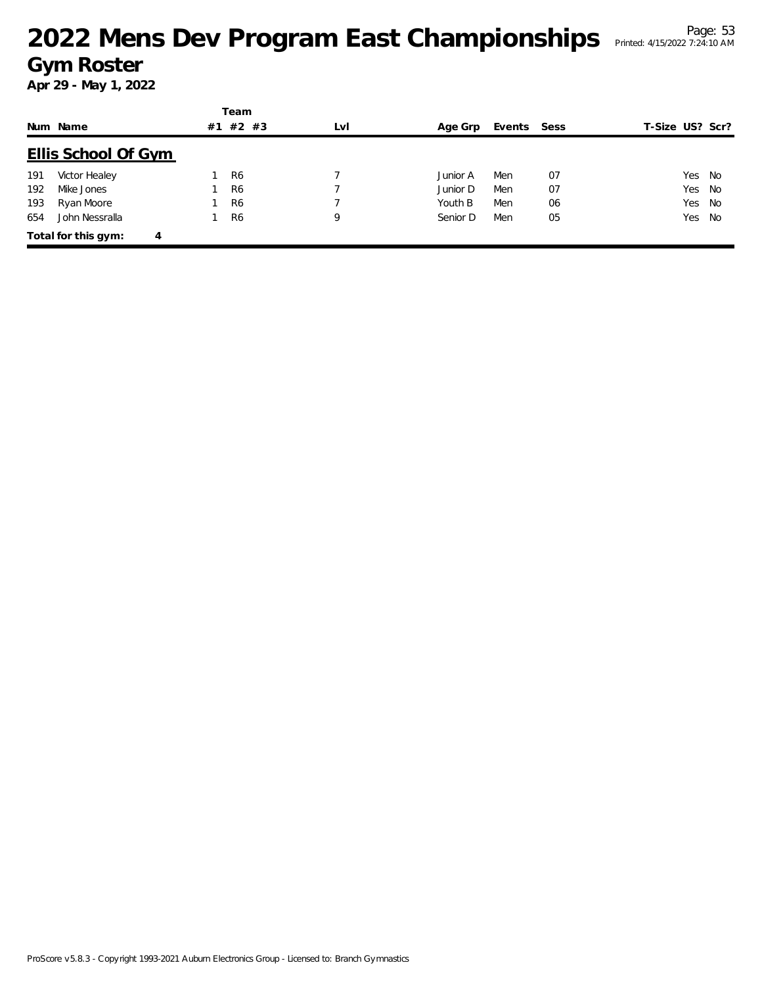|     |                            |    | Team           |     |          |             |    |                 |  |
|-----|----------------------------|----|----------------|-----|----------|-------------|----|-----------------|--|
|     | Num Name                   | #1 | $#2$ #3        | LvI | Age Grp  | Events Sess |    | T-Size US? Scr? |  |
|     | <b>Ellis School Of Gym</b> |    |                |     |          |             |    |                 |  |
| 191 | Victor Healey              |    | R <sub>6</sub> |     | Junior A | Men         | 07 | Yes No          |  |
| 192 | Mike Jones                 |    | R <sub>6</sub> |     | Junior D | Men         | 07 | Yes No          |  |
| 193 | Ryan Moore                 |    | R <sub>6</sub> |     | Youth B  | Men         | 06 | Yes No          |  |
| 654 | John Nessralla             |    | R <sub>6</sub> | 9   | Senior D | Men         | 05 | Yes No          |  |
|     | Total for this gym:<br>4   |    |                |     |          |             |    |                 |  |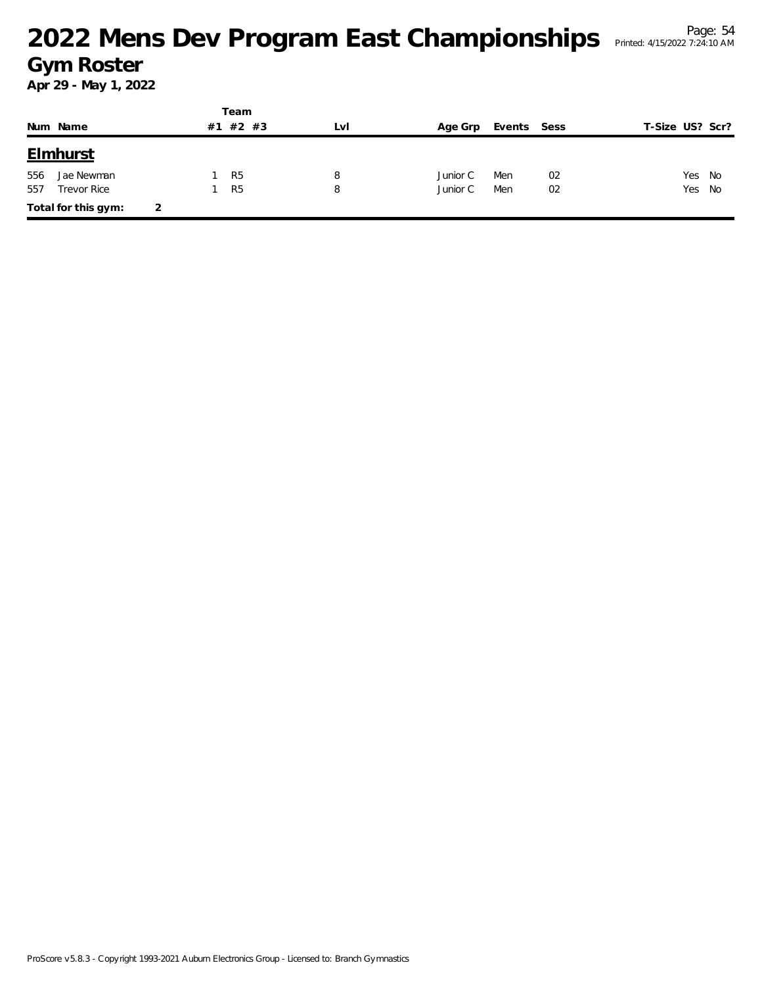|     |                     |   |    | Team           |     |          |             |    |                 |        |
|-----|---------------------|---|----|----------------|-----|----------|-------------|----|-----------------|--------|
|     | Num Name            |   | #1 | #2 #3          | LvI | Age Grp  | Events Sess |    | T-Size US? Scr? |        |
|     | <b>Elmhurst</b>     |   |    |                |     |          |             |    |                 |        |
| 556 | Jae Newman          |   |    | R <sub>5</sub> | 8   | Junior C | Men         | 02 |                 | Yes No |
| 557 | <b>Trevor Rice</b>  |   |    | R <sub>5</sub> | 8   | Junior C | Men         | 02 |                 | Yes No |
|     | Total for this gym: | 2 |    |                |     |          |             |    |                 |        |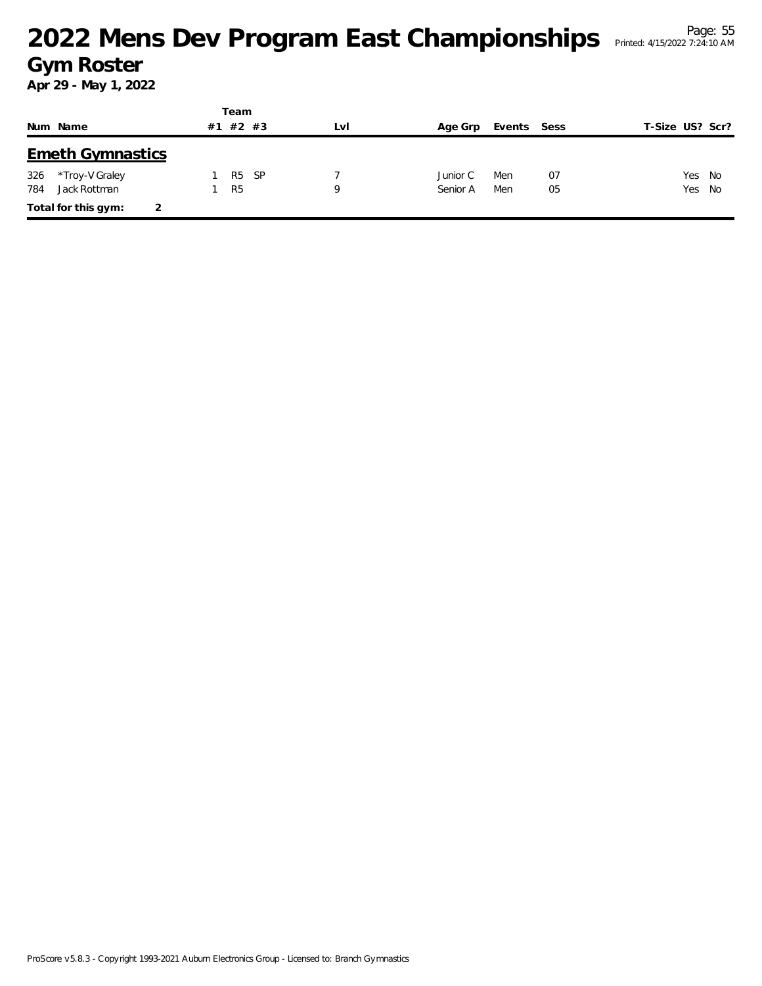|     |                         | Team           |       |     |          |             |    |                 |  |
|-----|-------------------------|----------------|-------|-----|----------|-------------|----|-----------------|--|
|     | Num Name                | #1             | #2 #3 | LvI | Age Grp  | Events Sess |    | T-Size US? Scr? |  |
|     | <b>Emeth Gymnastics</b> |                |       |     |          |             |    |                 |  |
| 326 | *Troy-V Graley          | R <sub>5</sub> | - SP  |     | Junior C | Men         | 07 | Yes No          |  |
| 784 | Jack Rottman            | R <sub>5</sub> |       | Q   | Senior A | Men         | 05 | Yes No          |  |
|     | Total for this gym:     |                |       |     |          |             |    |                 |  |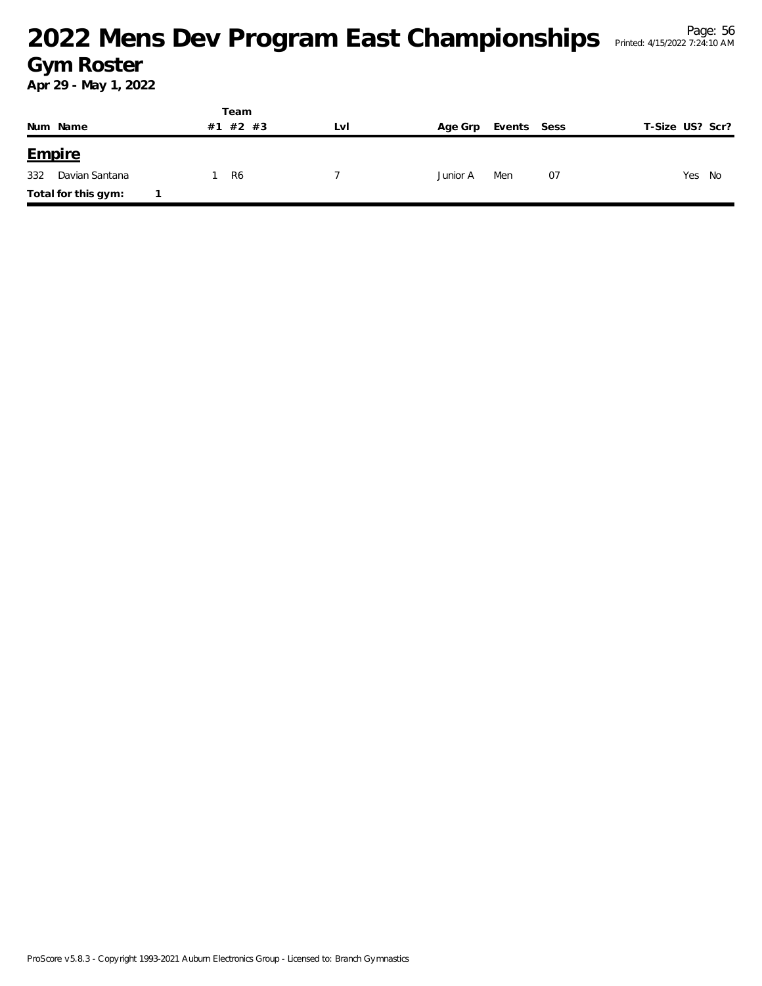|     |                     |  | Team     |     |          |             |    |                 |
|-----|---------------------|--|----------|-----|----------|-------------|----|-----------------|
|     | Num Name            |  | #1 #2 #3 | LvI | Age Grp  | Events Sess |    | T-Size US? Scr? |
|     | <b>Empire</b>       |  |          |     |          |             |    |                 |
| 332 | Davian Santana      |  | R6       |     | Junior A | Men         | 07 | Yes<br>No       |
|     | Total for this gym: |  |          |     |          |             |    |                 |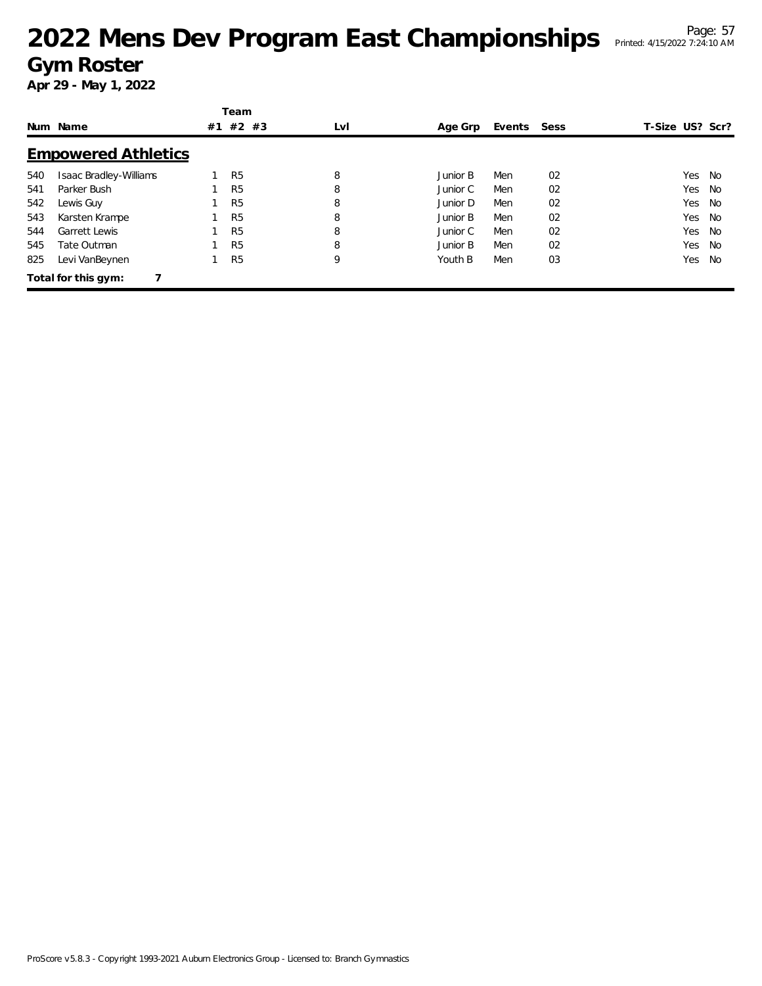# <sup>Page: 57</sup><br>Mens Dev Program East Championships Printed: 4/15/2022 7:24:10 AM **Gym Roster**

|     |                            |    | Team           |     |          |        |      |                 |    |
|-----|----------------------------|----|----------------|-----|----------|--------|------|-----------------|----|
|     | Num Name                   | #1 | $#2$ #3        | LvI | Age Grp  | Events | Sess | T-Size US? Scr? |    |
|     | <b>Empowered Athletics</b> |    |                |     |          |        |      |                 |    |
| 540 | Isaac Bradley-Williams     |    | R <sub>5</sub> | 8   | Junior B | Men    | 02   | Yes             | No |
| 541 | Parker Bush                |    | R <sub>5</sub> | 8   | Junior C | Men    | 02   | Yes             | No |
| 542 | Lewis Guy                  |    | R <sub>5</sub> | 8   | Junior D | Men    | 02   | Yes             | No |
| 543 | Karsten Krampe             |    | R <sub>5</sub> | 8   | Junior B | Men    | 02   | Yes             | No |
| 544 | <b>Garrett Lewis</b>       |    | R <sub>5</sub> | 8   | Junior C | Men    | 02   | Yes             | No |
| 545 | Tate Outman                |    | R <sub>5</sub> | 8   | Junior B | Men    | 02   | Yes             | No |
| 825 | Levi VanBeynen             |    | R <sub>5</sub> | 9   | Youth B  | Men    | 03   | Yes             | No |
|     | Total for this gym:        |    |                |     |          |        |      |                 |    |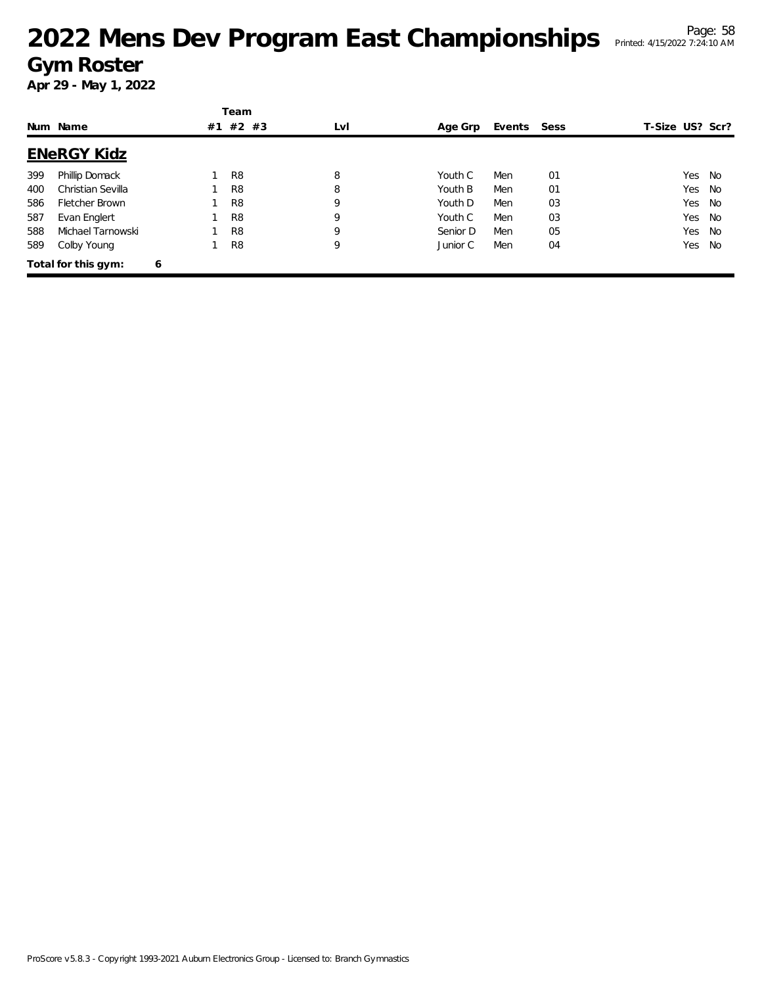|     |                     |   | Team           |     |          |        |      |                 |           |
|-----|---------------------|---|----------------|-----|----------|--------|------|-----------------|-----------|
|     | Num Name            |   | #1 #2 #3       | LvI | Age Grp  | Events | Sess | T-Size US? Scr? |           |
|     | <b>ENeRGY Kidz</b>  |   |                |     |          |        |      |                 |           |
| 399 | Phillip Domack      |   | R <sub>8</sub> | 8   | Youth C  | Men    | 01   | Yes No          |           |
| 400 | Christian Sevilla   |   | R <sub>8</sub> | 8   | Youth B  | Men    | 01   | Yes             | <b>No</b> |
| 586 | Fletcher Brown      |   | R <sub>8</sub> | 9   | Youth D  | Men    | 03   | Yes No          |           |
| 587 | Evan Englert        |   | R <sub>8</sub> | 9   | Youth C  | Men    | 03   | Yes No          |           |
| 588 | Michael Tarnowski   |   | R <sub>8</sub> | 9   | Senior D | Men    | 05   | Yes             | <b>No</b> |
| 589 | Colby Young         |   | R <sub>8</sub> | 9   | Junior C | Men    | 04   | Yes             | No        |
|     | Total for this gym: | 6 |                |     |          |        |      |                 |           |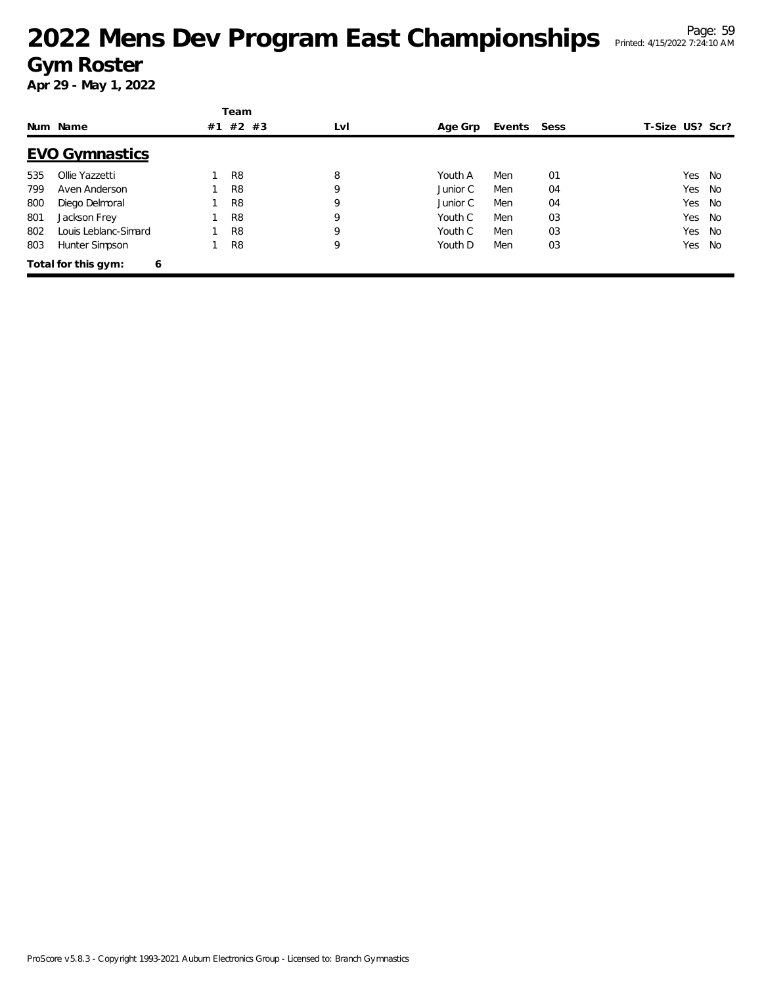|     |                          |    | Team           |     |          |        |      |                 |           |
|-----|--------------------------|----|----------------|-----|----------|--------|------|-----------------|-----------|
|     | Num Name                 | #1 | $#2$ #3        | LvI | Age Grp  | Events | Sess | T-Size US? Scr? |           |
|     | <b>EVO Gymnastics</b>    |    |                |     |          |        |      |                 |           |
| 535 | Ollie Yazzetti           |    | R <sub>8</sub> | 8   | Youth A  | Men    | 01   | Yes             | No        |
| 799 | Aven Anderson            |    | R <sub>8</sub> | 9   | Junior C | Men    | 04   | Yes             | No        |
| 800 | Diego Delmoral           |    | R <sub>8</sub> | 9   | Junior C | Men    | 04   | Yes             | No        |
| 801 | Jackson Frey             |    | R <sub>8</sub> | 9   | Youth C  | Men    | 03   | Yes             | No        |
| 802 | Louis Leblanc-Simard     |    | R <sub>8</sub> | 9   | Youth C  | Men    | 03   | Yes             | No        |
| 803 | Hunter Simpson           |    | R <sub>8</sub> | 9   | Youth D  | Men    | 03   | Yes             | <b>No</b> |
|     | Total for this gym:<br>6 |    |                |     |          |        |      |                 |           |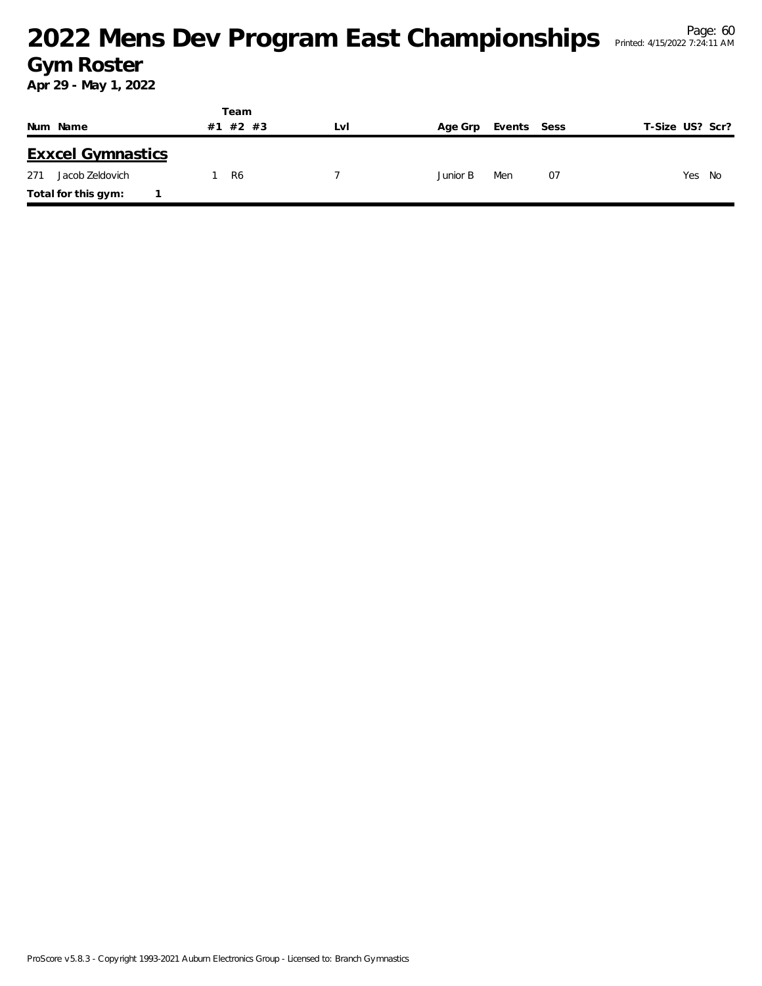#### <sup>Page: 60</sup><br>Mens Dev Program East Championships Printed: 4/15/2022 7:24:11 AM</sub> **Gym Roster**

|                          | Team     |     |                        |    |                 |
|--------------------------|----------|-----|------------------------|----|-----------------|
| Num Name                 | #1 #2 #3 | Lvi | Age Grp<br>Events Sess |    | T-Size US? Scr? |
| <b>Exxcel Gymnastics</b> |          |     |                        |    |                 |
| Jacob Zeldovich<br>271   | R6       |     | Junior B<br>Men        | 07 | Yes<br>No       |
| Total for this gym:      |          |     |                        |    |                 |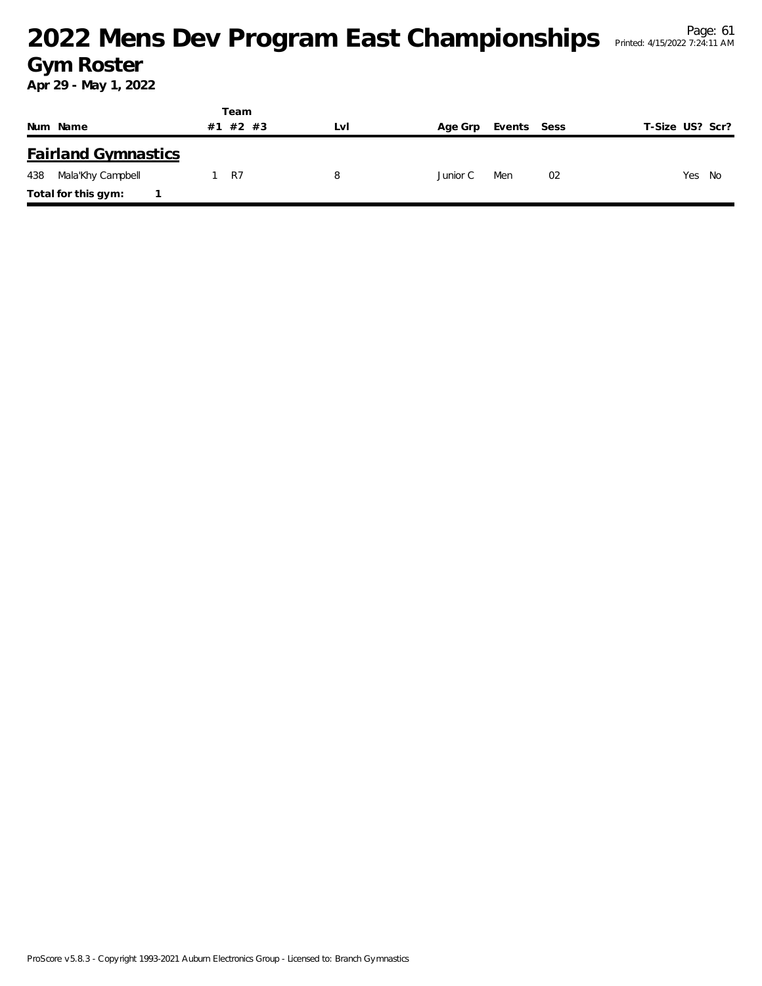|                            | Team        |     |          |             |                 |
|----------------------------|-------------|-----|----------|-------------|-----------------|
| Num Name                   | #2 #3<br>#1 | LVI | Age Grp  | Events Sess | T-Size US? Scr? |
| <b>Fairland Gymnastics</b> |             |     |          |             |                 |
| Mala'Khy Campbell<br>438   | R7          | 8   | Junior C | 02<br>Men   | Yes<br>No       |
| Total for this gym:        |             |     |          |             |                 |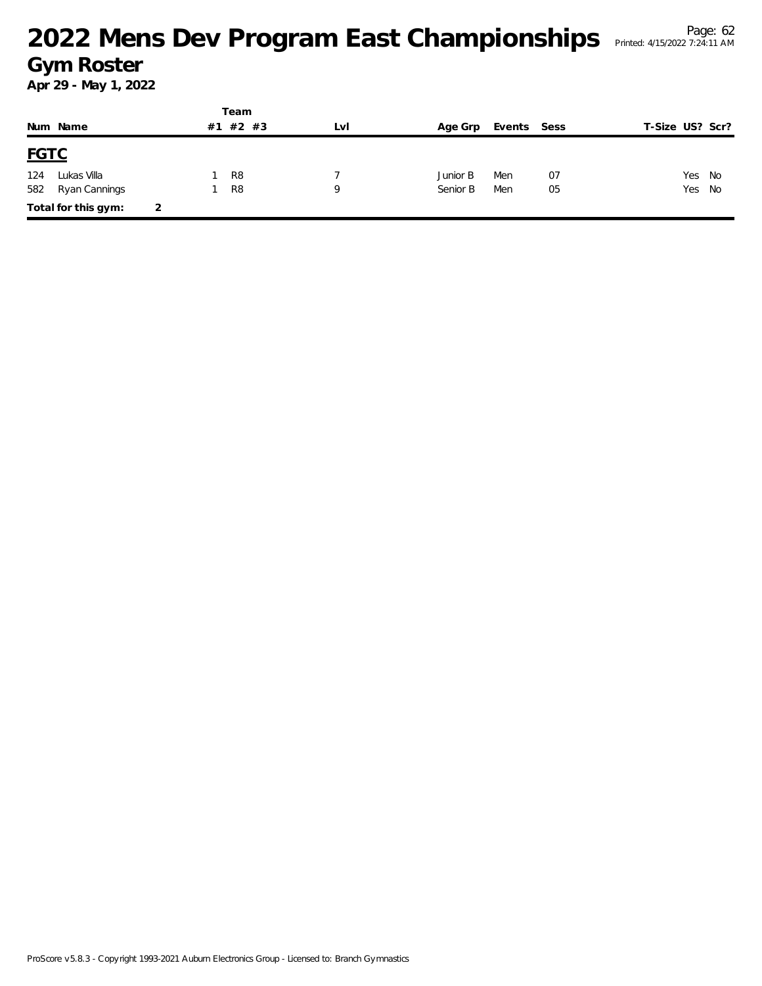# <sup>Page: 62</sup><br>Mens Dev Program East Championships Printed: 4/15/2022 7:24:11 AM</sup> **Gym Roster**

|             |                     |   |    | Team           |     |          |             |    |                 |        |
|-------------|---------------------|---|----|----------------|-----|----------|-------------|----|-----------------|--------|
|             | Num Name            |   | #1 | #2 #3          | LvI | Age Grp  | Events Sess |    | T-Size US? Scr? |        |
| <b>FGTC</b> |                     |   |    |                |     |          |             |    |                 |        |
| 124         | Lukas Villa         |   |    | R <sub>8</sub> |     | Junior B | Men         | 07 | Yes             | No     |
| 582         | Ryan Cannings       |   |    | R <sub>8</sub> | Q   | Senior B | Men         | 05 |                 | Yes No |
|             | Total for this gym: | 2 |    |                |     |          |             |    |                 |        |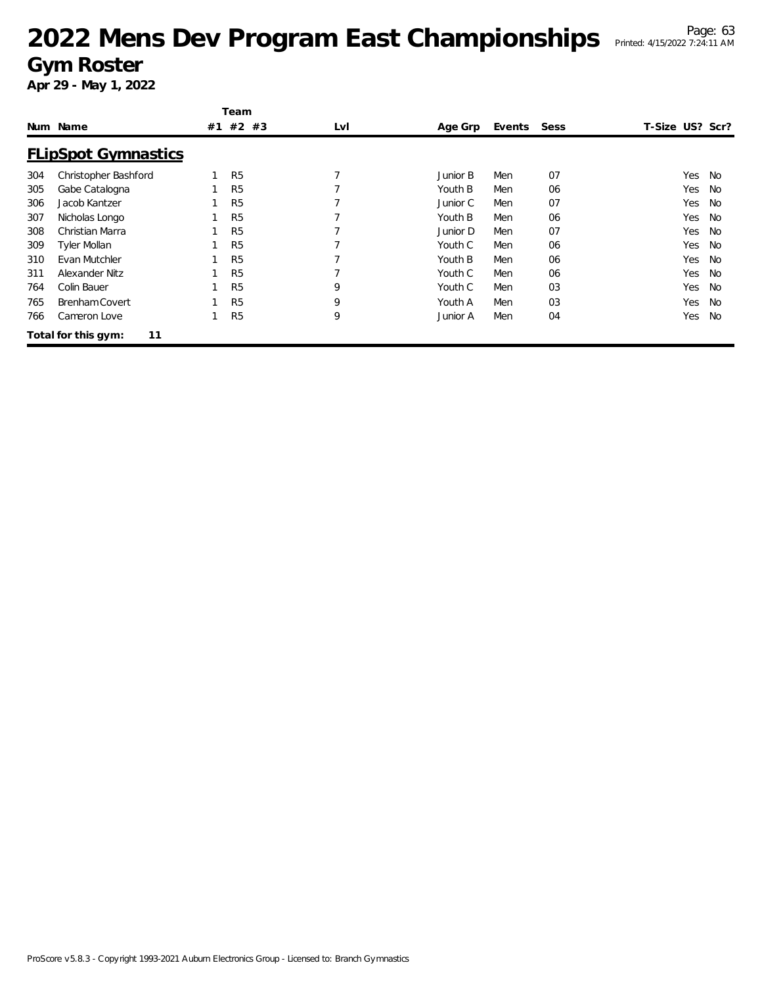|     |                            |    | Team           |     |          |        |      |                 |                  |
|-----|----------------------------|----|----------------|-----|----------|--------|------|-----------------|------------------|
|     | Num Name                   | #1 | $#2$ #3        | LvI | Age Grp  | Events | Sess | T-Size US? Scr? |                  |
|     | <b>FLipSpot Gymnastics</b> |    |                |     |          |        |      |                 |                  |
| 304 | Christopher Bashford       |    | R <sub>5</sub> |     | Junior B | Men    | 07   |                 | Yes<br>No        |
| 305 | Gabe Catalogna             |    | R <sub>5</sub> |     | Youth B  | Men    | 06   |                 | Yes<br>No        |
| 306 | Jacob Kantzer              |    | R <sub>5</sub> |     | Junior C | Men    | 07   |                 | Yes<br>No        |
| 307 | Nicholas Longo             |    | R <sub>5</sub> |     | Youth B  | Men    | 06   |                 | Yes<br><b>No</b> |
| 308 | Christian Marra            |    | R <sub>5</sub> |     | Junior D | Men    | 07   |                 | Yes<br><b>No</b> |
| 309 | <b>Tyler Mollan</b>        |    | R <sub>5</sub> |     | Youth C  | Men    | 06   |                 | Yes<br>No        |
| 310 | Evan Mutchler              |    | R <sub>5</sub> |     | Youth B  | Men    | 06   |                 | Yes<br>No        |
| 311 | Alexander Nitz             |    | R <sub>5</sub> |     | Youth C  | Men    | 06   |                 | Yes<br>No        |
| 764 | Colin Bauer                |    | R <sub>5</sub> | 9   | Youth C  | Men    | 03   |                 | Yes<br>No        |
| 765 | <b>Brenham Covert</b>      |    | R <sub>5</sub> | 9   | Youth A  | Men    | 03   |                 | <b>No</b><br>Yes |
| 766 | Cameron Love               |    | R <sub>5</sub> | 9   | Junior A | Men    | 04   |                 | Yes<br>No        |
|     | 11<br>Total for this gym:  |    |                |     |          |        |      |                 |                  |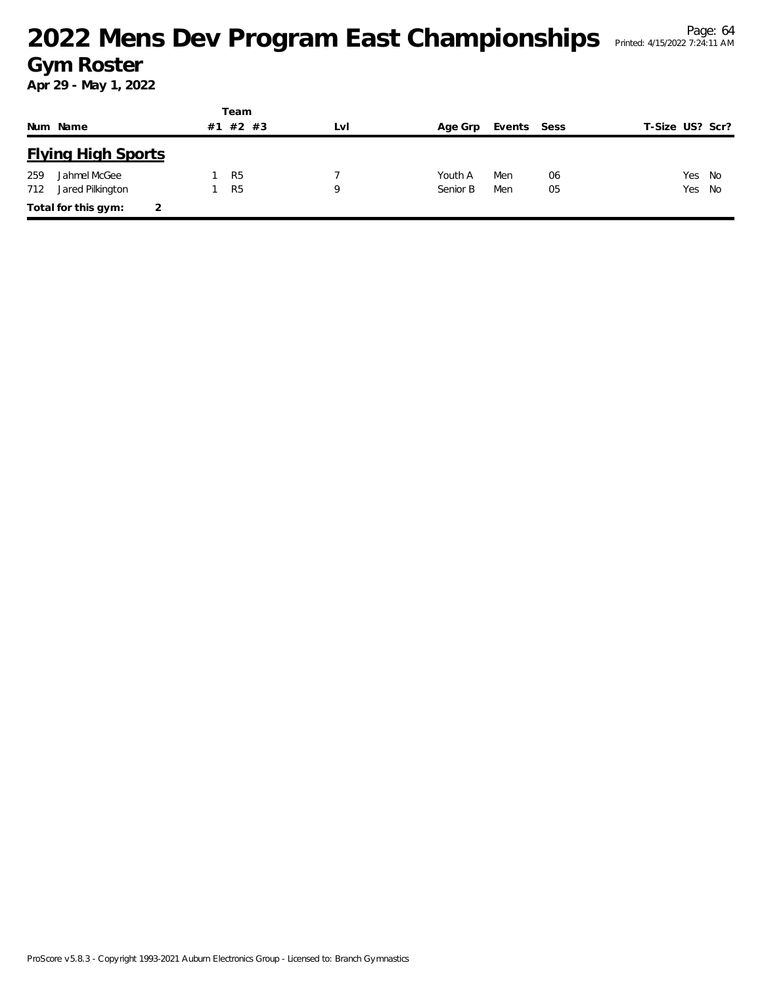|     |                           |    | Team           |     |          |             |    |                 |        |
|-----|---------------------------|----|----------------|-----|----------|-------------|----|-----------------|--------|
|     | Num Name                  | #1 | $#2$ #3        | LvI | Age Grp  | Events Sess |    | T-Size US? Scr? |        |
|     | <b>Flying High Sports</b> |    |                |     |          |             |    |                 |        |
| 259 | Jahmel McGee              |    | R <sub>5</sub> |     | Youth A  | Men         | 06 |                 | Yes No |
| 712 | Jared Pilkington          |    | R <sub>5</sub> | Q   | Senior B | Men         | 05 |                 | Yes No |
|     | Total for this gym:       |    |                |     |          |             |    |                 |        |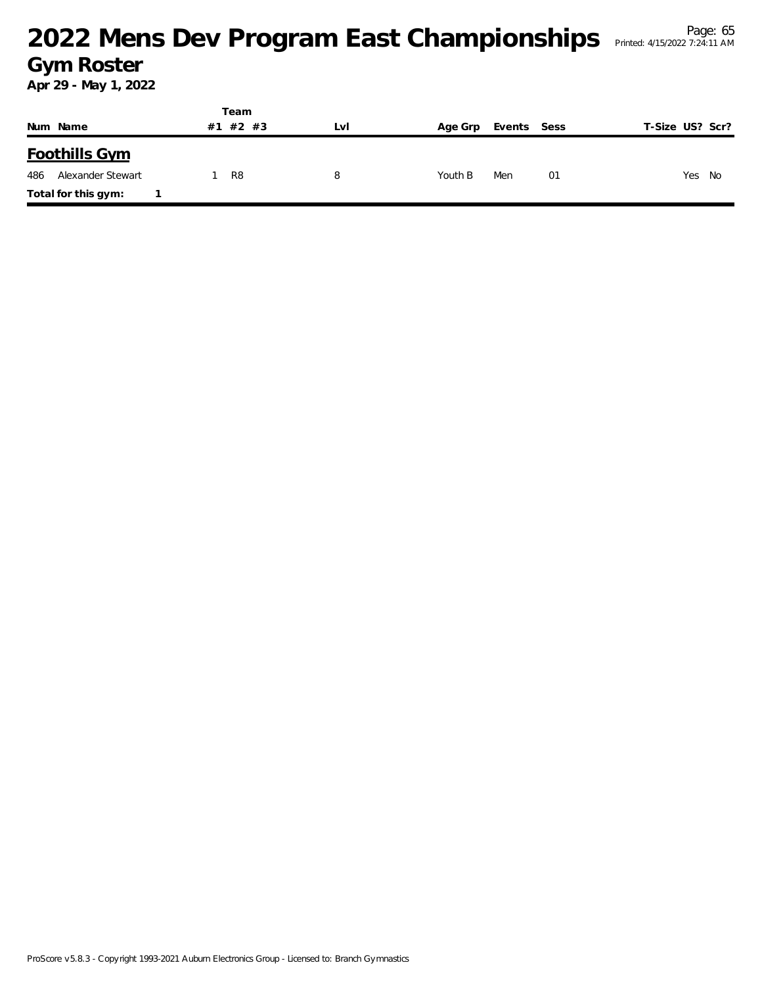#### <sup>Page: 65</sup><br>Mens Dev Program East Championships Printed: 4/15/2022 7:24:11 AM</sub> **Gym Roster**

|                          |    | Team  |     |         |             |                 |
|--------------------------|----|-------|-----|---------|-------------|-----------------|
| Num Name                 | #1 | #2 #3 | LVI | Age Grp | Events Sess | T-Size US? Scr? |
| <b>Foothills Gym</b>     |    |       |     |         |             |                 |
| 486<br>Alexander Stewart |    | R8    | 8   | Youth B | Men<br>01   | Yes<br>No       |
| Total for this gym:      |    |       |     |         |             |                 |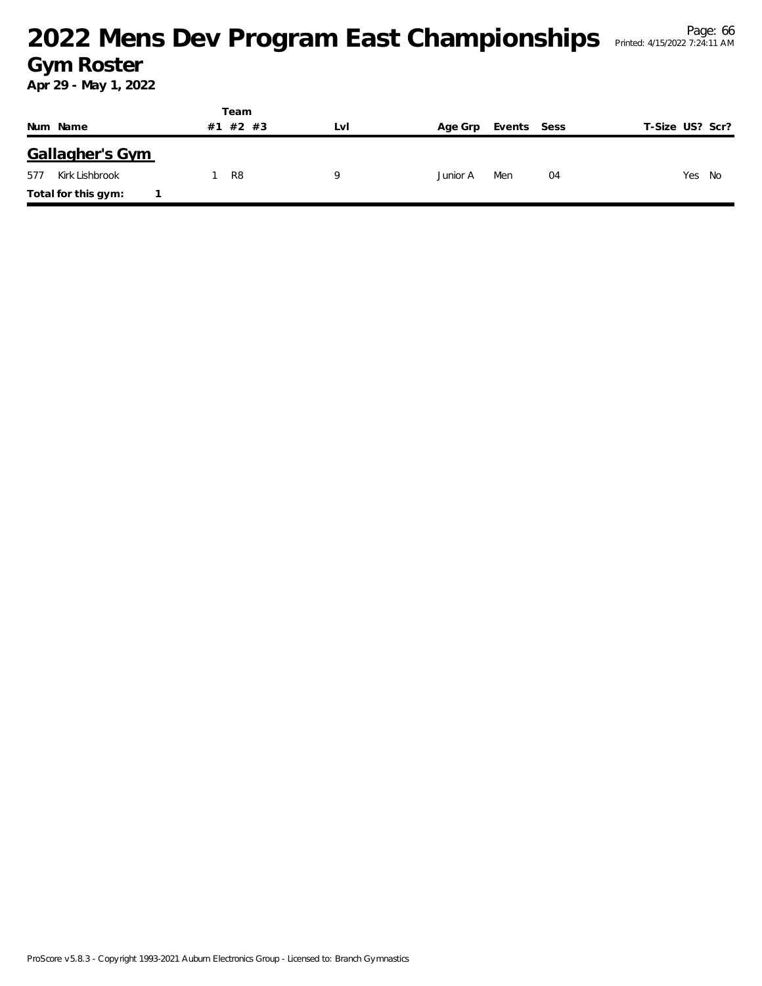#### <sup>Page: 66</sup><br>Mens Dev Program East Championships Printed: 4/15/2022 7:24:11 AM</sup> **Gym Roster**

Printed: 4/15/2022 7:24:11 AM

|                       | Team        |     |                        |                 |
|-----------------------|-------------|-----|------------------------|-----------------|
| Num Name              | #2 #3<br>#1 | Lvi | Age Grp<br>Events Sess | T-Size US? Scr? |
| Gallagher's Gym       |             |     |                        |                 |
| Kirk Lishbrook<br>577 | R8          |     | Junior A<br>Men        | Yes No<br>04    |
| Total for this gym:   |             |     |                        |                 |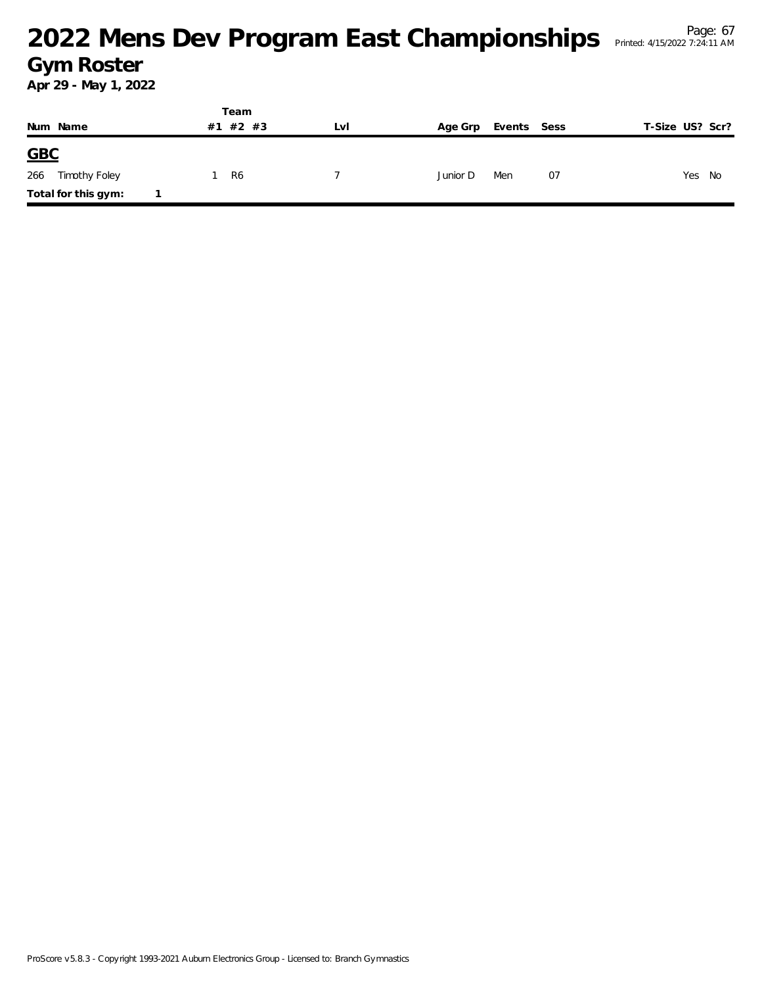#### <sup>Page: 67</sup><br>Mens Dev Program East Championships Printed: 4/15/2022 7:24:11 AM</sub> **Gym Roster**

|                      | Team        |     |          |             |                 |
|----------------------|-------------|-----|----------|-------------|-----------------|
| Num Name             | #2 #3<br>#1 | Lvl | Age Grp  | Events Sess | T-Size US? Scr? |
| GBC                  |             |     |          |             |                 |
| 266<br>Timothy Foley | R6          |     | Junior D | 07<br>Men   | Yes No          |
| Total for this gym:  |             |     |          |             |                 |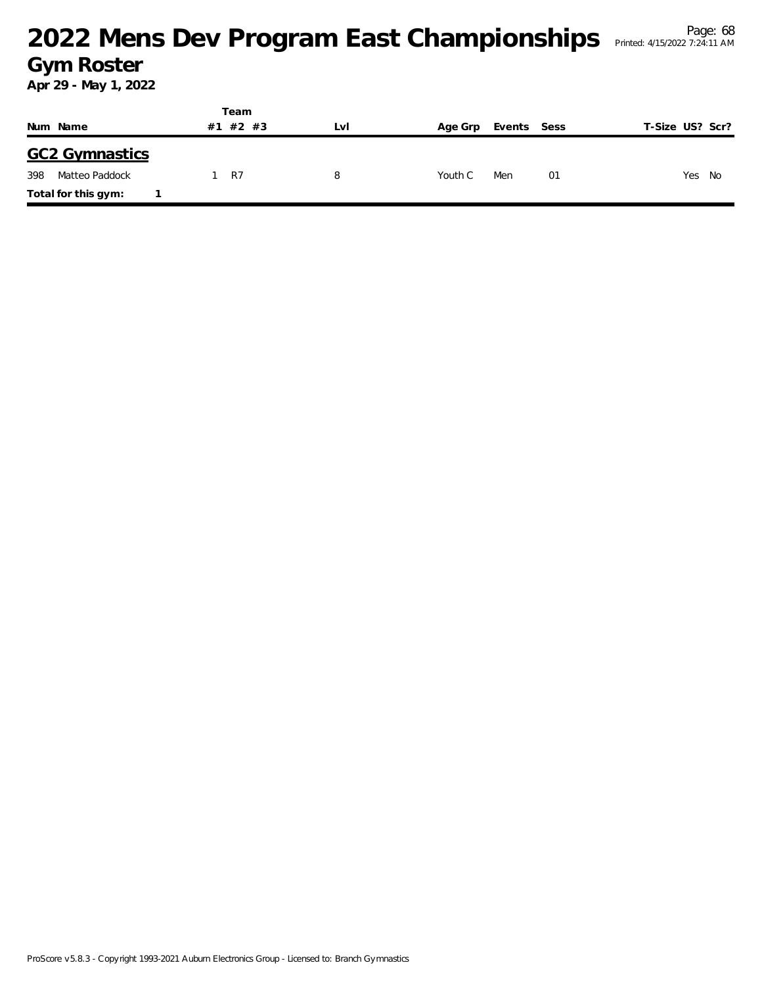#### <sup>Page: 68</sup><br>Mens Dev Program East Championships Printed: 4/15/2022 7:24:11 AM</sup> **Gym Roster**

|                       | Team     |     |                        |                 |
|-----------------------|----------|-----|------------------------|-----------------|
| Num Name              | #1 #2 #3 | Lvi | Events Sess<br>Age Grp | T-Size US? Scr? |
| <b>GC2 Gymnastics</b> |          |     |                        |                 |
| 398<br>Matteo Paddock | 1 R7     | 8   | Men<br>Youth C<br>-01  | Yes<br>No       |
| Total for this gym:   |          |     |                        |                 |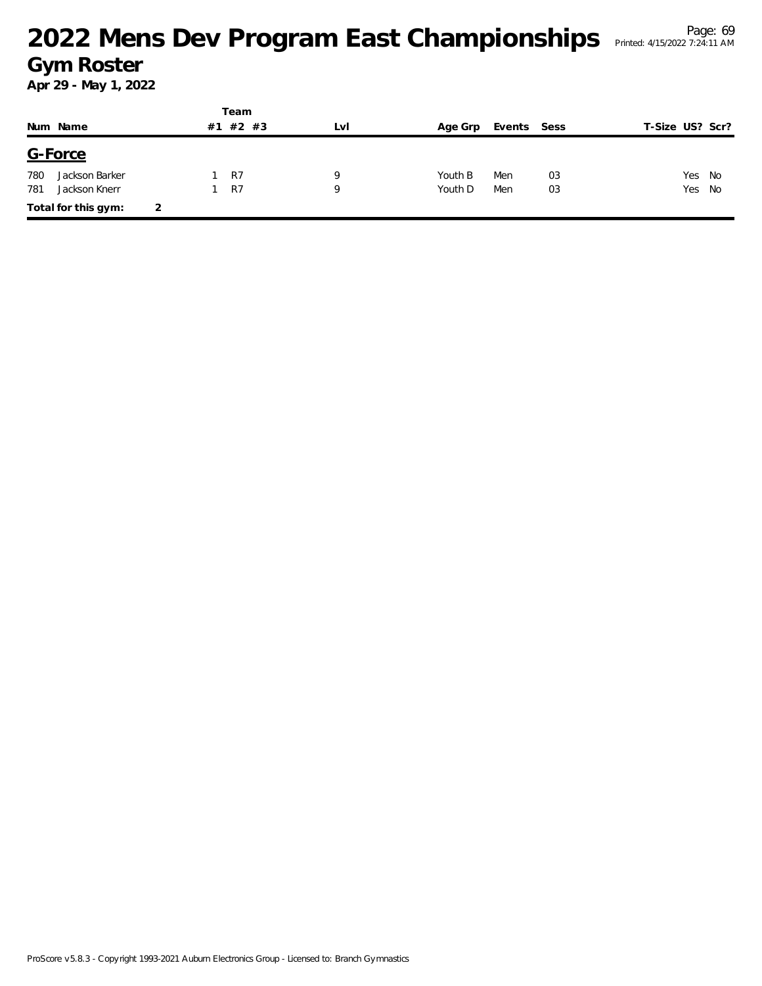# <sup>Page: 69</sup><br>Mens Dev Program East Championships Printed: 4/15/2022 7:24:11 AM</sub> **Gym Roster**

|     |                     |   |    | Team  |     |         |             |    |                 |    |
|-----|---------------------|---|----|-------|-----|---------|-------------|----|-----------------|----|
|     | Num Name            |   | #1 | #2 #3 | LvI | Age Grp | Events Sess |    | T-Size US? Scr? |    |
|     | G-Force             |   |    |       |     |         |             |    |                 |    |
| 780 | Jackson Barker      |   |    | R7    | 9   | Youth B | Men         | 03 | Yes             | No |
| 781 | Jackson Knerr       |   |    | R7    | 9   | Youth D | Men         | 03 | Yes No          |    |
|     | Total for this gym: | 2 |    |       |     |         |             |    |                 |    |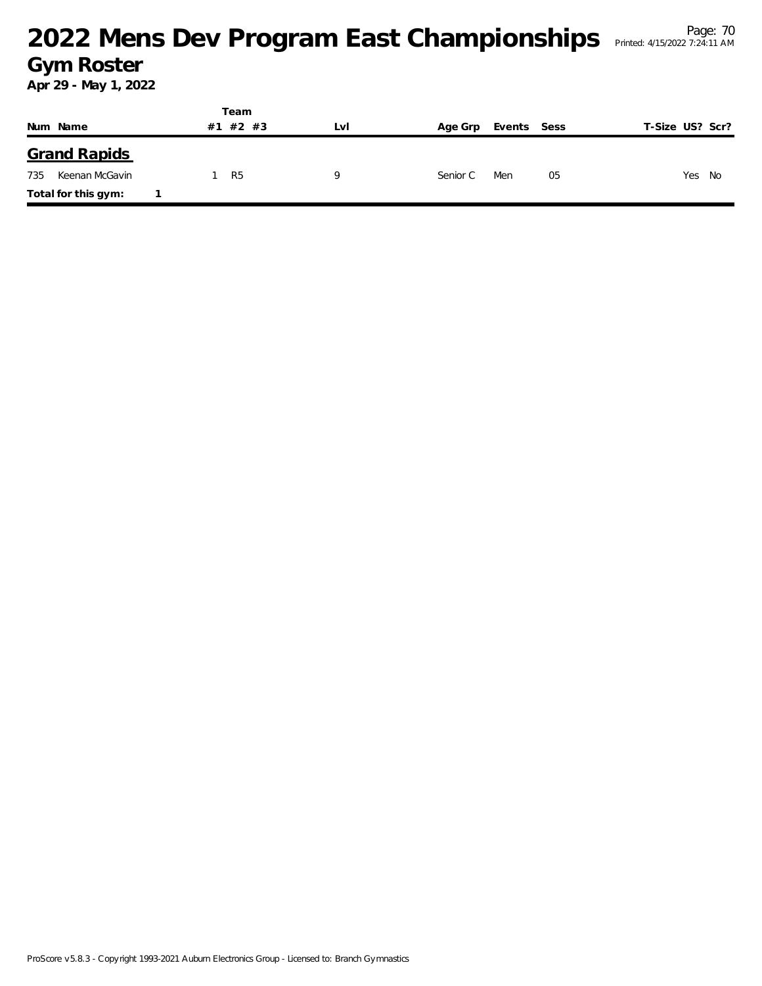#### <sup>Page: 70</sup><br><sup>Page: 70</sup> Printed: 4/15/2022 7:24:11 AM</sup> **Gym Roster**

|                       | Team        |     |          |             |                 |
|-----------------------|-------------|-----|----------|-------------|-----------------|
| Num Name              | #2 #3<br>#1 | Lvi | Age Grp  | Events Sess | T-Size US? Scr? |
| <b>Grand Rapids</b>   |             |     |          |             |                 |
| 735<br>Keenan McGavin | 1 R5        | a   | Senior C | Men<br>05   | Yes No          |
| Total for this gym:   |             |     |          |             |                 |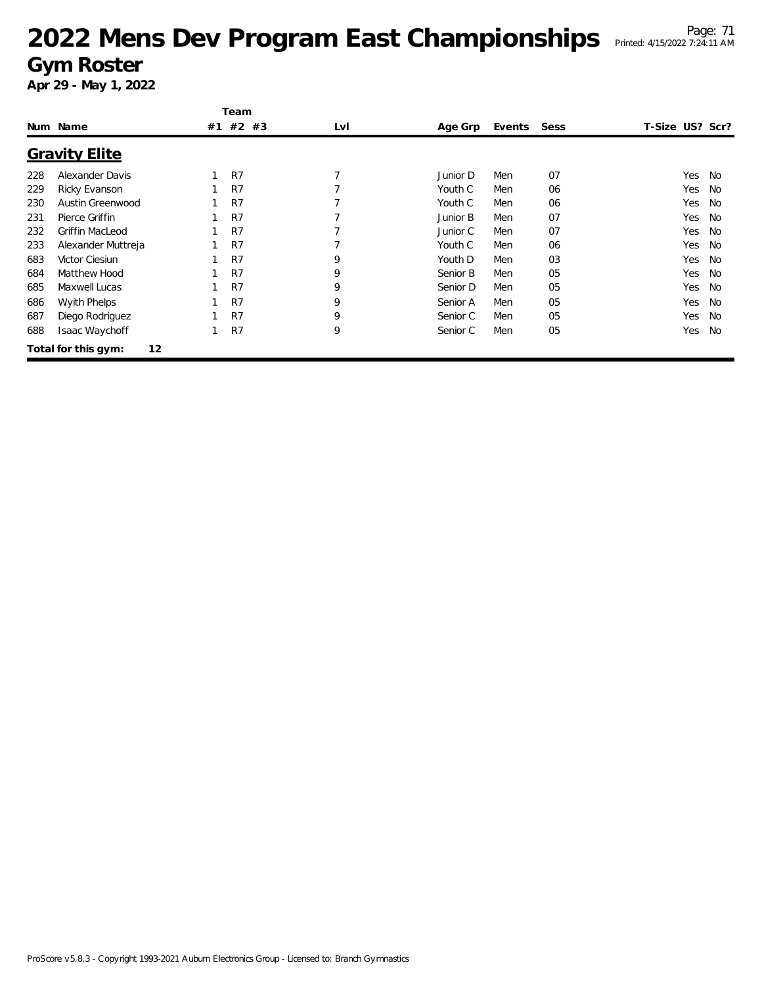|     |                           |    | Team           |     |          |             |    |                 |           |
|-----|---------------------------|----|----------------|-----|----------|-------------|----|-----------------|-----------|
|     | Num Name                  | #1 | $#2$ #3        | LvI | Age Grp  | Events Sess |    | T-Size US? Scr? |           |
|     | <b>Gravity Elite</b>      |    |                |     |          |             |    |                 |           |
| 228 | Alexander Davis           |    | R <sub>7</sub> |     | Junior D | Men         | 07 | Yes             | No        |
| 229 | Ricky Evanson             |    | R <sub>7</sub> |     | Youth C  | Men         | 06 | Yes             | No        |
| 230 | Austin Greenwood          |    | R7             |     | Youth C  | Men         | 06 | Yes             | <b>No</b> |
| 231 | Pierce Griffin            |    | R <sub>7</sub> |     | Junior B | Men         | 07 | Yes             | <b>No</b> |
| 232 | Griffin MacLeod           |    | R <sub>7</sub> |     | Junior C | Men         | 07 | Yes             | <b>No</b> |
| 233 | Alexander Muttreja        |    | R <sub>7</sub> |     | Youth C  | Men         | 06 | Yes             | <b>No</b> |
| 683 | Victor Ciesiun            |    | R7             | 9   | Youth D  | Men         | 03 | Yes             | <b>No</b> |
| 684 | Matthew Hood              |    | R7             | 9   | Senior B | Men         | 05 | Yes             | <b>No</b> |
| 685 | Maxwell Lucas             |    | R7             | 9   | Senior D | Men         | 05 | Yes             | <b>No</b> |
| 686 | <b>Wyith Phelps</b>       |    | R <sub>7</sub> | 9   | Senior A | Men         | 05 | Yes             | <b>No</b> |
| 687 | Diego Rodriguez           |    | R <sub>7</sub> | 9   | Senior C | Men         | 05 | Yes             | <b>No</b> |
| 688 | Isaac Waychoff            |    | R <sub>7</sub> | 9   | Senior C | Men         | 05 | Yes             | No        |
|     | 12<br>Total for this gym: |    |                |     |          |             |    |                 |           |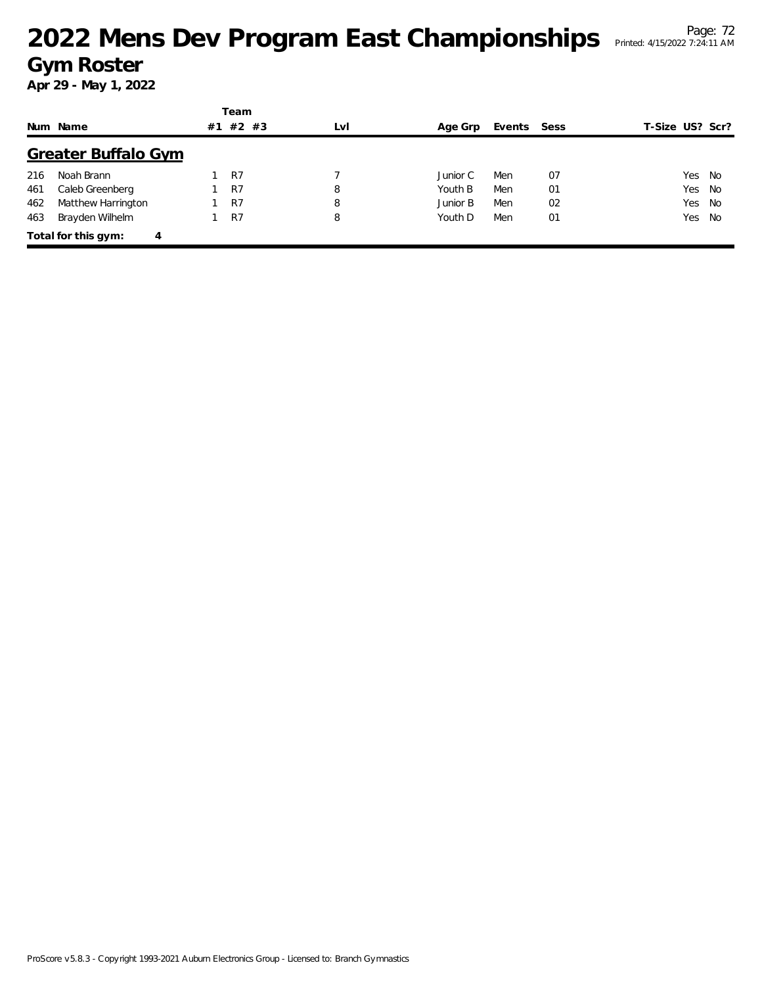|     |                          |    | Team           |     |          |             |    |                 |        |
|-----|--------------------------|----|----------------|-----|----------|-------------|----|-----------------|--------|
|     | Num Name                 | #1 | $#2$ #3        | LvI | Age Grp  | Events Sess |    | T-Size US? Scr? |        |
|     | Greater Buffalo Gym      |    |                |     |          |             |    |                 |        |
| 216 | Noah Brann               |    | R7             |     | Junior C | Men         | 07 |                 | Yes No |
| 461 | Caleb Greenberg          |    | R <sub>7</sub> | 8   | Youth B  | Men         | 01 |                 | Yes No |
| 462 | Matthew Harrington       |    | R7             | 8   | Junior B | Men         | 02 | Yes No          |        |
| 463 | Brayden Wilhelm          |    | R7             | 8   | Youth D  | Men         | 01 | Yes No          |        |
|     | Total for this gym:<br>4 |    |                |     |          |             |    |                 |        |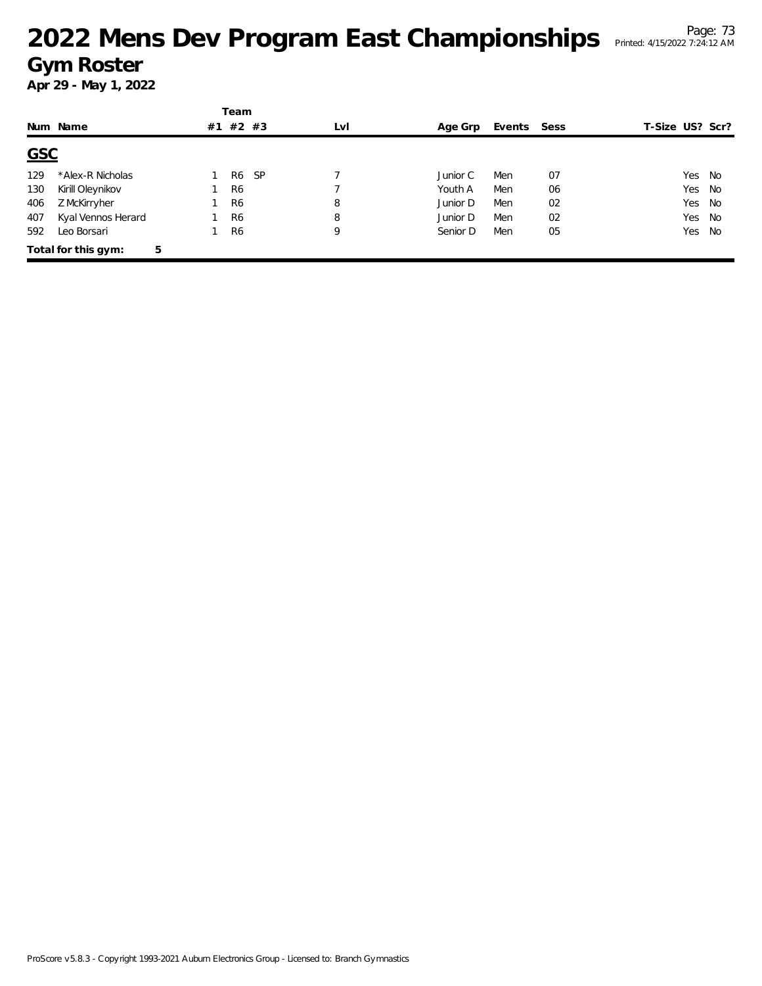|            |                          |    | Team            |     |          |             |    |                 |        |     |
|------------|--------------------------|----|-----------------|-----|----------|-------------|----|-----------------|--------|-----|
|            | Num Name                 | #1 | #2 #3           | LvI | Age Grp  | Events Sess |    | T-Size US? Scr? |        |     |
| <b>GSC</b> |                          |    |                 |     |          |             |    |                 |        |     |
| 129        | *Alex-R Nicholas         |    | <b>SP</b><br>R6 |     | Junior C | Men         | 07 |                 | Yes No |     |
| 130        | Kirill Oleynikov         |    | R <sub>6</sub>  |     | Youth A  | Men         | 06 |                 | Yes No |     |
| 406        | Z McKirryher             |    | R <sub>6</sub>  | 8   | Junior D | Men         | 02 |                 | Yes    | No  |
| 407        | Kyal Vennos Herard       |    | R <sub>6</sub>  | 8   | Junior D | Men         | 02 |                 | Yes No |     |
| 592        | Leo Borsari              |    | R <sub>6</sub>  | 9   | Senior D | Men         | 05 |                 | Yes    | No. |
|            | 5<br>Total for this gym: |    |                 |     |          |             |    |                 |        |     |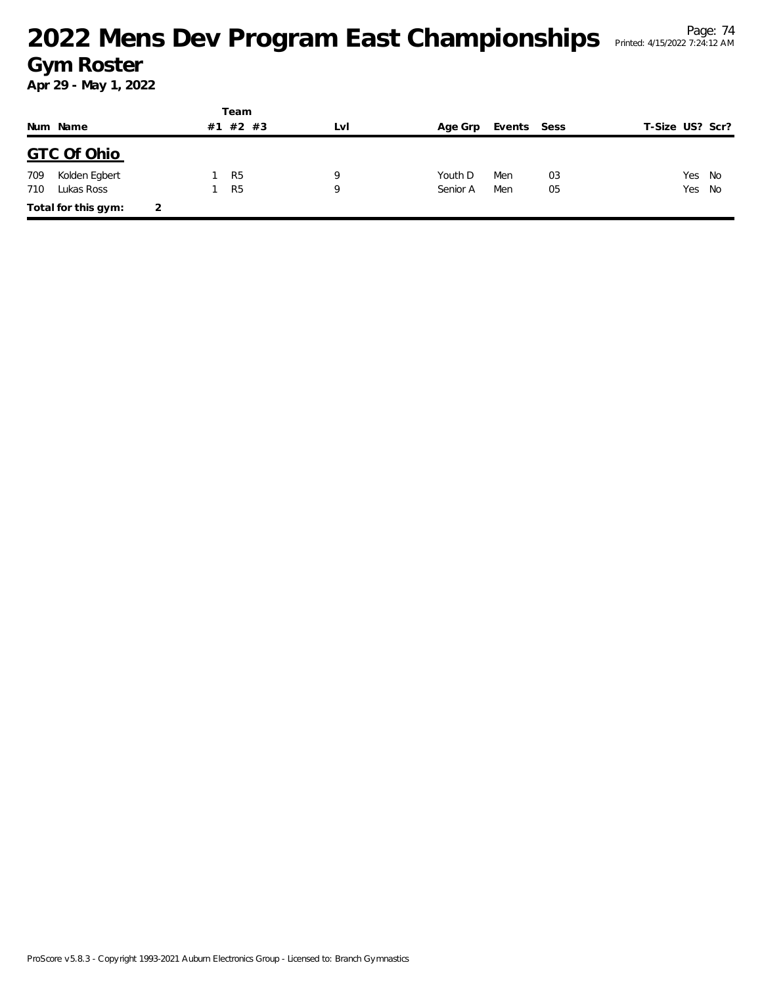|     |                     |   |    | Team           |     |          |             |    |                 |        |
|-----|---------------------|---|----|----------------|-----|----------|-------------|----|-----------------|--------|
|     | Num Name            |   | #1 | #2 #3          | LvI | Age Grp  | Events Sess |    | T-Size US? Scr? |        |
|     | <b>GTC Of Ohio</b>  |   |    |                |     |          |             |    |                 |        |
| 709 | Kolden Egbert       |   |    | R <sub>5</sub> | Q   | Youth D  | Men         | 03 | Yes             | No     |
| 710 | Lukas Ross          |   |    | R <sub>5</sub> | Q   | Senior A | Men         | 05 |                 | Yes No |
|     | Total for this gym: | 2 |    |                |     |          |             |    |                 |        |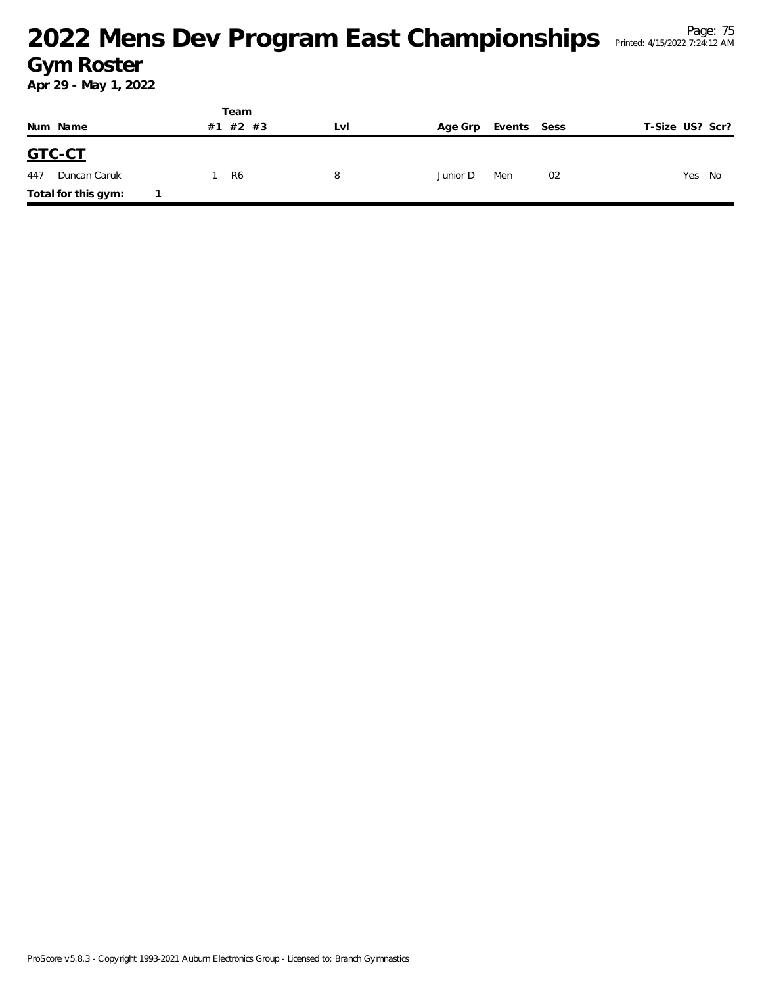|                     | Team     |     |          |             |                 |  |  |
|---------------------|----------|-----|----------|-------------|-----------------|--|--|
| Num Name            | #1 #2 #3 | LVI | Age Grp  | Events Sess | T-Size US? Scr? |  |  |
| GTC-CT              |          |     |          |             |                 |  |  |
| Duncan Caruk<br>447 | R6       | 8   | Junior D | Men<br>02   | Yes<br>No       |  |  |
| Total for this gym: |          |     |          |             |                 |  |  |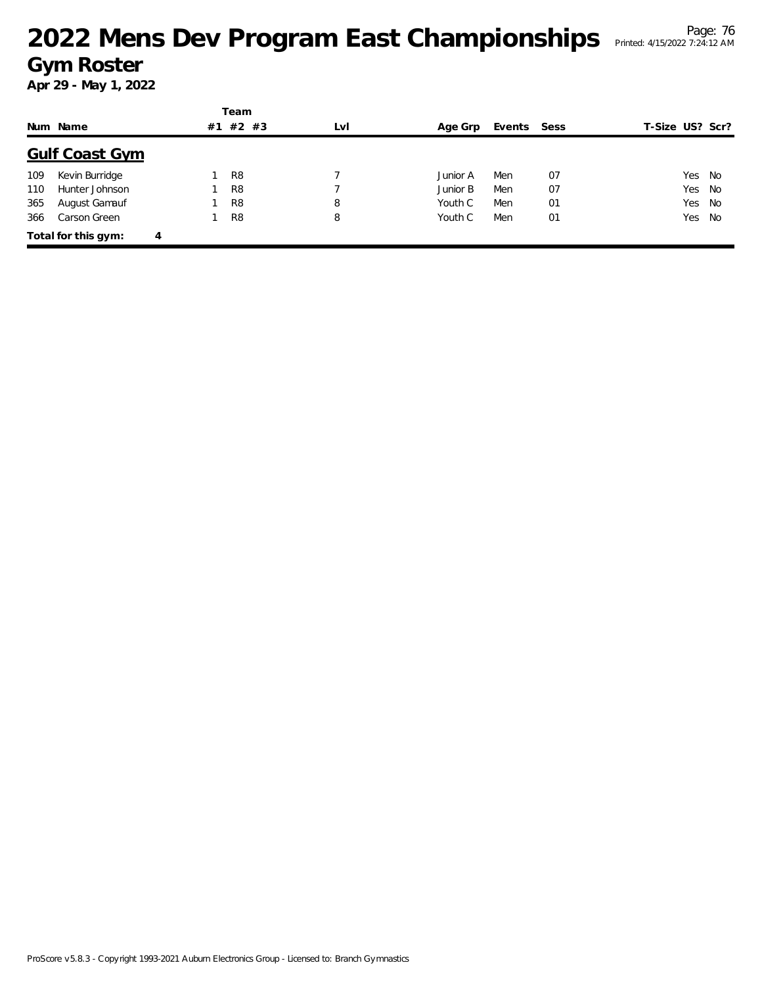# <sup>Page: 76</sup> Page: 76 Page: 76 Page: 76 Page: 76 Page: 76 Page: 76 Page: 76 Page: 76 **Gym Roster**

|     |                       |    | Team           |     |          |             |    |                 |  |
|-----|-----------------------|----|----------------|-----|----------|-------------|----|-----------------|--|
|     | Num Name              | #1 | #2 #3          | LvI | Age Grp  | Events Sess |    | F-Size US? Scr? |  |
|     | <b>Gulf Coast Gym</b> |    |                |     |          |             |    |                 |  |
| 109 | Kevin Burridge        |    | R <sub>8</sub> |     | Junior A | Men         | 07 | Yes No          |  |
| 110 | Hunter Johnson        |    | R <sub>8</sub> |     | Junior B | Men         | 07 | Yes No          |  |
| 365 | August Gamauf         |    | R <sub>8</sub> | 8   | Youth C  | Men         | 01 | Yes No          |  |
| 366 | Carson Green          |    | R <sub>8</sub> | 8   | Youth C  | Men         | 01 | Yes No          |  |
|     | Total for this gym:   | 4  |                |     |          |             |    |                 |  |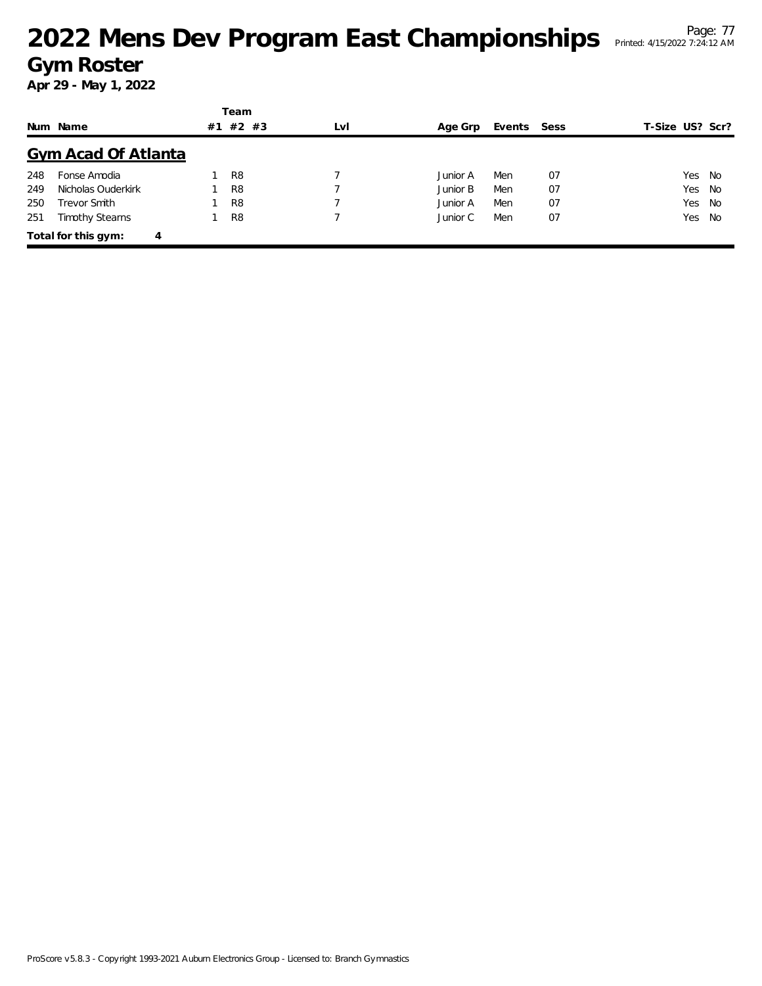# <sup>Page: 77</sup><br><sup>Page: 77</sup> Page: 77 Championships Printed: 4/15/2022 7:24:12 AM **Gym Roster**

|     |                            |    | Team           |     |          |             |    |                 |  |
|-----|----------------------------|----|----------------|-----|----------|-------------|----|-----------------|--|
|     | Num Name                   | #1 | $#2$ #3        | LvI | Age Grp  | Events Sess |    | T-Size US? Scr? |  |
|     | <b>Gym Acad Of Atlanta</b> |    |                |     |          |             |    |                 |  |
| 248 | Fonse Amodia               |    | R <sub>8</sub> |     | Junior A | Men         | 07 | Yes No          |  |
| 249 | Nicholas Ouderkirk         |    | R <sub>8</sub> |     | Junior B | Men         | 07 | Yes No          |  |
| 250 | Trevor Smith               |    | R <sub>8</sub> |     | Junior A | Men         | 07 | Yes No          |  |
| 251 | <b>Timothy Stearns</b>     |    | R <sub>8</sub> |     | Junior C | Men         | 07 | Yes No          |  |
|     | Total for this gym:<br>4   |    |                |     |          |             |    |                 |  |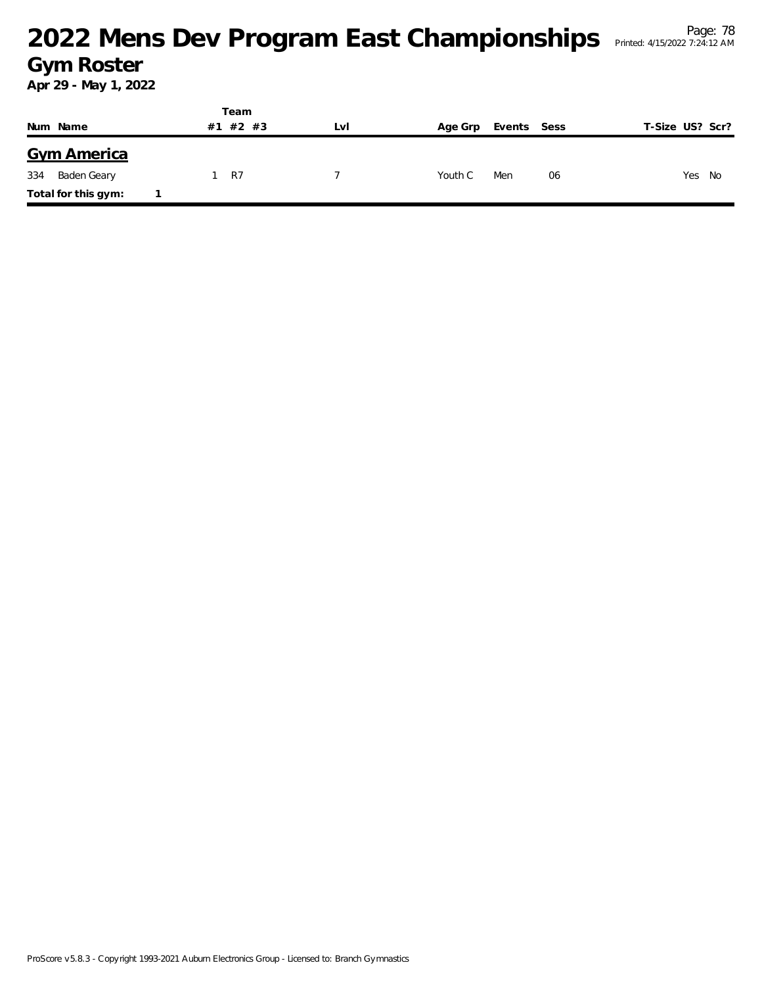#### <sup>Page: 78</sup><br><sup>Page: 78</sup> Printed: 4/15/2022 7:24:12 AM</sup> **Gym Roster**

|     |                     | Team        |     |         |             |                 |
|-----|---------------------|-------------|-----|---------|-------------|-----------------|
|     | Num Name            | #2 #3<br>#1 | Lvl | Age Grp | Events Sess | T-Size US? Scr? |
|     | <b>Gym America</b>  |             |     |         |             |                 |
| 334 | Baden Geary         | <b>R7</b>   |     | Youth C | Men<br>06   | Yes No          |
|     | Total for this gym: |             |     |         |             |                 |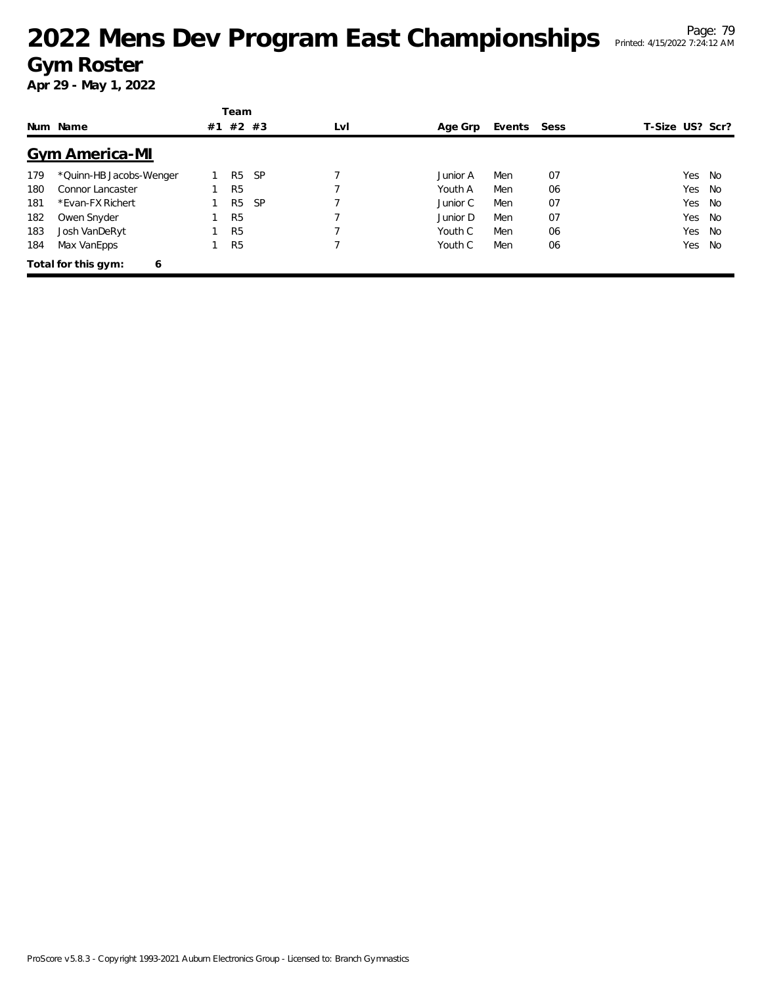# <sup>Page: 79</sup><br><sup>Page: 79</sup> Printed: 4/15/2022 7:24:12 AM</sup> **Gym Roster**

|     |                          |    | Team           |           |     |          |        |      |                 |    |
|-----|--------------------------|----|----------------|-----------|-----|----------|--------|------|-----------------|----|
|     | Num Name                 | #1 | $#2$ #3        |           | LvI | Age Grp  | Events | Sess | T-Size US? Scr? |    |
|     | <b>Gym America-MI</b>    |    |                |           |     |          |        |      |                 |    |
| 179 | *Quinn-HB Jacobs-Wenger  |    | R <sub>5</sub> | <b>SP</b> |     | Junior A | Men    | 07   | Yes             | No |
| 180 | Connor Lancaster         |    | R <sub>5</sub> |           |     | Youth A  | Men    | 06   | Yes             | No |
| 181 | *Evan-FX Richert         |    | R <sub>5</sub> | <b>SP</b> |     | Junior C | Men    | 07   | Yes             | No |
| 182 | Owen Snyder              |    | R <sub>5</sub> |           |     | Junior D | Men    | 07   | Yes             | No |
| 183 | Josh VanDeRyt            |    | R <sub>5</sub> |           |     | Youth C  | Men    | 06   | Yes             | No |
| 184 | Max VanEpps              |    | R <sub>5</sub> |           |     | Youth C  | Men    | 06   | Yes             | No |
|     | Total for this gym:<br>6 |    |                |           |     |          |        |      |                 |    |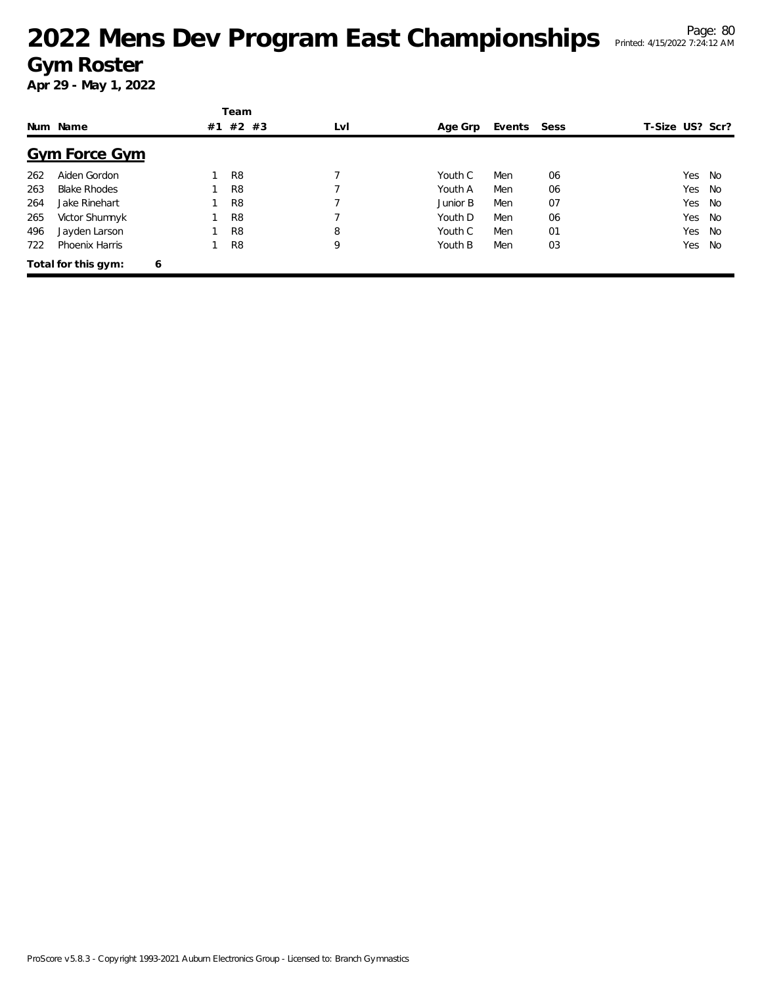# <sup>Page: 80</sup><br>2022 Mens Dev Program East Championships Printed: 4/15/2022 7:24:12 AM **Gym Roster**

|     |                      |    | Team           |     |          |        |      |                 |        |
|-----|----------------------|----|----------------|-----|----------|--------|------|-----------------|--------|
|     | Num Name             | #1 | #2 #3          | LvI | Age Grp  | Events | Sess | T-Size US? Scr? |        |
|     | <b>Gym Force Gym</b> |    |                |     |          |        |      |                 |        |
| 262 | Aiden Gordon         |    | R <sub>8</sub> |     | Youth C  | Men    | 06   |                 | Yes No |
| 263 | <b>Blake Rhodes</b>  |    | R <sub>8</sub> |     | Youth A  | Men    | 06   |                 | Yes No |
| 264 | Jake Rinehart        |    | R <sub>8</sub> | ⇁   | Junior B | Men    | 07   |                 | Yes No |
| 265 | Victor Shumnyk       |    | R <sub>8</sub> |     | Youth D  | Men    | 06   |                 | Yes No |
| 496 | Jayden Larson        |    | R <sub>8</sub> | 8   | Youth C  | Men    | 01   |                 | Yes No |
| 722 | Phoenix Harris       |    | R <sub>8</sub> | 9   | Youth B  | Men    | 03   |                 | Yes No |
|     | Total for this gym:  | 6  |                |     |          |        |      |                 |        |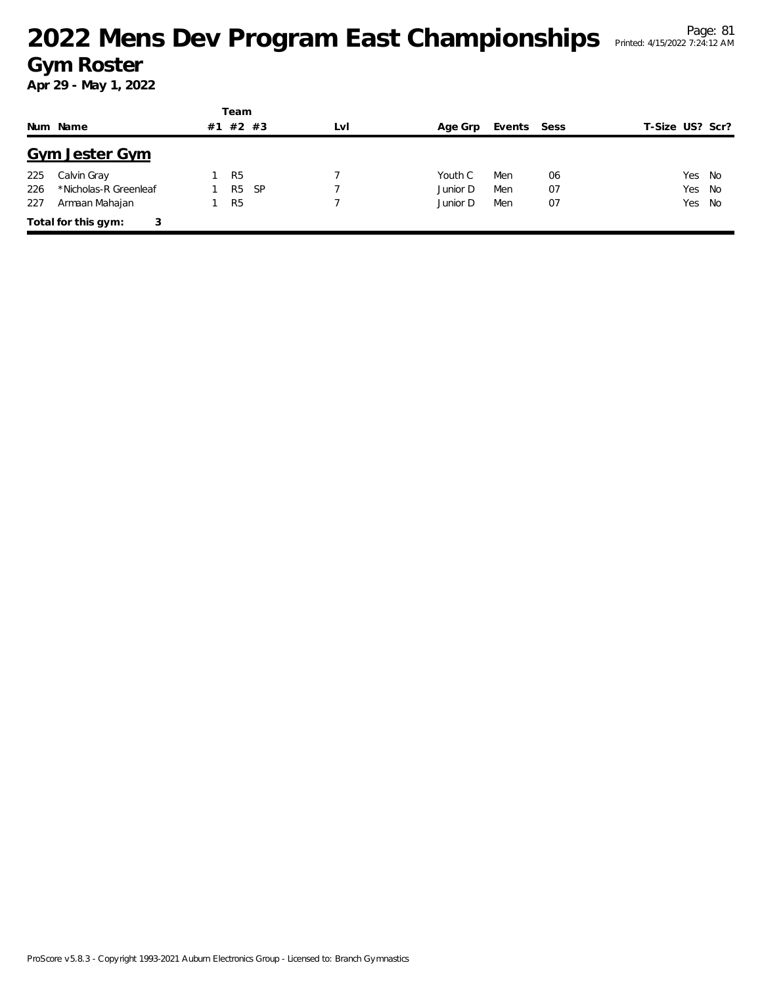|     |                          |    | Team           |     |     |          |             |    |                 |
|-----|--------------------------|----|----------------|-----|-----|----------|-------------|----|-----------------|
|     | Num Name                 | #1 | #2 #3          |     | LvI | Age Grp  | Events Sess |    | T-Size US? Scr? |
|     | <b>Gym Jester Gym</b>    |    |                |     |     |          |             |    |                 |
| 225 | Calvin Gray              |    | R <sub>5</sub> |     |     | Youth C  | Men         | 06 | Yes No          |
| 226 | *Nicholas-R Greenleaf    |    | R <sub>5</sub> | -SP |     | Junior D | Men         | 07 | Yes No          |
| 227 | Armaan Mahajan           |    | R <sub>5</sub> |     |     | Junior D | Men         | 07 | Yes No          |
|     | Total for this gym:<br>3 |    |                |     |     |          |             |    |                 |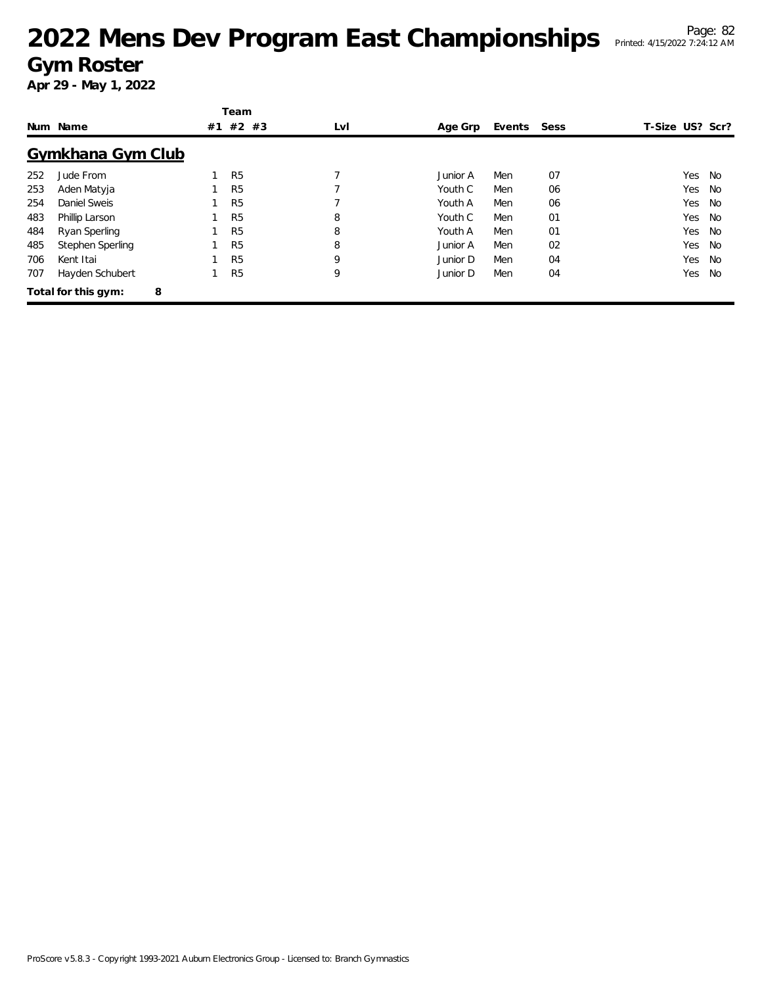|     |                     |    | Team           |     |          |        |      |                 |    |
|-----|---------------------|----|----------------|-----|----------|--------|------|-----------------|----|
|     | Num Name            | #1 | $#2$ #3        | LvI | Age Grp  | Events | Sess | T-Size US? Scr? |    |
|     | Gymkhana Gym Club   |    |                |     |          |        |      |                 |    |
| 252 | Jude From           |    | R <sub>5</sub> |     | Junior A | Men    | 07   | Yes             | No |
| 253 | Aden Matyja         |    | R <sub>5</sub> |     | Youth C  | Men    | 06   | Yes             | No |
| 254 | Daniel Sweis        |    | R <sub>5</sub> |     | Youth A  | Men    | 06   | Yes             | No |
| 483 | Phillip Larson      |    | R <sub>5</sub> | 8   | Youth C  | Men    | 01   | Yes             | No |
| 484 | Ryan Sperling       |    | R <sub>5</sub> | 8   | Youth A  | Men    | 01   | Yes             | No |
| 485 | Stephen Sperling    |    | R <sub>5</sub> | 8   | Junior A | Men    | 02   | Yes             | No |
| 706 | Kent Itai           |    | R <sub>5</sub> | 9   | Junior D | Men    | 04   | Yes             | No |
| 707 | Hayden Schubert     |    | R <sub>5</sub> | 9   | Junior D | Men    | 04   | Yes             | No |
|     | Total for this gym: | 8  |                |     |          |        |      |                 |    |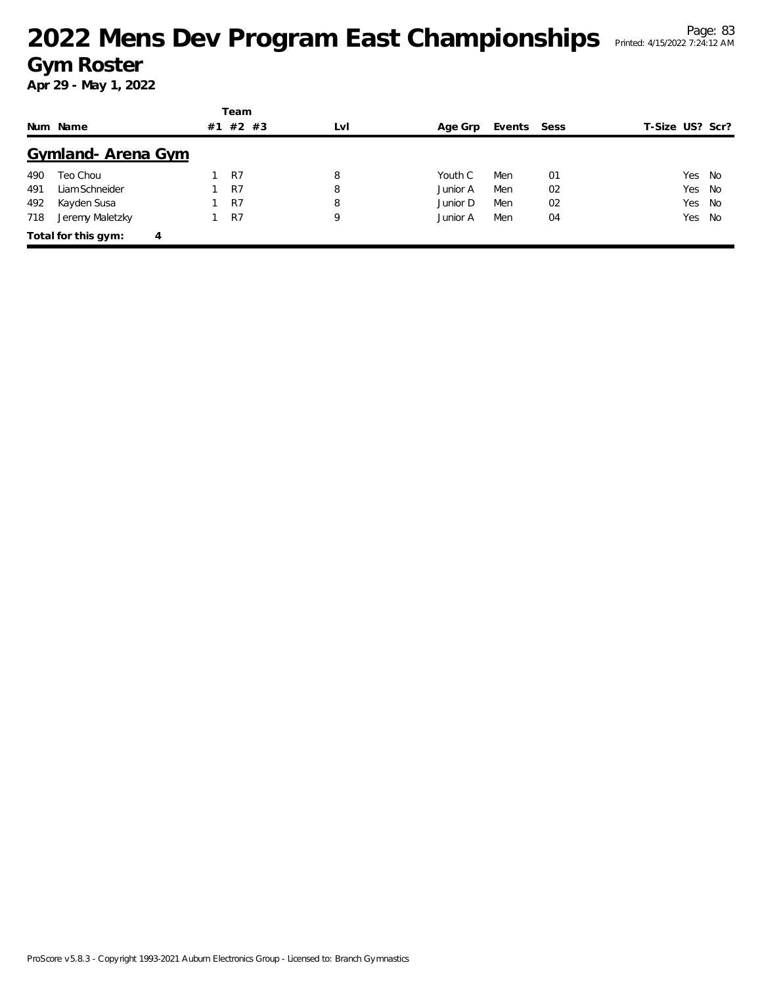|     |                          |    | Team    |     |          |             |    |                 |
|-----|--------------------------|----|---------|-----|----------|-------------|----|-----------------|
|     | Num Name                 | #1 | $#2$ #3 | LvI | Age Grp  | Events Sess |    | T-Size US? Scr? |
|     | Gymland-Arena Gym        |    |         |     |          |             |    |                 |
| 490 | Teo Chou                 |    | R7      | 8   | Youth C  | Men         | 01 | Yes No          |
| 491 | Liam Schneider           |    | R7      | 8   | Junior A | Men         | 02 | Yes No          |
| 492 | Kayden Susa              |    | R7      | 8   | Junior D | Men         | 02 | Yes No          |
| 718 | Jeremy Maletzky          |    | R7      | 9   | Junior A | Men         | 04 | Yes No          |
|     | Total for this gym:<br>4 |    |         |     |          |             |    |                 |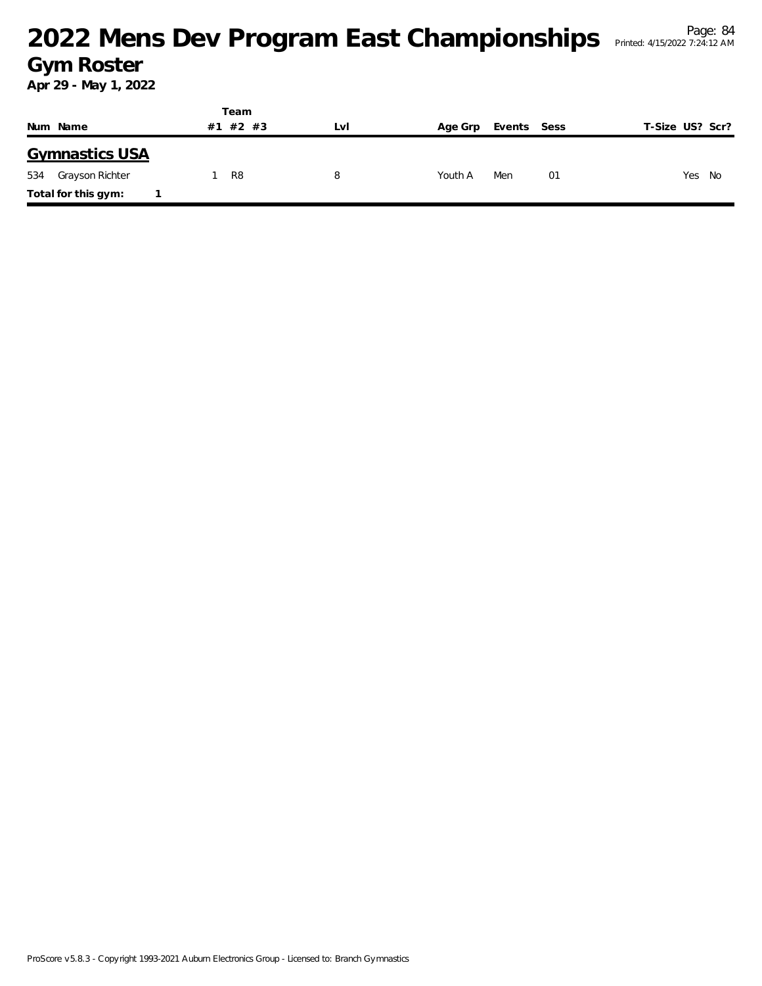|                        | Team           |     |                        |    |                 |  |  |
|------------------------|----------------|-----|------------------------|----|-----------------|--|--|
| Num Name               | #2 #3<br>#1    | LVI | Events Sess<br>Age Grp |    | T-Size US? Scr? |  |  |
| <b>Gymnastics USA</b>  |                |     |                        |    |                 |  |  |
| 534<br>Grayson Richter | R <sub>8</sub> | 8   | Youth A<br>Men         | 01 | Yes<br>No       |  |  |
| Total for this gym:    |                |     |                        |    |                 |  |  |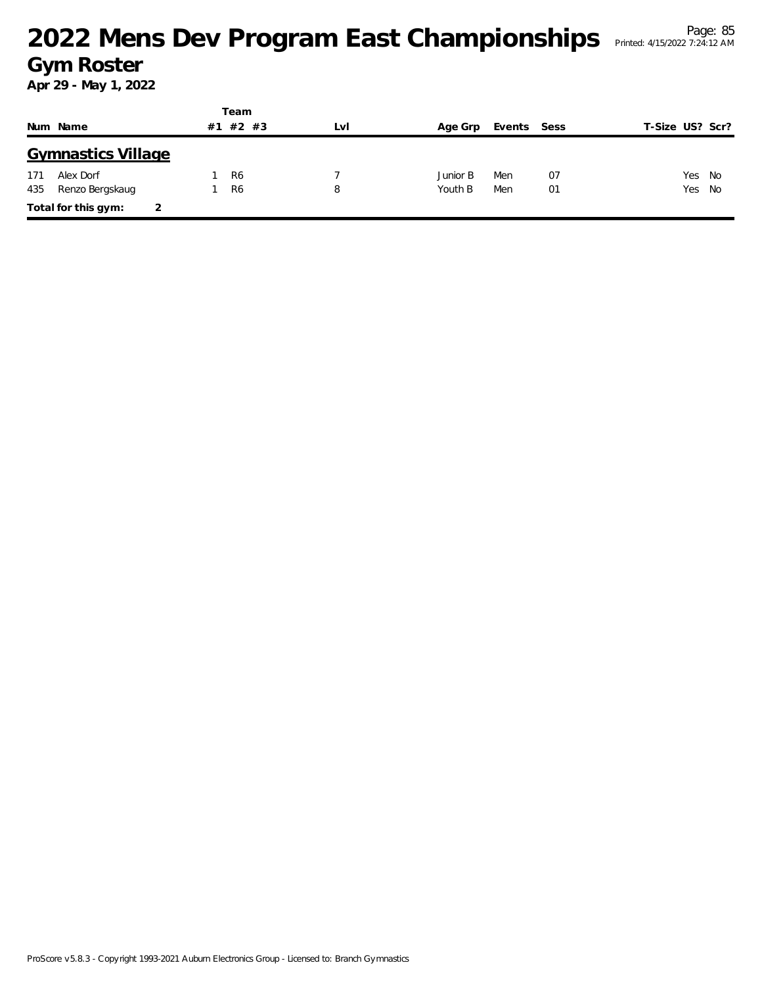### <sup>Page: 85</sup><br>2022 Mens Dev Program East Championships Printed: 4/15/2022 7:24:12 AM **Gym Roster**

|     |                           |    | Team           |     |          |             |    |                 |  |
|-----|---------------------------|----|----------------|-----|----------|-------------|----|-----------------|--|
|     | Num Name                  | #1 | $#2$ #3        | LvI | Age Grp  | Events Sess |    | T-Size US? Scr? |  |
|     | <b>Gymnastics Village</b> |    |                |     |          |             |    |                 |  |
| 171 | Alex Dorf                 |    | R <sub>6</sub> |     | Junior B | Men         | 07 | Yes No          |  |
| 435 | Renzo Bergskaug           |    | R <sub>6</sub> | 8   | Youth B  | Men         | 01 | Yes No          |  |
|     | Total for this gym:       |    |                |     |          |             |    |                 |  |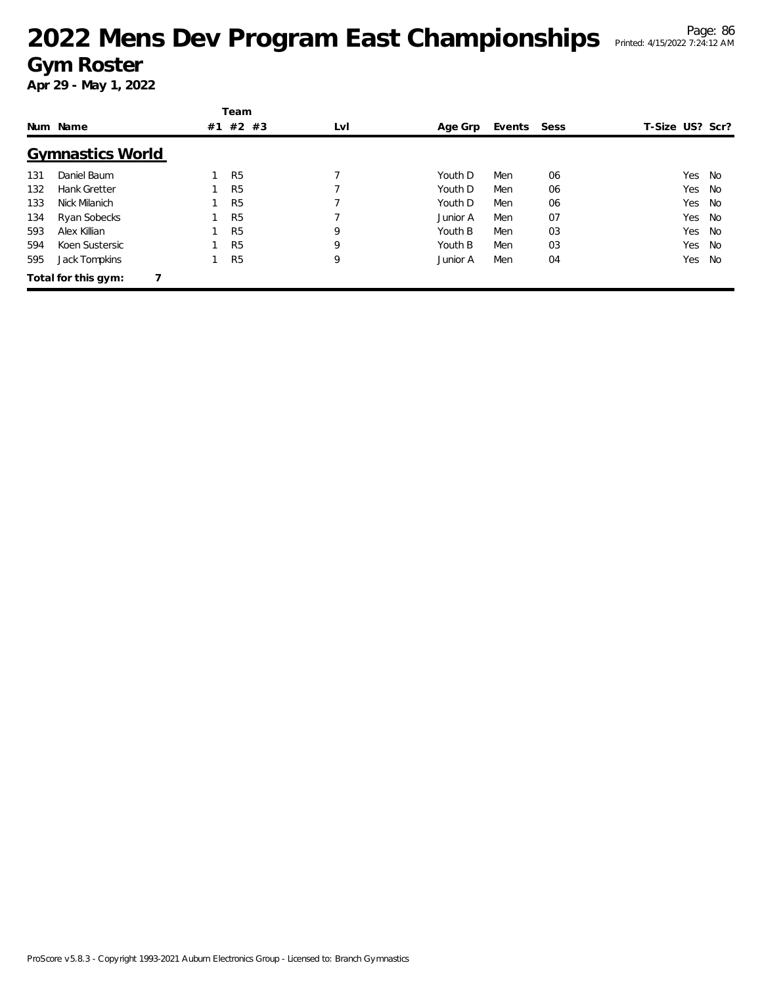## <sup>Page: 86</sup><br>2022 Mens Dev Program East Championships Printed: 4/15/2022 7:24:12 AM **Gym Roster**

|     |                         |    | Team           |     |          |        |      |                 |    |
|-----|-------------------------|----|----------------|-----|----------|--------|------|-----------------|----|
|     | Num Name                | #1 | $#2$ #3        | LvI | Age Grp  | Events | Sess | T-Size US? Scr? |    |
|     | <b>Gymnastics World</b> |    |                |     |          |        |      |                 |    |
| 131 | Daniel Baum             |    | R <sub>5</sub> |     | Youth D  | Men    | 06   | Yes             | No |
| 132 | <b>Hank Gretter</b>     |    | R <sub>5</sub> |     | Youth D  | Men    | 06   | Yes             | No |
| 133 | Nick Milanich           |    | R <sub>5</sub> |     | Youth D  | Men    | 06   | Yes             | No |
| 134 | Ryan Sobecks            |    | R <sub>5</sub> |     | Junior A | Men    | 07   | Yes.            | No |
| 593 | Alex Killian            |    | R <sub>5</sub> | 9   | Youth B  | Men    | 03   | Yes.            | No |
| 594 | Koen Sustersic          |    | R <sub>5</sub> | 9   | Youth B  | Men    | 03   | Yes             | No |
| 595 | Jack Tompkins           |    | R <sub>5</sub> | 9   | Junior A | Men    | 04   | Yes             | No |
|     | Total for this gym:     |    |                |     |          |        |      |                 |    |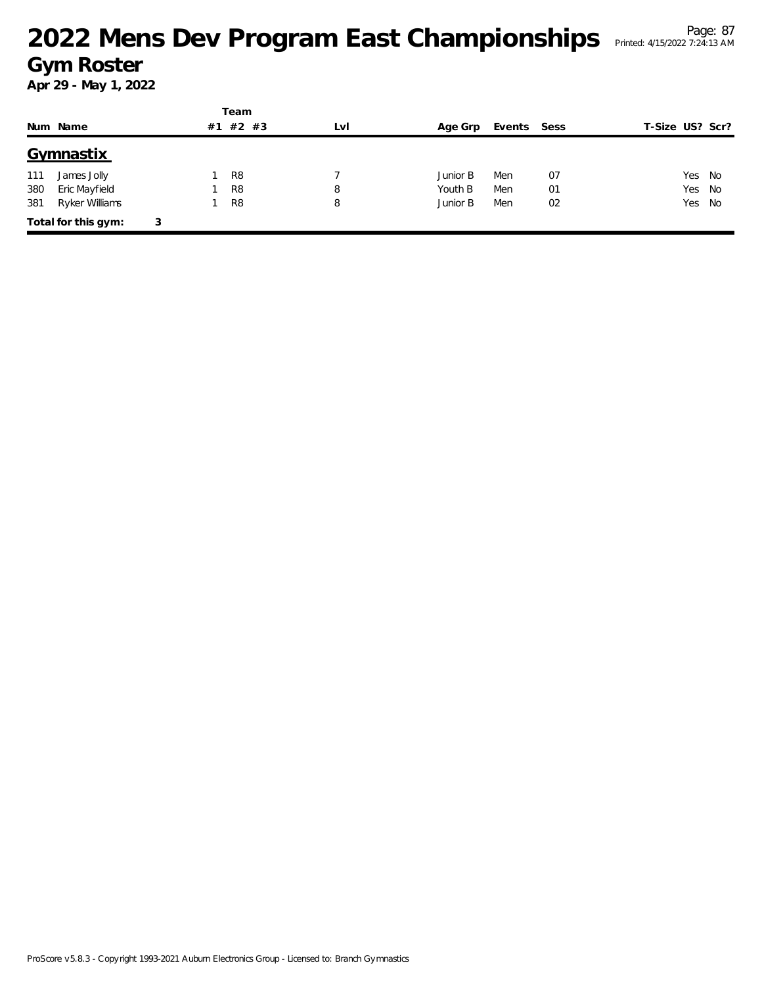# <sup>Page: 87</sup><br>
2022 Mens Dev Program East Championships Printed: 4/15/2022 7:24:13 AM **Gym Roster**

|     |                     |   |    | Team           |     |          |             |    |                 |
|-----|---------------------|---|----|----------------|-----|----------|-------------|----|-----------------|
|     | Num Name            |   | #1 | $#2$ #3        | LvI | Age Grp  | Events Sess |    | T-Size US? Scr? |
|     | Gymnastix           |   |    |                |     |          |             |    |                 |
| 111 | James Jolly         |   |    | R <sub>8</sub> |     | Junior B | Men         | 07 | Yes No          |
| 380 | Eric Mayfield       |   |    | R <sub>8</sub> | 8   | Youth B  | Men         | 01 | Yes<br>No       |
| 381 | Ryker Williams      |   |    | R <sub>8</sub> | 8   | Junior B | Men         | 02 | Yes No          |
|     | Total for this gym: | 3 |    |                |     |          |             |    |                 |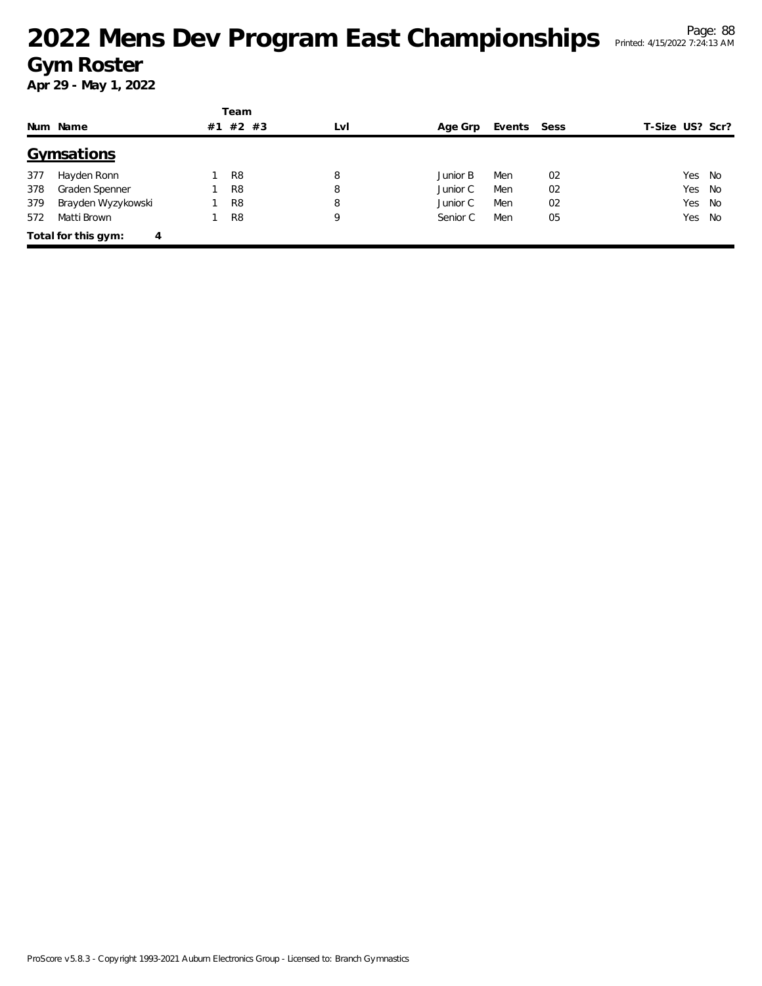|     |                          |    | Team           |     |          |             |    |                 |
|-----|--------------------------|----|----------------|-----|----------|-------------|----|-----------------|
|     | Num Name                 | #1 | $#2$ #3        | LvI | Age Grp  | Events Sess |    | T-Size US? Scr? |
|     | Gymsations               |    |                |     |          |             |    |                 |
| 377 | Hayden Ronn              |    | R <sub>8</sub> | 8   | Junior B | Men         | 02 | Yes No          |
| 378 | Graden Spenner           |    | R <sub>8</sub> | 8   | Junior C | Men         | 02 | Yes No          |
| 379 | Brayden Wyzykowski       |    | R <sub>8</sub> | 8   | Junior C | Men         | 02 | Yes No          |
| 572 | Matti Brown              |    | R <sub>8</sub> | 9   | Senior C | Men         | 05 | Yes No          |
|     | Total for this gym:<br>4 |    |                |     |          |             |    |                 |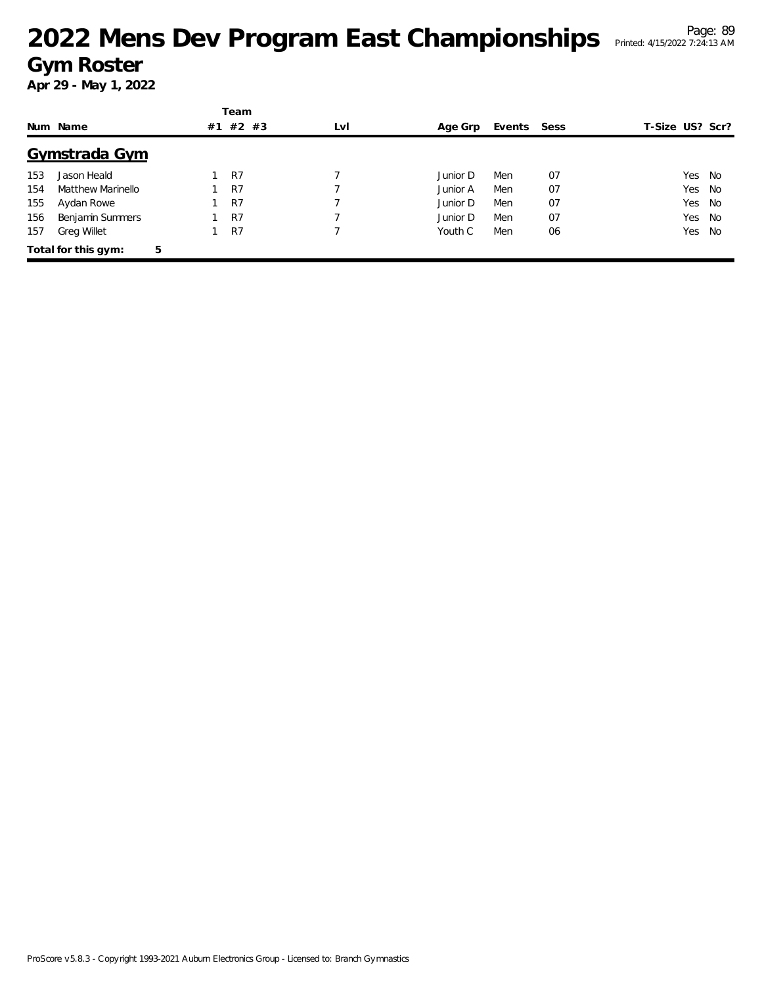# <sup>Page: 89</sup><br>Mens Dev Program East Championships Printed: 4/15/2022 7:24:13 AM</sup> **Gym Roster**

|     |                     |    | Team  |     |          |             |    |                 |        |     |
|-----|---------------------|----|-------|-----|----------|-------------|----|-----------------|--------|-----|
|     | Num Name            | #1 | #2 #3 | LvI | Age Grp  | Events Sess |    | T-Size US? Scr? |        |     |
|     | Gymstrada Gym       |    |       |     |          |             |    |                 |        |     |
| 153 | Jason Heald         |    | R7    |     | Junior D | Men         | 07 |                 | Yes No |     |
| 154 | Matthew Marinello   |    | R7    |     | Junior A | Men         | 07 |                 | Yes No |     |
| 155 | Aydan Rowe          |    | R7    |     | Junior D | Men         | 07 |                 | Yes    | No  |
| 156 | Benjamin Summers    |    | R7    |     | Junior D | Men         | 07 |                 | Yes No |     |
| 157 | <b>Greg Willet</b>  |    | R7    |     | Youth C  | Men         | 06 |                 | Yes    | No. |
|     | Total for this gym: | 5  |       |     |          |             |    |                 |        |     |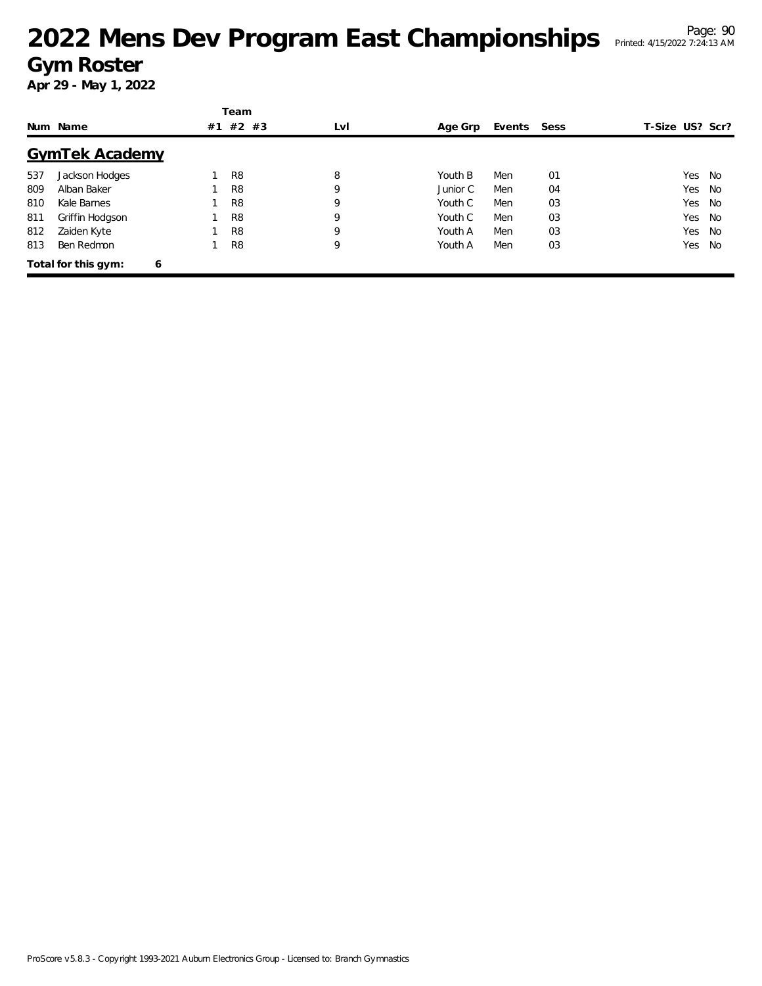# <sup>Page: 90</sup><br>Mens Dev Program East Championships Printed: 4/15/2022 7:24:13 AM **Gym Roster**

|     |                          |    | Team           |     |          |             |    |                 |    |
|-----|--------------------------|----|----------------|-----|----------|-------------|----|-----------------|----|
|     | Num Name                 | #1 | $#2$ #3        | LvI | Age Grp  | Events Sess |    | T-Size US? Scr? |    |
|     | <b>GymTek Academy</b>    |    |                |     |          |             |    |                 |    |
| 537 | Jackson Hodges           |    | R <sub>8</sub> | 8   | Youth B  | Men         | 01 | Yes             | No |
| 809 | Alban Baker              |    | R <sub>8</sub> | 9   | Junior C | Men         | 04 | Yes             | No |
| 810 | Kale Barnes              |    | R <sub>8</sub> | 9   | Youth C  | Men         | 03 | Yes             | No |
| 811 | Griffin Hodgson          |    | R <sub>8</sub> | 9   | Youth C  | Men         | 03 | Yes             | No |
| 812 | Zaiden Kyte              |    | R <sub>8</sub> | 9   | Youth A  | Men         | 03 | Yes             | No |
| 813 | Ben Redmon               |    | R <sub>8</sub> | 9   | Youth A  | Men         | 03 | Yes             | No |
|     | Total for this gym:<br>6 |    |                |     |          |             |    |                 |    |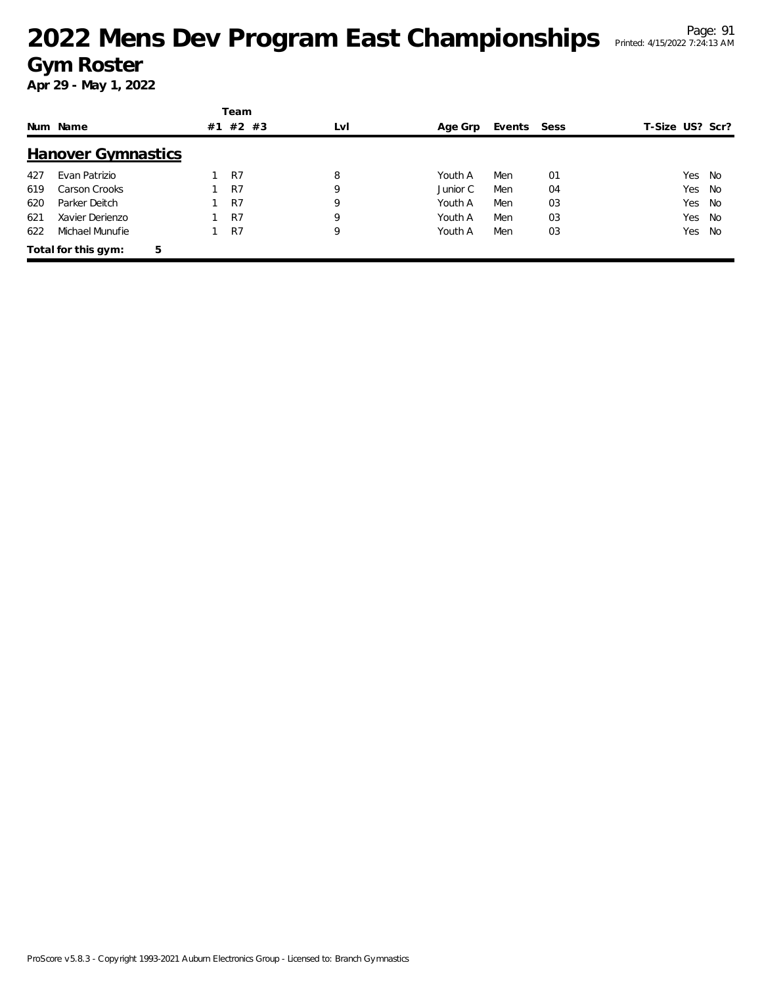# <sup>Page: 91</sup><br>
2022 Mens Dev Program East Championships Printed: 4/15/2022 7:24:13 AM **Gym Roster**

|     |                           |    | Team           |     |          |        |      |                 |        |      |
|-----|---------------------------|----|----------------|-----|----------|--------|------|-----------------|--------|------|
|     | Num Name                  | #1 | #2 #3          | LvI | Age Grp  | Events | Sess | T-Size US? Scr? |        |      |
|     | <b>Hanover Gymnastics</b> |    |                |     |          |        |      |                 |        |      |
| 427 | Evan Patrizio             |    | R <sub>7</sub> | 8   | Youth A  | Men    | 01   |                 | Yes    | - No |
| 619 | Carson Crooks             |    | R7             | 9   | Junior C | Men    | 04   |                 | Yes    | - No |
| 620 | Parker Deitch             |    | R7             | 9   | Youth A  | Men    | 03   |                 | Yes    | No   |
| 621 | Xavier Derienzo           |    | R7             | 9   | Youth A  | Men    | 03   |                 | Yes No |      |
| 622 | Michael Munufie           |    | R7             | 9   | Youth A  | Men    | 03   |                 | Yes    | No   |
|     | Total for this gym:       | 5  |                |     |          |        |      |                 |        |      |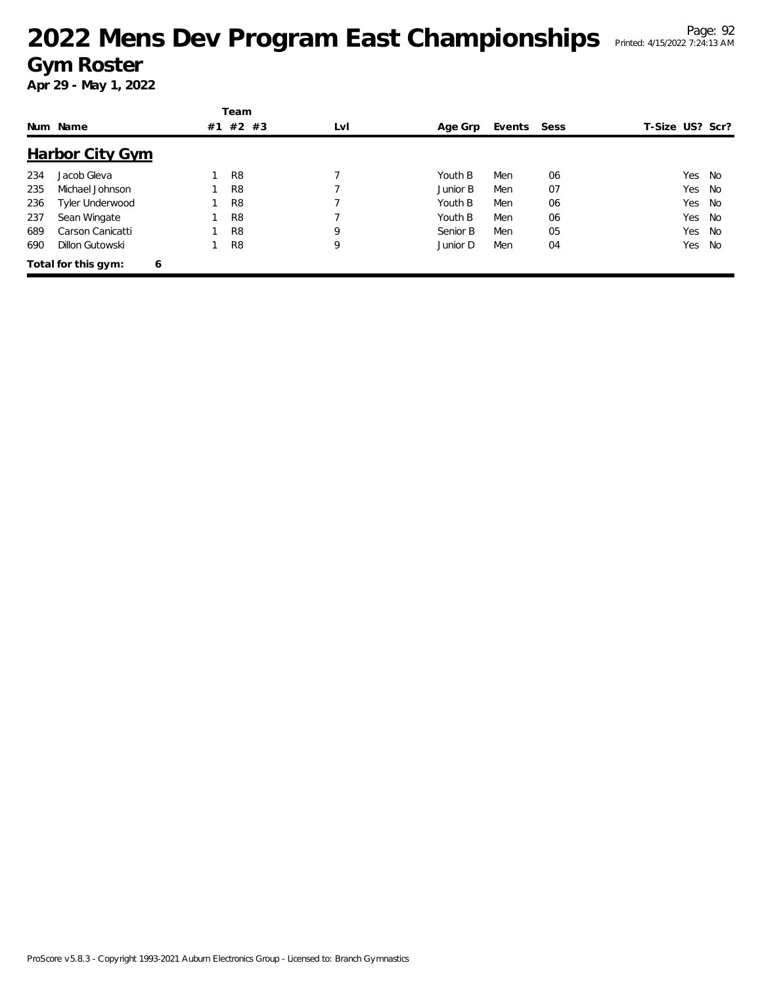# <sup>Page: 92</sup> 2022 Mens Dev Program East Championships Printed: 4/15/2022 7:24:13 AM **Gym Roster**

|     |                          |    | Team           |     |          |        |      |                 |           |
|-----|--------------------------|----|----------------|-----|----------|--------|------|-----------------|-----------|
|     | Num Name                 | #1 | #2 #3          | LvI | Age Grp  | Events | Sess | T-Size US? Scr? |           |
|     | <b>Harbor City Gym</b>   |    |                |     |          |        |      |                 |           |
| 234 | Jacob Gleva              |    | R8             |     | Youth B  | Men    | 06   | Yes             | - No      |
| 235 | Michael Johnson          |    | R <sub>8</sub> |     | Junior B | Men    | 07   | Yes             | No        |
| 236 | Tyler Underwood          |    | R <sub>8</sub> |     | Youth B  | Men    | 06   | Yes             | <b>No</b> |
| 237 | Sean Wingate             |    | R <sub>8</sub> |     | Youth B  | Men    | 06   | Yes             | No        |
| 689 | Carson Canicatti         |    | R <sub>8</sub> | 9   | Senior B | Men    | 05   | Yes             | <b>No</b> |
| 690 | Dillon Gutowski          |    | R <sub>8</sub> | 9   | Junior D | Men    | 04   | Yes             | No        |
|     | Total for this gym:<br>6 |    |                |     |          |        |      |                 |           |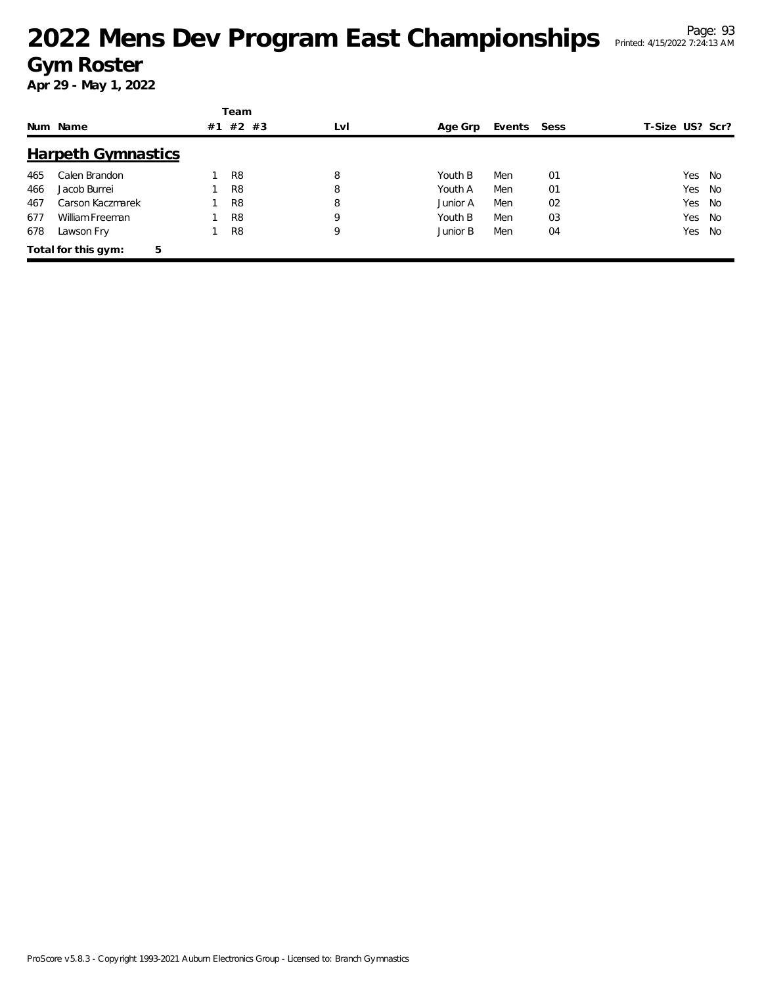# <sup>Page: 93</sup><br>Mens Dev Program East Championships Printed: 4/15/2022 7:24:13 AM</sup> **Gym Roster**

|     |                           |    | Team           |     |          |             |    |                 |        |      |
|-----|---------------------------|----|----------------|-----|----------|-------------|----|-----------------|--------|------|
|     | Num Name                  | #1 | $#2$ #3        | LvI | Age Grp  | Events Sess |    | T-Size US? Scr? |        |      |
|     | <b>Harpeth Gymnastics</b> |    |                |     |          |             |    |                 |        |      |
| 465 | Calen Brandon             |    | R <sub>8</sub> | 8   | Youth B  | Men         | 01 |                 | Yes No |      |
| 466 | Jacob Burrei              |    | R <sub>8</sub> | 8   | Youth A  | Men         | 01 |                 | Yes    | - No |
| 467 | Carson Kaczmarek          |    | R <sub>8</sub> | 8   | Junior A | Men         | 02 |                 | Yes    | No   |
| 677 | William Freeman           |    | R <sub>8</sub> | 9   | Youth B  | Men         | 03 |                 | Yes    | No   |
| 678 | Lawson Fry                |    | R <sub>8</sub> | 9   | Junior B | Men         | 04 |                 | Yes    | No   |
|     | Total for this gym:       | 5  |                |     |          |             |    |                 |        |      |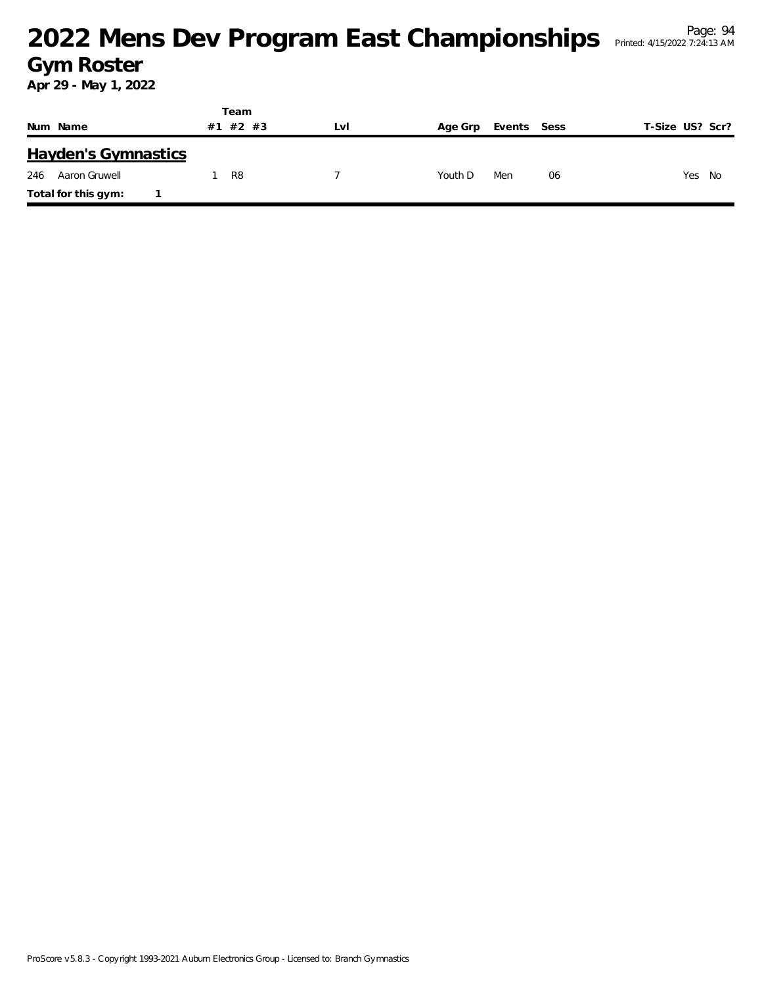#### <sup>Page: 94</sup><br>Mens Dev Program East Championships Printed: 4/15/2022 7:24:13 AM **Gym Roster**

Printed: 4/15/2022 7:24:13 AM

|                            | Team     |     |                |             |                 |
|----------------------------|----------|-----|----------------|-------------|-----------------|
| Num Name                   | #1 #2 #3 | Lvi | Age Grp        | Events Sess | T-Size US? Scr? |
| <b>Hayden's Gymnastics</b> |          |     |                |             |                 |
| 246<br>Aaron Gruwell       | R8       |     | Men<br>Youth D | 06          | Yes<br>No       |
| Total for this gym:        |          |     |                |             |                 |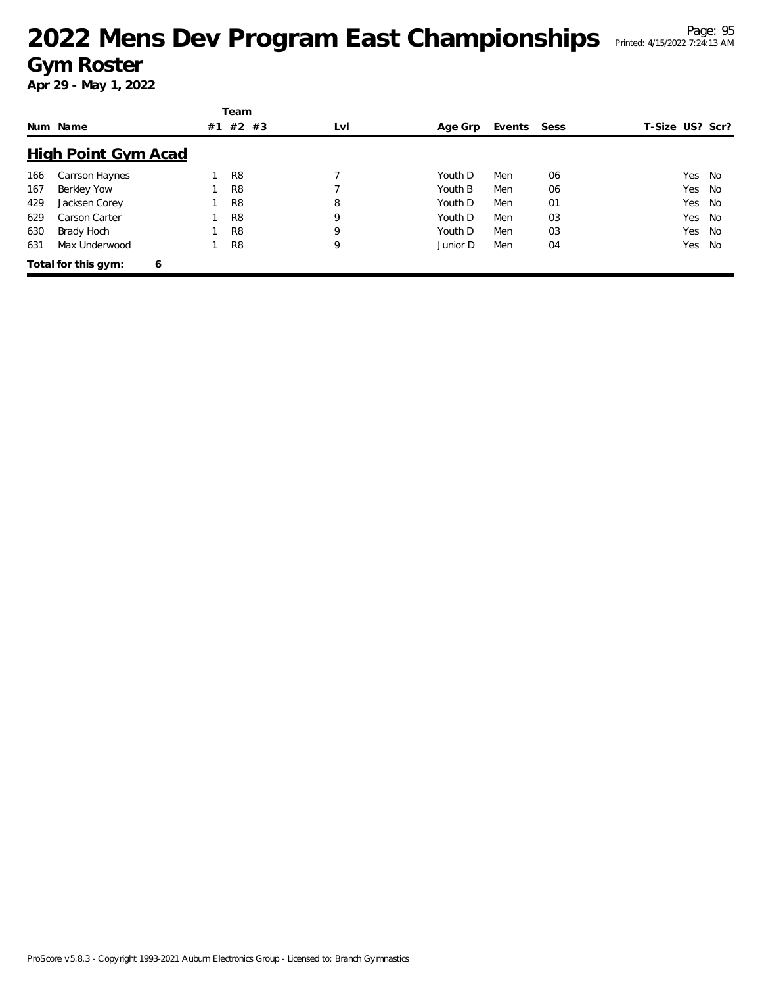# <sup>Page: 95</sup><br>Mens Dev Program East Championships Printed: 4/15/2022 7:24:13 AM</sup> **Gym Roster**

|     |                            |    | Team           |     |          |             |    |                 |    |
|-----|----------------------------|----|----------------|-----|----------|-------------|----|-----------------|----|
|     | Num Name                   | #1 | $#2$ #3        | LvI | Age Grp  | Events Sess |    | T-Size US? Scr? |    |
|     | <b>High Point Gym Acad</b> |    |                |     |          |             |    |                 |    |
| 166 | Carrson Haynes             |    | R <sub>8</sub> |     | Youth D  | Men         | 06 | Yes             | No |
| 167 | Berkley Yow                |    | R <sub>8</sub> |     | Youth B  | Men         | 06 | Yes             | No |
| 429 | Jacksen Corey              |    | R <sub>8</sub> | 8   | Youth D  | Men         | 01 | Yes             | No |
| 629 | Carson Carter              |    | R <sub>8</sub> | 9   | Youth D  | Men         | 03 | Yes             | No |
| 630 | Brady Hoch                 |    | R <sub>8</sub> | 9   | Youth D  | Men         | 03 | Yes             | No |
| 631 | Max Underwood              |    | R <sub>8</sub> | 9   | Junior D | Men         | 04 | Yes             | No |
|     | Total for this gym:<br>6   |    |                |     |          |             |    |                 |    |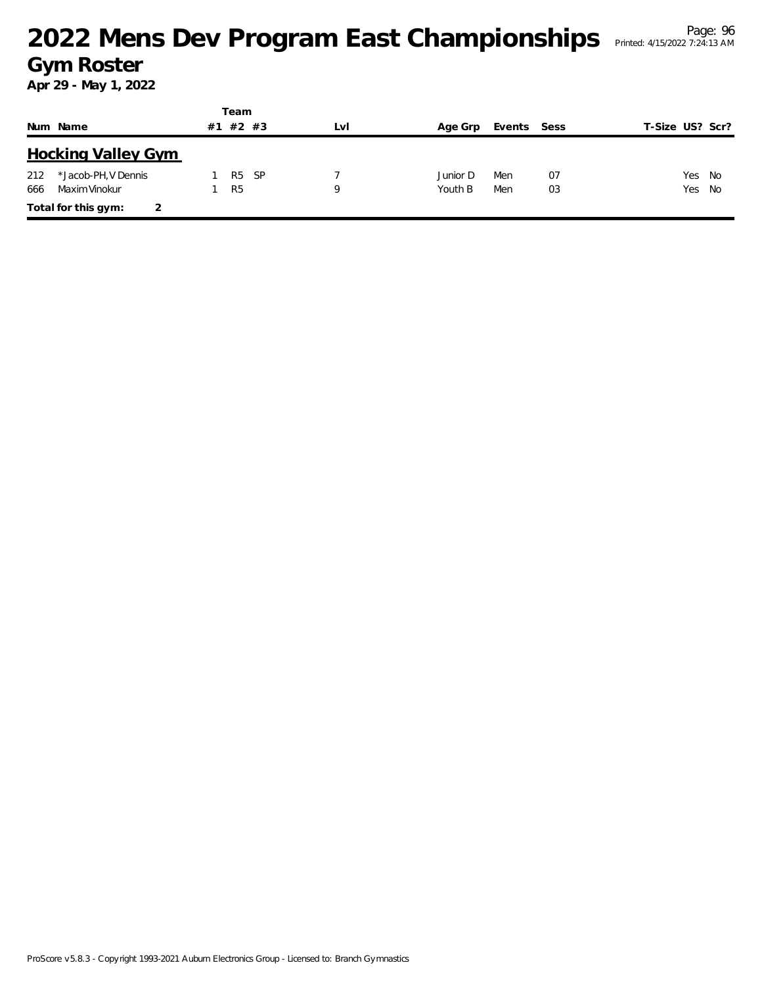### <sup>Page: 96</sup><br>
2022 Mens Dev Program East Championships Printed: 4/15/2022 7:24:13 AM **Gym Roster**

|     |                           |    | Team           |     |     |          |             |    |                 |  |
|-----|---------------------------|----|----------------|-----|-----|----------|-------------|----|-----------------|--|
|     | Num Name                  | #1 | $#2$ #3        |     | LvI | Age Grp  | Events Sess |    | T-Size US? Scr? |  |
|     | <b>Hocking Valley Gym</b> |    |                |     |     |          |             |    |                 |  |
| 212 | *Jacob-PH, V Dennis       |    | R <sub>5</sub> | -SP |     | Junior D | Men         | 07 | Yes No          |  |
| 666 | Maxim Vinokur             |    | R <sub>5</sub> |     | Q   | Youth B  | Men         | 03 | Yes No          |  |
|     | Total for this gym:       |    |                |     |     |          |             |    |                 |  |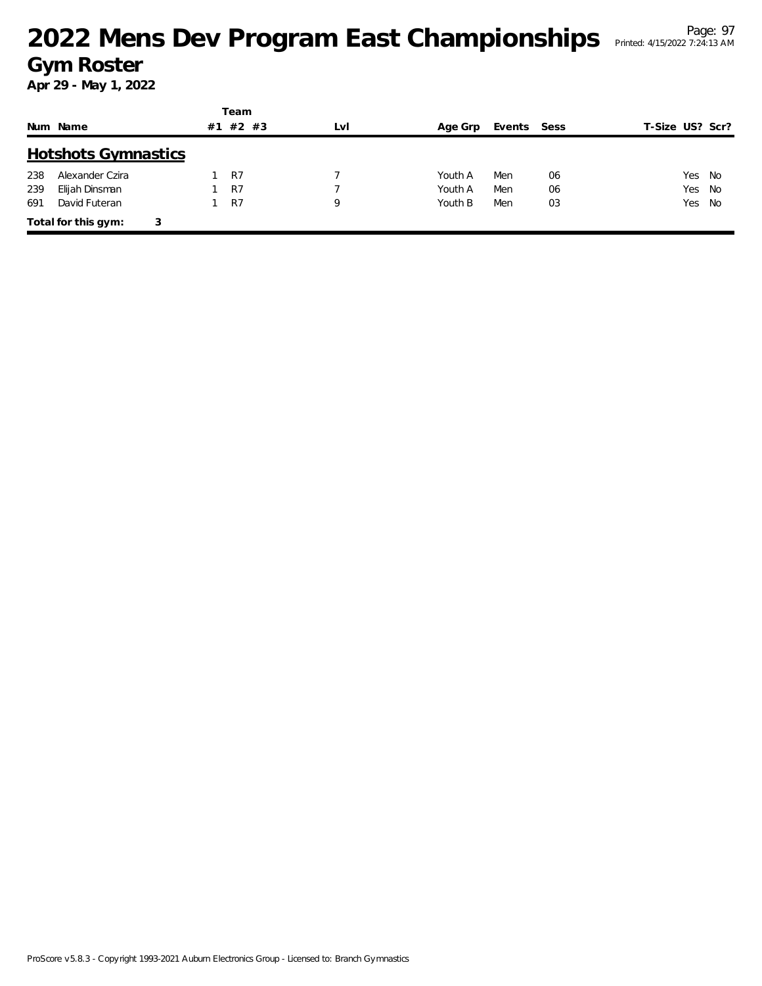## <sup>Page: 97</sup><br>
2022 Mens Dev Program East Championships Printed: 4/15/2022 7:24:13 AM **Gym Roster**

|     |                            |    | Team    |     |         |             |    |                 |  |
|-----|----------------------------|----|---------|-----|---------|-------------|----|-----------------|--|
|     | Num Name                   | #1 | $#2$ #3 | LvI | Age Grp | Events Sess |    | T-Size US? Scr? |  |
|     | <b>Hotshots Gymnastics</b> |    |         |     |         |             |    |                 |  |
| 238 | Alexander Czira            |    | R7      |     | Youth A | Men         | 06 | Yes No          |  |
| 239 | Elijah Dinsman             |    | R7      |     | Youth A | Men         | 06 | Yes No          |  |
| 691 | David Futeran              |    | R7      | 9   | Youth B | Men         | 03 | Yes No          |  |
|     | Total for this gym:        | 3  |         |     |         |             |    |                 |  |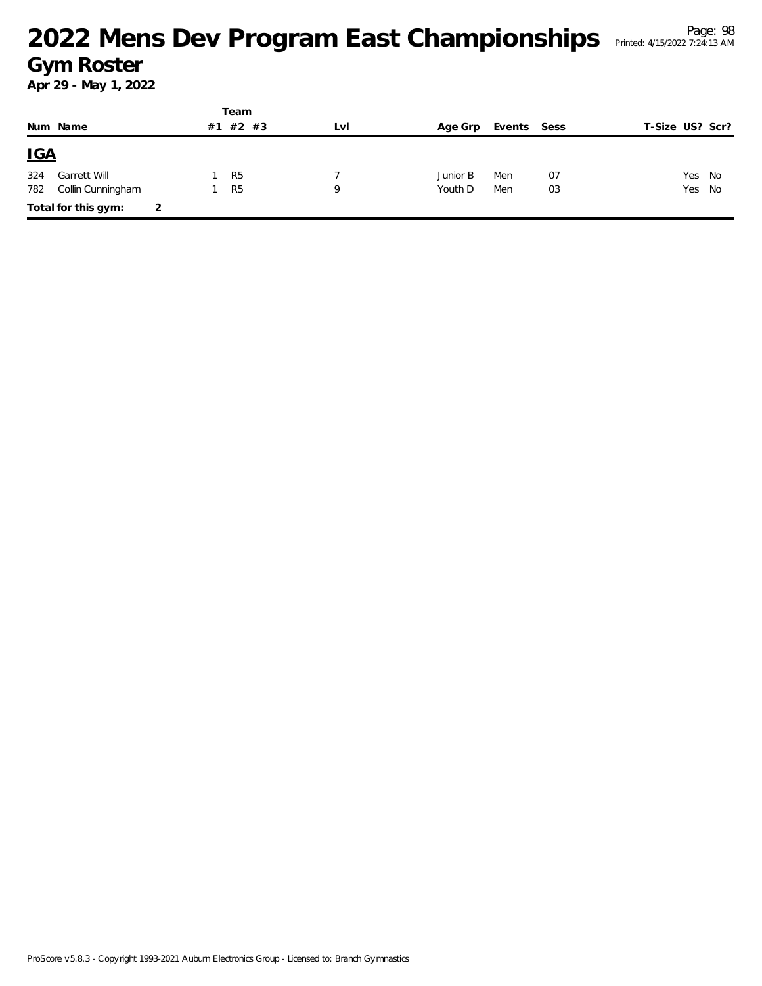## <sup>Page: 98</sup><br>Mens Dev Program East Championships Printed: 4/15/2022 7:24:13 AM</sup> **Gym Roster**

|            |                     |    | Team           |     |          |             |    |                 |        |  |
|------------|---------------------|----|----------------|-----|----------|-------------|----|-----------------|--------|--|
|            | Num Name            | #1 | $#2$ #3        | LvI | Age Grp  | Events Sess |    | T-Size US? Scr? |        |  |
| <u>IGA</u> |                     |    |                |     |          |             |    |                 |        |  |
| 324        | Garrett Will        |    | R <sub>5</sub> |     | Junior B | Men         | 07 |                 | Yes No |  |
| 782        | Collin Cunningham   |    | R <sub>5</sub> | Q   | Youth D  | Men         | 03 |                 | Yes No |  |
|            | Total for this gym: |    |                |     |          |             |    |                 |        |  |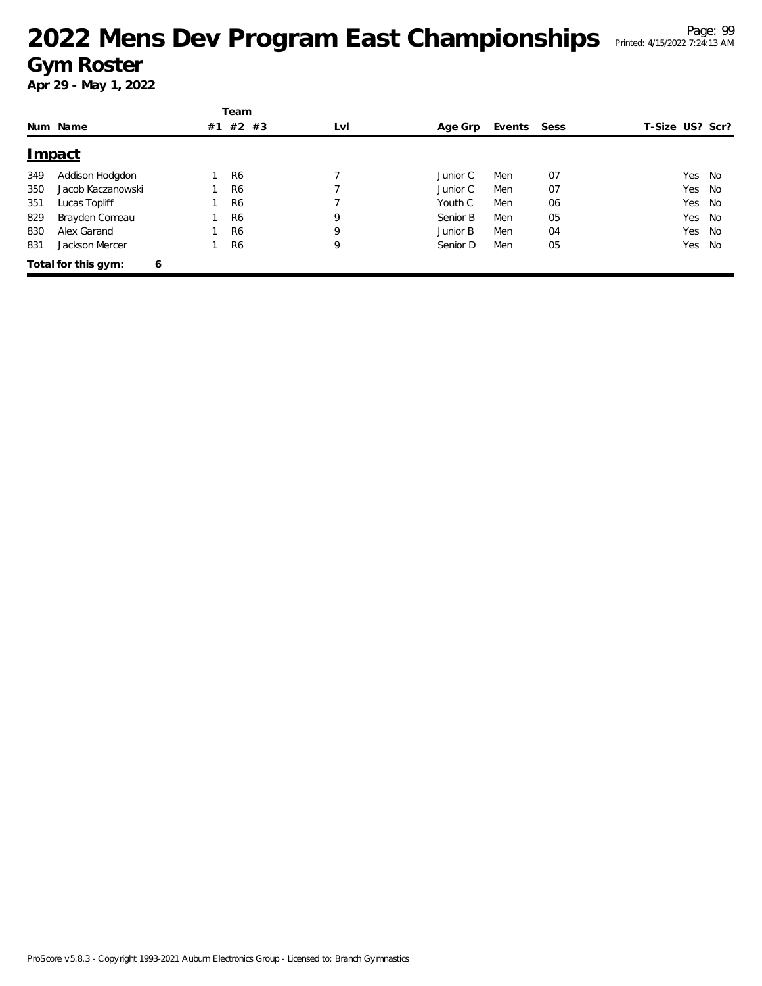# <sup>Page: 99</sup><br>Mens Dev Program East Championships Printed: 4/15/2022 7:24:13 AM</sup> **Gym Roster**

|     |                     |   |    | Team           |     |          |        |      |                 |      |
|-----|---------------------|---|----|----------------|-----|----------|--------|------|-----------------|------|
|     | Num Name            |   | #1 | $#2$ #3        | LvI | Age Grp  | Events | Sess | T-Size US? Scr? |      |
|     | <u>Impact</u>       |   |    |                |     |          |        |      |                 |      |
| 349 | Addison Hodgdon     |   |    | R <sub>6</sub> |     | Junior C | Men    | 07   | Yes             | - No |
| 350 | Jacob Kaczanowski   |   |    | R <sub>6</sub> |     | Junior C | Men    | 07   | Yes             | No   |
| 351 | Lucas Topliff       |   |    | R <sub>6</sub> |     | Youth C  | Men    | 06   | Yes             | No   |
| 829 | Brayden Comeau      |   |    | R <sub>6</sub> | 9   | Senior B | Men    | 05   | Yes             | No   |
| 830 | Alex Garand         |   |    | R <sub>6</sub> | 9   | Junior B | Men    | 04   | Yes             | No   |
| 831 | Jackson Mercer      |   |    | R <sub>6</sub> | 9   | Senior D | Men    | 05   | Yes             | No   |
|     | Total for this gym: | 6 |    |                |     |          |        |      |                 |      |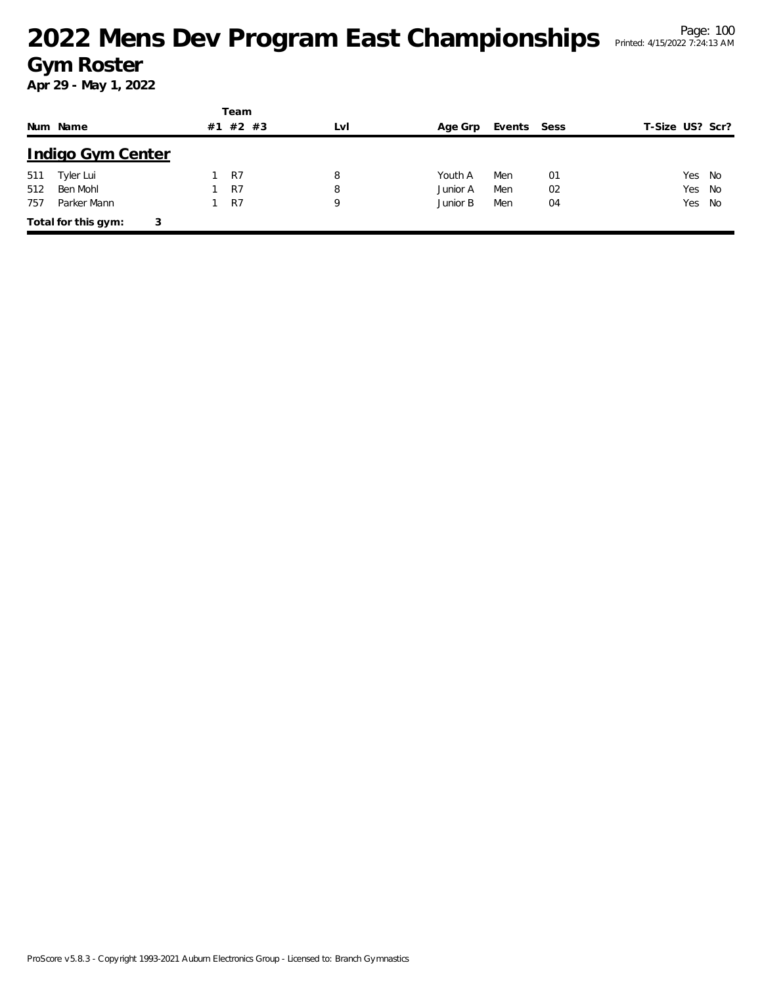|     |                          |    | Team    |     |          |             |    |                 |        |
|-----|--------------------------|----|---------|-----|----------|-------------|----|-----------------|--------|
|     | Num Name                 | #1 | $#2$ #3 | LvI | Age Grp  | Events Sess |    | T-Size US? Scr? |        |
|     | <b>Indigo Gym Center</b> |    |         |     |          |             |    |                 |        |
| 511 | Tyler Lui                |    | R7      | 8   | Youth A  | Men         | 01 |                 | Yes No |
| 512 | Ben Mohl                 |    | R7      | 8   | Junior A | Men         | 02 |                 | Yes No |
| 757 | Parker Mann              |    | R7      | 9   | Junior B | Men         | 04 |                 | Yes No |
|     | Total for this gym:<br>3 |    |         |     |          |             |    |                 |        |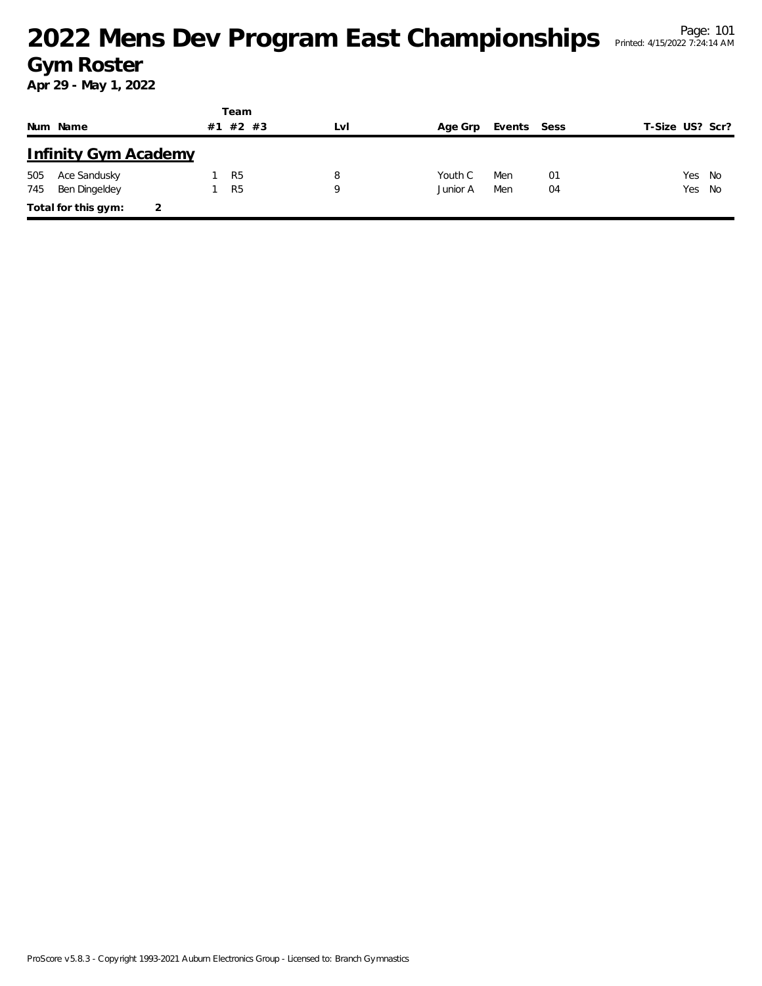|     |                             |    | Team           |     |          |             |    |                 |  |
|-----|-----------------------------|----|----------------|-----|----------|-------------|----|-----------------|--|
|     | Num Name                    | #1 | #2 #3          | LvI | Age Grp  | Events Sess |    | T-Size US? Scr? |  |
|     | <b>Infinity Gym Academy</b> |    |                |     |          |             |    |                 |  |
| 505 | Ace Sandusky                |    | R <sub>5</sub> | 8   | Youth C  | Men         | 01 | Yes No          |  |
| 745 | Ben Dingeldey               |    | R <sub>5</sub> | Q   | Junior A | Men         | 04 | Yes No          |  |
|     | Total for this gym:         |    |                |     |          |             |    |                 |  |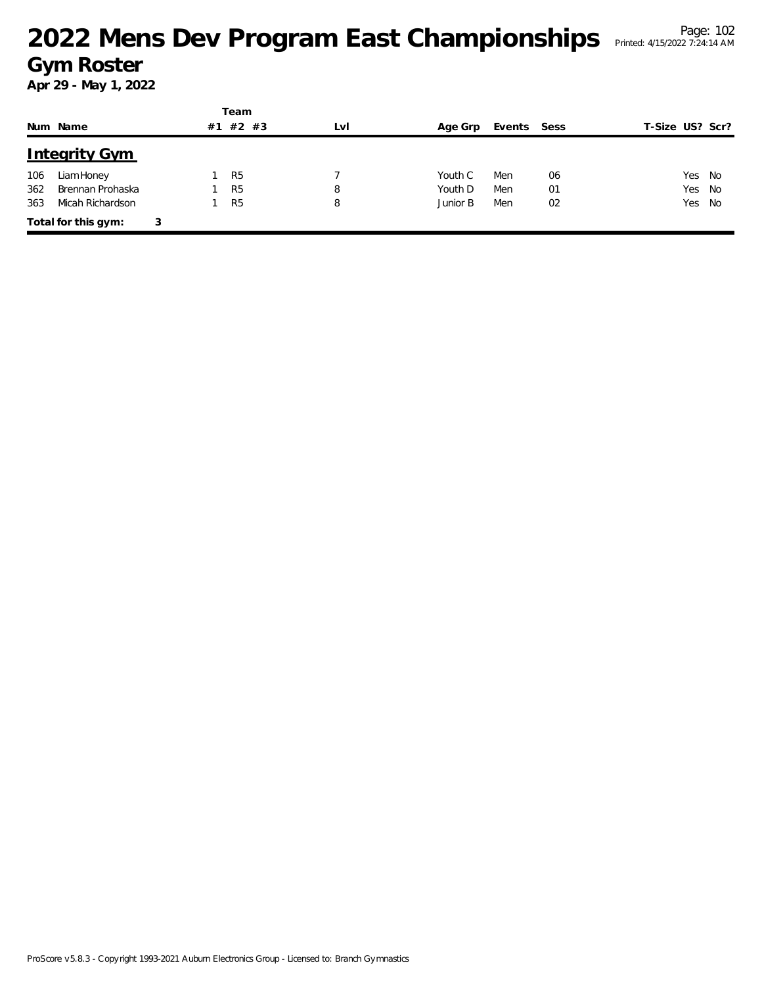|     |                      |   |    | Team           |     |          |             |    |                 |
|-----|----------------------|---|----|----------------|-----|----------|-------------|----|-----------------|
|     | Num Name             |   | #1 | #2 #3          | LvI | Age Grp  | Events Sess |    | T-Size US? Scr? |
|     | <b>Integrity Gym</b> |   |    |                |     |          |             |    |                 |
| 106 | Liam Honey           |   |    | R <sub>5</sub> |     | Youth C  | Men         | 06 | Yes No          |
| 362 | Brennan Prohaska     |   |    | R <sub>5</sub> | 8   | Youth D  | Men         | 01 | Yes No          |
| 363 | Micah Richardson     |   |    | R <sub>5</sub> | 8   | Junior B | Men         | 02 | Yes No          |
|     | Total for this gym:  | 3 |    |                |     |          |             |    |                 |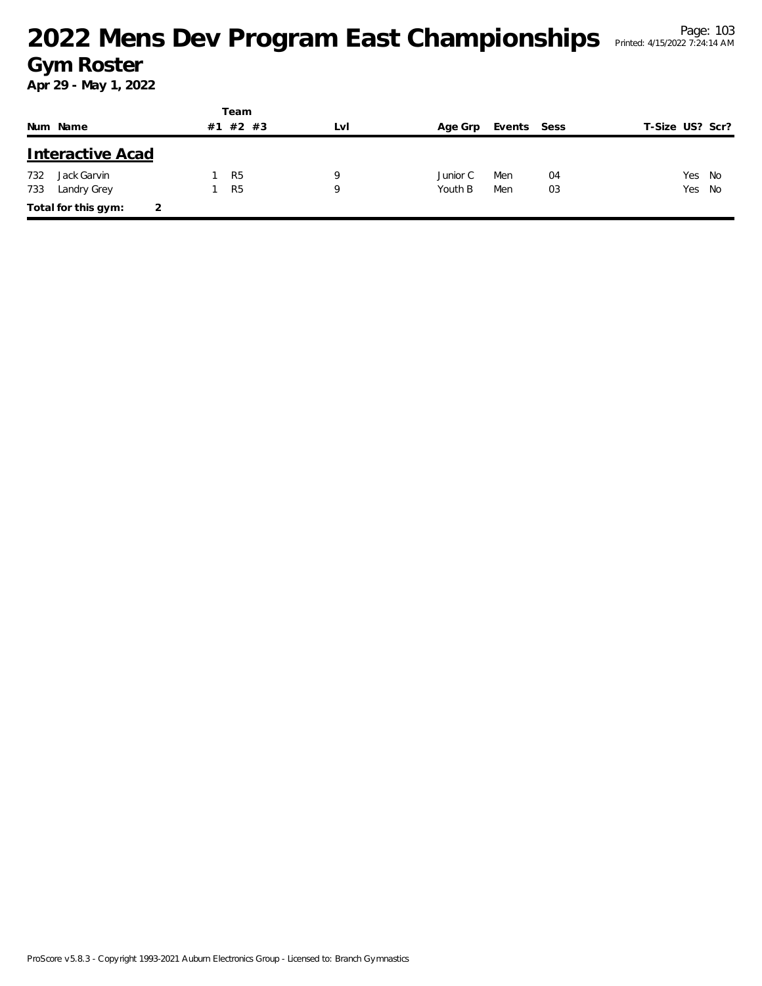|     |                          |    | Team           |     |          |             |    |                 |  |
|-----|--------------------------|----|----------------|-----|----------|-------------|----|-----------------|--|
|     | Num Name                 | #1 | #2 #3          | LvI | Age Grp  | Events Sess |    | T-Size US? Scr? |  |
|     | <b>Interactive Acad</b>  |    |                |     |          |             |    |                 |  |
| 732 | Jack Garvin              |    | R <sub>5</sub> | 9   | Junior C | Men         | 04 | Yes No          |  |
| 733 | Landry Grey              |    | R <sub>5</sub> | 9   | Youth B  | Men         | 03 | Yes No          |  |
|     | Total for this gym:<br>2 |    |                |     |          |             |    |                 |  |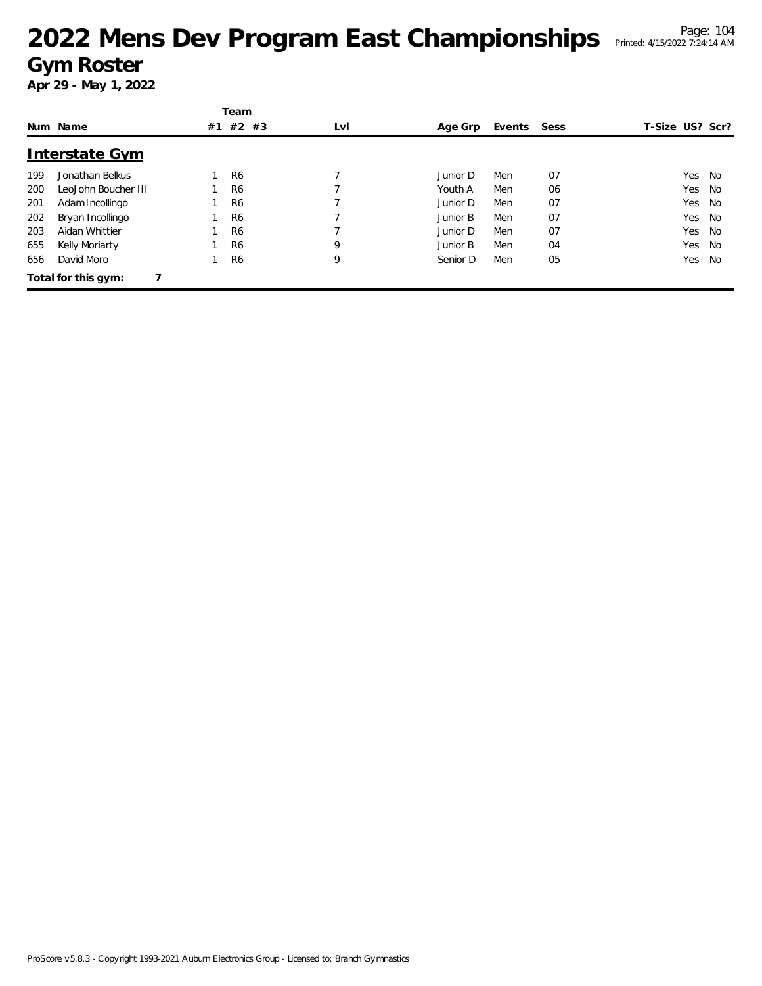|     |                       |    | Team           |     |          |        |      |                 |    |
|-----|-----------------------|----|----------------|-----|----------|--------|------|-----------------|----|
|     | Num Name              | #1 | #2 #3          | LvI | Age Grp  | Events | Sess | T-Size US? Scr? |    |
|     | <b>Interstate Gym</b> |    |                |     |          |        |      |                 |    |
| 199 | Jonathan Belkus       |    | R <sub>6</sub> |     | Junior D | Men    | 07   | Yes             | No |
| 200 | LeoJohn Boucher III   |    | R <sub>6</sub> |     | Youth A  | Men    | 06   | Yes             | No |
| 201 | Adam Incollingo       |    | R <sub>6</sub> |     | Junior D | Men    | 07   | Yes             | No |
| 202 | Bryan Incollingo      |    | R <sub>6</sub> |     | Junior B | Men    | 07   | Yes             | No |
| 203 | Aidan Whittier        |    | R <sub>6</sub> |     | Junior D | Men    | 07   | Yes             | No |
| 655 | Kelly Moriarty        |    | R <sub>6</sub> | 9   | Junior B | Men    | 04   | Yes             | No |
| 656 | David Moro            |    | R <sub>6</sub> | 9   | Senior D | Men    | 05   | Yes             | No |
|     | Total for this gym:   |    |                |     |          |        |      |                 |    |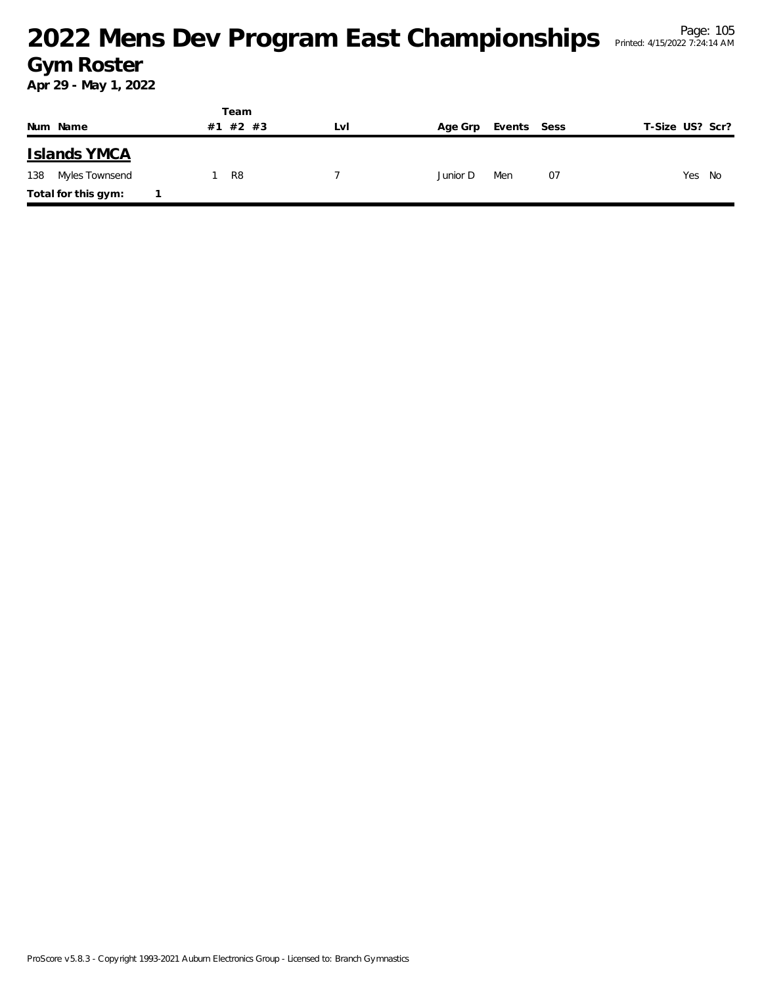|                     | Team     |     |          |             |                 |
|---------------------|----------|-----|----------|-------------|-----------------|
| Num Name            | #1 #2 #3 | Lvi | Age Grp  | Events Sess | T-Size US? Scr? |
| <b>Islands YMCA</b> |          |     |          |             |                 |
| 138 Myles Townsend  | R8       |     | Junior D | Men<br>07   | Yes<br>No       |
| Total for this gym: |          |     |          |             |                 |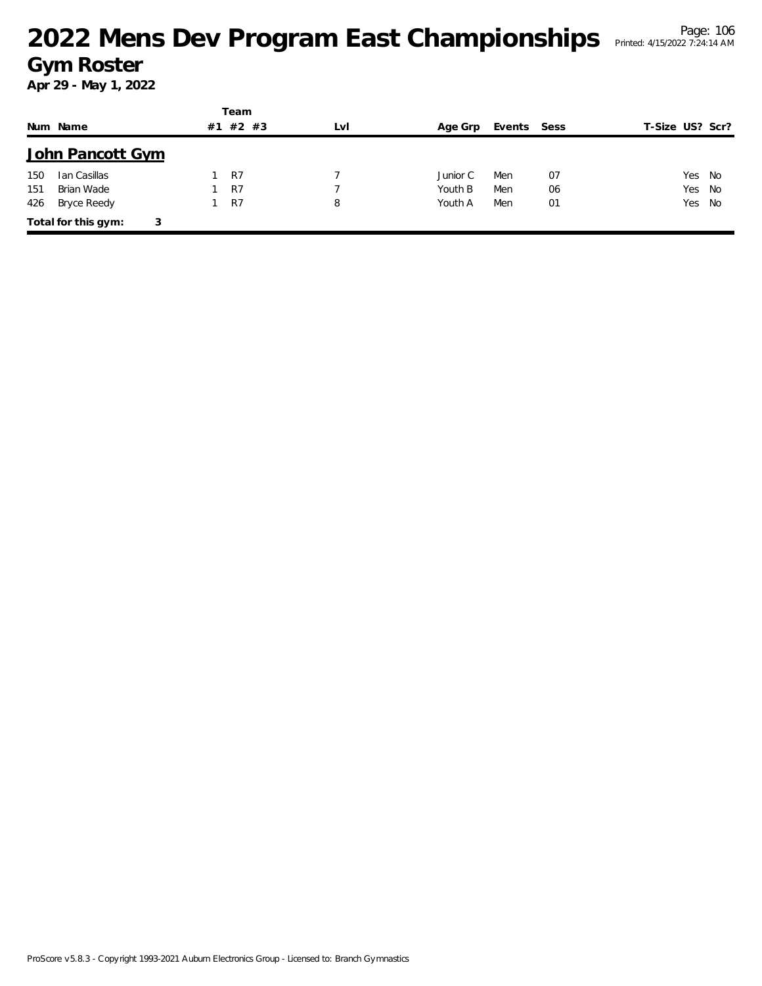|     |                          |    | Team    |     |          |             |    |                 |  |
|-----|--------------------------|----|---------|-----|----------|-------------|----|-----------------|--|
|     | Num Name                 | #1 | $#2$ #3 | LvI | Age Grp  | Events Sess |    | T-Size US? Scr? |  |
|     | John Pancott Gym         |    |         |     |          |             |    |                 |  |
| 150 | Ian Casillas             |    | R7      |     | Junior C | Men         | 07 | Yes No          |  |
| 151 | Brian Wade               |    | R7      |     | Youth B  | Men         | 06 | Yes No          |  |
| 426 | Bryce Reedy              |    | R7      | 8   | Youth A  | Men         | 01 | Yes No          |  |
|     | Total for this gym:<br>3 |    |         |     |          |             |    |                 |  |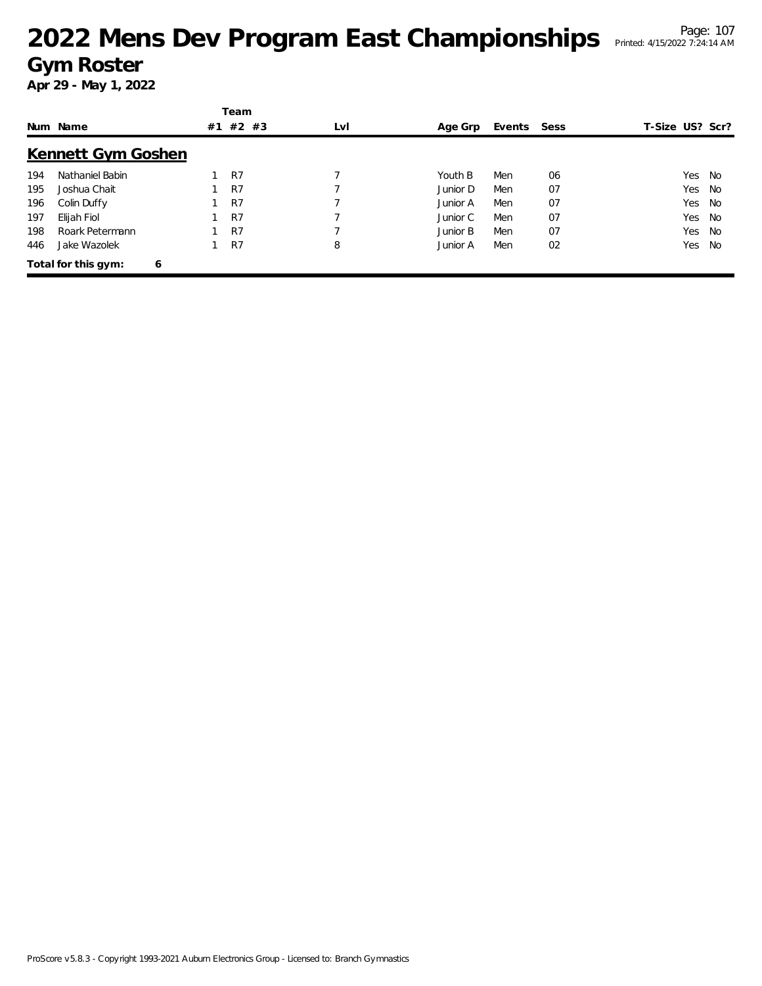|     | Num Name                 | #1 | Team<br>#2 #3 | LvI | Age Grp  | Events Sess |    | T-Size US? Scr? |    |
|-----|--------------------------|----|---------------|-----|----------|-------------|----|-----------------|----|
|     | Kennett Gym Goshen       |    |               |     |          |             |    |                 |    |
| 194 | Nathaniel Babin          |    | R7            |     | Youth B  | Men         | 06 | Yes             | No |
| 195 | Joshua Chait             |    | R7            |     | Junior D | Men         | 07 | Yes             | No |
| 196 | Colin Duffy              |    | R7            |     | Junior A | Men         | 07 | Yes             | No |
| 197 | Elijah Fiol              |    | R7            |     | Junior C | Men         | 07 | Yes             | No |
| 198 | Roark Petermann          |    | R7            |     | Junior B | Men         | 07 | Yes             | No |
| 446 | Jake Wazolek             |    | R7            | 8   | Junior A | Men         | 02 | Yes             | No |
|     | Total for this gym:<br>6 |    |               |     |          |             |    |                 |    |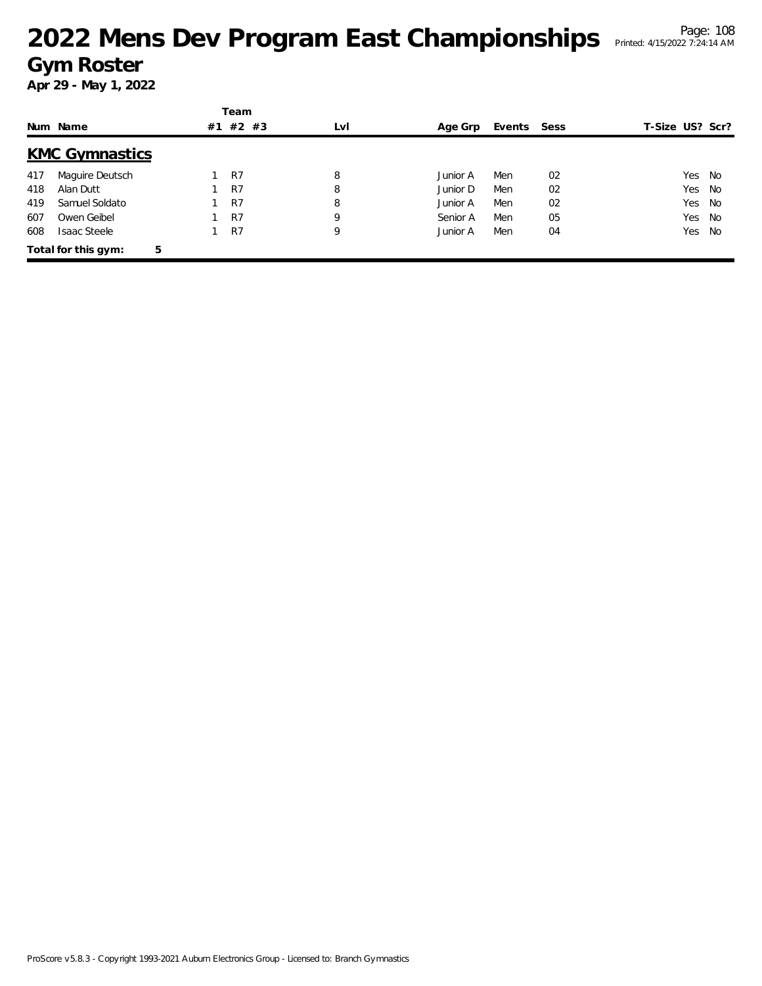|     |                          |    | Team    |     |          |             |    |                 |        |      |
|-----|--------------------------|----|---------|-----|----------|-------------|----|-----------------|--------|------|
|     | Num Name                 | #1 | $#2$ #3 | LvI | Age Grp  | Events Sess |    | T-Size US? Scr? |        |      |
|     | <b>KMC Gymnastics</b>    |    |         |     |          |             |    |                 |        |      |
| 417 | Maguire Deutsch          |    | R7      | 8   | Junior A | Men         | 02 |                 | Yes    | - No |
| 418 | Alan Dutt                |    | R7      | 8   | Junior D | Men         | 02 |                 | Yes    | - No |
| 419 | Samuel Soldato           |    | R7      | 8   | Junior A | Men         | 02 |                 | Yes No |      |
| 607 | Owen Geibel              |    | R7      | 9   | Senior A | Men         | 05 |                 | Yes    | No   |
| 608 | <b>Isaac Steele</b>      |    | R7      | 9   | Junior A | Men         | 04 |                 | Yes    | No   |
|     | Total for this gym:<br>5 |    |         |     |          |             |    |                 |        |      |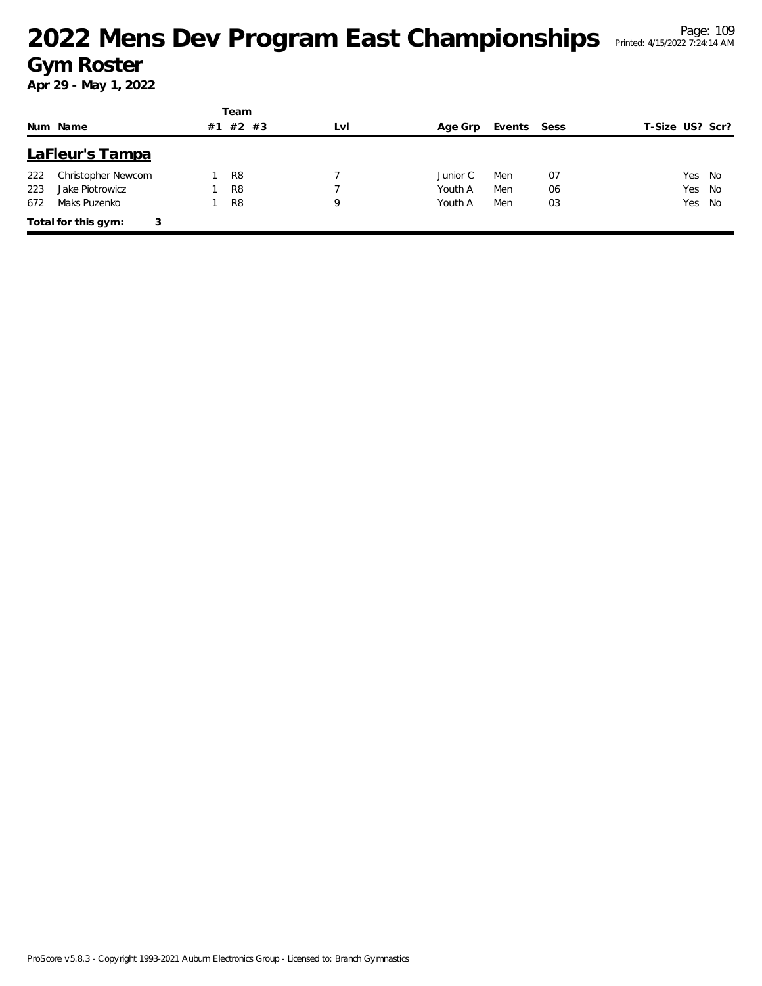|     |                          |    | Team           |     |          |        |      |                 |    |
|-----|--------------------------|----|----------------|-----|----------|--------|------|-----------------|----|
|     | Num Name                 | #1 | $#2$ #3        | LvI | Age Grp  | Events | Sess | T-Size US? Scr? |    |
|     | LaFleur's Tampa          |    |                |     |          |        |      |                 |    |
| 222 | Christopher Newcom       |    | R <sub>8</sub> |     | Junior C | Men    | 07   | Yes             | No |
| 223 | Jake Piotrowicz          |    | R <sub>8</sub> |     | Youth A  | Men    | 06   | Yes             | No |
| 672 | Maks Puzenko             |    | R <sub>8</sub> | 9   | Youth A  | Men    | 03   | Yes             | No |
|     | Total for this gym:<br>3 |    |                |     |          |        |      |                 |    |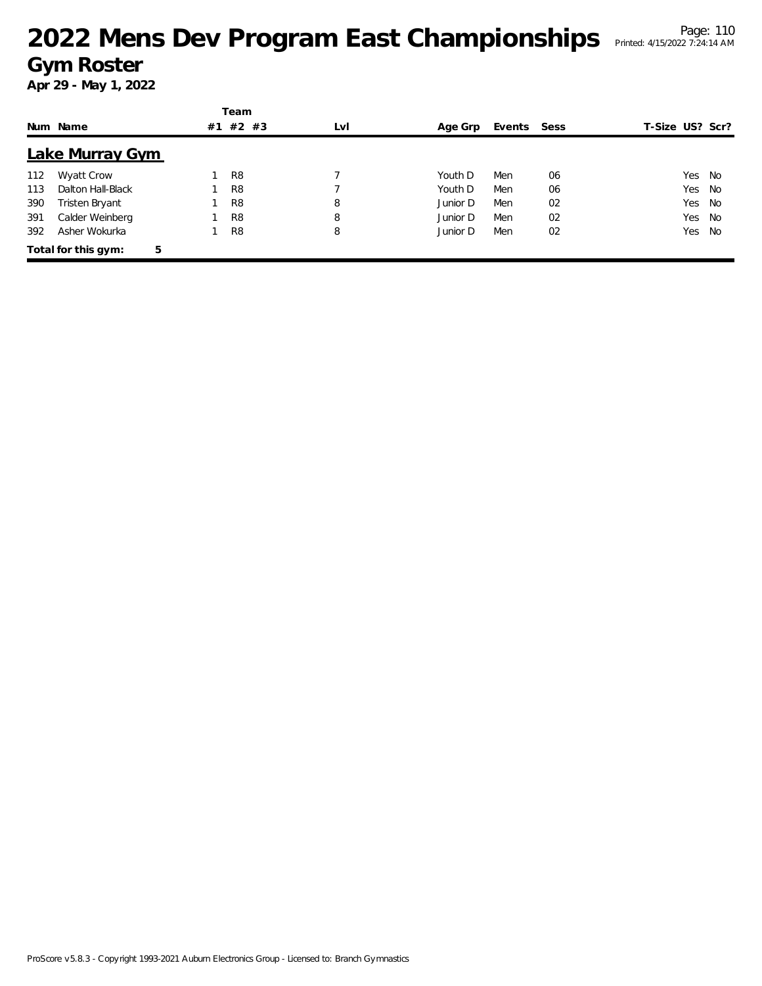|     |                     |    | Team           |     |          |        |      |                 |     |      |
|-----|---------------------|----|----------------|-----|----------|--------|------|-----------------|-----|------|
|     | Num Name            | #1 | $#2$ #3        | LvI | Age Grp  | Events | Sess | T-Size US? Scr? |     |      |
|     | Lake Murray Gym     |    |                |     |          |        |      |                 |     |      |
| 112 | <b>Wyatt Crow</b>   |    | R <sub>8</sub> |     | Youth D  | Men    | 06   |                 | Yes | - No |
| 113 | Dalton Hall-Black   |    | R <sub>8</sub> |     | Youth D  | Men    | 06   |                 | Yes | No   |
| 390 | Tristen Bryant      |    | R <sub>8</sub> | 8   | Junior D | Men    | 02   |                 | Yes | No   |
| 391 | Calder Weinberg     |    | R <sub>8</sub> | 8   | Junior D | Men    | 02   |                 | Yes | No   |
| 392 | Asher Wokurka       |    | R <sub>8</sub> | 8   | Junior D | Men    | 02   |                 | Yes | No.  |
|     | Total for this gym: | 5  |                |     |          |        |      |                 |     |      |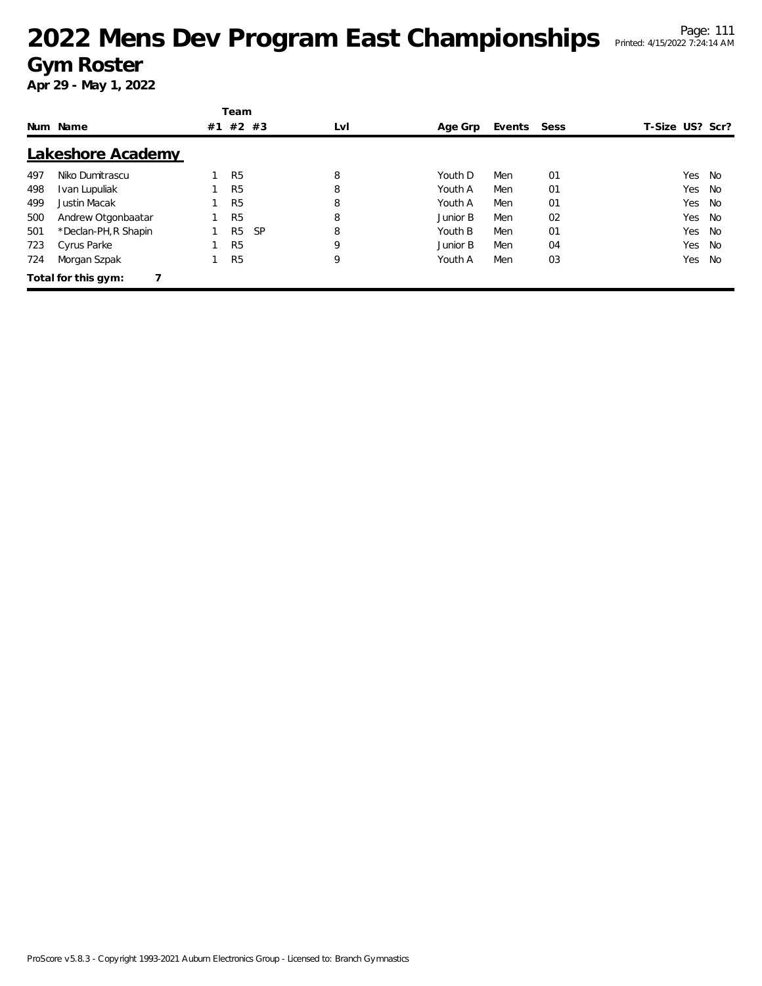|     |                      |    | Team           |           |     |          |        |      |                 |     |
|-----|----------------------|----|----------------|-----------|-----|----------|--------|------|-----------------|-----|
|     | Num Name             | #1 | $#2$ #3        |           | LvI | Age Grp  | Events | Sess | T-Size US? Scr? |     |
|     | Lakeshore Academy    |    |                |           |     |          |        |      |                 |     |
| 497 | Niko Dumitrascu      |    | R <sub>5</sub> |           | 8   | Youth D  | Men    | 01   | Yes             | No  |
| 498 | Ivan Lupuliak        |    | R <sub>5</sub> |           | 8   | Youth A  | Men    | 01   | Yes             | No  |
| 499 | Justin Macak         |    | R <sub>5</sub> |           | 8   | Youth A  | Men    | 01   | Yes             | No  |
| 500 | Andrew Otgonbaatar   |    | R <sub>5</sub> |           | 8   | Junior B | Men    | 02   | Yes             | No  |
| 501 | *Declan-PH, R Shapin |    | R <sub>5</sub> | <b>SP</b> | 8   | Youth B  | Men    | 01   | Yes             | No. |
| 723 | Cyrus Parke          |    | R <sub>5</sub> |           | 9   | Junior B | Men    | 04   | Yes             | No  |
| 724 | Morgan Szpak         |    | R <sub>5</sub> |           | 9   | Youth A  | Men    | 03   | Yes             | No. |
|     | Total for this gym:  |    |                |           |     |          |        |      |                 |     |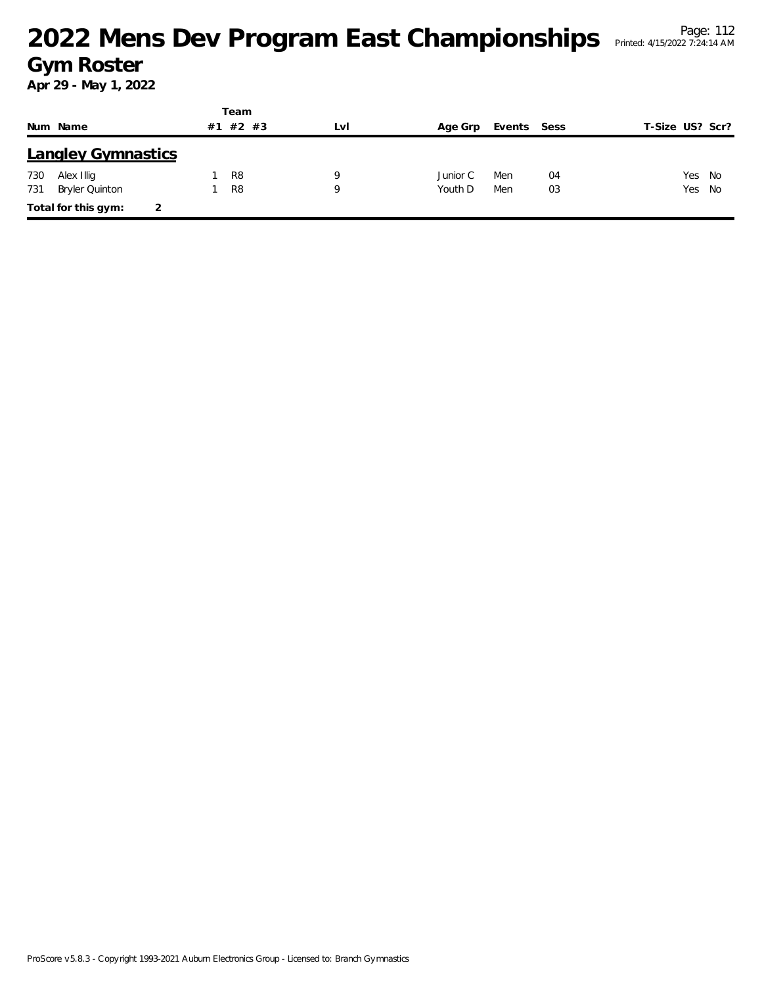|     |                           |    | Team           |     |          |             |    |                 |    |
|-----|---------------------------|----|----------------|-----|----------|-------------|----|-----------------|----|
|     | Num Name                  | #1 | #2 #3          | LVI | Age Grp  | Events Sess |    | T-Size US? Scr? |    |
|     | <b>Langley Gymnastics</b> |    |                |     |          |             |    |                 |    |
| 730 | Alex Illig                |    | R <sub>8</sub> | 9   | Junior C | Men         | 04 | Yes             | No |
| 731 | Bryler Quinton            |    | R <sub>8</sub> | 9   | Youth D  | Men         | 03 | Yes No          |    |
|     | Total for this gym:       | 2  |                |     |          |             |    |                 |    |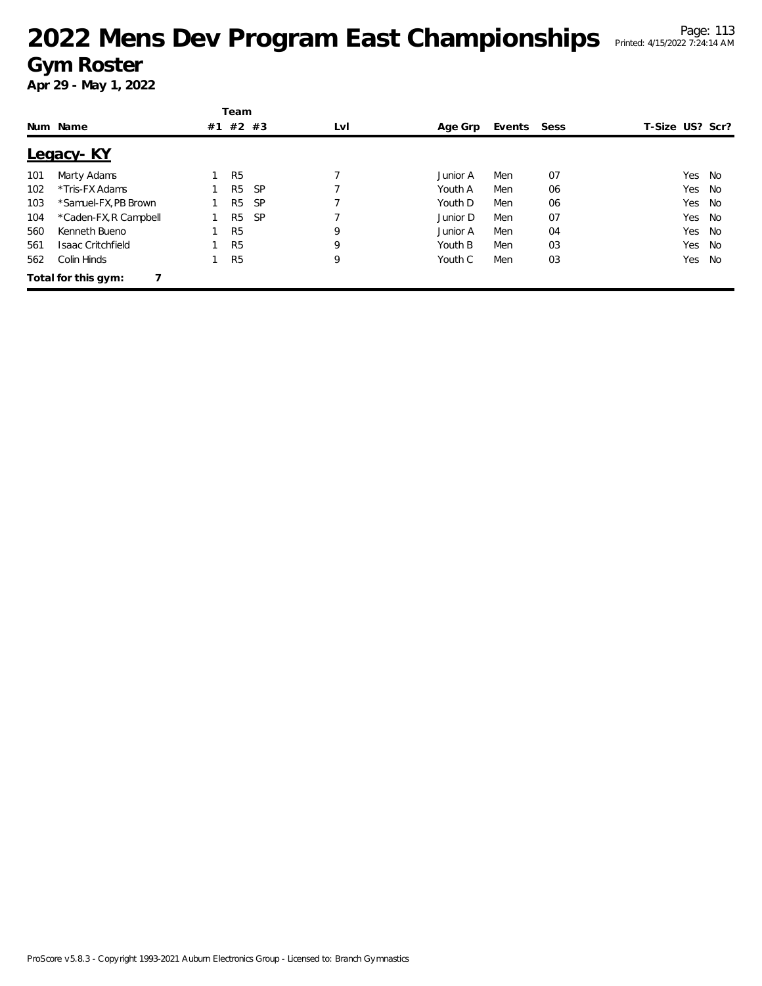|     |                       |    | Team           |           |     |          |        |      |                 |    |
|-----|-----------------------|----|----------------|-----------|-----|----------|--------|------|-----------------|----|
|     | Num Name              | #1 | $#2$ #3        |           | LvI | Age Grp  | Events | Sess | T-Size US? Scr? |    |
|     | Legacy-KY             |    |                |           |     |          |        |      |                 |    |
| 101 | Marty Adams           |    | R <sub>5</sub> |           |     | Junior A | Men    | 07   | Yes             | No |
| 102 | *Tris-FX Adams        |    | R <sub>5</sub> | <b>SP</b> |     | Youth A  | Men    | 06   | Yes             | No |
| 103 | *Samuel-FX, PB Brown  |    | R <sub>5</sub> | <b>SP</b> |     | Youth D  | Men    | 06   | Yes             | No |
| 104 | *Caden-FX, R Campbell |    | R <sub>5</sub> | <b>SP</b> |     | Junior D | Men    | 07   | Yes             | No |
| 560 | Kenneth Bueno         |    | R <sub>5</sub> |           | 9   | Junior A | Men    | 04   | Yes             | No |
| 561 | Isaac Critchfield     |    | R <sub>5</sub> |           | 9   | Youth B  | Men    | 03   | Yes             | No |
| 562 | Colin Hinds           |    | R <sub>5</sub> |           | 9   | Youth C  | Men    | 03   | Yes             | No |
|     | Total for this gym:   |    |                |           |     |          |        |      |                 |    |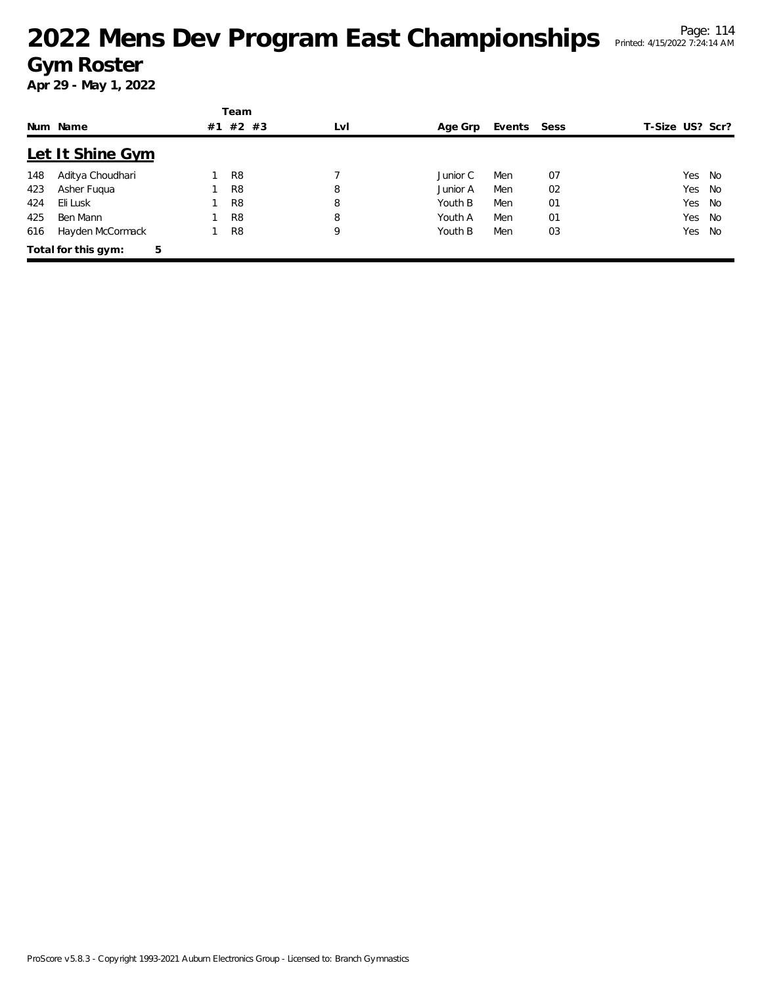|     |                          |    | Team           |     |          |        |      |                 |    |
|-----|--------------------------|----|----------------|-----|----------|--------|------|-----------------|----|
|     | Num Name                 | #1 | #2 #3          | LvI | Age Grp  | Events | Sess | T-Size US? Scr? |    |
|     | Let It Shine Gym         |    |                |     |          |        |      |                 |    |
| 148 | Aditya Choudhari         |    | R <sub>8</sub> |     | Junior C | Men    | 07   | Yes             | No |
| 423 | Asher Fugua              |    | R <sub>8</sub> | 8   | Junior A | Men    | 02   | Yes             | No |
| 424 | Eli Lusk                 |    | R <sub>8</sub> | 8   | Youth B  | Men    | 01   | Yes             | No |
| 425 | Ben Mann                 |    | R <sub>8</sub> | 8   | Youth A  | Men    | 01   | Yes             | No |
| 616 | Hayden McCormack         |    | R <sub>8</sub> | 9   | Youth B  | Men    | 03   | Yes             | No |
|     | 5<br>Total for this gym: |    |                |     |          |        |      |                 |    |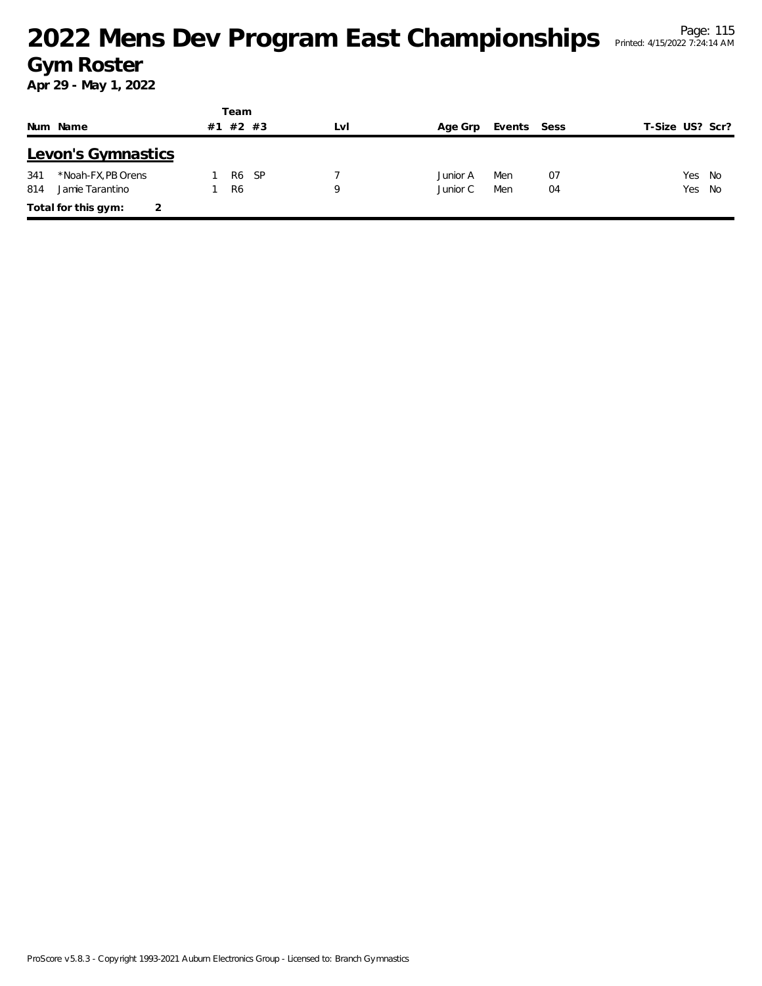|                           |    | Team  |     |          |             |    |                 |  |
|---------------------------|----|-------|-----|----------|-------------|----|-----------------|--|
| Num Name                  | #1 | #2 #3 | LvI | Age Grp  | Events Sess |    | T-Size US? Scr? |  |
| Levon's Gymnastics        |    |       |     |          |             |    |                 |  |
| *Noah-FX, PB Orens<br>341 |    | R6 SP |     | Junior A | Men         | 07 | Yes No          |  |
| 814<br>Jamie Tarantino    |    | -R6   | Q   | Junior C | Men         | 04 | Yes No          |  |
| Total for this gym:       |    |       |     |          |             |    |                 |  |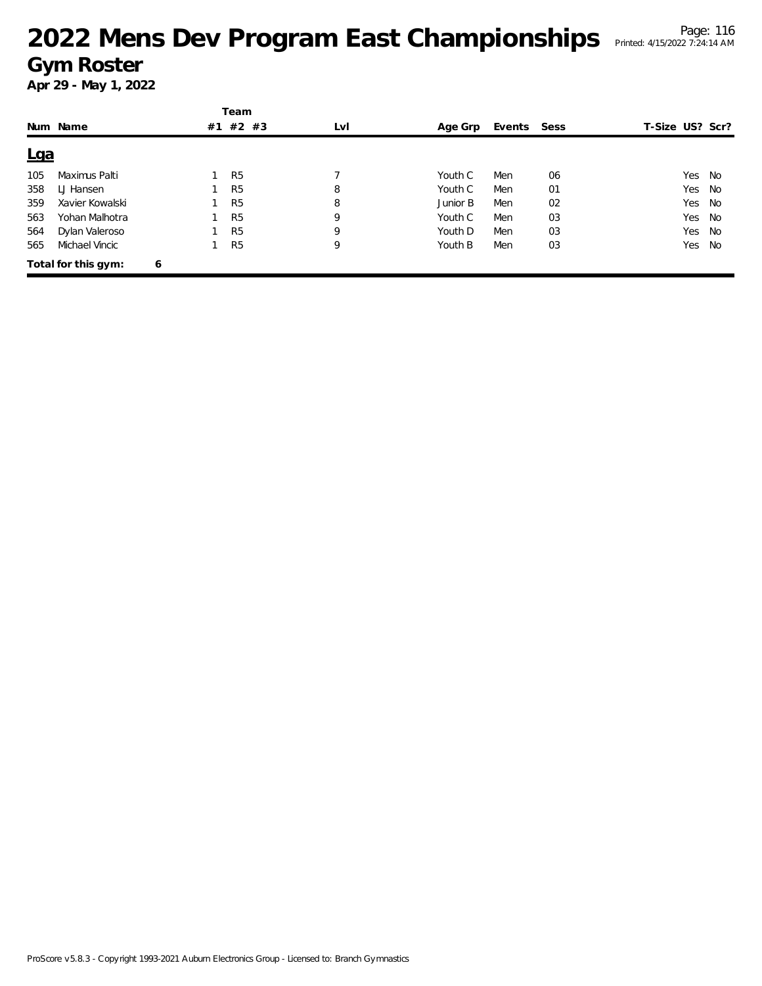|            |                     |   | Team           |     |          |        |      |                 |        |
|------------|---------------------|---|----------------|-----|----------|--------|------|-----------------|--------|
|            | Num Name            |   | #1 #2 #3       | LvI | Age Grp  | Events | Sess | T-Size US? Scr? |        |
| <u>Lga</u> |                     |   |                |     |          |        |      |                 |        |
| 105        | Maximus Palti       |   | R <sub>5</sub> |     | Youth C  | Men    | 06   | Yes No          |        |
| 358        | LJ Hansen           |   | R <sub>5</sub> | 8   | Youth C  | Men    | 01   |                 | Yes No |
| 359        | Xavier Kowalski     |   | R <sub>5</sub> | 8   | Junior B | Men    | 02   |                 | Yes No |
| 563        | Yohan Malhotra      |   | R <sub>5</sub> | 9   | Youth C  | Men    | 03   |                 | Yes No |
| 564        | Dylan Valeroso      |   | R <sub>5</sub> | 9   | Youth D  | Men    | 03   | Yes             | No     |
| 565        | Michael Vincic      |   | R <sub>5</sub> | 9   | Youth B  | Men    | 03   | Yes             | No     |
|            | Total for this gym: | 6 |                |     |          |        |      |                 |        |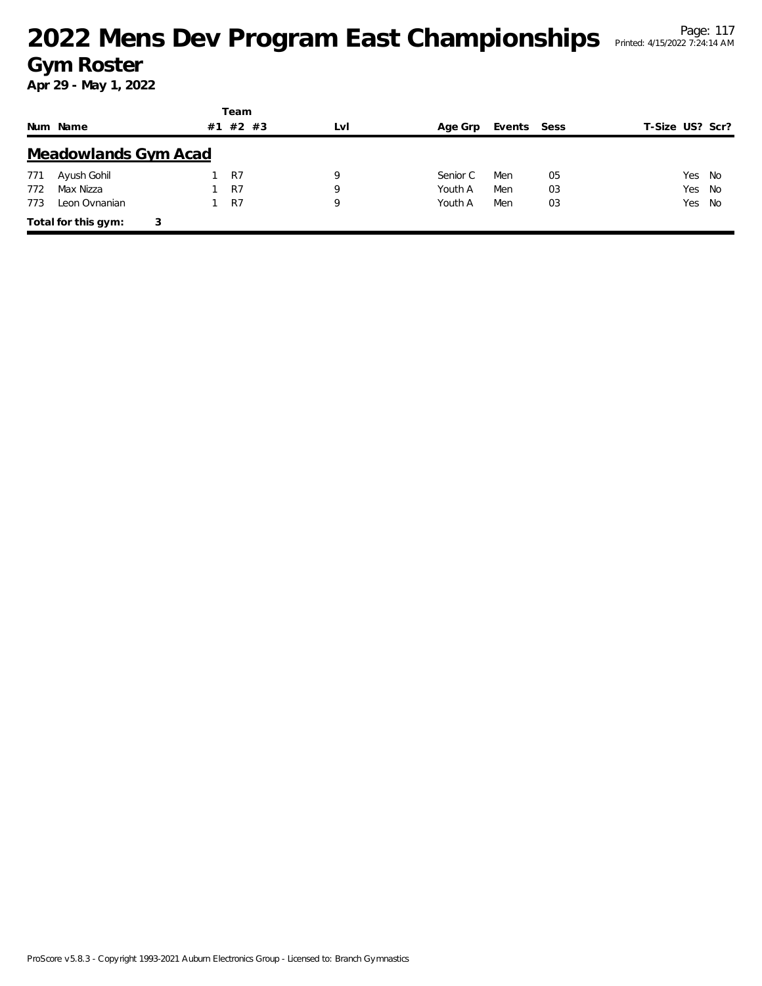|     |                             |    | Team           |     |          |             |    |                 |  |
|-----|-----------------------------|----|----------------|-----|----------|-------------|----|-----------------|--|
|     | Num Name                    | #1 | $#2$ #3        | LvI | Age Grp  | Events Sess |    | T-Size US? Scr? |  |
|     | <b>Meadowlands Gym Acad</b> |    |                |     |          |             |    |                 |  |
| 771 | Ayush Gohil                 |    | R7             | 9   | Senior C | Men         | 05 | Yes No          |  |
| 772 | Max Nizza                   |    | R <sub>7</sub> | Q   | Youth A  | Men         | 03 | Yes No          |  |
| 773 | Leon Ovnanian               |    | R7             | 9   | Youth A  | Men         | 03 | Yes No          |  |
|     | Total for this gym:         | 3  |                |     |          |             |    |                 |  |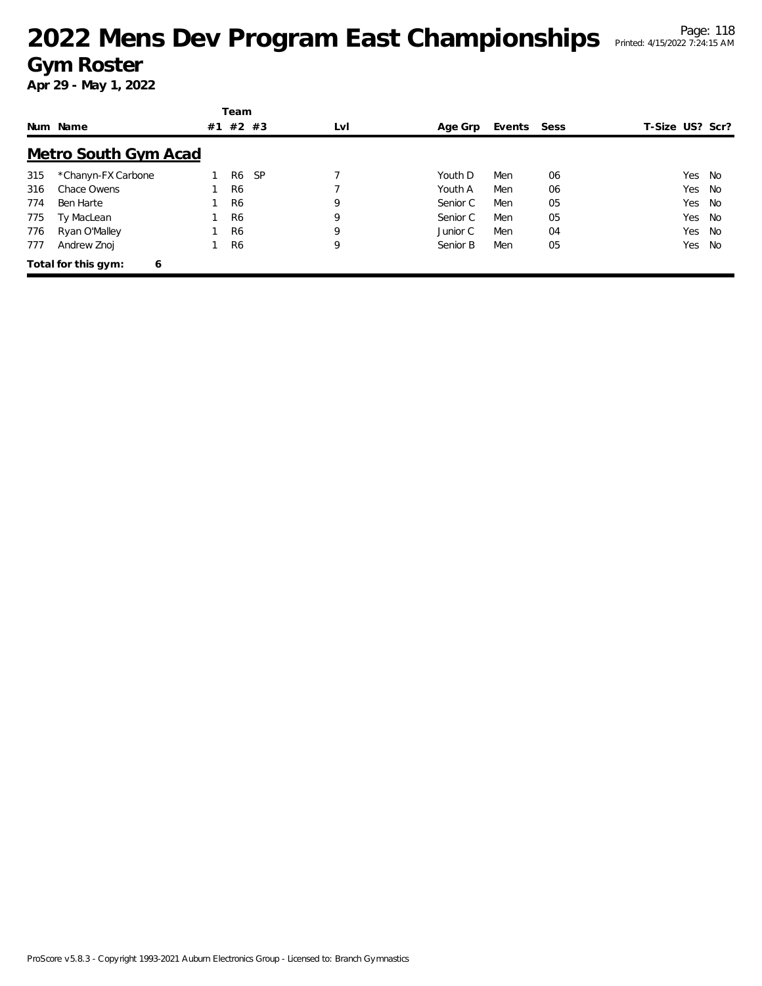|     |                             |    | Team           |           |     |          |             |    |                 |    |
|-----|-----------------------------|----|----------------|-----------|-----|----------|-------------|----|-----------------|----|
|     | Num Name                    | #1 | #2 #3          |           | LvI | Age Grp  | Events Sess |    | T-Size US? Scr? |    |
|     | <b>Metro South Gym Acad</b> |    |                |           |     |          |             |    |                 |    |
| 315 | *Chanyn-FX Carbone          |    | R6             | <b>SP</b> |     | Youth D  | Men         | 06 | Yes             | No |
| 316 | Chace Owens                 |    | R <sub>6</sub> |           |     | Youth A  | Men         | 06 | Yes             | No |
| 774 | Ben Harte                   |    | R <sub>6</sub> |           | 9   | Senior C | Men         | 05 | Yes             | No |
| 775 | Ty MacLean                  |    | R <sub>6</sub> |           | 9   | Senior C | Men         | 05 | Yes             | No |
| 776 | Ryan O'Malley               |    | R <sub>6</sub> |           | 9   | Junior C | Men         | 04 | Yes             | No |
| 777 | Andrew Znoj                 |    | R <sub>6</sub> |           | 9   | Senior B | Men         | 05 | Yes             | No |
|     | Total for this gym:<br>6    |    |                |           |     |          |             |    |                 |    |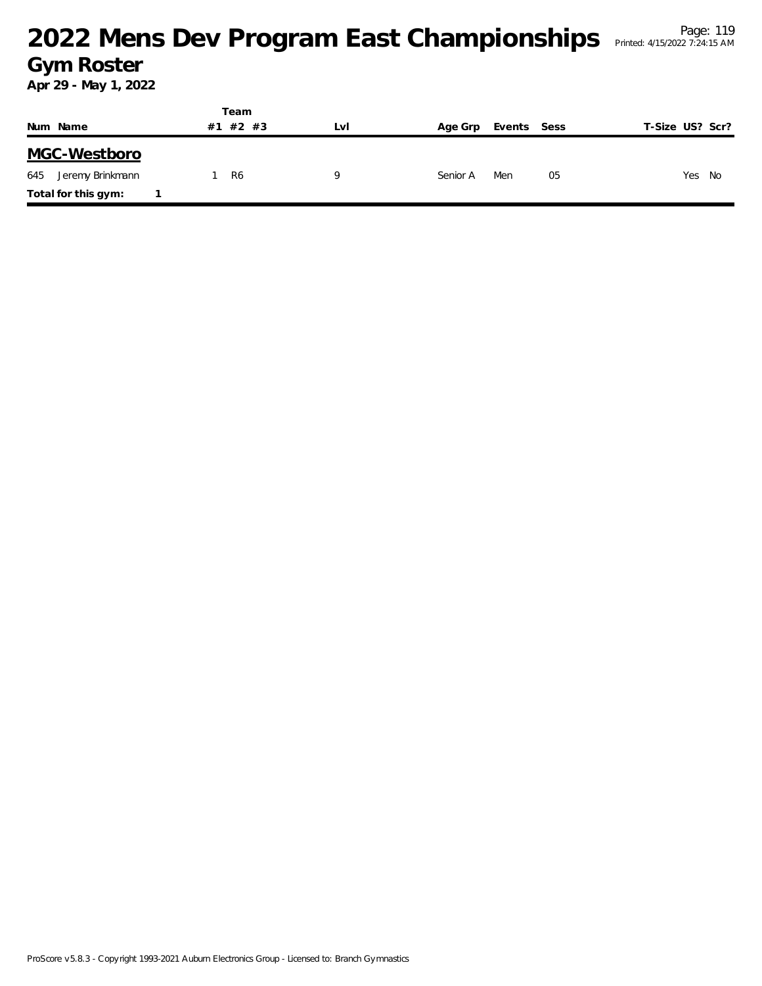|                         |    | Team  |     |          |             |                 |
|-------------------------|----|-------|-----|----------|-------------|-----------------|
| Num Name                | #1 | #2 #3 | LvI | Age Grp  | Events Sess | T-Size US? Scr? |
| MGC-Westboro            |    |       |     |          |             |                 |
| 645<br>Jeremy Brinkmann |    | R6    | Q   | Senior A | Men<br>05   | Yes No          |
| Total for this gym:     |    |       |     |          |             |                 |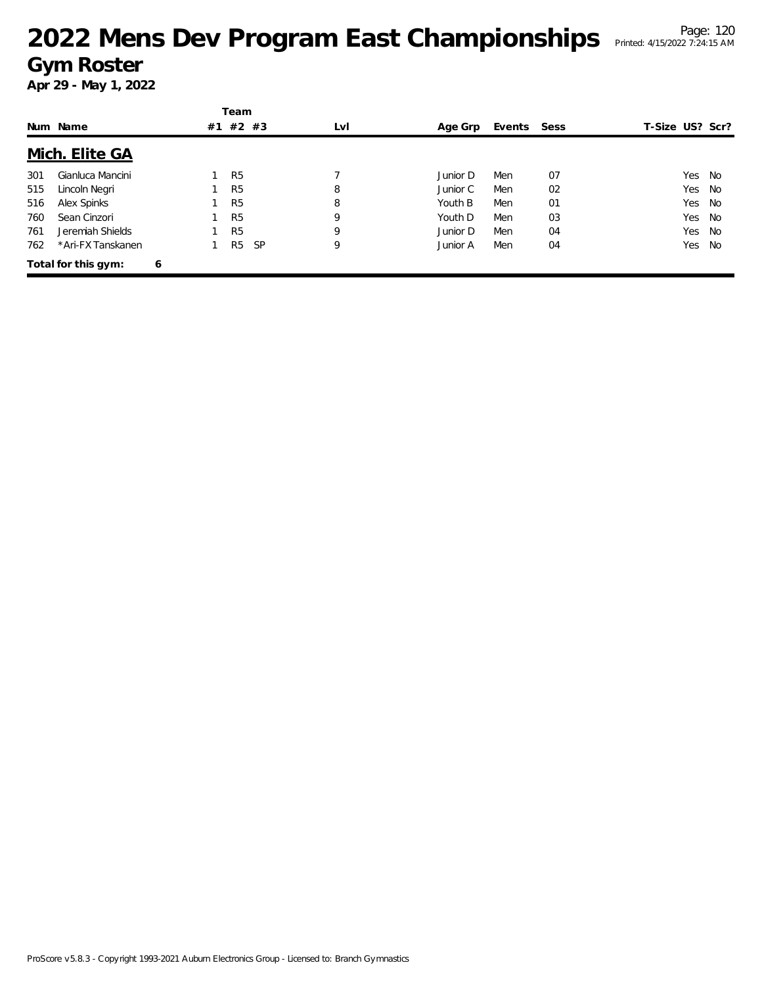|     |                     |    | Team           |           |     |          |             |    |                 |      |
|-----|---------------------|----|----------------|-----------|-----|----------|-------------|----|-----------------|------|
|     | Num Name            | #1 |                | #2 #3     | LvI | Age Grp  | Events Sess |    | T-Size US? Scr? |      |
|     | Mich. Elite GA      |    |                |           |     |          |             |    |                 |      |
| 301 | Gianluca Mancini    |    | R <sub>5</sub> |           |     | Junior D | Men         | 07 | Yes             | - No |
| 515 | Lincoln Negri       |    | R <sub>5</sub> |           | 8   | Junior C | Men         | 02 | Yes             | No   |
| 516 | Alex Spinks         |    | R <sub>5</sub> |           | 8   | Youth B  | Men         | 01 | Yes             | - No |
| 760 | Sean Cinzori        |    | R <sub>5</sub> |           | 9   | Youth D  | Men         | 03 | Yes             | No   |
| 761 | Jeremiah Shields    |    | R <sub>5</sub> |           | 9   | Junior D | Men         | 04 | Yes             | No   |
| 762 | *Ari-FX Tanskanen   |    | R <sub>5</sub> | <b>SP</b> | 9   | Junior A | Men         | 04 | Yes             | No   |
|     | Total for this gym: | 6  |                |           |     |          |             |    |                 |      |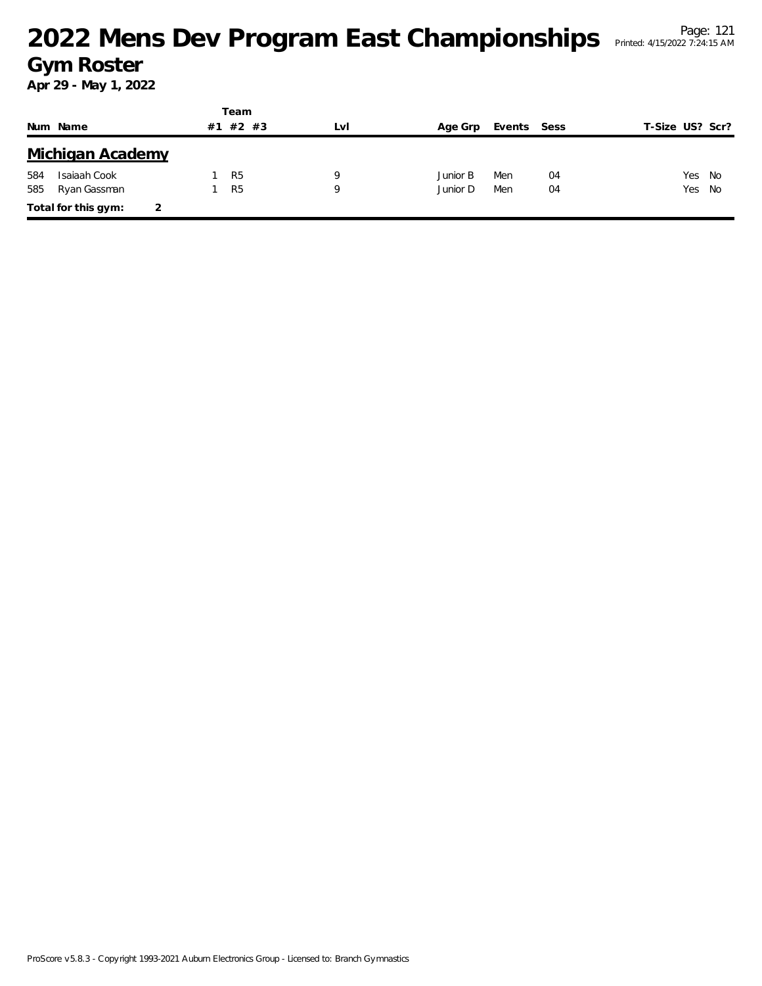|     |                     |    | Team           |     |          |             |    |                 |  |
|-----|---------------------|----|----------------|-----|----------|-------------|----|-----------------|--|
|     | Num Name            | #1 | $#2$ #3        | LvI | Age Grp  | Events Sess |    | T-Size US? Scr? |  |
|     | Michigan Academy    |    |                |     |          |             |    |                 |  |
| 584 | Isaiaah Cook        |    | R <sub>5</sub> | Q   | Junior B | Men         | 04 | Yes No          |  |
| 585 | Ryan Gassman        |    | R <sub>5</sub> | Q   | Junior D | Men         | 04 | Yes No          |  |
|     | Total for this gym: |    |                |     |          |             |    |                 |  |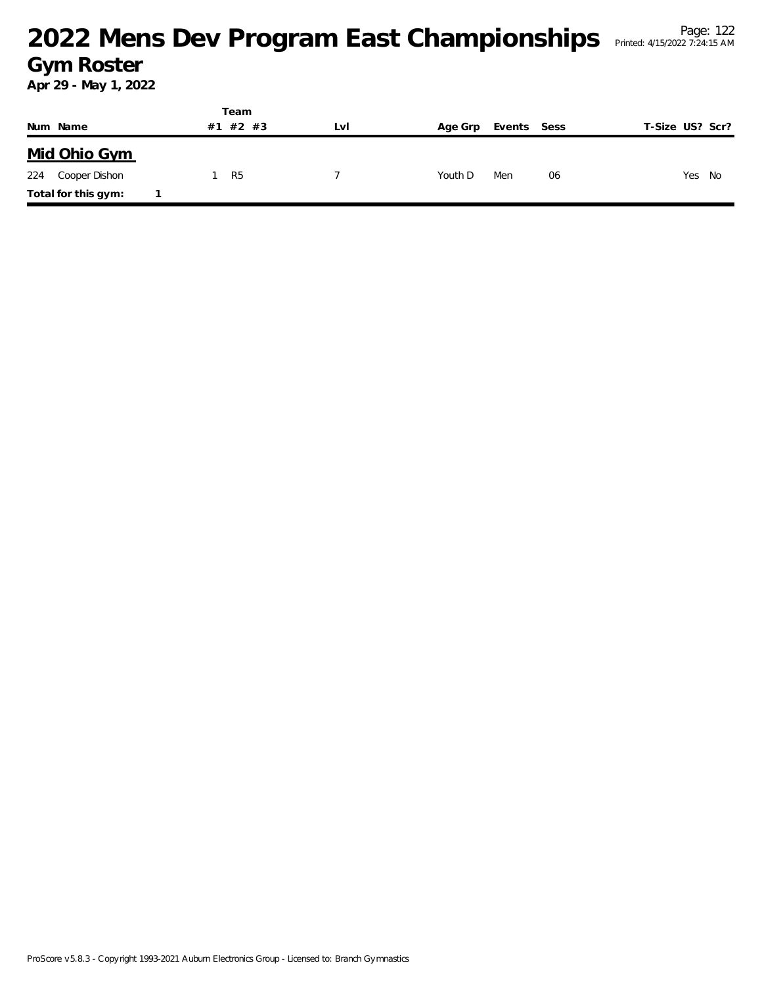|     |                     |    | Team  |     |         |             |    |                 |
|-----|---------------------|----|-------|-----|---------|-------------|----|-----------------|
|     | Num Name            | #1 | #2 #3 | Lvi | Age Grp | Events Sess |    | T-Size US? Scr? |
|     | Mid Ohio Gym        |    |       |     |         |             |    |                 |
| 224 | Cooper Dishon       |    | R5    |     | Youth D | Men         | 06 | Yes No          |
|     | Total for this gym: |    |       |     |         |             |    |                 |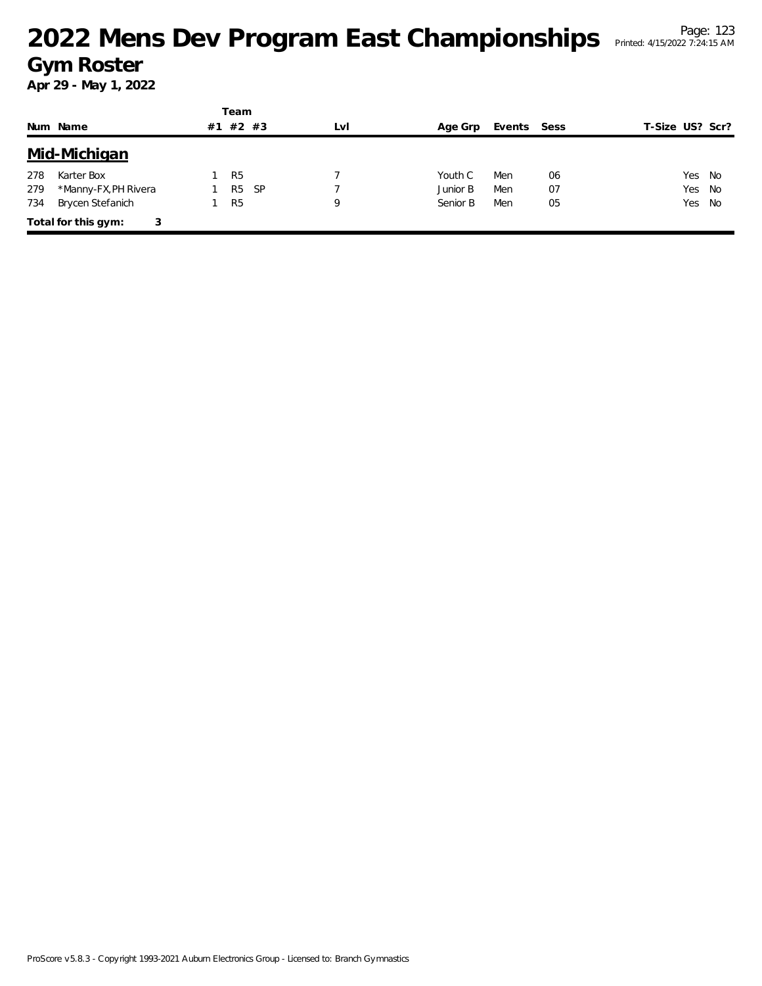|     |                          |  | Team           |      |     |          |             |    |                 |    |  |  |
|-----|--------------------------|--|----------------|------|-----|----------|-------------|----|-----------------|----|--|--|
|     | Num Name                 |  | #1 #2 #3       |      | LvI | Age Grp  | Events Sess |    | T-Size US? Scr? |    |  |  |
|     | Mid-Michigan             |  |                |      |     |          |             |    |                 |    |  |  |
| 278 | Karter Box               |  | R <sub>5</sub> |      |     | Youth C  | Men         | 06 | Yes             | No |  |  |
| 279 | *Manny-FX, PH Rivera     |  | R <sub>5</sub> | - SP |     | Junior B | Men         | 07 | Yes             | No |  |  |
| 734 | Brycen Stefanich         |  | R <sub>5</sub> |      | Q   | Senior B | Men         | 05 | Yes             | No |  |  |
|     | Total for this gym:<br>3 |  |                |      |     |          |             |    |                 |    |  |  |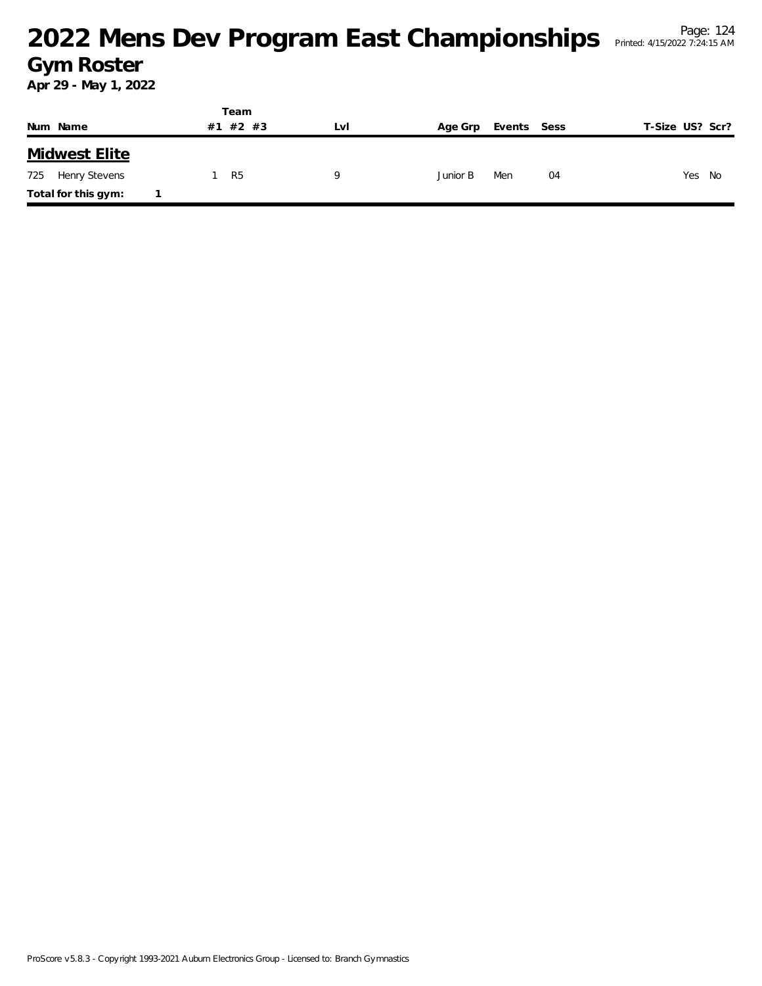|                      | Team        |     |          |             |                 |
|----------------------|-------------|-----|----------|-------------|-----------------|
| Num Name             | #2 #3<br>#1 | LvI | Age Grp  | Events Sess | T-Size US? Scr? |
| <b>Midwest Elite</b> |             |     |          |             |                 |
| 725<br>Henry Stevens | R5          | u   | Junior B | Men<br>04   | Yes No          |
| Total for this gym:  |             |     |          |             |                 |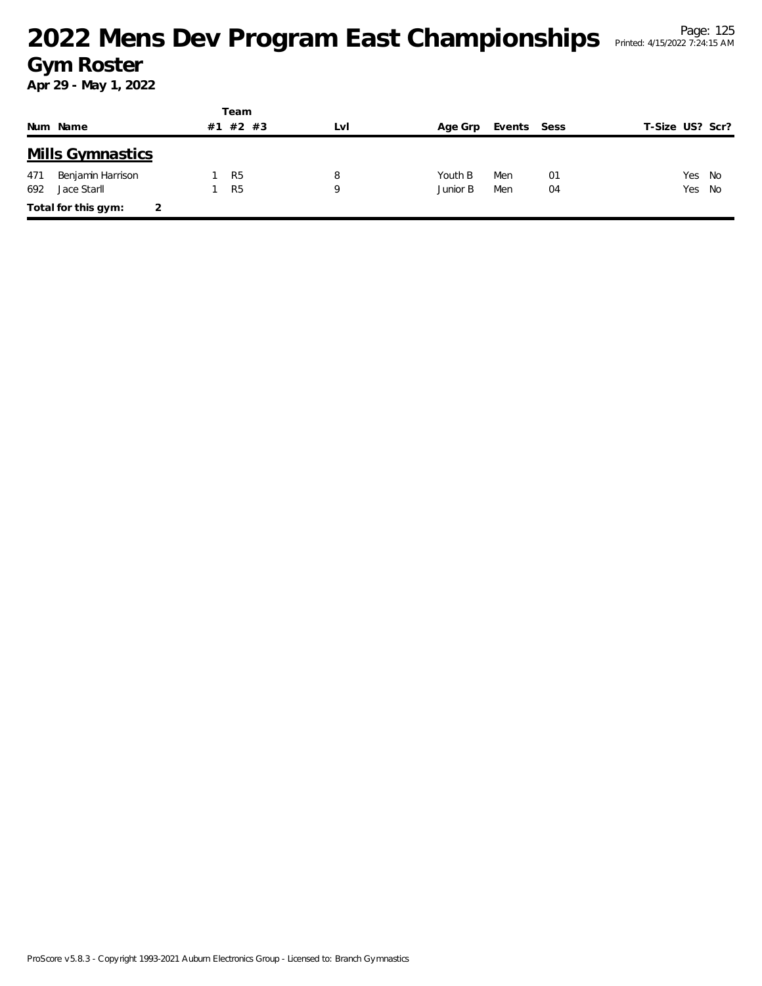|     |                         |    | Team           |     |          |        |      |                 |  |
|-----|-------------------------|----|----------------|-----|----------|--------|------|-----------------|--|
|     | Num Name                | #1 | $#2$ #3        | LVI | Age Grp  | Events | Sess | T-Size US? Scr? |  |
|     | <b>Mills Gymnastics</b> |    |                |     |          |        |      |                 |  |
| 471 | Benjamin Harrison       |    | R <sub>5</sub> | 8   | Youth B  | Men    | 01   | Yes No          |  |
| 692 | Jace Starll             |    | R <sub>5</sub> | 9   | Junior B | Men    | 04   | Yes No          |  |
|     | Total for this gym:     | 2  |                |     |          |        |      |                 |  |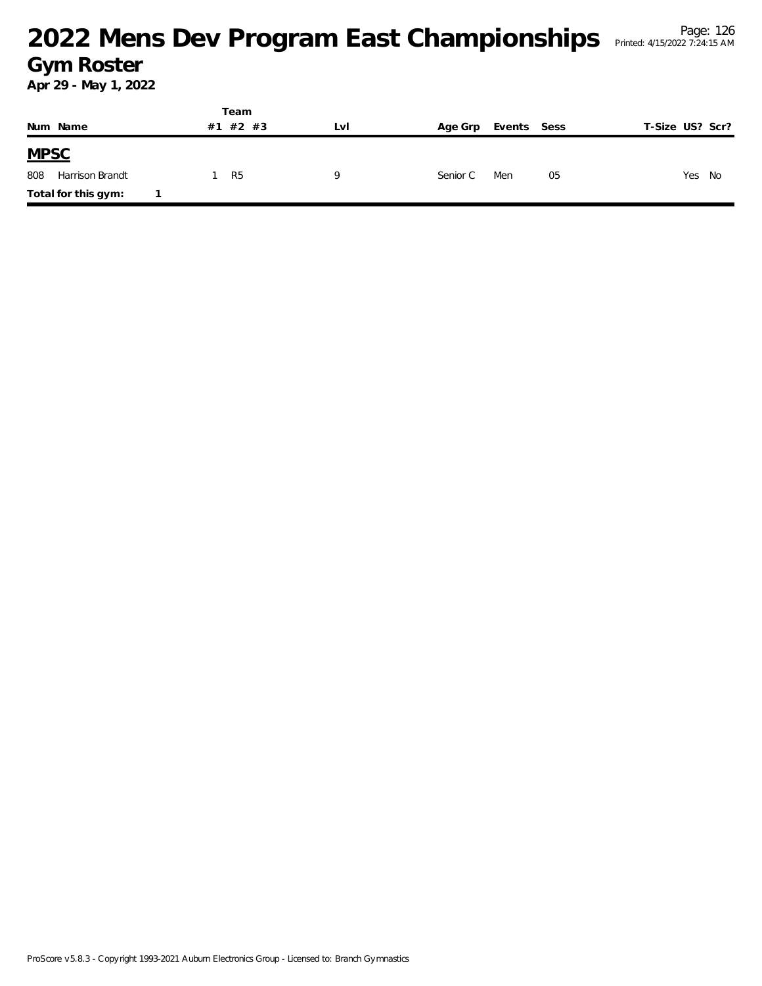|             |                     |  | Team     |     |          |             |                 |  |
|-------------|---------------------|--|----------|-----|----------|-------------|-----------------|--|
|             | Num Name            |  | #1 #2 #3 | LvI | Age Grp  | Events Sess | T-Size US? Scr? |  |
| <b>MPSC</b> |                     |  |          |     |          |             |                 |  |
| 808         | Harrison Brandt     |  | R5       | Q   | Senior C | Men<br>05   | Yes No          |  |
|             | Total for this gym: |  |          |     |          |             |                 |  |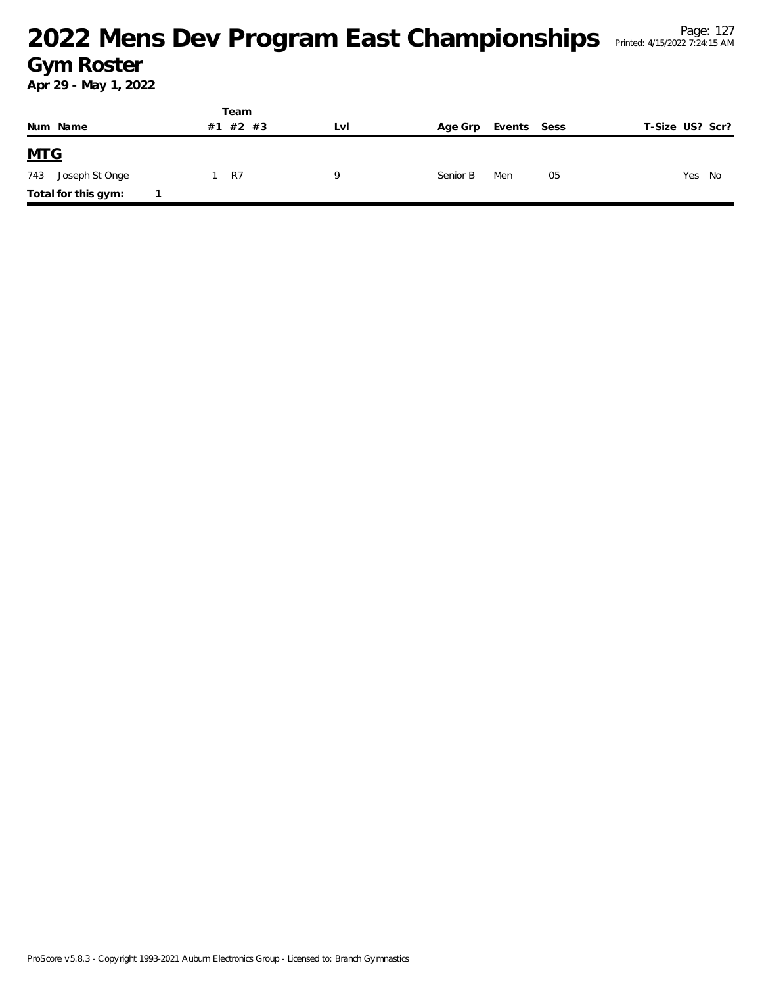|                       | Team        |     |                        |                 |
|-----------------------|-------------|-----|------------------------|-----------------|
| Num Name              | #2 #3<br>#1 | Lvi | Events Sess<br>Age Grp | T-Size US? Scr? |
| <u>MTG</u>            |             |     |                        |                 |
| 743<br>Joseph St Onge | R7          | Q   | Senior B<br>Men        | 05<br>Yes No    |
| Total for this gym:   |             |     |                        |                 |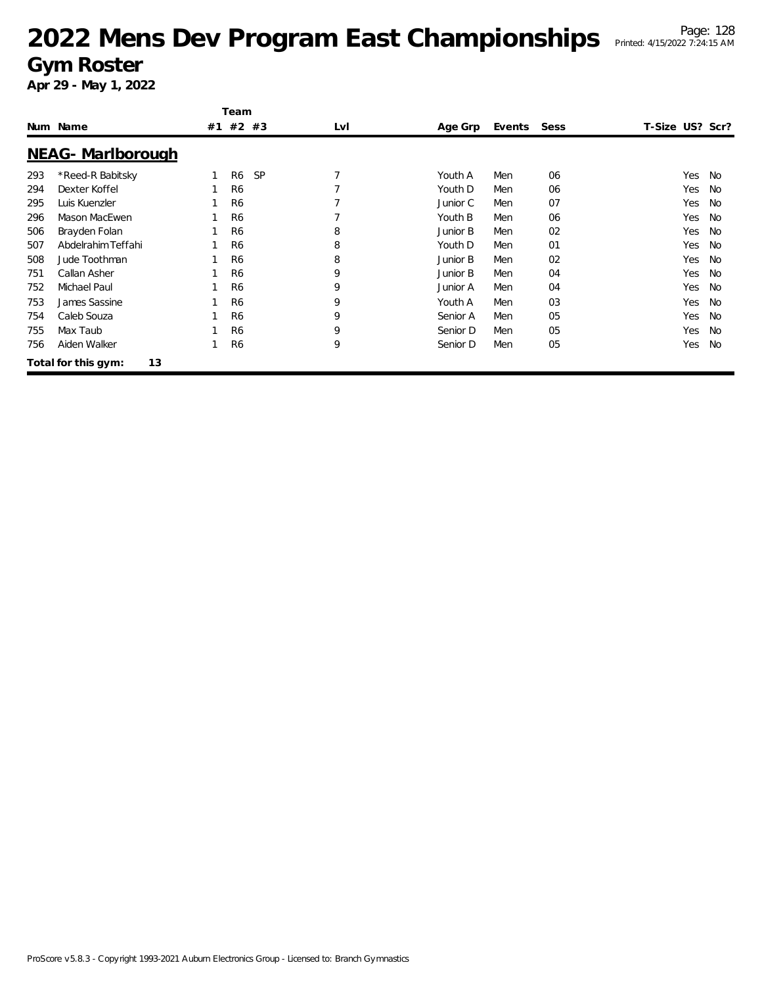|     |                           | Team                        |     |          |        |      |                 |           |
|-----|---------------------------|-----------------------------|-----|----------|--------|------|-----------------|-----------|
|     | Num Name                  | #1 #2 #3                    | LvI | Age Grp  | Events | Sess | T-Size US? Scr? |           |
|     | NEAG- Marlborough         |                             |     |          |        |      |                 |           |
| 293 | *Reed-R Babitsky          | <b>SP</b><br>R <sub>6</sub> | 7   | Youth A  | Men    | 06   | Yes             | <b>No</b> |
| 294 | Dexter Koffel             | R <sub>6</sub>              |     | Youth D  | Men    | 06   | Yes             | <b>No</b> |
| 295 | Luis Kuenzler             | R <sub>6</sub>              |     | Junior C | Men    | 07   | Yes             | <b>No</b> |
| 296 | Mason MacEwen             | R <sub>6</sub>              | 7   | Youth B  | Men    | 06   | Yes             | <b>No</b> |
| 506 | Brayden Folan             | R <sub>6</sub>              | 8   | Junior B | Men    | 02   | Yes             | <b>No</b> |
| 507 | Abdelrahim Teffahi        | R <sub>6</sub>              | 8   | Youth D  | Men    | 01   | Yes             | <b>No</b> |
| 508 | Jude Toothman             | R <sub>6</sub>              | 8   | Junior B | Men    | 02   | Yes             | <b>No</b> |
| 751 | Callan Asher              | R <sub>6</sub>              | 9   | Junior B | Men    | 04   | Yes             | <b>No</b> |
| 752 | Michael Paul              | R <sub>6</sub>              | 9   | Junior A | Men    | 04   | Yes             | <b>No</b> |
| 753 | James Sassine             | R <sub>6</sub>              | 9   | Youth A  | Men    | 03   | Yes             | <b>No</b> |
| 754 | Caleb Souza               | R <sub>6</sub>              | 9   | Senior A | Men    | 05   | Yes             | <b>No</b> |
| 755 | Max Taub                  | R <sub>6</sub>              | 9   | Senior D | Men    | 05   | Yes             | <b>No</b> |
| 756 | Aiden Walker              | R <sub>6</sub>              | 9   | Senior D | Men    | 05   | Yes             | <b>No</b> |
|     | 13<br>Total for this gym: |                             |     |          |        |      |                 |           |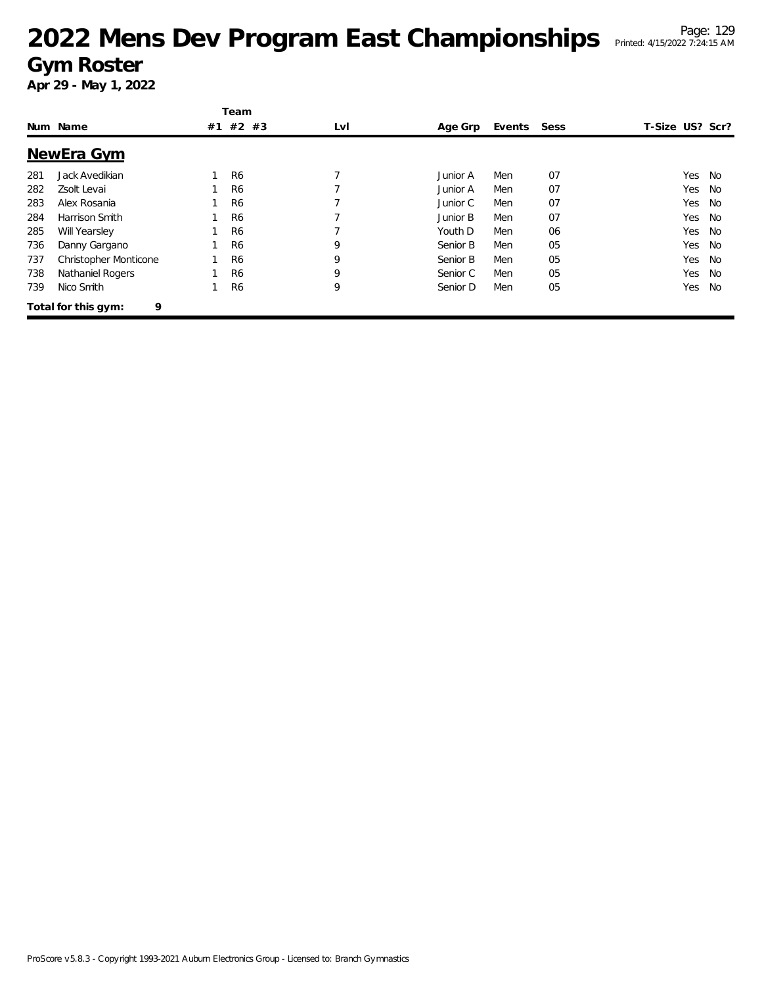|     |                              |    | Team           |     |          |        |      |                 |           |
|-----|------------------------------|----|----------------|-----|----------|--------|------|-----------------|-----------|
|     | Num Name                     | #1 | #2 #3          | LvI | Age Grp  | Events | Sess | T-Size US? Scr? |           |
|     | NewEra Gym                   |    |                |     |          |        |      |                 |           |
| 281 | Jack Avedikian               |    | R <sub>6</sub> |     | Junior A | Men    | 07   | Yes             | No        |
| 282 | Zsolt Levai                  |    | R <sub>6</sub> |     | Junior A | Men    | 07   | Yes             | No        |
| 283 | Alex Rosania                 |    | R <sub>6</sub> |     | Junior C | Men    | 07   | Yes             | <b>No</b> |
| 284 | Harrison Smith               |    | R <sub>6</sub> |     | Junior B | Men    | 07   | Yes             | <b>No</b> |
| 285 | Will Yearsley                |    | R <sub>6</sub> |     | Youth D  | Men    | 06   | Yes             | <b>No</b> |
| 736 | Danny Gargano                |    | R <sub>6</sub> | 9   | Senior B | Men    | 05   | Yes             | No        |
| 737 | <b>Christopher Monticone</b> |    | R <sub>6</sub> | 9   | Senior B | Men    | 05   | Yes             | No        |
| 738 | Nathaniel Rogers             |    | R <sub>6</sub> | 9   | Senior C | Men    | 05   | Yes             | No        |
| 739 | Nico Smith                   |    | R <sub>6</sub> | 9   | Senior D | Men    | 05   | Yes             | No        |
|     | 9<br>Total for this gym:     |    |                |     |          |        |      |                 |           |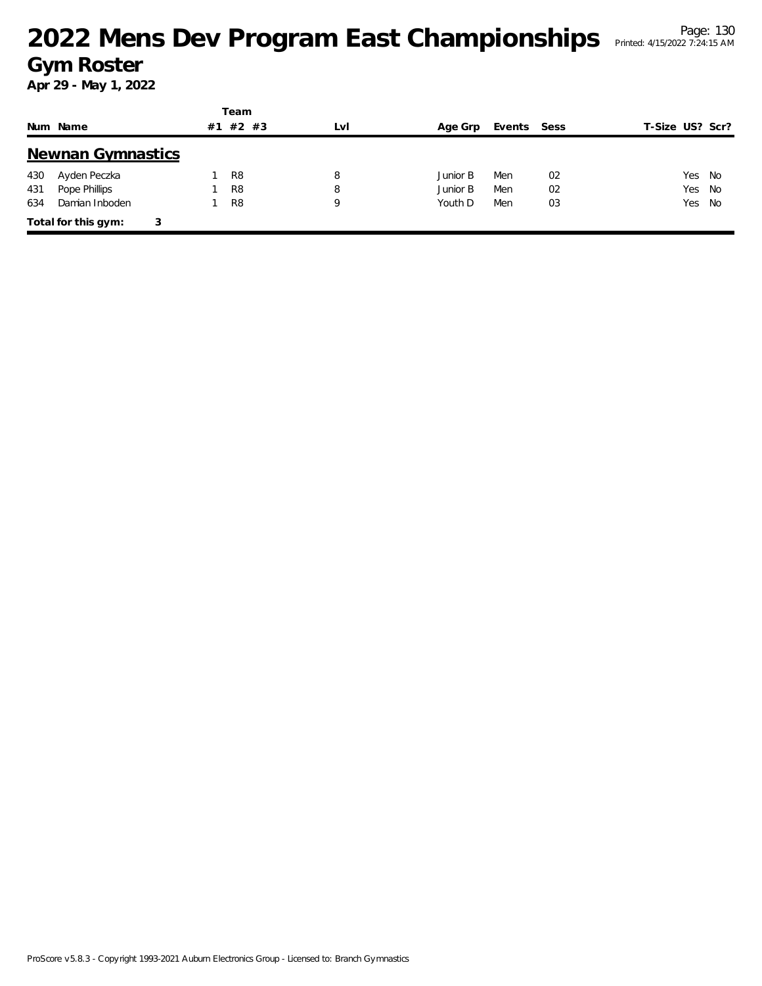|     |                          |    | Team           |     |          |             |    |                 |      |
|-----|--------------------------|----|----------------|-----|----------|-------------|----|-----------------|------|
|     | Num Name                 | #1 | $#2$ #3        | LvI | Age Grp  | Events Sess |    | T-Size US? Scr? |      |
|     | <b>Newnan Gymnastics</b> |    |                |     |          |             |    |                 |      |
| 430 | Ayden Peczka             |    | R <sub>8</sub> | 8   | Junior B | Men         | 02 | Yes             | - No |
| 431 | Pope Phillips            |    | R <sub>8</sub> | 8   | Junior B | Men         | 02 | Yes             | - No |
| 634 | Damian Inboden           |    | R <sub>8</sub> | 9   | Youth D  | Men         | 03 | Yes No          |      |
|     | Total for this gym:<br>3 |    |                |     |          |             |    |                 |      |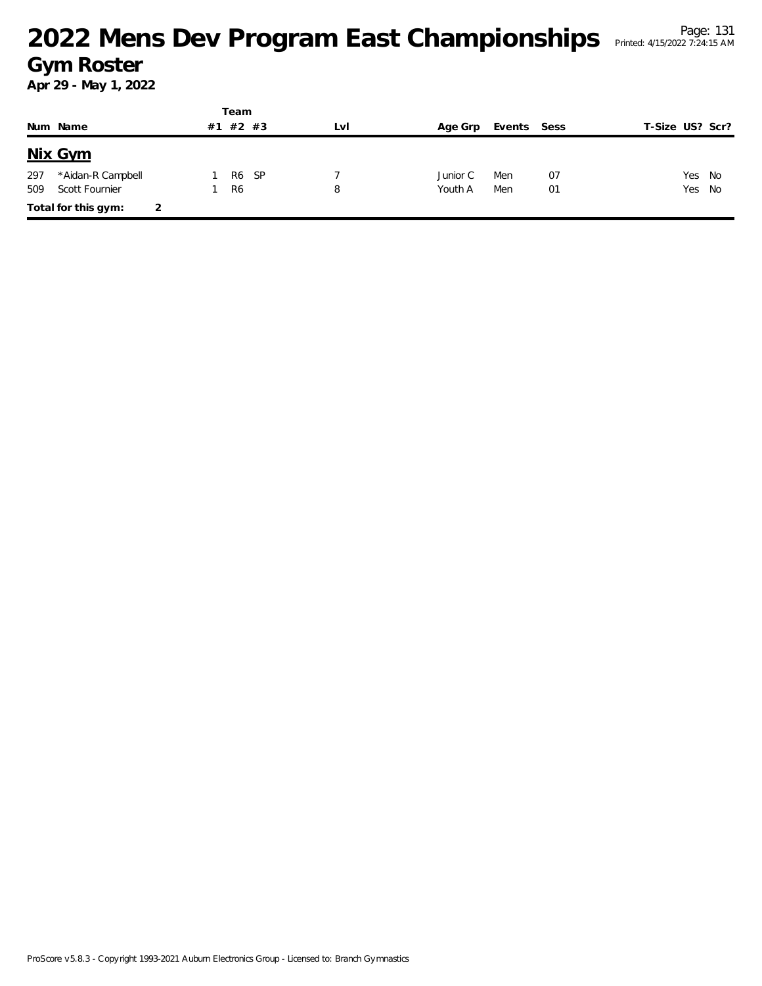|     |                     |    | Team           |       |     |          |             |    |                 |        |
|-----|---------------------|----|----------------|-------|-----|----------|-------------|----|-----------------|--------|
|     | Num Name            | #1 |                | #2 #3 | LvI | Age Grp  | Events Sess |    | T-Size US? Scr? |        |
|     | Nix Gym             |    |                |       |     |          |             |    |                 |        |
| 297 | *Aidan-R Campbell   |    | R6             | - SP  |     | Junior C | Men         | 07 |                 | Yes No |
| 509 | Scott Fournier      |    | R <sub>6</sub> |       | 8   | Youth A  | Men         | 01 |                 | Yes No |
|     | Total for this gym: |    |                |       |     |          |             |    |                 |        |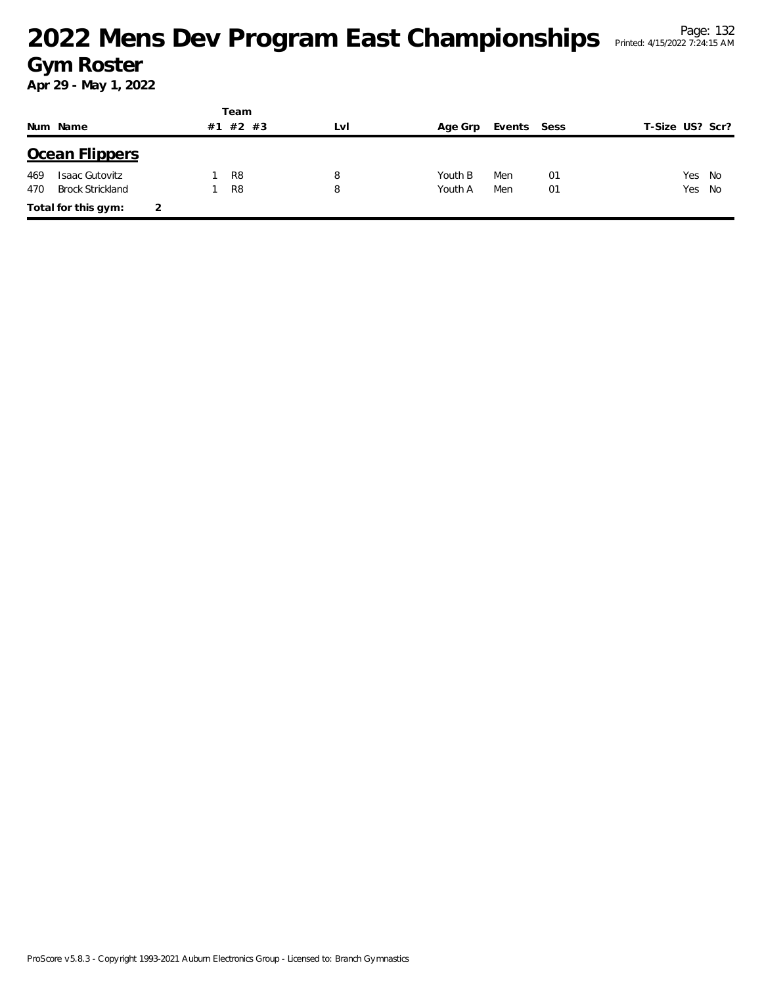|     |                         |   |    | Team           |     |         |             |    |                 |    |
|-----|-------------------------|---|----|----------------|-----|---------|-------------|----|-----------------|----|
|     | Num Name                |   | #1 | $#2$ #3        | Lvl | Age Grp | Events Sess |    | T-Size US? Scr? |    |
|     | Ocean Flippers          |   |    |                |     |         |             |    |                 |    |
| 469 | <b>Isaac Gutovitz</b>   |   |    | R <sub>8</sub> | 8   | Youth B | Men         | 01 | Yes             | No |
| 470 | <b>Brock Strickland</b> |   |    | R <sub>8</sub> | 8   | Youth A | Men         | 01 | Yes No          |    |
|     | Total for this gym:     | 2 |    |                |     |         |             |    |                 |    |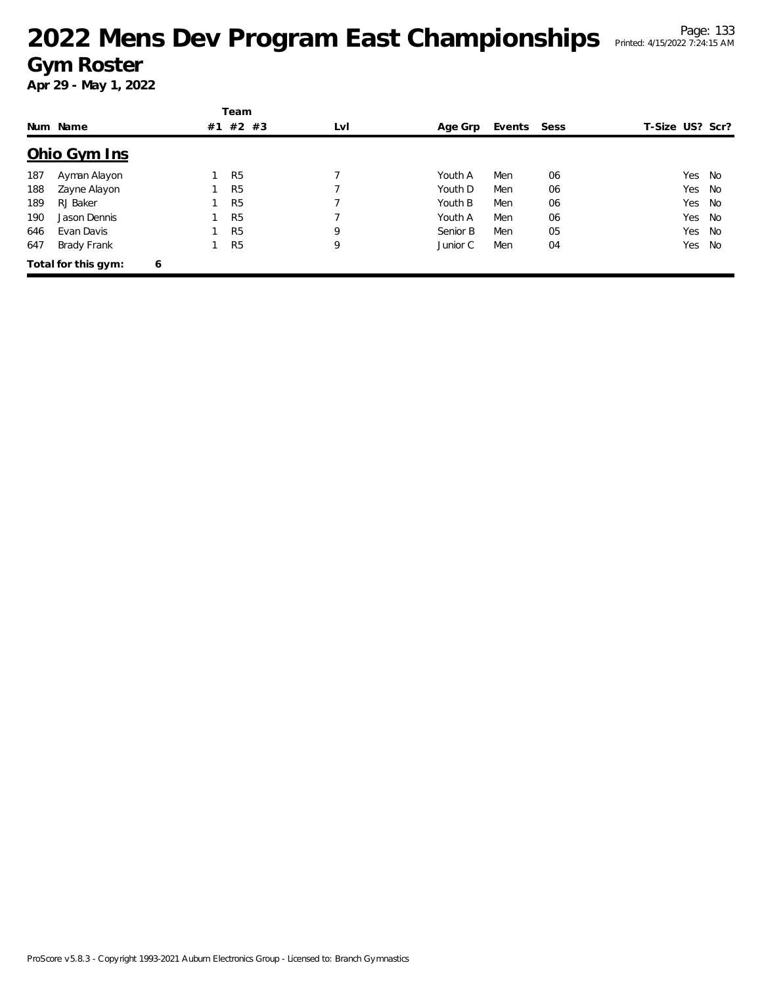|     |                     |   | Team           |     |          |             |    |                 |        |
|-----|---------------------|---|----------------|-----|----------|-------------|----|-----------------|--------|
|     | Num Name            |   | #1 #2 #3       | LvI | Age Grp  | Events Sess |    | T-Size US? Scr? |        |
|     | Ohio Gym Ins        |   |                |     |          |             |    |                 |        |
| 187 | Ayman Alayon        |   | R <sub>5</sub> |     | Youth A  | Men         | 06 |                 | Yes No |
| 188 | Zayne Alayon        |   | R <sub>5</sub> |     | Youth D  | Men         | 06 |                 | Yes No |
| 189 | RJ Baker            |   | R <sub>5</sub> | 7   | Youth B  | Men         | 06 |                 | Yes No |
| 190 | Jason Dennis        |   | R <sub>5</sub> |     | Youth A  | Men         | 06 |                 | Yes No |
| 646 | Evan Davis          |   | R <sub>5</sub> | 9   | Senior B | Men         | 05 |                 | Yes No |
| 647 | Brady Frank         |   | R <sub>5</sub> | 9   | Junior C | Men         | 04 |                 | Yes No |
|     | Total for this gym: | 6 |                |     |          |             |    |                 |        |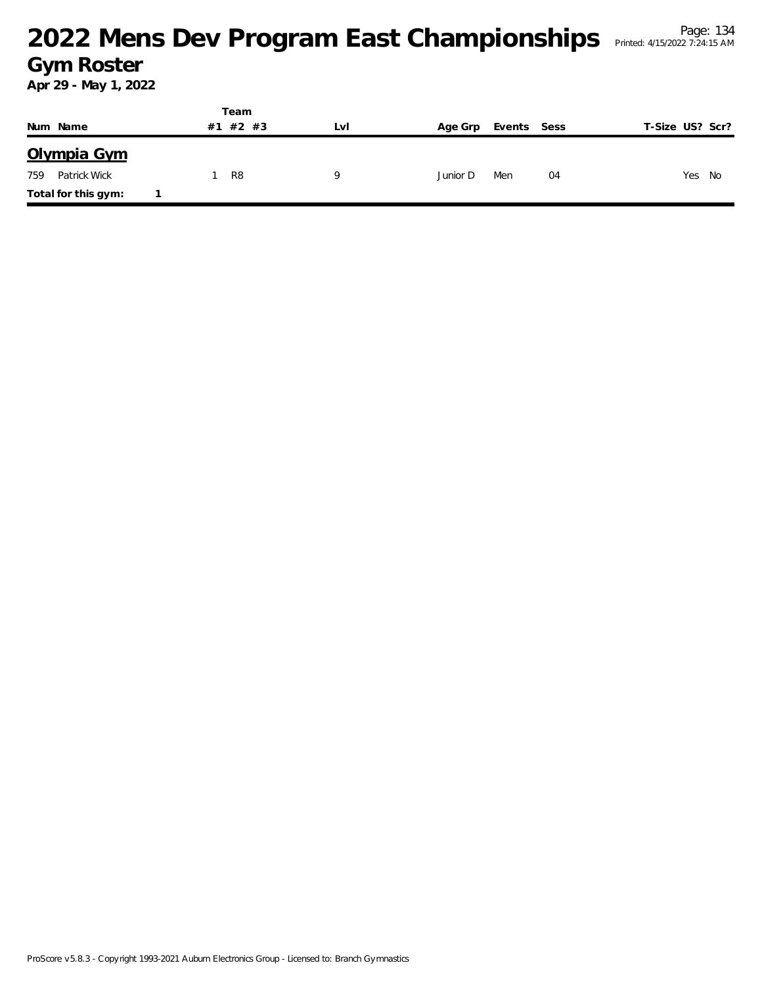|                     | Team     |     |          |             |                 |
|---------------------|----------|-----|----------|-------------|-----------------|
| Num Name            | #1 #2 #3 | Lvi | Age Grp  | Events Sess | T-Size US? Scr? |
| Olympia Gym         |          |     |          |             |                 |
| Patrick Wick<br>759 | R8       | Q   | Junior D | Men<br>04   | Yes<br>No       |
| Total for this gym: |          |     |          |             |                 |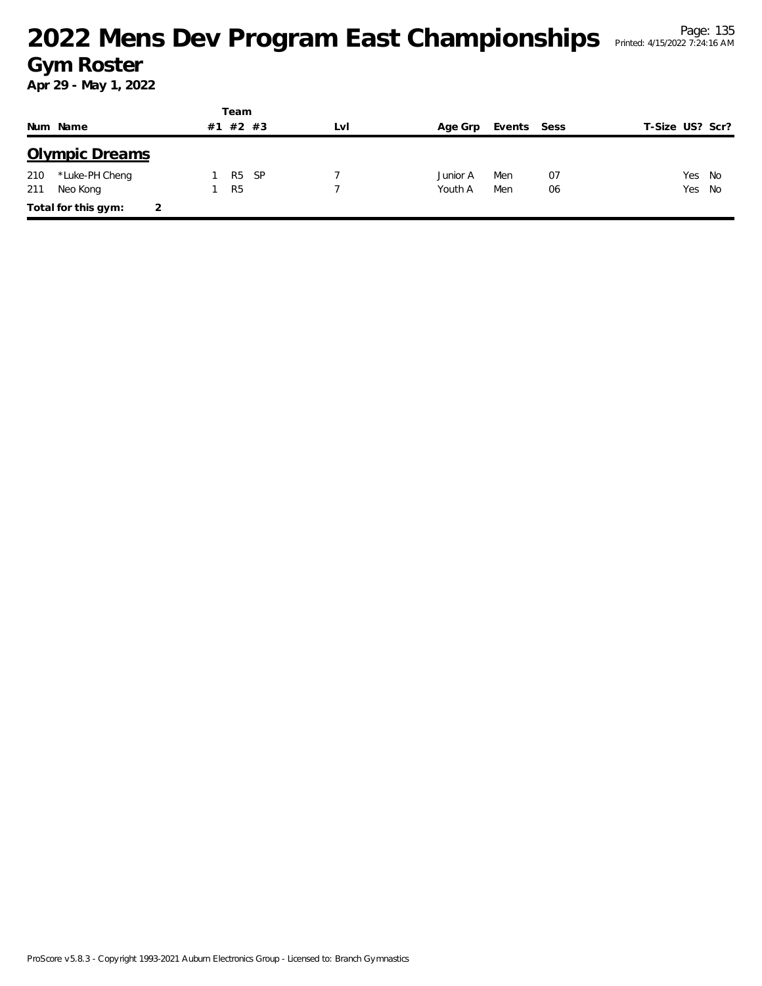|     |                       |    | Team           |      |     |          |        |      |                 |        |
|-----|-----------------------|----|----------------|------|-----|----------|--------|------|-----------------|--------|
|     | Num Name              | #1 | #2 #3          |      | LVI | Age Grp  | Events | Sess | T-Size US? Scr? |        |
|     | <b>Olympic Dreams</b> |    |                |      |     |          |        |      |                 |        |
| 210 | *Luke-PH Cheng        |    | R <sub>5</sub> | - SP |     | Junior A | Men    | 07   |                 | Yes No |
| 211 | Neo Kong              |    | R <sub>5</sub> |      |     | Youth A  | Men    | 06   | Yes No          |        |
|     | Total for this gym:   | 2  |                |      |     |          |        |      |                 |        |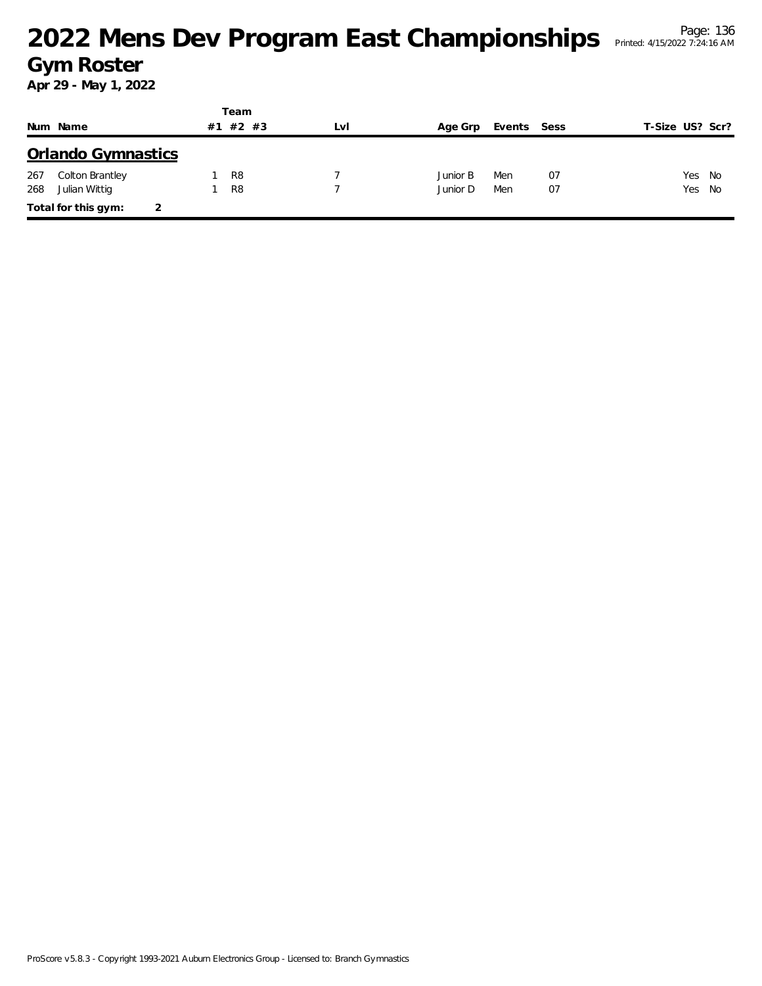|     |                           |    | Team           |     |          |             |    |                 |        |
|-----|---------------------------|----|----------------|-----|----------|-------------|----|-----------------|--------|
|     | Num Name                  | #1 | #2 #3          | LvI | Age Grp  | Events Sess |    | T-Size US? Scr? |        |
|     | <b>Orlando Gymnastics</b> |    |                |     |          |             |    |                 |        |
| 267 | Colton Brantley           |    | R <sub>8</sub> |     | Junior B | Men         | 07 |                 | Yes No |
| 268 | Julian Wittig             |    | R <sub>8</sub> |     | Junior D | Men         | 07 |                 | Yes No |
|     | Total for this gym:       |    |                |     |          |             |    |                 |        |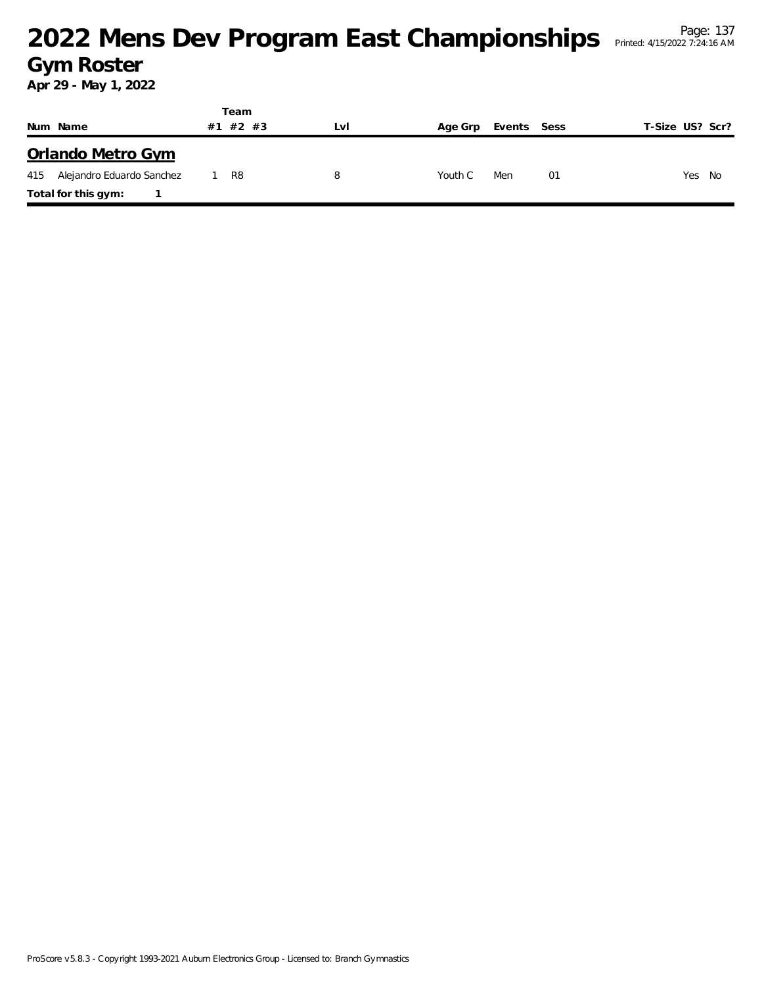|                               | Team        |     |         |             |                 |
|-------------------------------|-------------|-----|---------|-------------|-----------------|
| Num Name                      | #2 #3<br>#1 | LvI | Age Grp | Events Sess | T-Size US? Scr? |
| Orlando Metro Gym             |             |     |         |             |                 |
| 415 Alejandro Eduardo Sanchez | 1 R8        | 8   | Youth C | Men<br>01   | Yes<br>No       |
| Total for this gym:           |             |     |         |             |                 |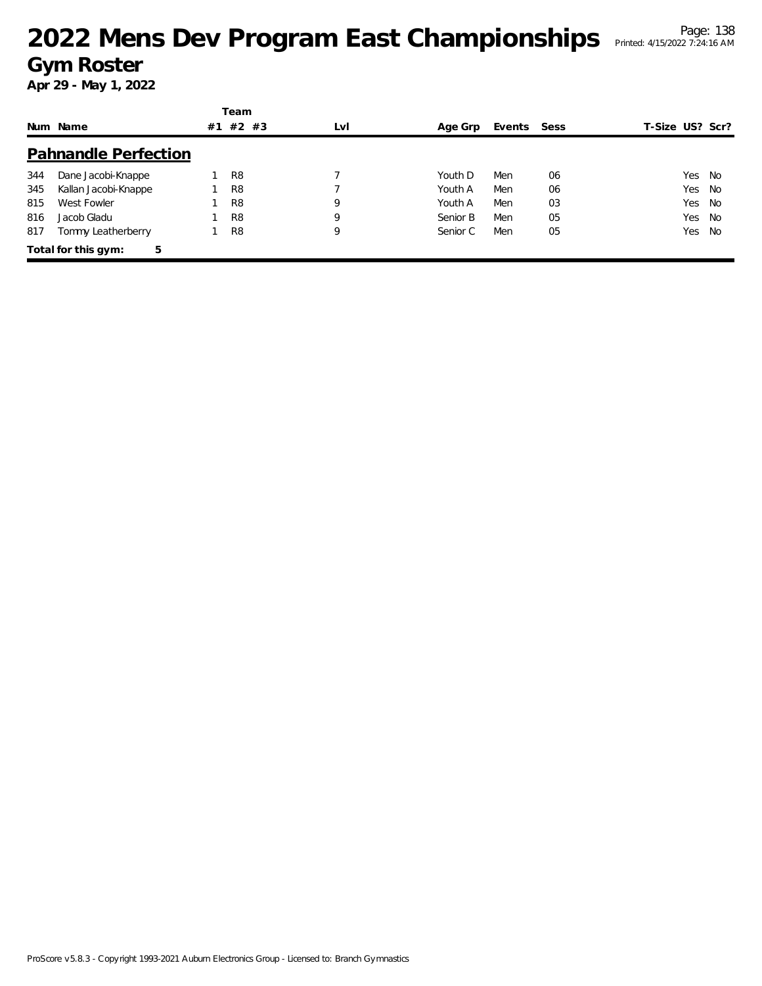|     |                             |    | Team           |     |          |             |    |                 |     |      |
|-----|-----------------------------|----|----------------|-----|----------|-------------|----|-----------------|-----|------|
|     | Num Name                    | #1 | $#2$ #3        | LvI | Age Grp  | Events Sess |    | T-Size US? Scr? |     |      |
|     | <b>Pahnandle Perfection</b> |    |                |     |          |             |    |                 |     |      |
| 344 | Dane Jacobi-Knappe          |    | R <sub>8</sub> |     | Youth D  | Men         | 06 |                 | Yes | - No |
| 345 | Kallan Jacobi-Knappe        |    | R <sub>8</sub> |     | Youth A  | Men         | 06 |                 | Yes | No   |
| 815 | West Fowler                 |    | R <sub>8</sub> | 9   | Youth A  | Men         | 03 |                 | Yes | No   |
| 816 | Jacob Gladu                 |    | R <sub>8</sub> | 9   | Senior B | Men         | 05 |                 | Yes | - No |
| 817 | Tommy Leatherberry          |    | R <sub>8</sub> | 9   | Senior C | Men         | 05 |                 | Yes | No   |
|     | Total for this gym:<br>5    |    |                |     |          |             |    |                 |     |      |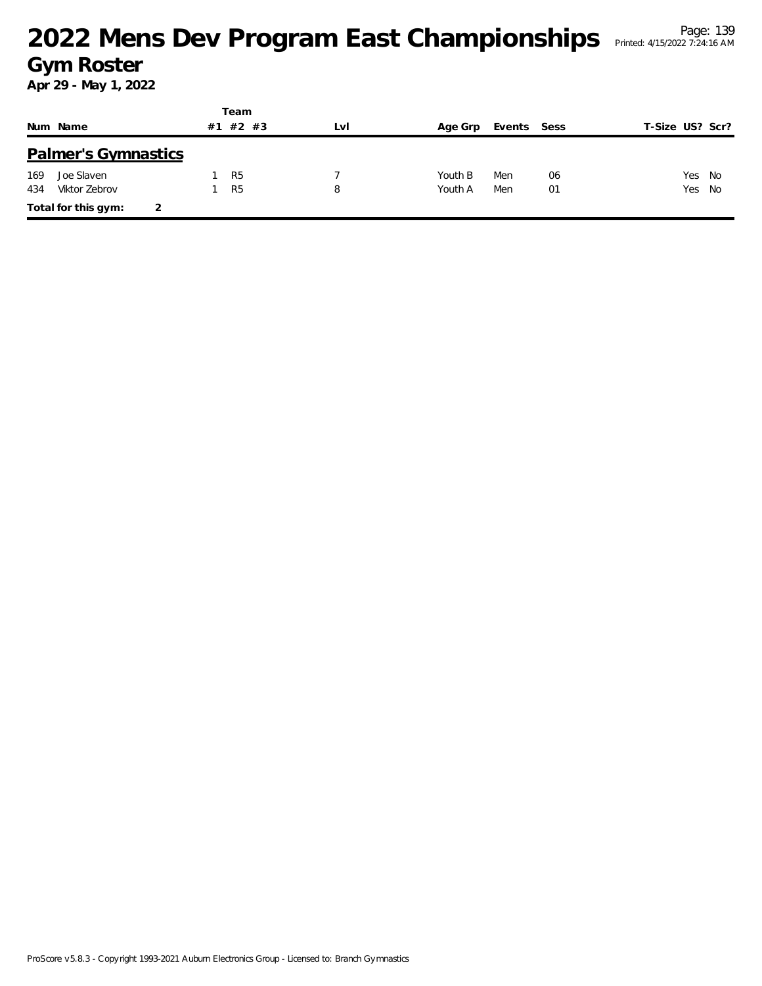|     |                            |    | Team           |     |         |             |    |                 |  |
|-----|----------------------------|----|----------------|-----|---------|-------------|----|-----------------|--|
|     | Num Name                   | #1 | $#2$ #3        | LvI | Age Grp | Events Sess |    | T-Size US? Scr? |  |
|     | <b>Palmer's Gymnastics</b> |    |                |     |         |             |    |                 |  |
| 169 | Joe Slaven                 |    | R <sub>5</sub> |     | Youth B | Men         | 06 | Yes No          |  |
| 434 | Viktor Zebrov              |    | R <sub>5</sub> | 8   | Youth A | Men         | 01 | Yes No          |  |
|     | Total for this gym:        | 2  |                |     |         |             |    |                 |  |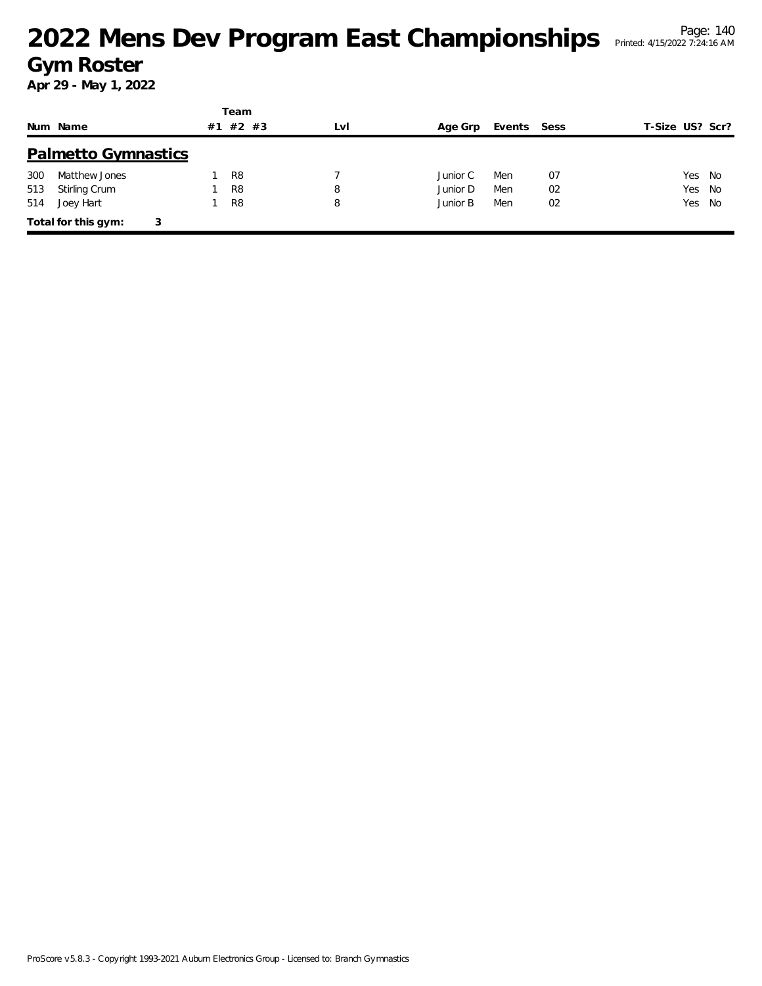|     |                            |    | Team           |     |          |        |      |                 |
|-----|----------------------------|----|----------------|-----|----------|--------|------|-----------------|
|     | Num Name                   | #1 | $#2$ #3        | LvI | Age Grp  | Events | Sess | T-Size US? Scr? |
|     | <b>Palmetto Gymnastics</b> |    |                |     |          |        |      |                 |
| 300 | Matthew Jones              |    | R <sub>8</sub> |     | Junior C | Men    | 07   | Yes<br>- No     |
| 513 | Stirling Crum              |    | R <sub>8</sub> | 8   | Junior D | Men    | 02   | Yes<br>No       |
| 514 | Joey Hart                  |    | R <sub>8</sub> | 8   | Junior B | Men    | 02   | Yes No          |
|     | Total for this gym:        | 3  |                |     |          |        |      |                 |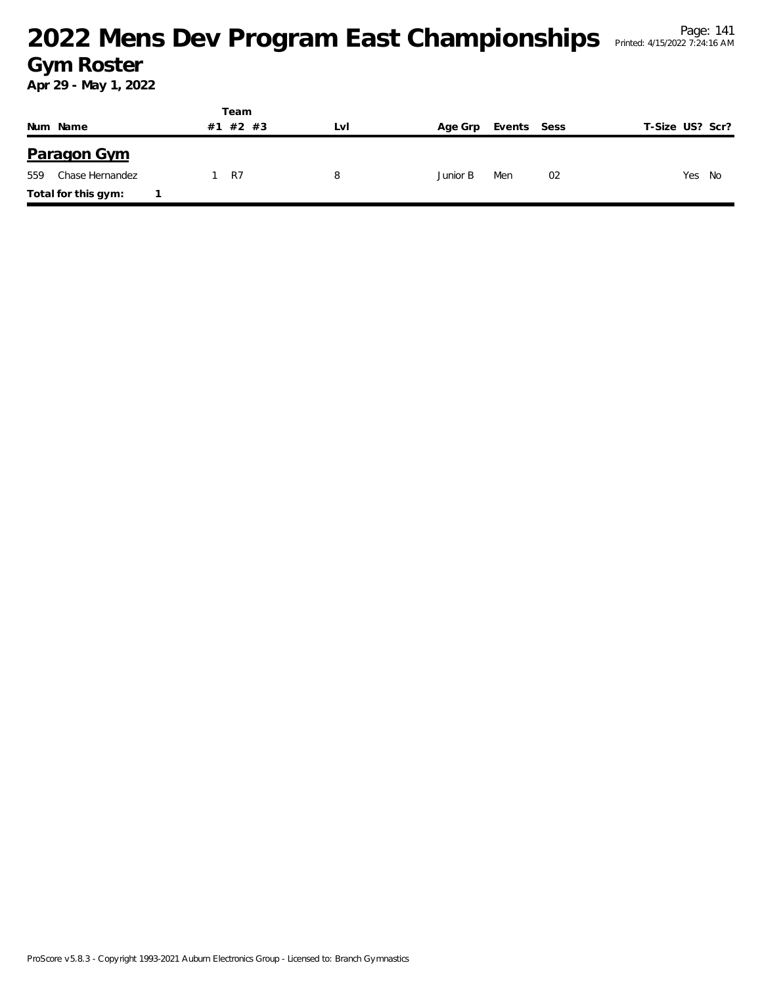|     |                     |  | Team     |     |          |             |    |                 |     |    |
|-----|---------------------|--|----------|-----|----------|-------------|----|-----------------|-----|----|
|     | Num Name            |  | #1 #2 #3 | LvI | Age Grp  | Events Sess |    | T-Size US? Scr? |     |    |
|     | <b>Paragon Gym</b>  |  |          |     |          |             |    |                 |     |    |
| 559 | Chase Hernandez     |  | 1 R7     | 8   | Junior B | Men         | 02 |                 | Yes | No |
|     | Total for this gym: |  |          |     |          |             |    |                 |     |    |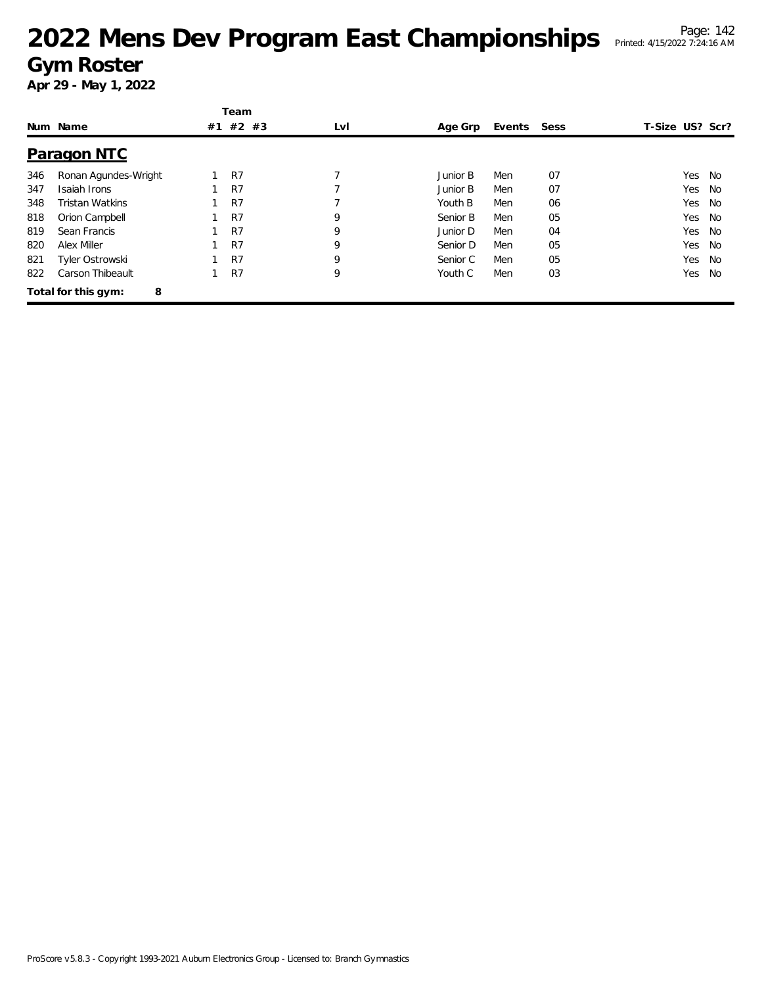|     |                          |    | Team           |     |          |        |      |                 |    |
|-----|--------------------------|----|----------------|-----|----------|--------|------|-----------------|----|
|     | Num Name                 | #1 | $#2$ #3        | LvI | Age Grp  | Events | Sess | T-Size US? Scr? |    |
|     | <b>Paragon NTC</b>       |    |                |     |          |        |      |                 |    |
| 346 | Ronan Agundes-Wright     |    | R <sub>7</sub> | 7   | Junior B | Men    | 07   | Yes             | No |
| 347 | Isaiah Irons             |    | R <sub>7</sub> |     | Junior B | Men    | 07   | Yes             | No |
| 348 | Tristan Watkins          |    | R <sub>7</sub> |     | Youth B  | Men    | 06   | Yes             | No |
| 818 | Orion Campbell           |    | R7             | 9   | Senior B | Men    | 05   | Yes             | No |
| 819 | Sean Francis             |    | R7             | 9   | Junior D | Men    | 04   | Yes             | No |
| 820 | Alex Miller              |    | R <sub>7</sub> | 9   | Senior D | Men    | 05   | Yes             | No |
| 821 | Tyler Ostrowski          |    | R <sub>7</sub> | 9   | Senior C | Men    | 05   | Yes             | No |
| 822 | Carson Thibeault         |    | R7             | 9   | Youth C  | Men    | 03   | Yes             | No |
|     | Total for this gym:<br>8 |    |                |     |          |        |      |                 |    |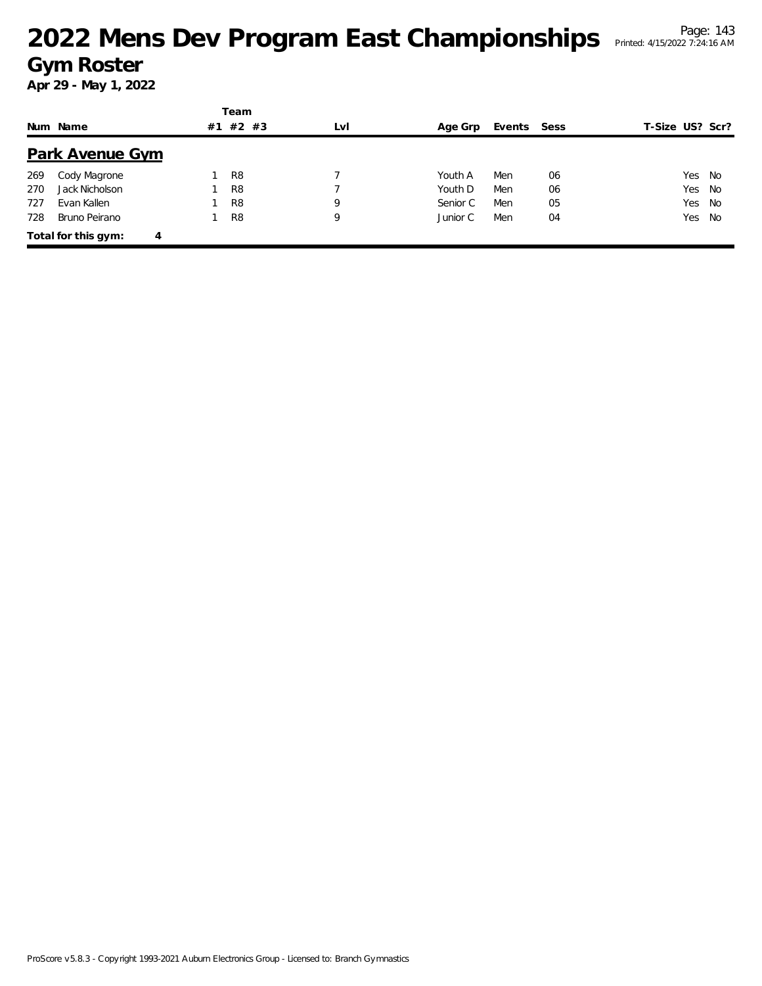|     |                          |    | Team           |     |          |        |      |                 |        |
|-----|--------------------------|----|----------------|-----|----------|--------|------|-----------------|--------|
|     | Num Name                 | #1 | $#2$ #3        | LvI | Age Grp  | Events | Sess | T-Size US? Scr? |        |
|     | <b>Park Avenue Gym</b>   |    |                |     |          |        |      |                 |        |
| 269 | Cody Magrone             |    | R <sub>8</sub> |     | Youth A  | Men    | 06   | Yes             | No     |
| 270 | Jack Nicholson           |    | R <sub>8</sub> |     | Youth D  | Men    | 06   | Yes             | - No   |
| 727 | Evan Kallen              |    | R <sub>8</sub> | 9   | Senior C | Men    | 05   | Yes             | No     |
| 728 | Bruno Peirano            |    | R <sub>8</sub> | 9   | Junior C | Men    | 04   |                 | Yes No |
|     | Total for this gym:<br>4 |    |                |     |          |        |      |                 |        |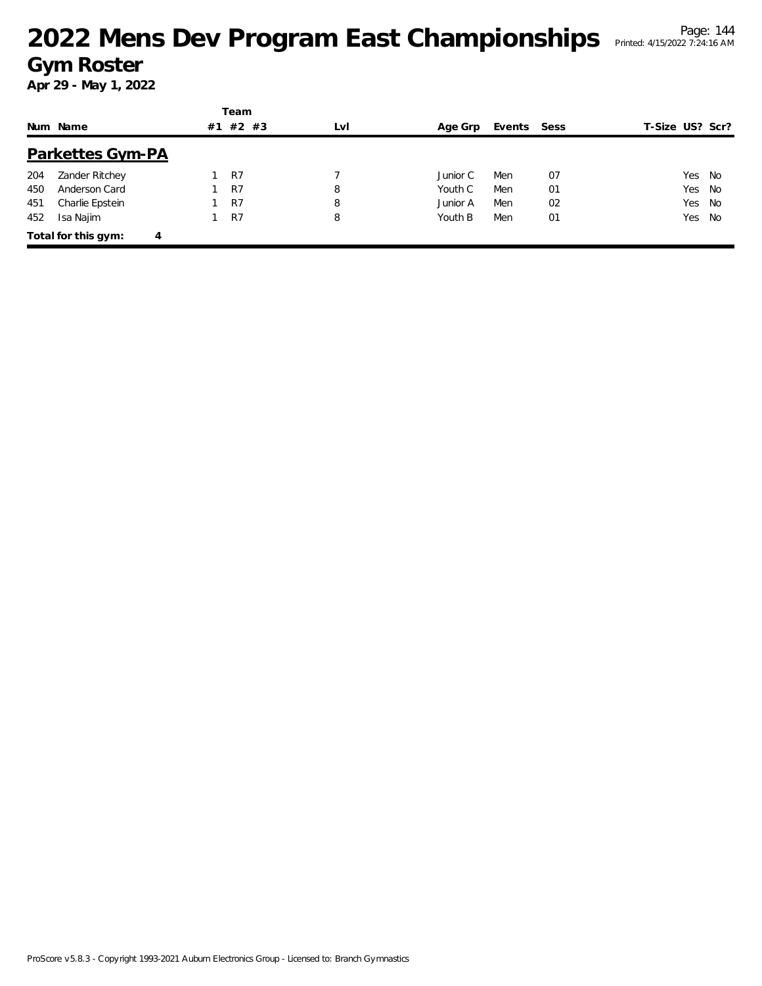|     |                          |    | Team           |     |          |             |    |                 |    |
|-----|--------------------------|----|----------------|-----|----------|-------------|----|-----------------|----|
|     | Num Name                 | #1 | $#2$ #3        | LvI | Age Grp  | Events Sess |    | T-Size US? Scr? |    |
|     | <b>Parkettes Gym-PA</b>  |    |                |     |          |             |    |                 |    |
| 204 | Zander Ritchey           |    | R7             |     | Junior C | Men         | 07 | Yes No          |    |
| 450 | Anderson Card            |    | R <sub>7</sub> | 8   | Youth C  | Men         | 01 | Yes No          |    |
| 451 | Charlie Epstein          |    | R7             | 8   | Junior A | Men         | 02 | Yes No          |    |
| 452 | Isa Najim                |    | R7             | 8   | Youth B  | Men         | 01 | Yes             | No |
|     | Total for this gym:<br>4 |    |                |     |          |             |    |                 |    |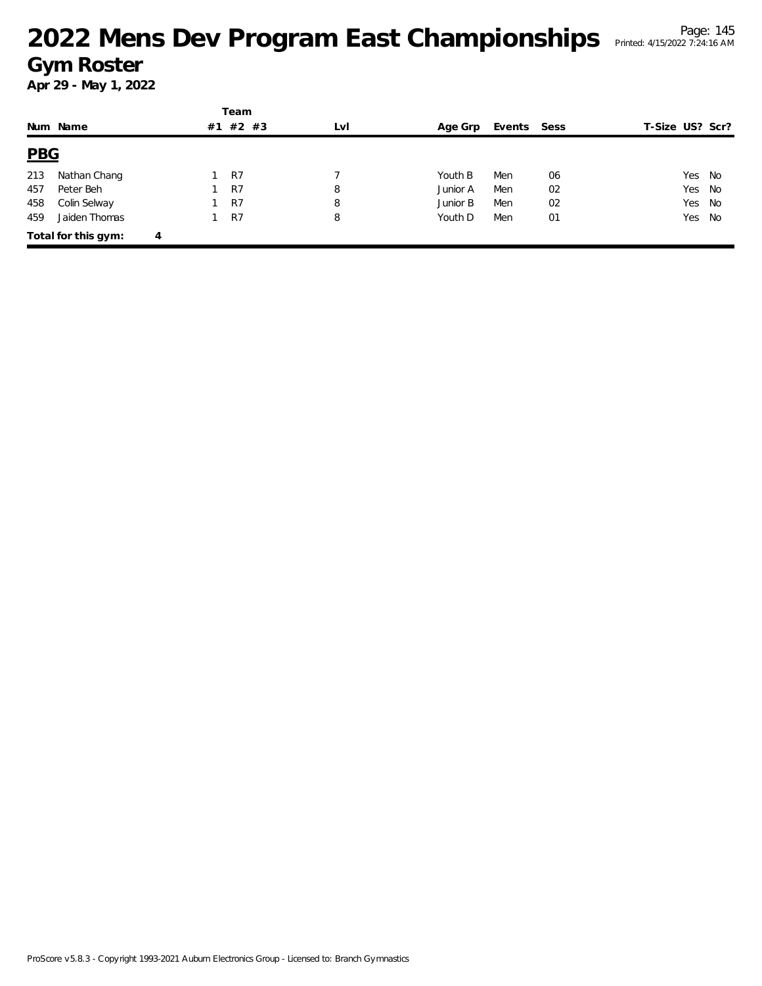|            |                          |  | Team  |     |          |             |    |                 |      |
|------------|--------------------------|--|-------|-----|----------|-------------|----|-----------------|------|
|            | Num Name                 |  | #2 #3 | LvI | Age Grp  | Events Sess |    | T-Size US? Scr? |      |
| <b>PBG</b> |                          |  |       |     |          |             |    |                 |      |
| 213        | Nathan Chang             |  | R7    |     | Youth B  | Men         | 06 | Yes             | - No |
| 457        | Peter Beh                |  | R7    | 8   | Junior A | Men         | 02 | Yes             | No   |
| 458        | Colin Selway             |  | R7    | 8   | Junior B | Men         | 02 | Yes             | No   |
| 459        | Jaiden Thomas            |  | R7    | 8   | Youth D  | Men         | 01 | Yes.            | No   |
|            | Total for this gym:<br>4 |  |       |     |          |             |    |                 |      |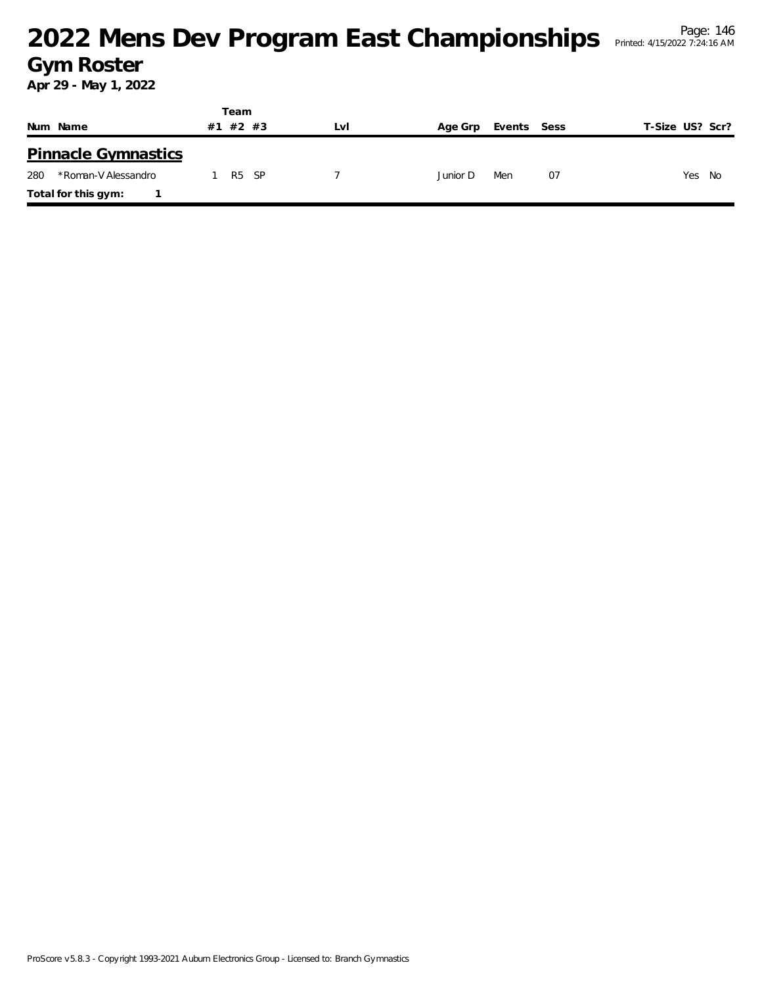|                            | Team           |      |          |             |    |                 |
|----------------------------|----------------|------|----------|-------------|----|-----------------|
| Num Name                   | #2 #3<br>#1    | LvI  | Age Grp  | Events Sess |    | T-Size US? Scr? |
| <b>Pinnacle Gymnastics</b> |                |      |          |             |    |                 |
| 280<br>*Roman-V Alessandro | R <sub>5</sub> | - SP | Junior D | Men         | 07 | Yes<br>No       |
| Total for this gym:        |                |      |          |             |    |                 |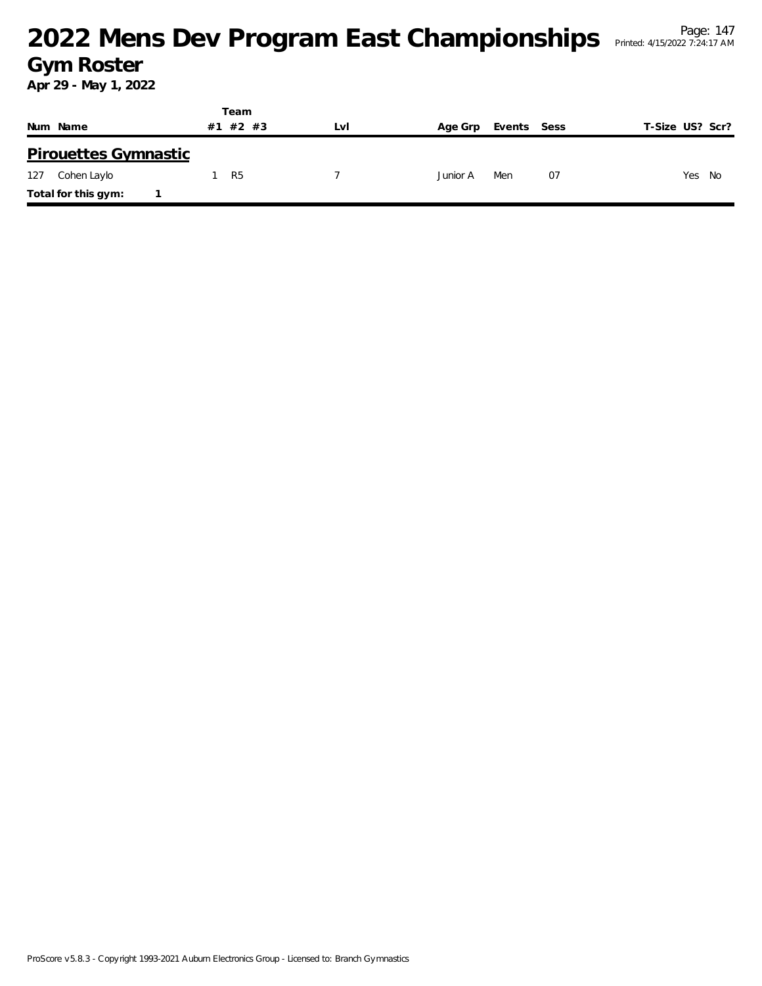|                             | Team           |     |                        |                 |
|-----------------------------|----------------|-----|------------------------|-----------------|
| Num Name                    | #1 #2 #3       | LVI | Events Sess<br>Age Grp | T-Size US? Scr? |
| <b>Pirouettes Gymnastic</b> |                |     |                        |                 |
| Cohen Laylo<br>127          | R <sub>5</sub> |     | 07<br>Men<br>Junior A  | Yes<br>- No     |
| Total for this gym:         |                |     |                        |                 |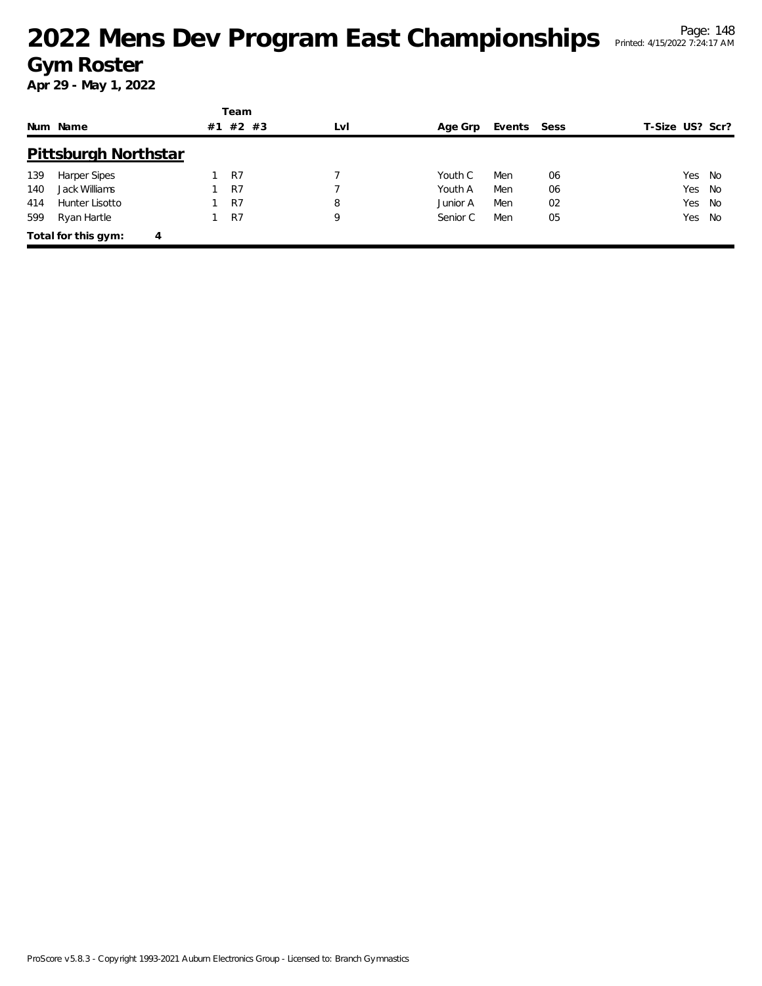|     |                             |    | Team           |     |          |             |    |                 |      |
|-----|-----------------------------|----|----------------|-----|----------|-------------|----|-----------------|------|
|     | Num Name                    | #1 | $#2$ #3        | LvI | Age Grp  | Events Sess |    | T-Size US? Scr? |      |
|     | <b>Pittsburgh Northstar</b> |    |                |     |          |             |    |                 |      |
| 139 | <b>Harper Sipes</b>         |    | R <sub>7</sub> |     | Youth C  | Men         | 06 | Yes No          |      |
| 140 | Jack Williams               |    | R7             |     | Youth A  | Men         | 06 | Yes No          |      |
| 414 | Hunter Lisotto              |    | R7             | 8   | Junior A | Men         | 02 | Yes             | - No |
| 599 | Ryan Hartle                 |    | R7             | 9   | Senior C | Men         | 05 | Yes No          |      |
|     | Total for this gym:<br>4    |    |                |     |          |             |    |                 |      |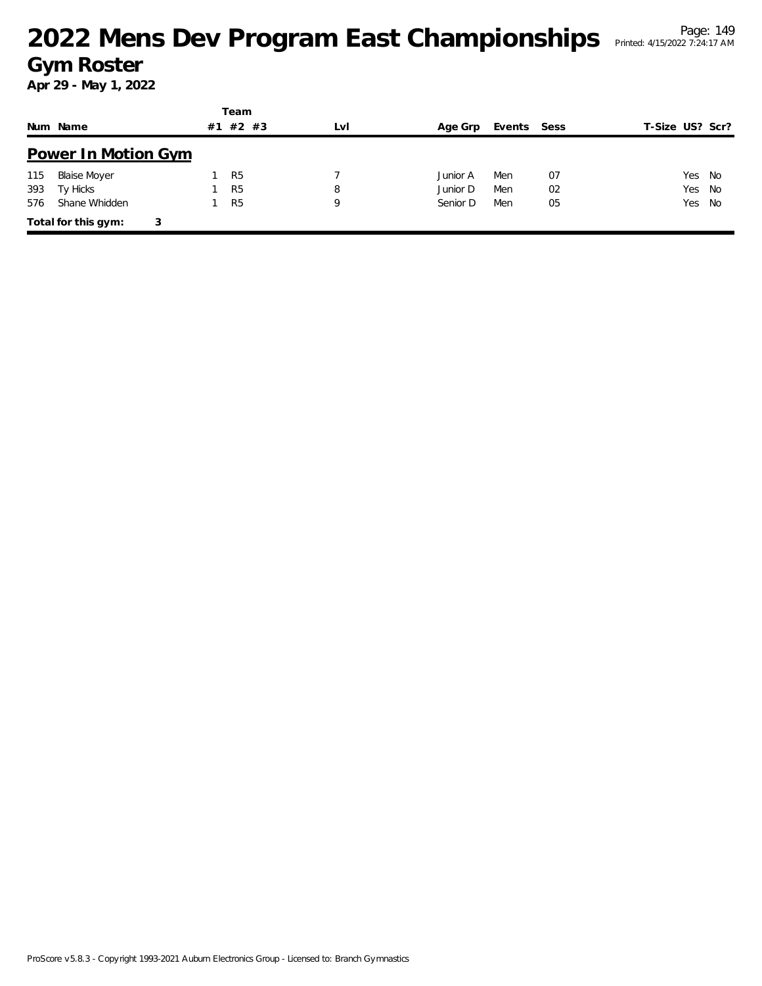|     |                            |    | Team           |     |          |             |    |                 |  |
|-----|----------------------------|----|----------------|-----|----------|-------------|----|-----------------|--|
|     | Num Name                   | #1 | #2 #3          | LvI | Age Grp  | Events Sess |    | T-Size US? Scr? |  |
|     | <b>Power In Motion Gym</b> |    |                |     |          |             |    |                 |  |
| 115 | <b>Blaise Moyer</b>        |    | R <sub>5</sub> |     | Junior A | Men         | 07 | Yes No          |  |
| 393 | Ty Hicks                   |    | R <sub>5</sub> | 8   | Junior D | Men         | 02 | Yes<br>- No     |  |
| 576 | Shane Whidden              |    | R <sub>5</sub> | 9   | Senior D | Men         | 05 | Yes No          |  |
|     | Total for this gym:        | 3  |                |     |          |             |    |                 |  |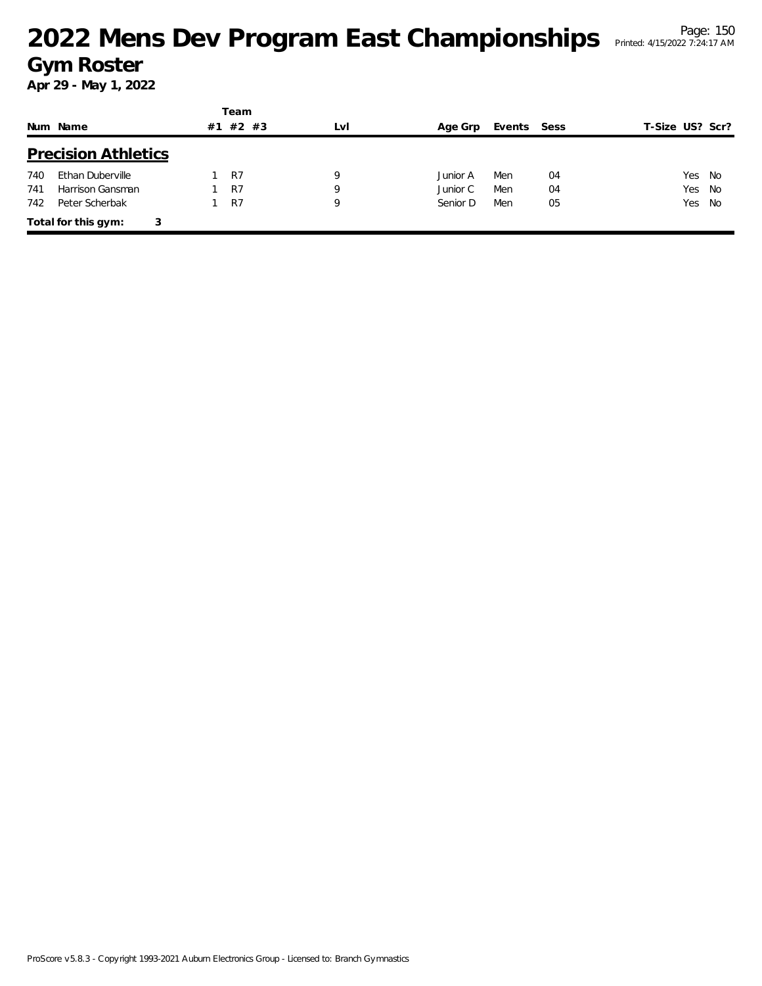|     |                            |    | Team  |     |          |             |    |                 |  |
|-----|----------------------------|----|-------|-----|----------|-------------|----|-----------------|--|
|     | Num Name                   | #1 | #2 #3 | LvI | Age Grp  | Events Sess |    | T-Size US? Scr? |  |
|     | <b>Precision Athletics</b> |    |       |     |          |             |    |                 |  |
| 740 | Ethan Duberville           |    | R7    | 9   | Junior A | Men         | 04 | Yes<br>No       |  |
| 741 | Harrison Gansman           |    | R7    | 9   | Junior C | Men         | 04 | Yes<br>No       |  |
| 742 | Peter Scherbak             |    | R7    | 9   | Senior D | Men         | 05 | Yes No          |  |
|     | Total for this gym:<br>3   |    |       |     |          |             |    |                 |  |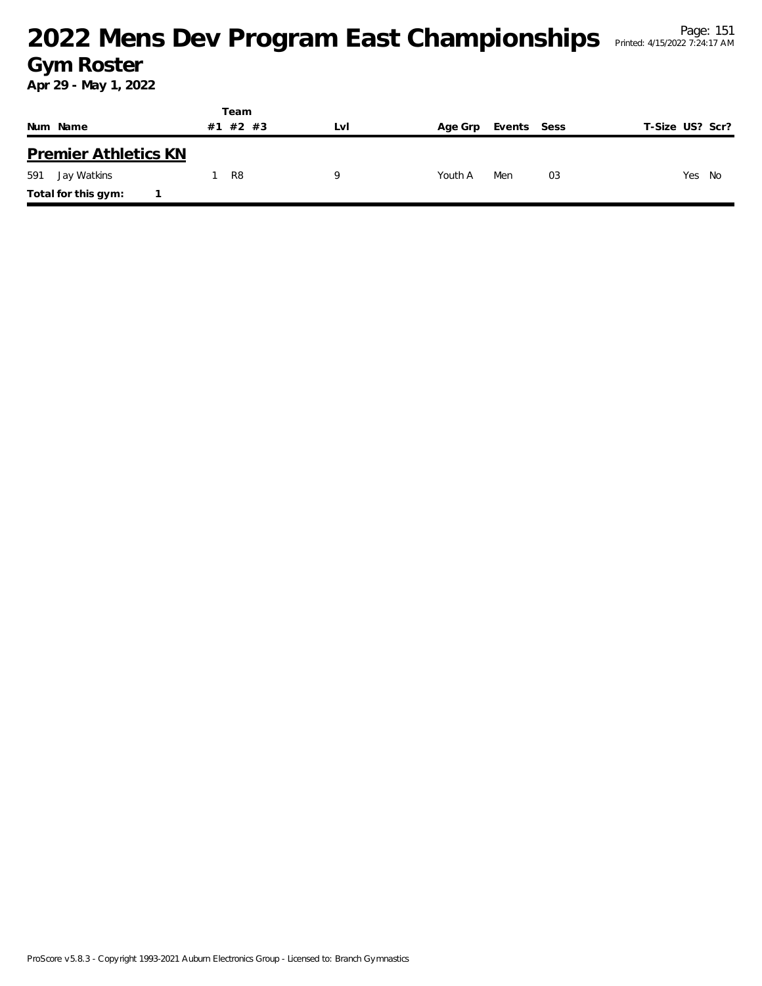|                             | Team           |     |                |             |                 |
|-----------------------------|----------------|-----|----------------|-------------|-----------------|
| Num Name                    | #1 #2 #3       | Lvi | Age Grp        | Events Sess | T-Size US? Scr? |
| <b>Premier Athletics KN</b> |                |     |                |             |                 |
| 591<br>Jay Watkins          | R <sub>8</sub> | Q   | Men<br>Youth A | 03          | Yes No          |
| Total for this gym:         |                |     |                |             |                 |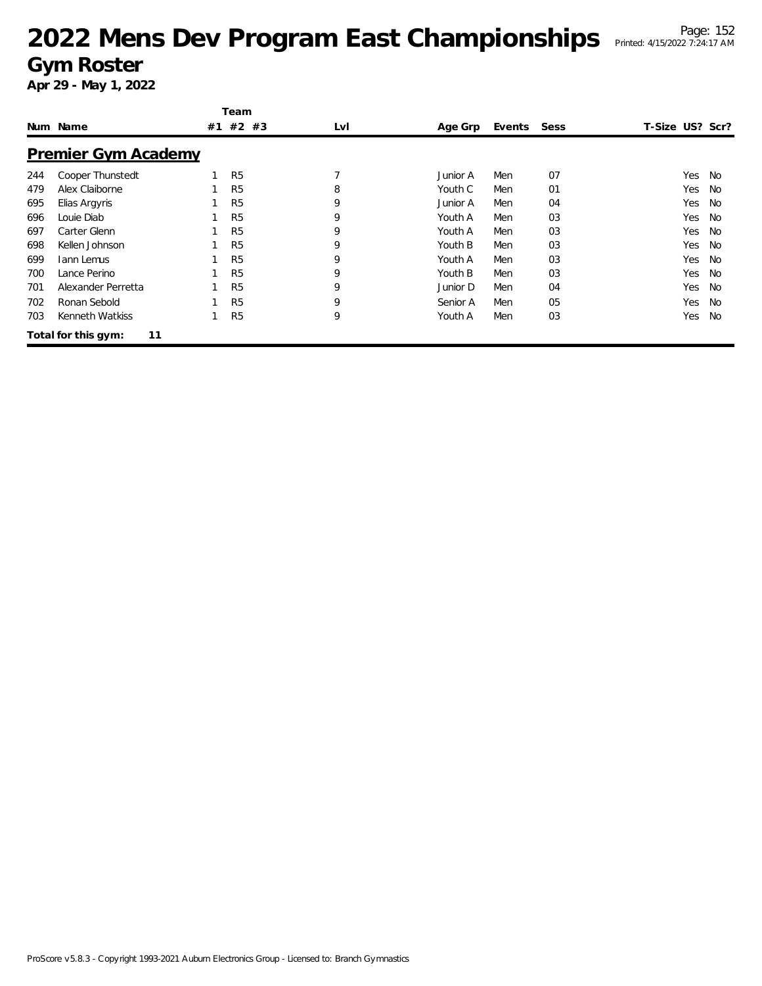|     |                           |    | Team           |     |          |        |      |                 |     |           |
|-----|---------------------------|----|----------------|-----|----------|--------|------|-----------------|-----|-----------|
|     | Num Name                  | #1 | #2 #3          | LvI | Age Grp  | Events | Sess | T-Size US? Scr? |     |           |
|     | Premier Gym Academy       |    |                |     |          |        |      |                 |     |           |
| 244 | Cooper Thunstedt          |    | R <sub>5</sub> |     | Junior A | Men    | 07   |                 | Yes | No        |
| 479 | Alex Claiborne            |    | R <sub>5</sub> | 8   | Youth C  | Men    | 01   |                 | Yes | No        |
| 695 | Elias Argyris             |    | R <sub>5</sub> | 9   | Junior A | Men    | 04   |                 | Yes | No        |
| 696 | Louie Diab                |    | R <sub>5</sub> | 9   | Youth A  | Men    | 03   |                 | Yes | <b>No</b> |
| 697 | Carter Glenn              |    | R <sub>5</sub> | 9   | Youth A  | Men    | 03   |                 | Yes | <b>No</b> |
| 698 | Kellen Johnson            |    | R <sub>5</sub> | 9   | Youth B  | Men    | 03   |                 | Yes | No        |
| 699 | <b>Iann Lemus</b>         |    | R <sub>5</sub> | 9   | Youth A  | Men    | 03   |                 | Yes | No        |
| 700 | Lance Perino              |    | R <sub>5</sub> | 9   | Youth B  | Men    | 03   |                 | Yes | No        |
| 701 | Alexander Perretta        |    | R <sub>5</sub> | 9   | Junior D | Men    | 04   |                 | Yes | No        |
| 702 | Ronan Sebold              |    | R <sub>5</sub> | 9   | Senior A | Men    | 05   |                 | Yes | <b>No</b> |
| 703 | Kenneth Watkiss           |    | R <sub>5</sub> | 9   | Youth A  | Men    | 03   |                 | Yes | <b>No</b> |
|     | 11<br>Total for this gym: |    |                |     |          |        |      |                 |     |           |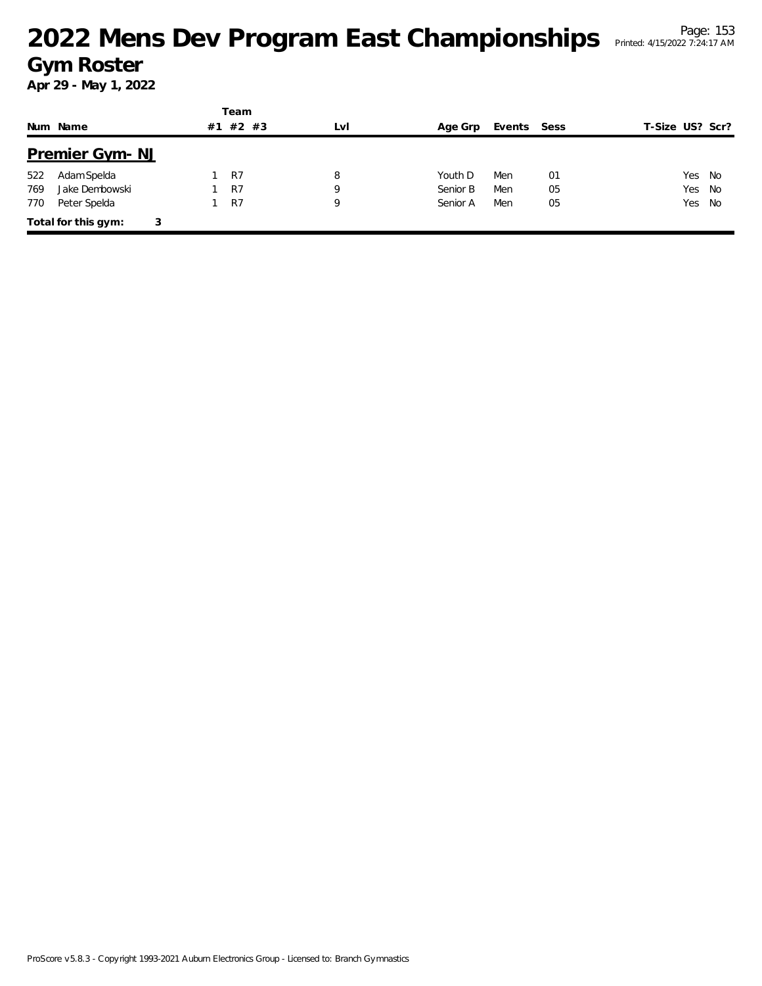|     |                          |    | Team    |     |          |             |    |                 |  |
|-----|--------------------------|----|---------|-----|----------|-------------|----|-----------------|--|
|     | Num Name                 | #1 | $#2$ #3 | LvI | Age Grp  | Events Sess |    | T-Size US? Scr? |  |
|     | <b>Premier Gym-NJ</b>    |    |         |     |          |             |    |                 |  |
| 522 | Adam Spelda              |    | R7      | 8   | Youth D  | Men         | 01 | Yes<br>No       |  |
| 769 | Jake Dembowski           |    | R7      | 9   | Senior B | Men         | 05 | Yes<br>No       |  |
| 770 | Peter Spelda             |    | R7      | 9   | Senior A | Men         | 05 | Yes<br>No       |  |
|     | Total for this gym:<br>3 |    |         |     |          |             |    |                 |  |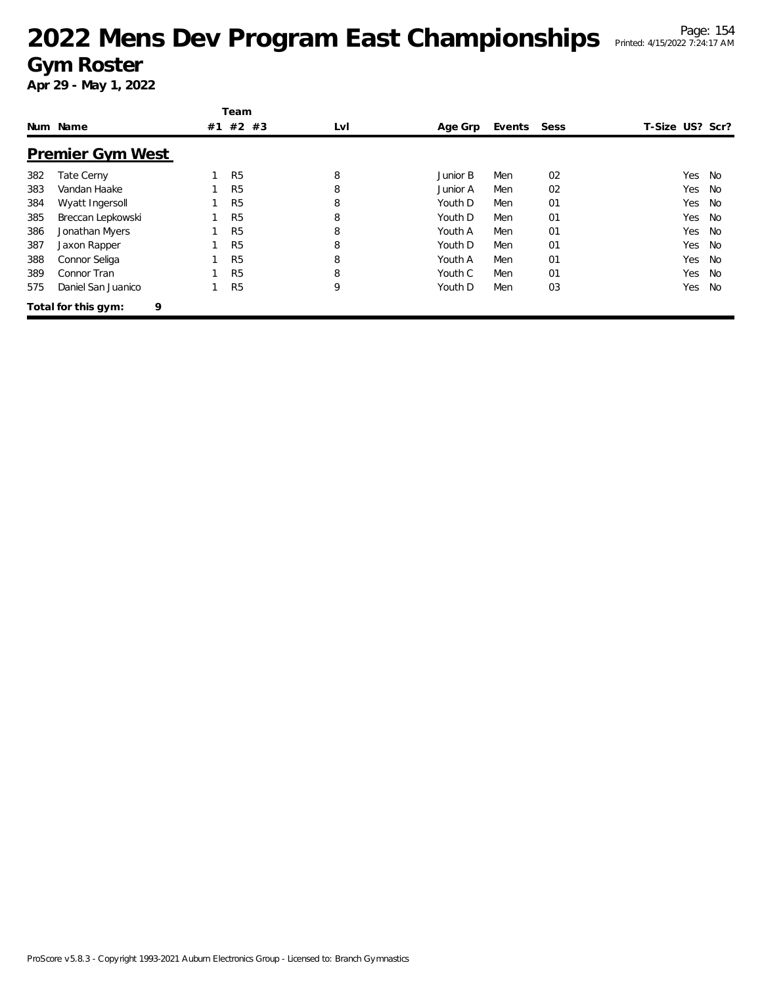|     |                          | Team           |     |          |             |                |                 |    |
|-----|--------------------------|----------------|-----|----------|-------------|----------------|-----------------|----|
|     | Num Name                 | #1 #2 #3       | LvI | Age Grp  | Events Sess |                | T-Size US? Scr? |    |
|     | <b>Premier Gym West</b>  |                |     |          |             |                |                 |    |
| 382 | Tate Cerny               | R <sub>5</sub> | 8   | Junior B | Men         | 02             | Yes             | No |
| 383 | Vandan Haake             | R <sub>5</sub> | 8   | Junior A | Men         | 02             | Yes             | No |
| 384 | Wyatt Ingersoll          | R <sub>5</sub> | 8   | Youth D  | Men         | 01             | Yes             | No |
| 385 | Breccan Lepkowski        | R <sub>5</sub> | 8   | Youth D  | Men         | 01             | Yes             | No |
| 386 | Jonathan Myers           | R <sub>5</sub> | 8   | Youth A  | Men         | 01             | Yes             | No |
| 387 | Jaxon Rapper             | R <sub>5</sub> | 8   | Youth D  | Men         | 01             | Yes             | No |
| 388 | Connor Seliga            | R <sub>5</sub> | 8   | Youth A  | Men         | 0 <sub>1</sub> | Yes             | No |
| 389 | Connor Tran              | R <sub>5</sub> | 8   | Youth C  | Men         | 01             | Yes             | No |
| 575 | Daniel San Juanico       | R <sub>5</sub> | 9   | Youth D  | Men         | 03             | Yes             | No |
|     | 9<br>Total for this gym: |                |     |          |             |                |                 |    |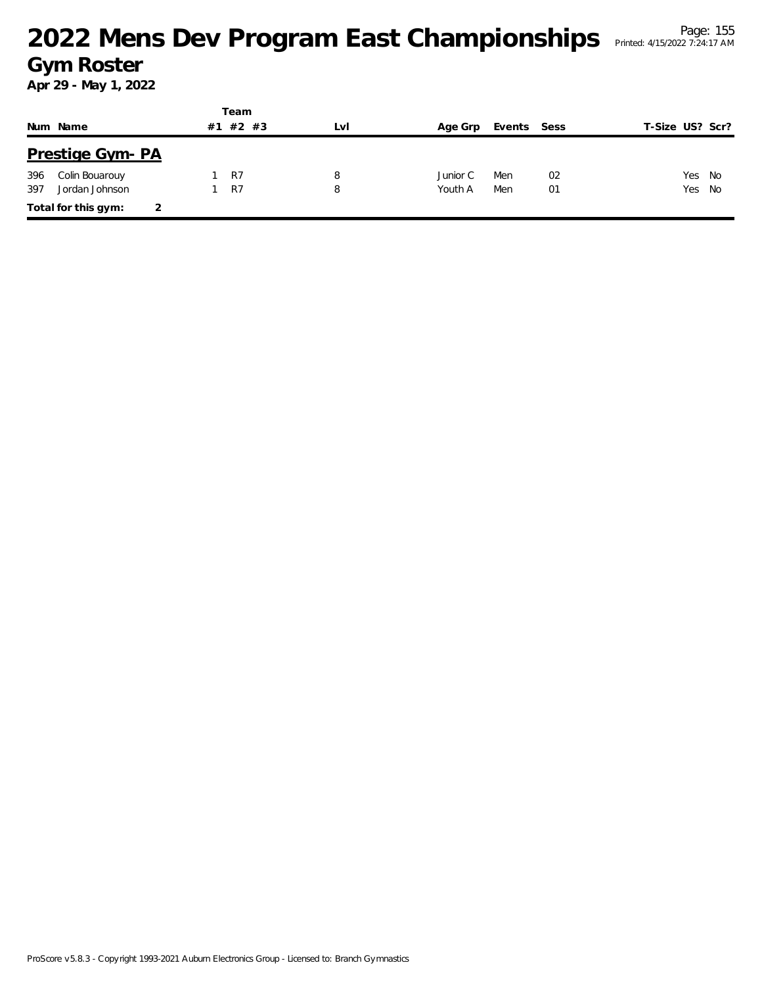|     |                         |    | Team  |     |          |             |    |                 |  |
|-----|-------------------------|----|-------|-----|----------|-------------|----|-----------------|--|
|     | Num Name                | #1 | #2 #3 | LVI | Age Grp  | Events Sess |    | T-Size US? Scr? |  |
|     | <b>Prestige Gym- PA</b> |    |       |     |          |             |    |                 |  |
| 396 | Colin Bouarouy          |    | R7    | 8   | Junior C | Men         | 02 | Yes No          |  |
| 397 | Jordan Johnson          |    | R7    | 8   | Youth A  | Men         | 01 | Yes No          |  |
|     | Total for this gym:     | 2  |       |     |          |             |    |                 |  |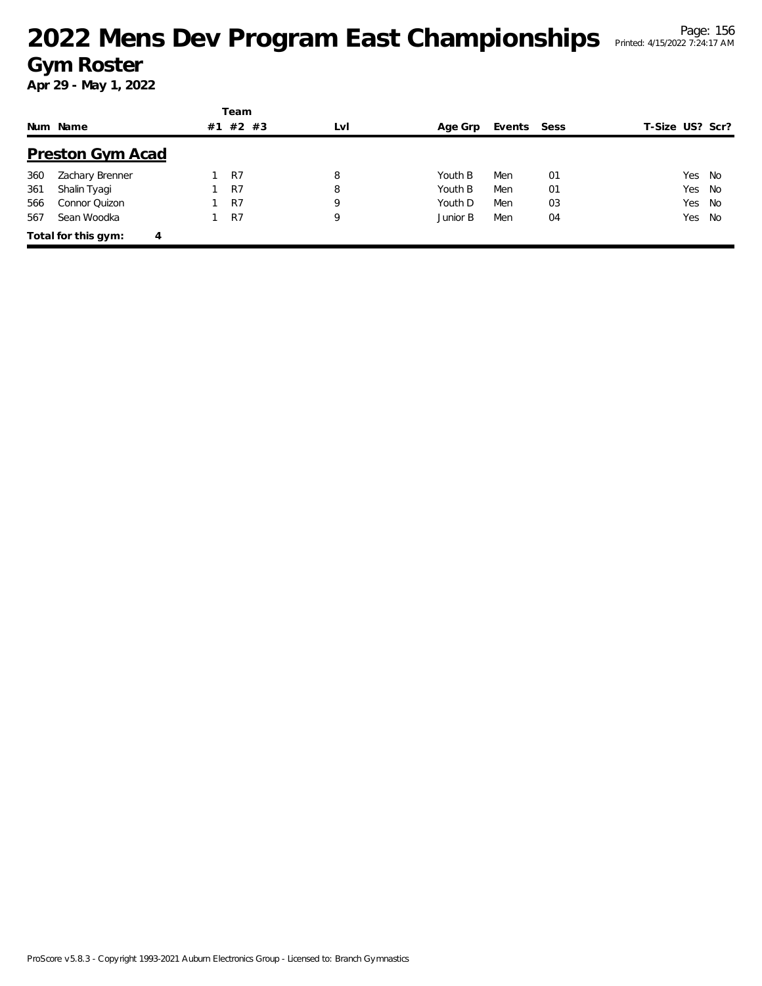|     |                          |    | Team    |     |          |             |    |                 |        |
|-----|--------------------------|----|---------|-----|----------|-------------|----|-----------------|--------|
|     | Num Name                 | #1 | $#2$ #3 | LvI | Age Grp  | Events Sess |    | T-Size US? Scr? |        |
|     | <b>Preston Gym Acad</b>  |    |         |     |          |             |    |                 |        |
| 360 | Zachary Brenner          |    | R7      | 8   | Youth B  | Men         | 01 |                 | Yes No |
| 361 | Shalin Tyagi             |    | R7      | 8   | Youth B  | Men         | 01 | Yes             | No     |
| 566 | Connor Quizon            |    | R7      | 9   | Youth D  | Men         | 03 |                 | Yes No |
| 567 | Sean Woodka              |    | R7      | 9   | Junior B | Men         | 04 |                 | Yes No |
|     | Total for this gym:<br>4 |    |         |     |          |             |    |                 |        |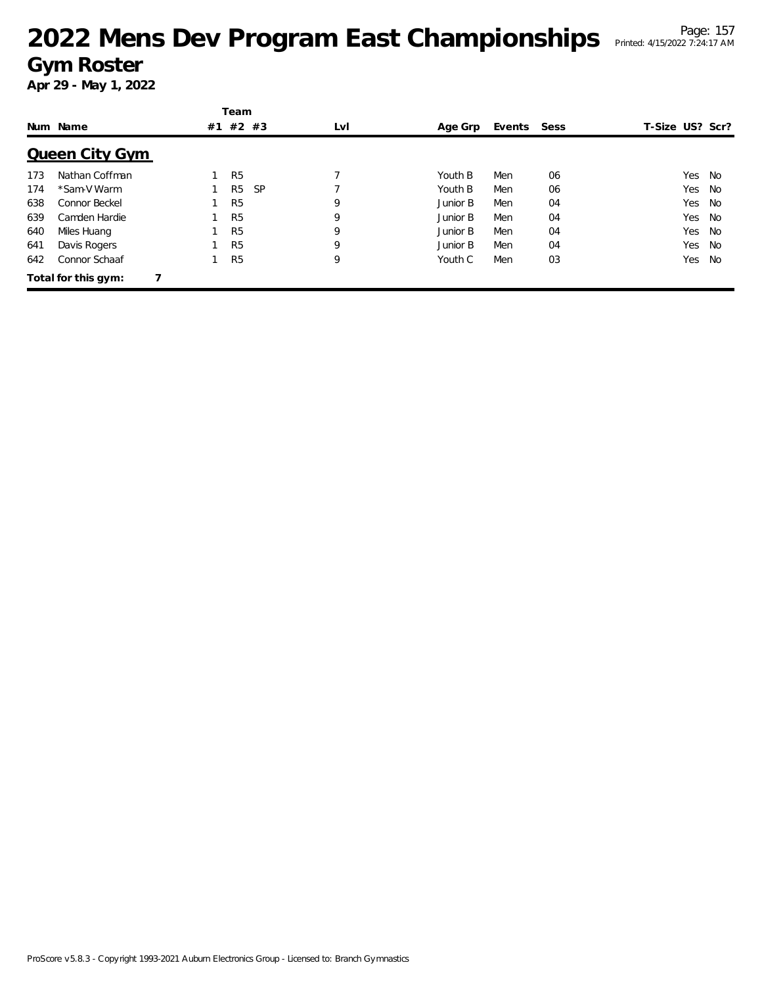|     |                       |    | Team           |           |     |          |        |      |                 |     |    |
|-----|-----------------------|----|----------------|-----------|-----|----------|--------|------|-----------------|-----|----|
|     | Num Name              | #1 | #2 #3          |           | LvI | Age Grp  | Events | Sess | T-Size US? Scr? |     |    |
|     | <b>Queen City Gym</b> |    |                |           |     |          |        |      |                 |     |    |
| 173 | Nathan Coffman        |    | R <sub>5</sub> |           |     | Youth B  | Men    | 06   |                 | Yes | No |
| 174 | *Sam-V Warm           |    | R <sub>5</sub> | <b>SP</b> |     | Youth B  | Men    | 06   |                 | Yes | No |
| 638 | Connor Beckel         |    | R <sub>5</sub> |           | 9   | Junior B | Men    | 04   |                 | Yes | No |
| 639 | Camden Hardie         |    | R <sub>5</sub> |           | 9   | Junior B | Men    | 04   |                 | Yes | No |
| 640 | Miles Huang           |    | R <sub>5</sub> |           | 9   | Junior B | Men    | 04   |                 | Yes | No |
| 641 | Davis Rogers          |    | R <sub>5</sub> |           | 9   | Junior B | Men    | 04   |                 | Yes | No |
| 642 | Connor Schaaf         |    | R <sub>5</sub> |           | 9   | Youth C  | Men    | 03   |                 | Yes | No |
|     | Total for this gym:   |    |                |           |     |          |        |      |                 |     |    |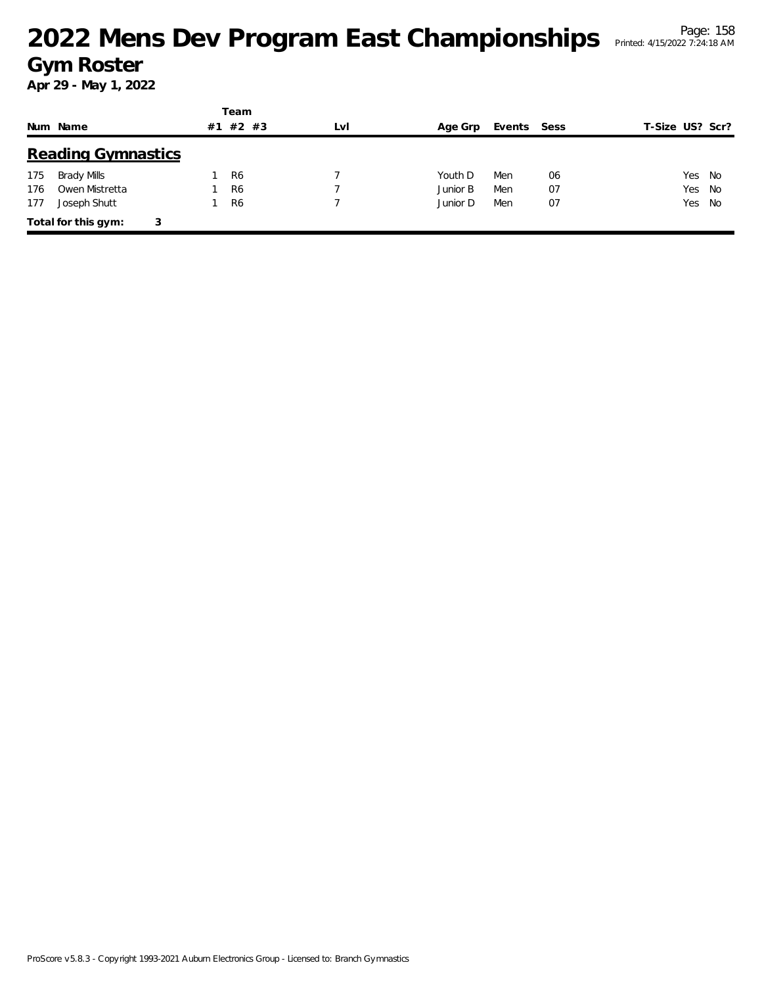|     |                           |    | Team           |     |          |        |      |                 |
|-----|---------------------------|----|----------------|-----|----------|--------|------|-----------------|
|     | Num Name                  | #1 | #2 #3          | LvI | Age Grp  | Events | Sess | T-Size US? Scr? |
|     | <b>Reading Gymnastics</b> |    |                |     |          |        |      |                 |
| 175 | Brady Mills               |    | R <sub>6</sub> |     | Youth D  | Men    | 06   | Yes No          |
| 176 | Owen Mistretta            |    | R <sub>6</sub> |     | Junior B | Men    | 07   | Yes<br>- No     |
| 177 | Joseph Shutt              |    | R <sub>6</sub> |     | Junior D | Men    | 07   | Yes No          |
|     | Total for this gym:<br>3  |    |                |     |          |        |      |                 |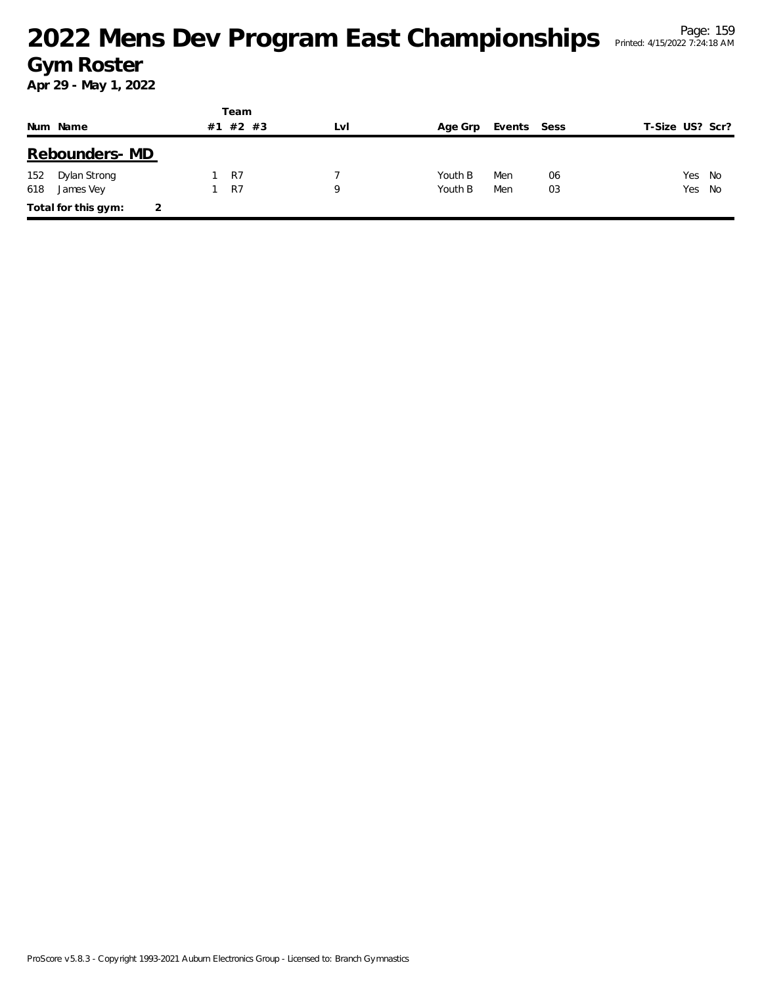|     |                     |    | Team    |     |         |             |    |                 |  |
|-----|---------------------|----|---------|-----|---------|-------------|----|-----------------|--|
|     | Num Name            | #1 | $#2$ #3 | LvI | Age Grp | Events Sess |    | T-Size US? Scr? |  |
|     | Rebounders- MD      |    |         |     |         |             |    |                 |  |
| 152 | Dylan Strong        |    | R7      |     | Youth B | Men         | 06 | Yes No          |  |
| 618 | James Vey           |    | R7      | Q   | Youth B | Men         | 03 | Yes No          |  |
|     | Total for this gym: |    |         |     |         |             |    |                 |  |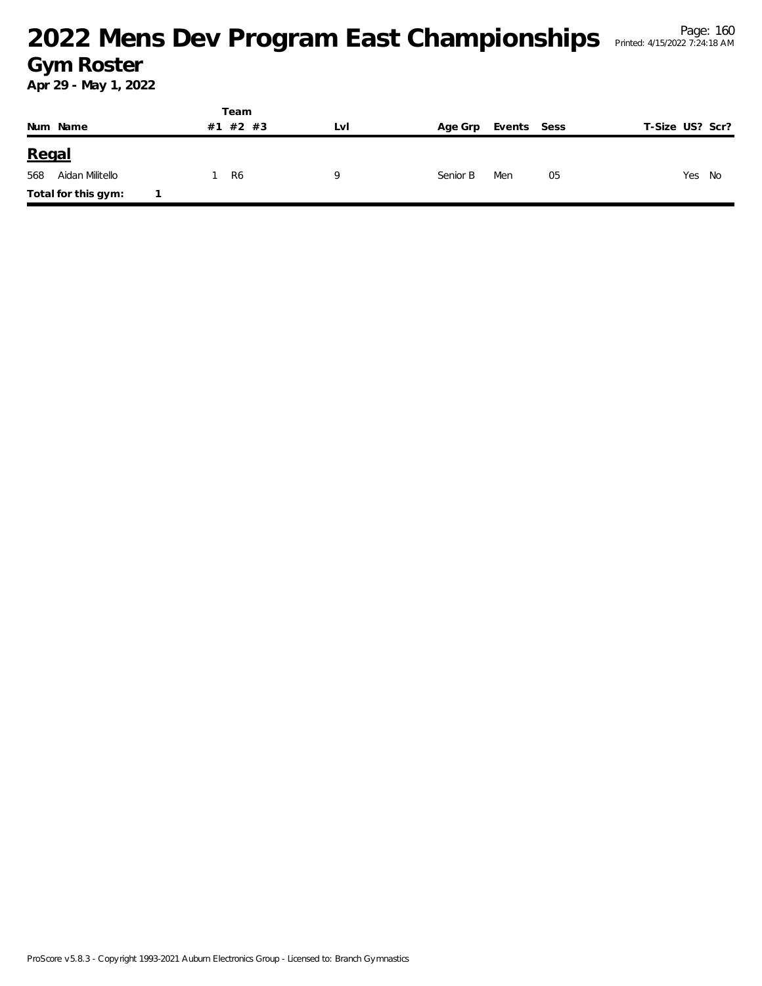|          |                     | Team     |     |          |             |                 |
|----------|---------------------|----------|-----|----------|-------------|-----------------|
| Num Name |                     | #1 #2 #3 | LvI | Age Grp  | Events Sess | T-Size US? Scr? |
| Regal    |                     |          |     |          |             |                 |
| 568      | Aidan Militello     | R6       | Q   | Senior B | Men<br>05   | Yes<br>No       |
|          | Total for this gym: |          |     |          |             |                 |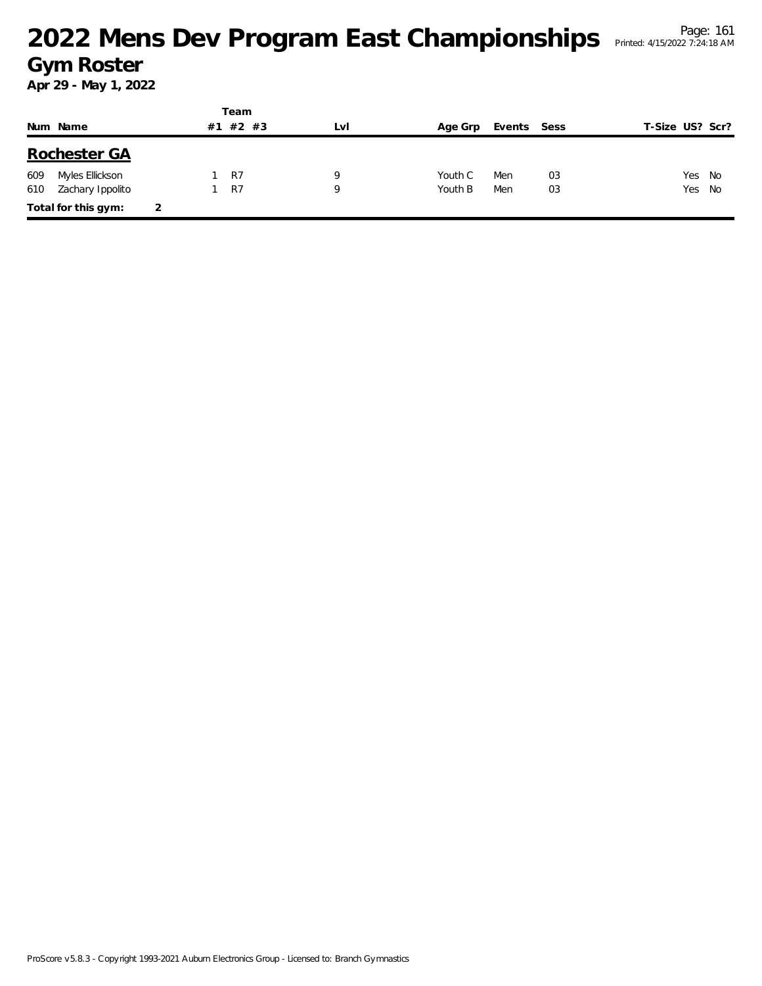|     |                     |   |    | Team           |     |         |             |    |                 |    |
|-----|---------------------|---|----|----------------|-----|---------|-------------|----|-----------------|----|
|     | Num Name            |   | #1 | $#2$ #3        | LvI | Age Grp | Events Sess |    | T-Size US? Scr? |    |
|     | Rochester GA        |   |    |                |     |         |             |    |                 |    |
| 609 | Myles Ellickson     |   |    | R7             | Q   | Youth C | Men         | 03 | Yes             | No |
| 610 | Zachary Ippolito    |   |    | R <sub>7</sub> | 9   | Youth B | Men         | 03 | Yes No          |    |
|     | Total for this gym: | 2 |    |                |     |         |             |    |                 |    |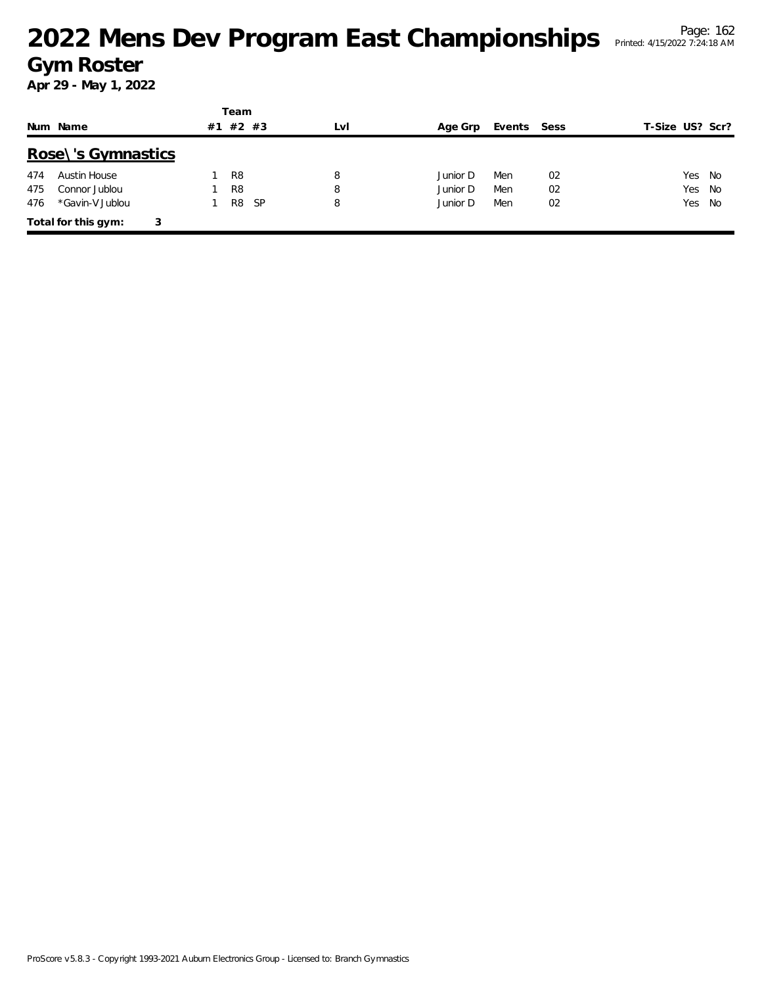|     |                     |    | Team           |     |     |          |             |    |                 |
|-----|---------------------|----|----------------|-----|-----|----------|-------------|----|-----------------|
|     | Num Name            | #1 | #2 #3          |     | LvI | Age Grp  | Events Sess |    | T-Size US? Scr? |
|     | Rose\'s Gymnastics  |    |                |     |     |          |             |    |                 |
| 474 | Austin House        |    | R <sub>8</sub> |     | 8   | Junior D | Men         | 02 | Yes No          |
| 475 | Connor Jublou       |    | R <sub>8</sub> |     | 8   | Junior D | Men         | 02 | Yes No          |
| 476 | *Gavin-V Jublou     |    | R8             | -SP | 8   | Junior D | Men         | 02 | Yes No          |
|     | Total for this gym: | 3  |                |     |     |          |             |    |                 |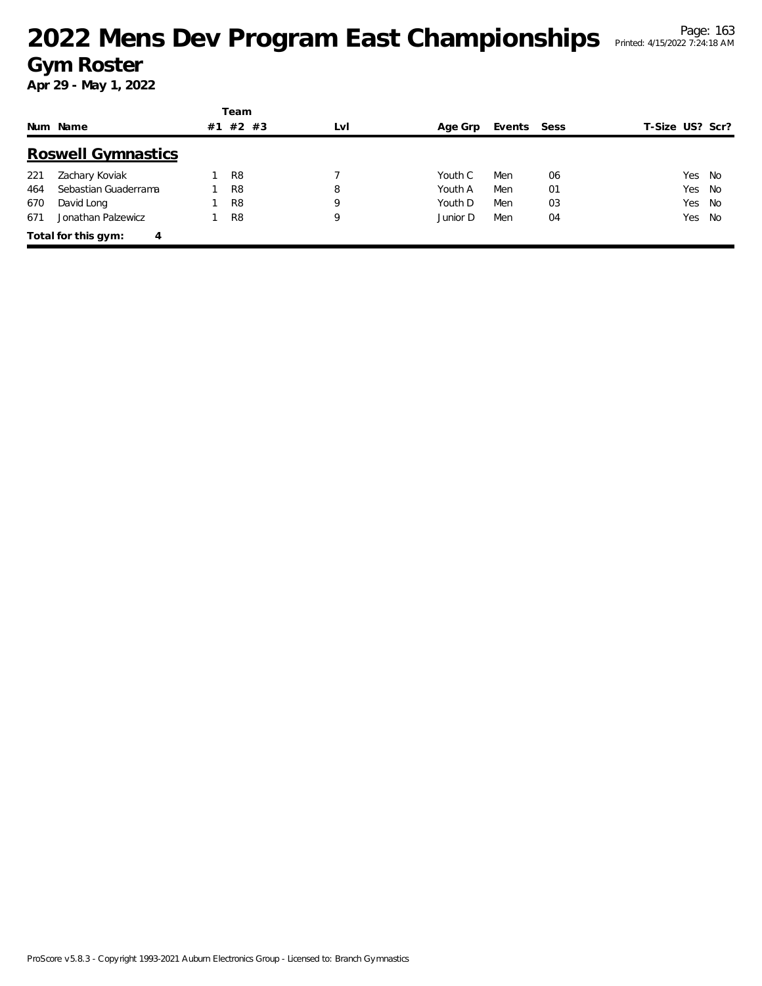|     |                           |    | Team           |     |          |             |    |                 |  |
|-----|---------------------------|----|----------------|-----|----------|-------------|----|-----------------|--|
|     | Num Name                  | #1 | #2<br>#3       | LvI | Age Grp  | Events Sess |    | T-Size US? Scr? |  |
|     | <b>Roswell Gymnastics</b> |    |                |     |          |             |    |                 |  |
| 221 | Zachary Koviak            |    | R <sub>8</sub> |     | Youth C  | Men         | 06 | Yes<br>- No     |  |
| 464 | Sebastian Guaderrama      |    | R <sub>8</sub> | 8   | Youth A  | Men         | 01 | Yes<br>- No     |  |
| 670 | David Long                |    | R <sub>8</sub> | 9   | Youth D  | Men         | 03 | Yes No          |  |
| 671 | Jonathan Palzewicz        |    | R <sub>8</sub> | 9   | Junior D | Men         | 04 | No<br>Yes       |  |
|     | Total for this gym:<br>4  |    |                |     |          |             |    |                 |  |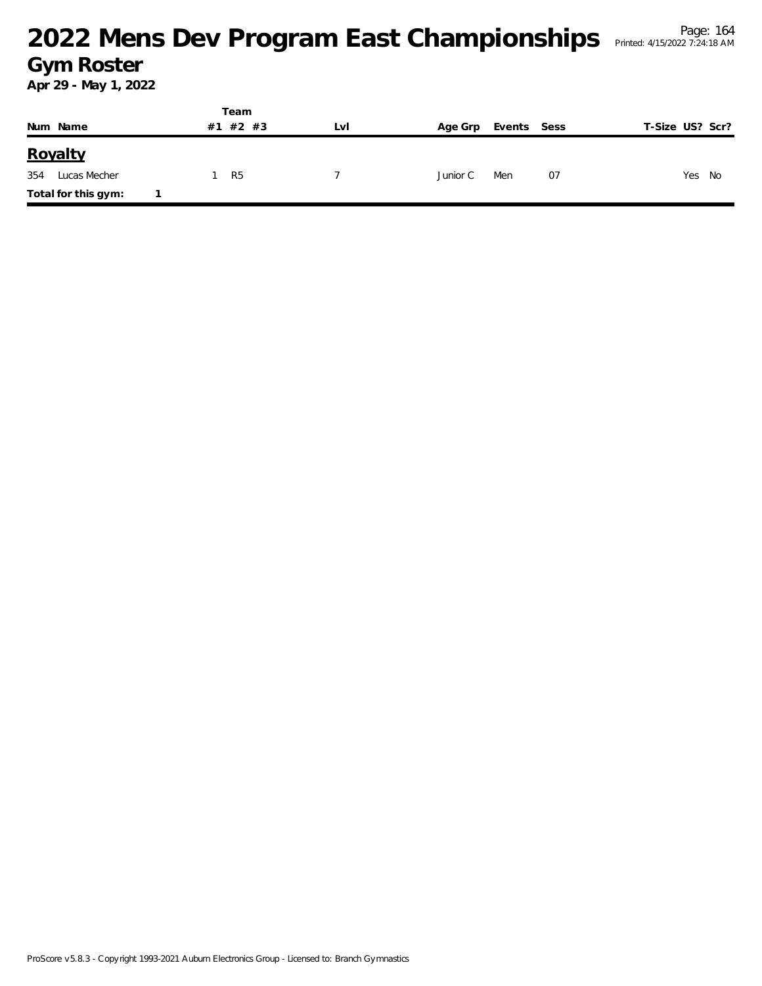|                     | Team     |     |          |             |                 |
|---------------------|----------|-----|----------|-------------|-----------------|
| Num Name            | #1 #2 #3 | LvI | Age Grp  | Events Sess | T-Size US? Scr? |
| Royalty             |          |     |          |             |                 |
| 354<br>Lucas Mecher | -R5      |     | Junior C | Men<br>07   | Yes No          |
| Total for this gym: |          |     |          |             |                 |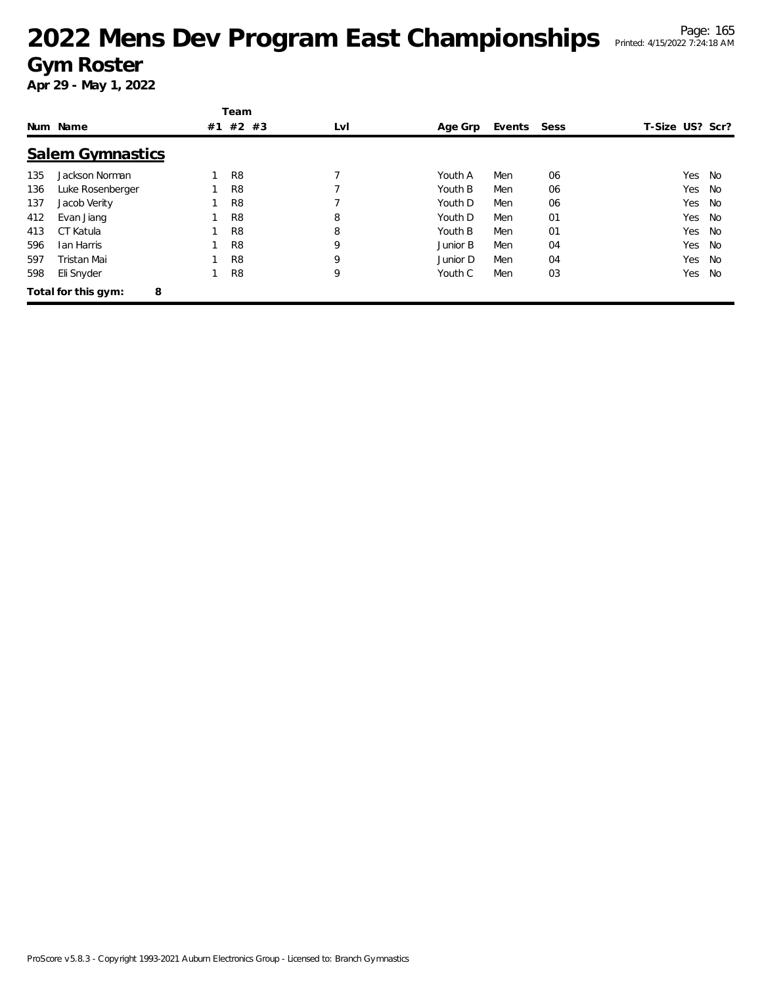|     |                          |    | Team           |     |          |        |      |                 |    |
|-----|--------------------------|----|----------------|-----|----------|--------|------|-----------------|----|
|     | Num Name                 | #1 | $#2$ #3        | LvI | Age Grp  | Events | Sess | T-Size US? Scr? |    |
|     | <b>Salem Gymnastics</b>  |    |                |     |          |        |      |                 |    |
| 135 | Jackson Norman           |    | R <sub>8</sub> | 7   | Youth A  | Men    | 06   | Yes             | No |
| 136 | Luke Rosenberger         |    | R <sub>8</sub> |     | Youth B  | Men    | 06   | Yes             | No |
| 137 | Jacob Verity             |    | R <sub>8</sub> |     | Youth D  | Men    | 06   | Yes             | No |
| 412 | Evan Jiang               |    | R <sub>8</sub> | 8   | Youth D  | Men    | 01   | Yes             | No |
| 413 | CT Katula                |    | R <sub>8</sub> | 8   | Youth B  | Men    | 01   | Yes             | No |
| 596 | Ian Harris               |    | R <sub>8</sub> | 9   | Junior B | Men    | 04   | Yes             | No |
| 597 | Tristan Mai              |    | R <sub>8</sub> | 9   | Junior D | Men    | 04   | Yes             | No |
| 598 | Eli Snyder               |    | R <sub>8</sub> | 9   | Youth C  | Men    | 03   | Yes             | No |
|     | Total for this gym:<br>8 |    |                |     |          |        |      |                 |    |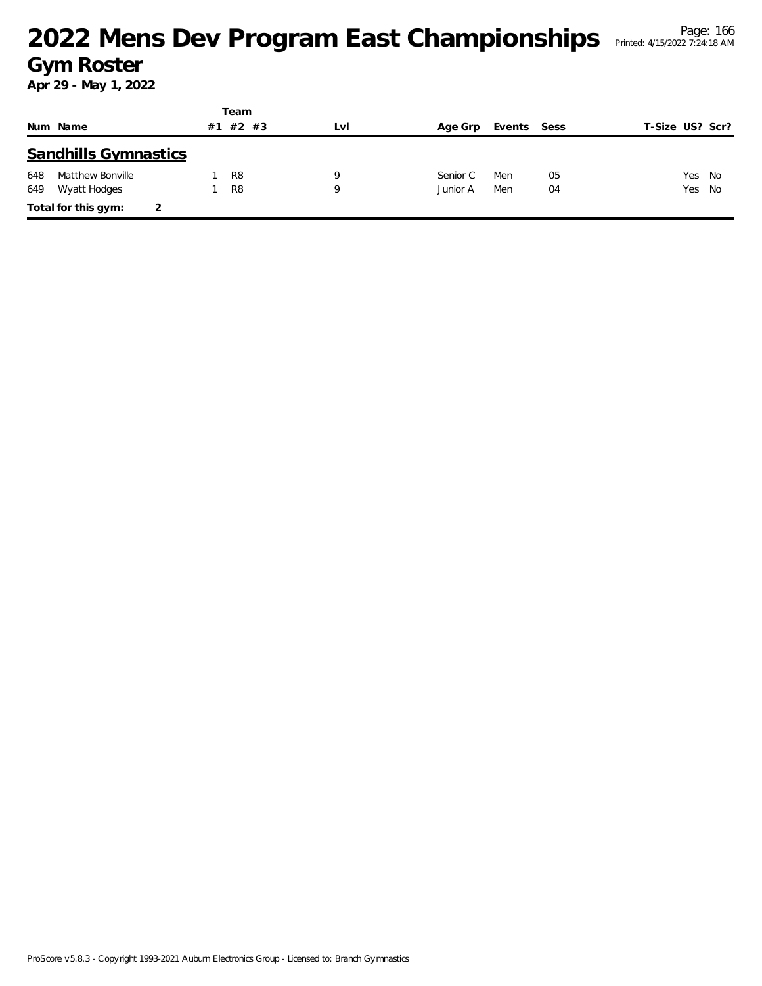|     |                             |    | Team           |     |          |             |    |                 |        |
|-----|-----------------------------|----|----------------|-----|----------|-------------|----|-----------------|--------|
|     | Num Name                    | #1 | #2 #3          | LvI | Age Grp  | Events Sess |    | T-Size US? Scr? |        |
|     | <b>Sandhills Gymnastics</b> |    |                |     |          |             |    |                 |        |
| 648 | Matthew Bonville            |    | R <sub>8</sub> | Q   | Senior C | Men         | 05 | Yes No          |        |
| 649 | Wyatt Hodges                |    | R <sub>8</sub> | 9   | Junior A | Men         | 04 |                 | Yes No |
|     | Total for this gym:         |    |                |     |          |             |    |                 |        |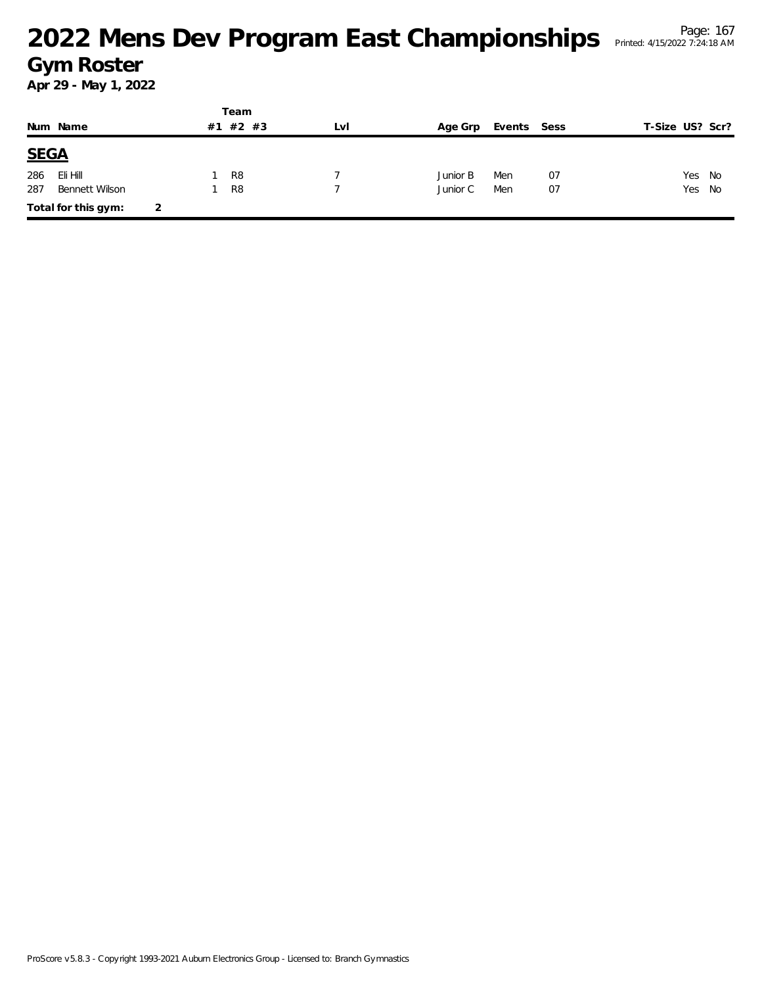|             |                     |   |    | Team           |     |          |             |    |                 |        |
|-------------|---------------------|---|----|----------------|-----|----------|-------------|----|-----------------|--------|
|             | Num Name            |   | #1 | $#2$ #3        | LvI | Age Grp  | Events Sess |    | T-Size US? Scr? |        |
| <b>SEGA</b> |                     |   |    |                |     |          |             |    |                 |        |
| 286         | Eli Hill            |   |    | R <sub>8</sub> |     | Junior B | Men         | 07 |                 | Yes No |
| 287         | Bennett Wilson      |   |    | R <sub>8</sub> |     | Junior C | Men         | 07 |                 | Yes No |
|             | Total for this gym: | 2 |    |                |     |          |             |    |                 |        |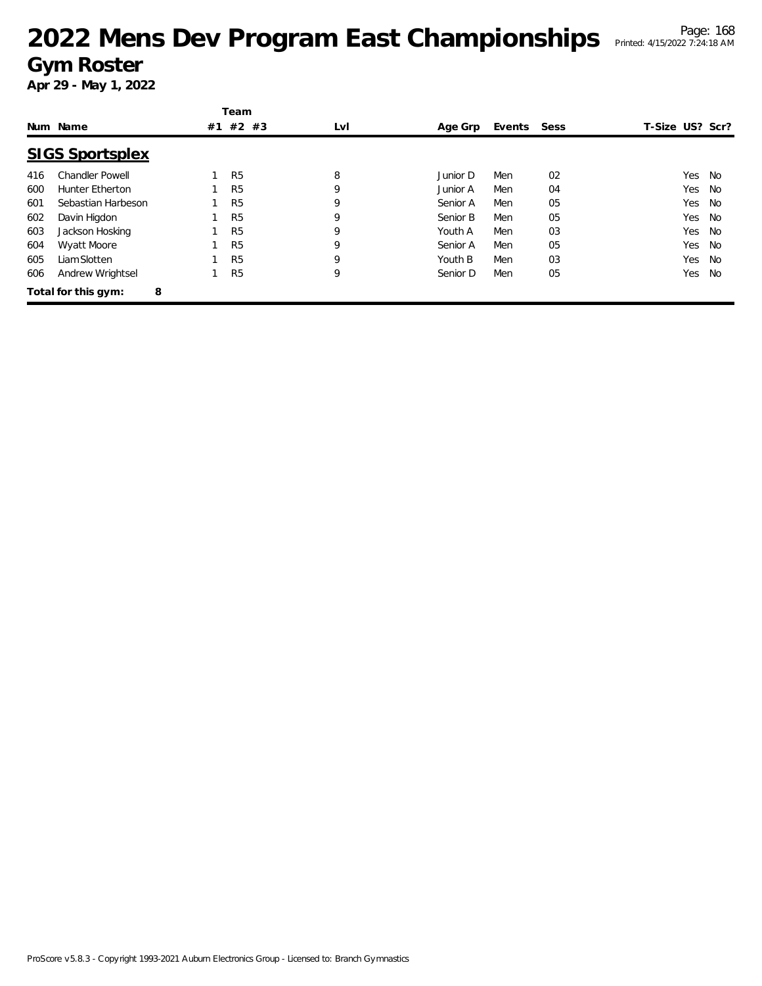|     |                          |    | Team           |     |          |             |    |                 |    |
|-----|--------------------------|----|----------------|-----|----------|-------------|----|-----------------|----|
|     | Num Name                 | #1 | #2 #3          | LvI | Age Grp  | Events Sess |    | T-Size US? Scr? |    |
|     | <b>SIGS Sportsplex</b>   |    |                |     |          |             |    |                 |    |
| 416 | <b>Chandler Powell</b>   |    | R <sub>5</sub> | 8   | Junior D | Men         | 02 | Yes             | No |
| 600 | <b>Hunter Etherton</b>   |    | R <sub>5</sub> | 9   | Junior A | Men         | 04 | Yes             | No |
| 601 | Sebastian Harbeson       |    | R <sub>5</sub> | 9   | Senior A | Men         | 05 | Yes             | No |
| 602 | Davin Higdon             |    | R <sub>5</sub> | 9   | Senior B | Men         | 05 | Yes             | No |
| 603 | Jackson Hosking          |    | R <sub>5</sub> | 9   | Youth A  | Men         | 03 | Yes             | No |
| 604 | Wyatt Moore              |    | R <sub>5</sub> | 9   | Senior A | Men         | 05 | Yes             | No |
| 605 | Liam Slotten             |    | R <sub>5</sub> | 9   | Youth B  | Men         | 03 | Yes             | No |
| 606 | Andrew Wrightsel         |    | R <sub>5</sub> | 9   | Senior D | Men         | 05 | Yes             | No |
|     | 8<br>Total for this gym: |    |                |     |          |             |    |                 |    |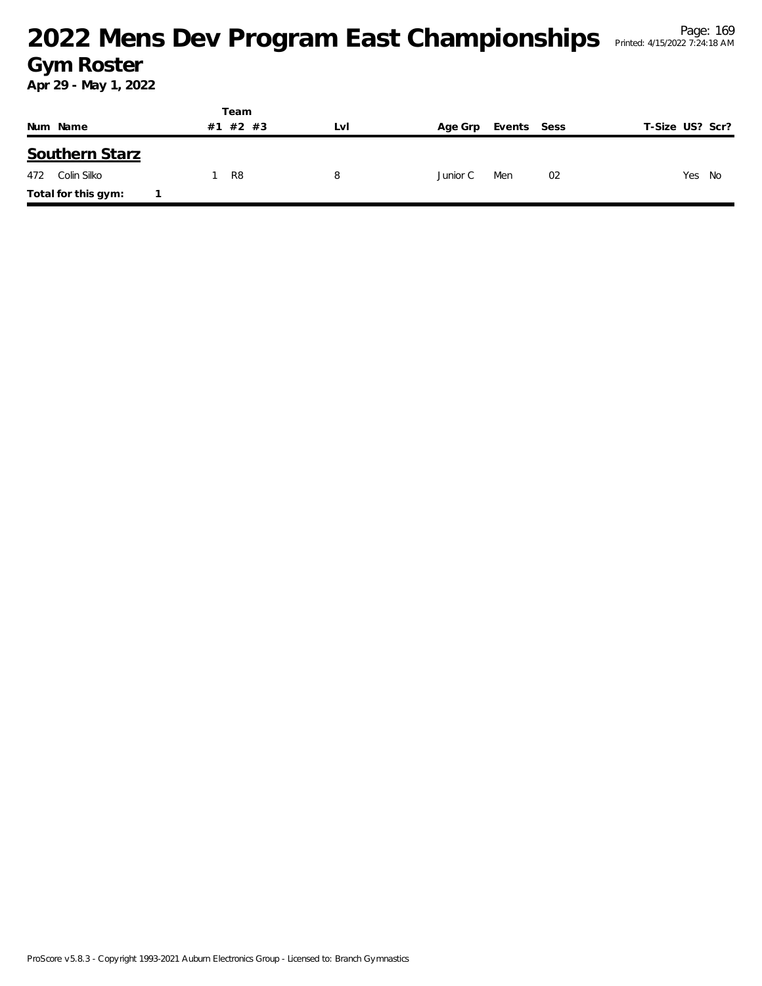|     |                     | Team          |     |          |             |                 |
|-----|---------------------|---------------|-----|----------|-------------|-----------------|
|     | Num Name            | $#2$ #3<br>#1 | LvI | Age Grp  | Events Sess | T-Size US? Scr? |
|     | Southern Starz      |               |     |          |             |                 |
| 472 | Colin Silko         | R8            | 8   | Junior C | 02<br>Men   | Yes No          |
|     | Total for this gym: |               |     |          |             |                 |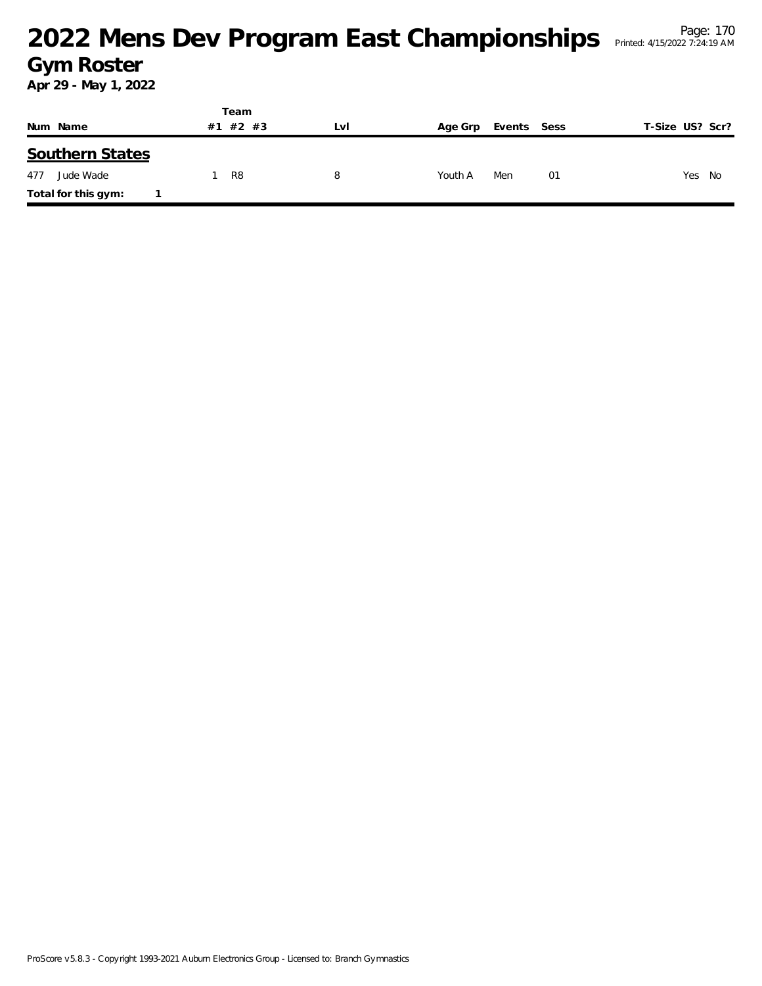|                        | Team     |     |                        |                 |  |  |
|------------------------|----------|-----|------------------------|-----------------|--|--|
| Num Name               | #1 #2 #3 | LVI | Events Sess<br>Age Grp | T-Size US? Scr? |  |  |
| <b>Southern States</b> |          |     |                        |                 |  |  |
| Jude Wade<br>477       | R8       | 8   | Men<br>Youth A<br>01   | Yes<br>No       |  |  |
| Total for this gym:    |          |     |                        |                 |  |  |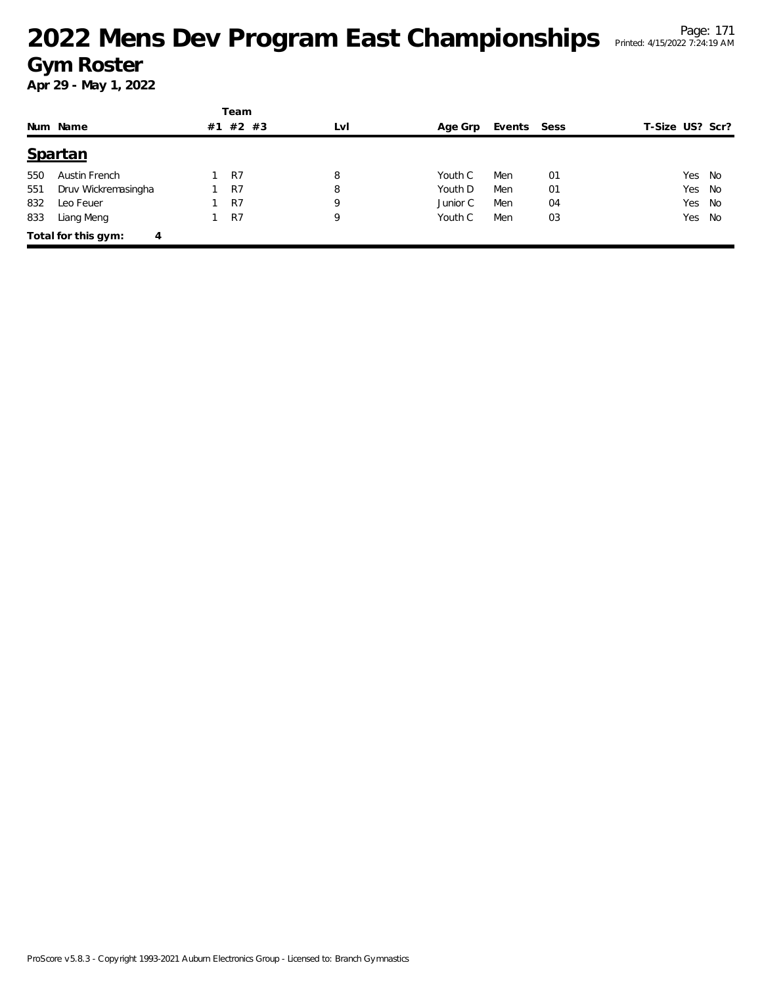|     |                          |    | Team  |     |          |             |    |                 |  |
|-----|--------------------------|----|-------|-----|----------|-------------|----|-----------------|--|
|     | Num Name                 | #1 | #2 #3 | LvI | Age Grp  | Events Sess |    | T-Size US? Scr? |  |
|     | Spartan                  |    |       |     |          |             |    |                 |  |
| 550 | Austin French            |    | R7    | 8   | Youth C  | Men         | 01 | Yes No          |  |
| 551 | Druv Wickremasingha      |    | R7    | 8   | Youth D  | Men         | 01 | Yes No          |  |
| 832 | Leo Feuer                |    | R7    | 9   | Junior C | Men         | 04 | Yes No          |  |
| 833 | Liang Meng               |    | R7    | 9   | Youth C  | Men         | 03 | Yes No          |  |
|     | Total for this gym:<br>4 |    |       |     |          |             |    |                 |  |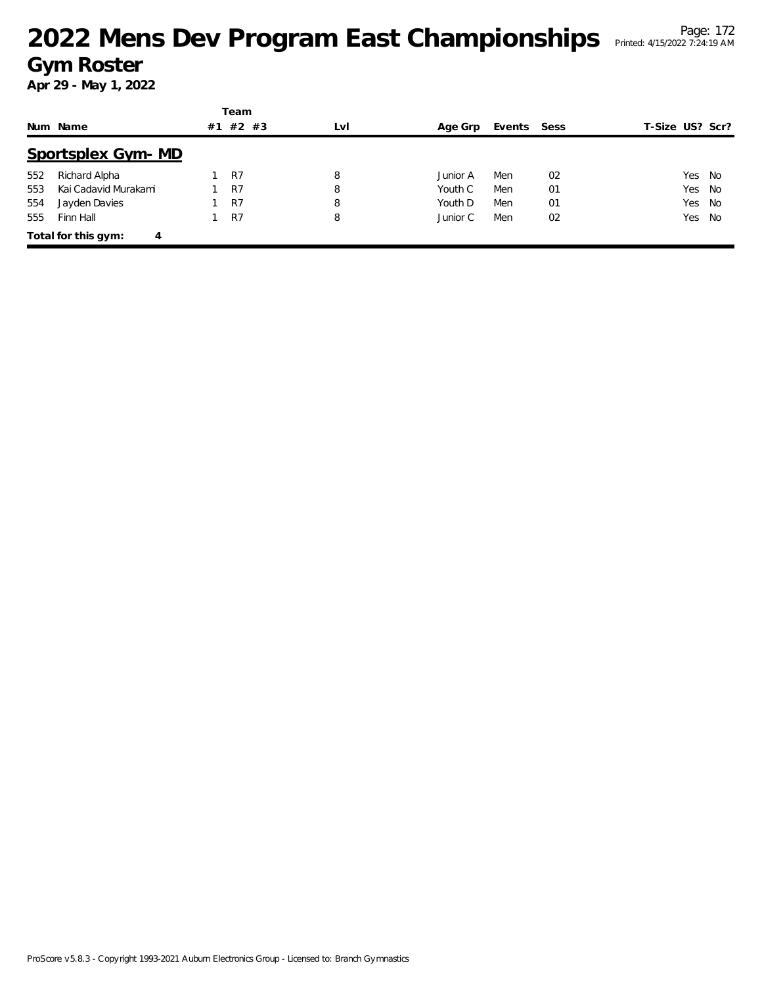|     |                          |  | Team    |     |          |             |    |                 |  |
|-----|--------------------------|--|---------|-----|----------|-------------|----|-----------------|--|
|     | Num Name                 |  | $#2$ #3 | LvI | Age Grp  | Events Sess |    | T-Size US? Scr? |  |
|     | Sportsplex Gym-MD        |  |         |     |          |             |    |                 |  |
| 552 | Richard Alpha            |  | R7      | 8   | Junior A | Men         | 02 | Yes No          |  |
| 553 | Kai Cadavid Murakami     |  | R7      | 8   | Youth C  | Men         | 01 | Yes No          |  |
| 554 | Jayden Davies            |  | R7      | 8   | Youth D  | Men         | 01 | Yes No          |  |
| 555 | Finn Hall                |  | R7      | 8   | Junior C | Men         | 02 | Yes No          |  |
|     | Total for this gym:<br>4 |  |         |     |          |             |    |                 |  |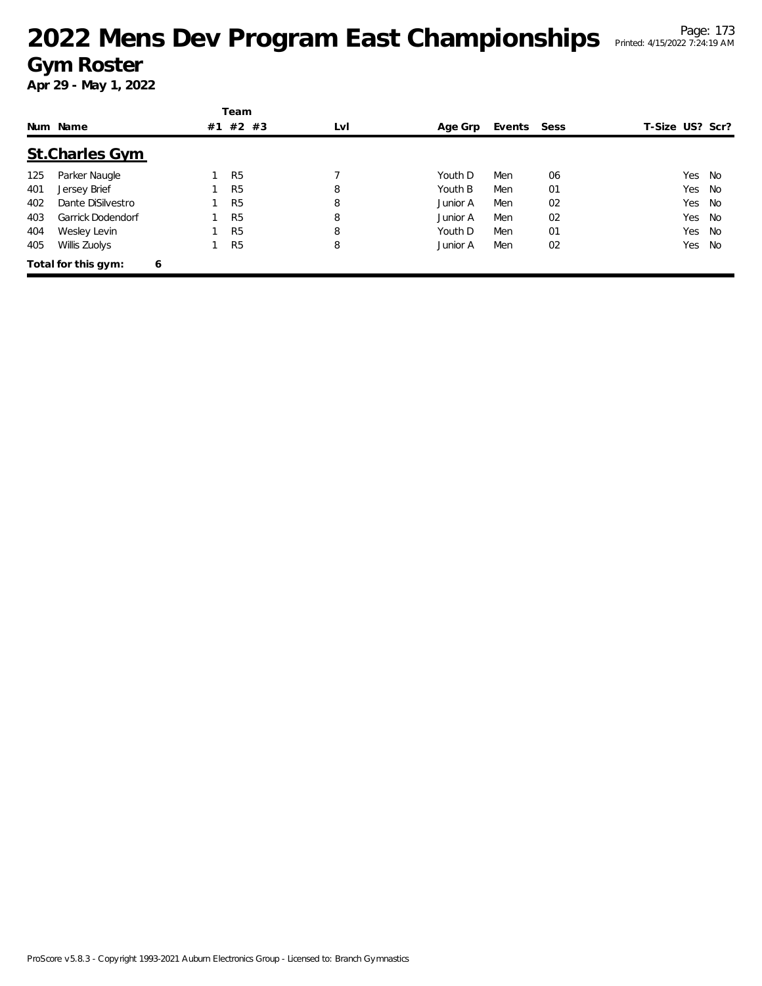|     |                          |    | Team           |     |          |             |    |                 |    |
|-----|--------------------------|----|----------------|-----|----------|-------------|----|-----------------|----|
|     | Num Name                 | #1 | #2 #3          | LvI | Age Grp  | Events Sess |    | T-Size US? Scr? |    |
|     | <b>St.Charles Gym</b>    |    |                |     |          |             |    |                 |    |
| 125 | Parker Naugle            |    | R <sub>5</sub> |     | Youth D  | Men         | 06 | Yes.            | No |
| 401 | Jersey Brief             |    | R <sub>5</sub> | 8   | Youth B  | Men         | 01 | Yes             | No |
| 402 | Dante DiSilvestro        |    | R <sub>5</sub> | 8   | Junior A | Men         | 02 | Yes.            | No |
| 403 | <b>Garrick Dodendorf</b> |    | R <sub>5</sub> | 8   | Junior A | Men         | 02 | Yes             | No |
| 404 | Wesley Levin             |    | R <sub>5</sub> | 8   | Youth D  | Men         | 01 | Yes.            | No |
| 405 | Willis Zuolys            |    | R <sub>5</sub> | 8   | Junior A | Men         | 02 | Yes             | No |
|     | Total for this gym:<br>6 |    |                |     |          |             |    |                 |    |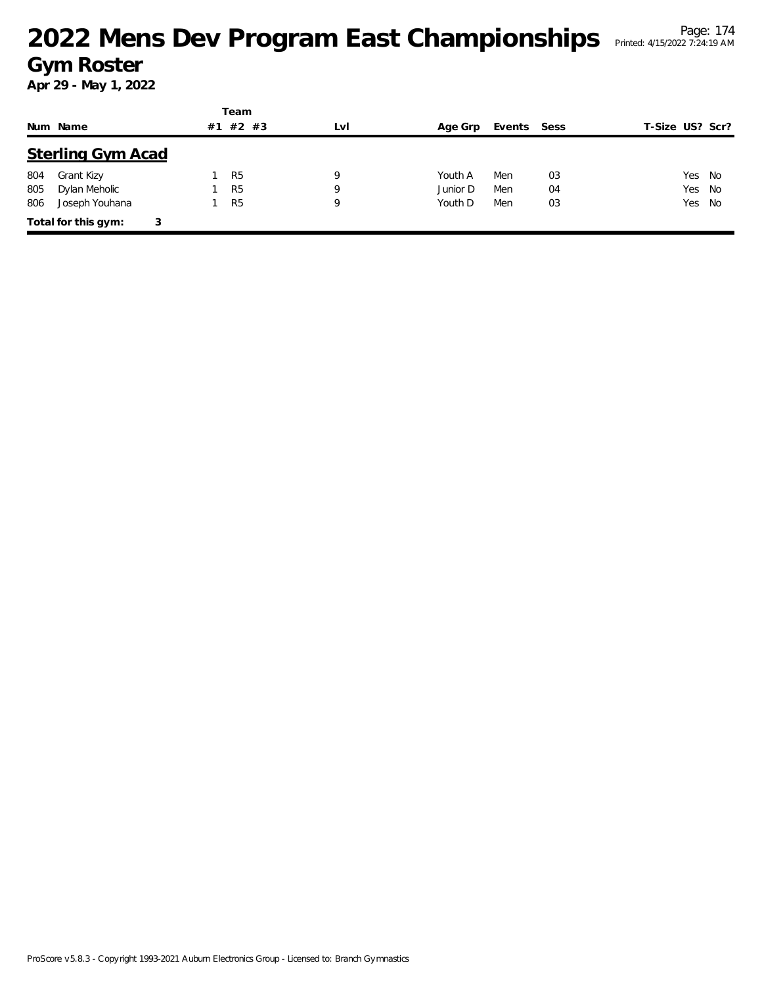|     |                          |    | Team           |     |          |        |      |                 |
|-----|--------------------------|----|----------------|-----|----------|--------|------|-----------------|
|     | Num Name                 | #1 | $#2$ #3        | LvI | Age Grp  | Events | Sess | T-Size US? Scr? |
|     | <b>Sterling Gym Acad</b> |    |                |     |          |        |      |                 |
| 804 | Grant Kizy               |    | R <sub>5</sub> | 9   | Youth A  | Men    | 03   | Yes No          |
| 805 | Dylan Meholic            |    | R <sub>5</sub> | Q   | Junior D | Men    | 04   | Yes No          |
| 806 | Joseph Youhana           |    | R <sub>5</sub> | 9   | Youth D  | Men    | 03   | Yes No          |
|     | Total for this gym:<br>3 |    |                |     |          |        |      |                 |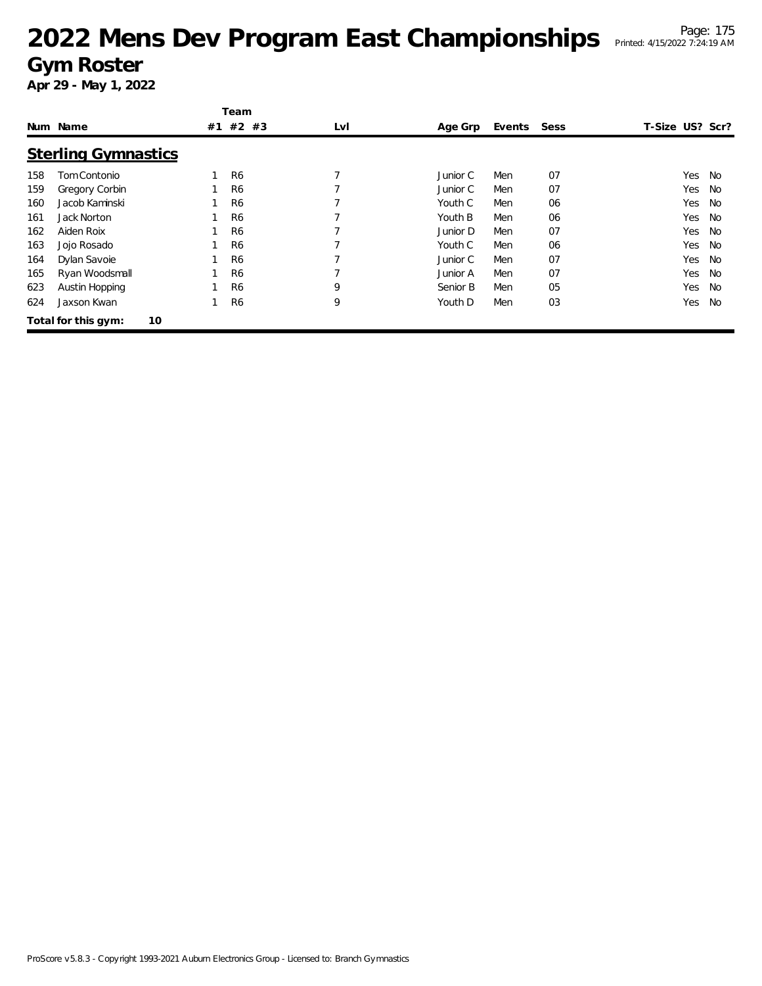|     |                            |    | Team           |     |          |        |      |                 |           |
|-----|----------------------------|----|----------------|-----|----------|--------|------|-----------------|-----------|
|     | Num Name                   | #1 | #2 #3          | LvI | Age Grp  | Events | Sess | T-Size US? Scr? |           |
|     | <b>Sterling Gymnastics</b> |    |                |     |          |        |      |                 |           |
| 158 | Tom Contonio               |    | R <sub>6</sub> |     | Junior C | Men    | 07   | Yes             | No        |
| 159 | Gregory Corbin             |    | R <sub>6</sub> |     | Junior C | Men    | 07   | Yes             | No        |
| 160 | Jacob Kaminski             |    | R <sub>6</sub> |     | Youth C  | Men    | 06   | Yes             | No        |
| 161 | Jack Norton                |    | R <sub>6</sub> |     | Youth B  | Men    | 06   | Yes             | <b>No</b> |
| 162 | Aiden Roix                 |    | R <sub>6</sub> |     | Junior D | Men    | 07   | Yes             | No        |
| 163 | Jojo Rosado                |    | R <sub>6</sub> |     | Youth C  | Men    | 06   | Yes             | No        |
| 164 | Dylan Savoie               |    | R <sub>6</sub> |     | Junior C | Men    | 07   | Yes             | <b>No</b> |
| 165 | Ryan Woodsmall             |    | R <sub>6</sub> |     | Junior A | Men    | 07   | Yes             | No        |
| 623 | Austin Hopping             |    | R <sub>6</sub> | 9   | Senior B | Men    | 05   | Yes             | No        |
| 624 | Jaxson Kwan                |    | R <sub>6</sub> | 9   | Youth D  | Men    | 03   | Yes             | <b>No</b> |
|     | 10<br>Total for this gym:  |    |                |     |          |        |      |                 |           |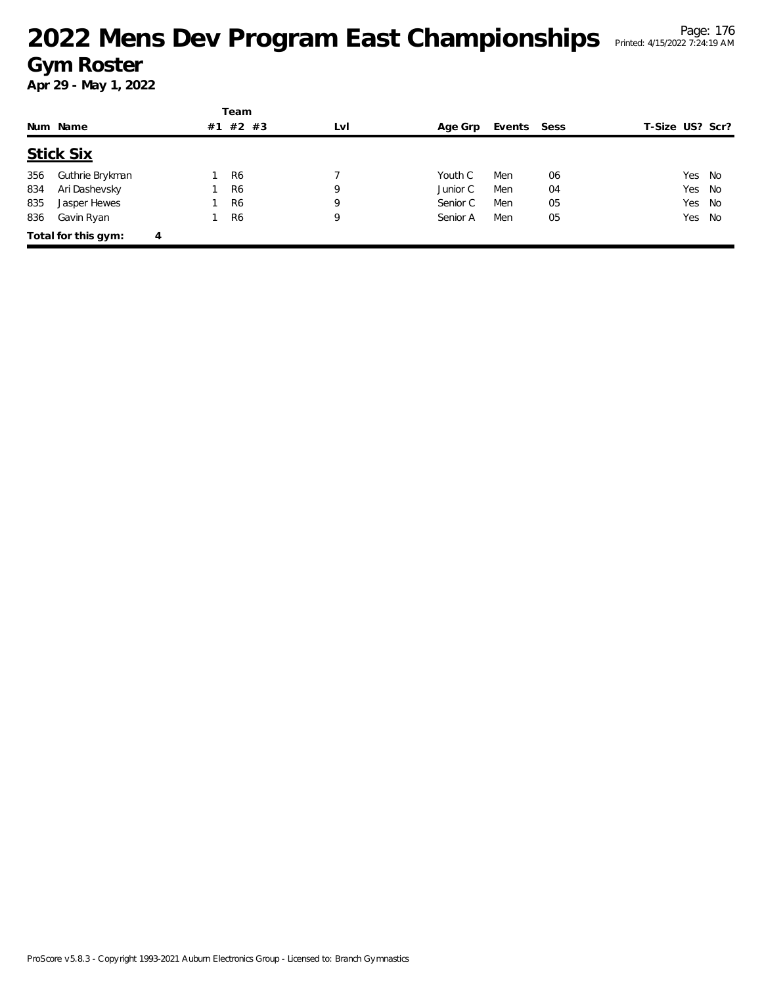|     |                     |   | Team           |         |     |          |             |    |                 |  |  |
|-----|---------------------|---|----------------|---------|-----|----------|-------------|----|-----------------|--|--|
|     | Num Name            |   | #1             | $#2$ #3 | LvI | Age Grp  | Events Sess |    | T-Size US? Scr? |  |  |
|     | <b>Stick Six</b>    |   |                |         |     |          |             |    |                 |  |  |
| 356 | Guthrie Brykman     |   | R <sub>6</sub> |         |     | Youth C  | Men         | 06 | Yes No          |  |  |
| 834 | Ari Dashevsky       |   | R <sub>6</sub> |         | 9   | Junior C | Men         | 04 | Yes No          |  |  |
| 835 | Jasper Hewes        |   | R <sub>6</sub> |         | 9   | Senior C | Men         | 05 | Yes No          |  |  |
| 836 | Gavin Ryan          |   | R <sub>6</sub> |         | 9   | Senior A | Men         | 05 | Yes No          |  |  |
|     | Total for this gym: | 4 |                |         |     |          |             |    |                 |  |  |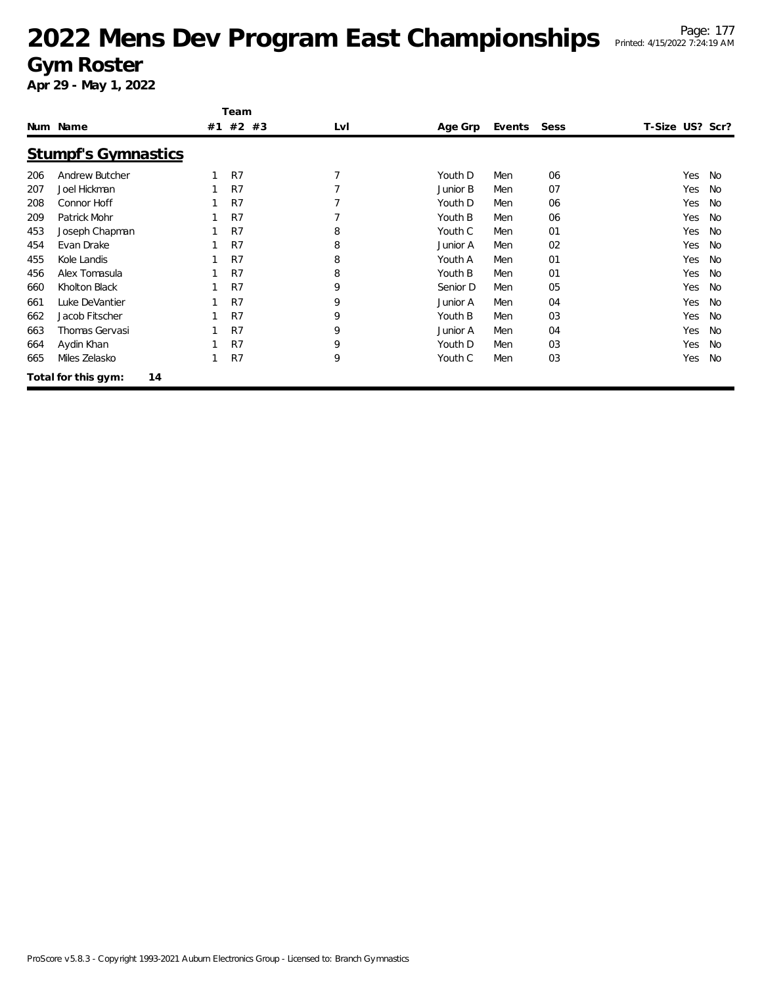|     |                            |    | Team  |     |          |        |      |                 |           |
|-----|----------------------------|----|-------|-----|----------|--------|------|-----------------|-----------|
|     | Num Name                   | #1 | #2 #3 | LvI | Age Grp  | Events | Sess | T-Size US? Scr? |           |
|     | <b>Stumpf's Gymnastics</b> |    |       |     |          |        |      |                 |           |
| 206 | Andrew Butcher             |    | R7    |     | Youth D  | Men    | 06   | Yes             | No        |
| 207 | Joel Hickman               |    | R7    |     | Junior B | Men    | 07   | Yes             | <b>No</b> |
| 208 | Connor Hoff                |    | R7    |     | Youth D  | Men    | 06   | Yes             | <b>No</b> |
| 209 | Patrick Mohr               |    | R7    |     | Youth B  | Men    | 06   | Yes             | <b>No</b> |
| 453 | Joseph Chapman             |    | R7    | 8   | Youth C  | Men    | 01   | Yes             | <b>No</b> |
| 454 | Evan Drake                 |    | R7    | 8   | Junior A | Men    | 02   | Yes             | No        |
| 455 | Kole Landis                |    | R7    | 8   | Youth A  | Men    | 01   | Yes             | No        |
| 456 | Alex Tomasula              |    | R7    | 8   | Youth B  | Men    | 01   | Yes             | <b>No</b> |
| 660 | Kholton Black              |    | R7    | 9   | Senior D | Men    | 05   | Yes             | No        |
| 661 | Luke DeVantier             |    | R7    | 9   | Junior A | Men    | 04   | Yes             | No        |
| 662 | Jacob Fitscher             |    | R7    | 9   | Youth B  | Men    | 03   | Yes             | <b>No</b> |
| 663 | Thomas Gervasi             |    | R7    | 9   | Junior A | Men    | 04   | Yes             | <b>No</b> |
| 664 | Aydin Khan                 |    | R7    | 9   | Youth D  | Men    | 03   | Yes             | <b>No</b> |
| 665 | Miles Zelasko              |    | R7    | 9   | Youth C  | Men    | 03   | Yes             | <b>No</b> |
|     | Total for this gym:<br>14  |    |       |     |          |        |      |                 |           |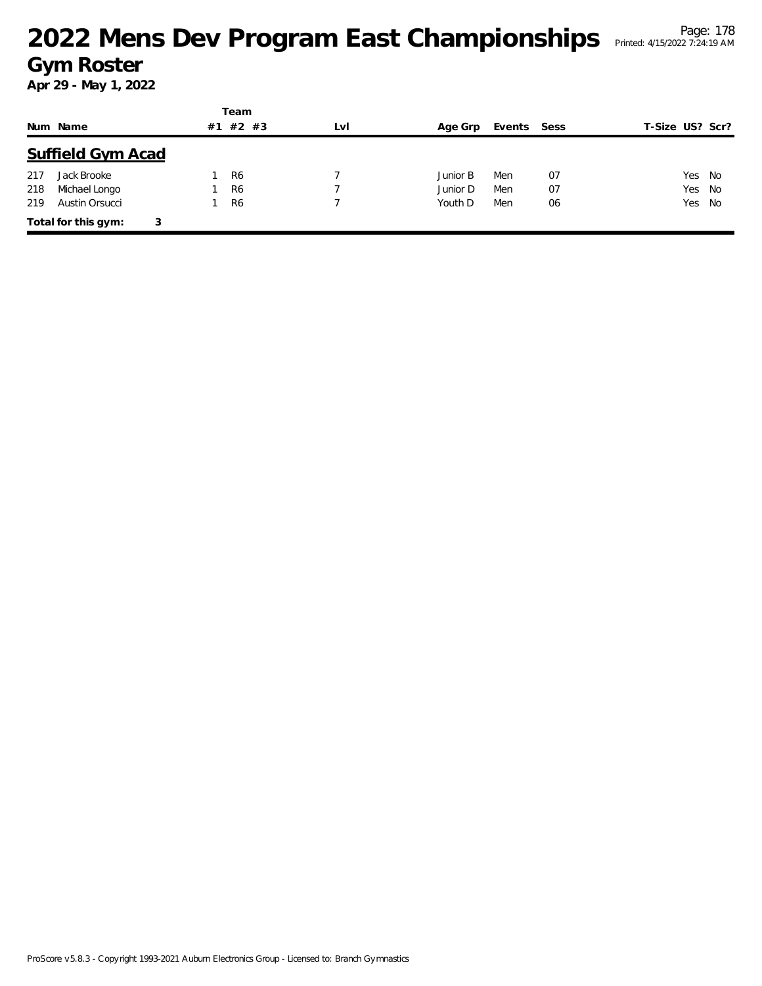|     |                          |    | Team           |     |          |        |      |                 |
|-----|--------------------------|----|----------------|-----|----------|--------|------|-----------------|
|     | Num Name                 | #1 | $#2$ #3        | LvI | Age Grp  | Events | Sess | T-Size US? Scr? |
|     | <b>Suffield Gym Acad</b> |    |                |     |          |        |      |                 |
| 217 | Jack Brooke              |    | R <sub>6</sub> |     | Junior B | Men    | 07   | Yes No          |
| 218 | Michael Longo            |    | R <sub>6</sub> |     | Junior D | Men    | 07   | Yes No          |
| 219 | Austin Orsucci           |    | R <sub>6</sub> |     | Youth D  | Men    | 06   | Yes No          |
|     | Total for this gym:<br>3 |    |                |     |          |        |      |                 |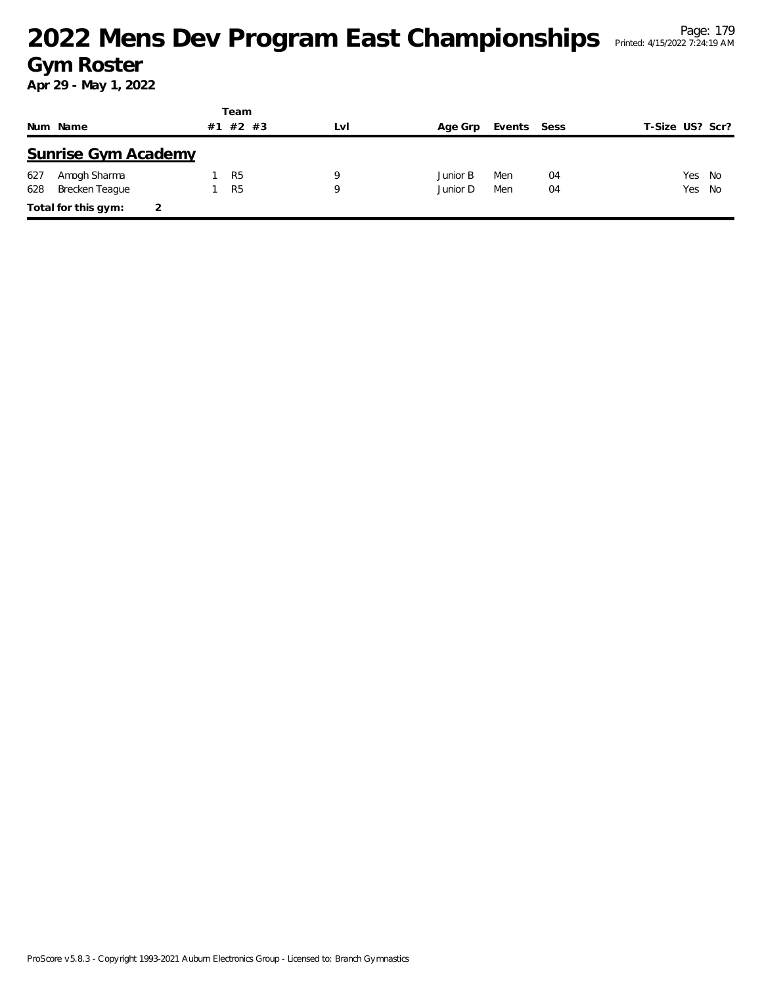|     |                            | Team           |         |     |          |             |    |                 |        |
|-----|----------------------------|----------------|---------|-----|----------|-------------|----|-----------------|--------|
|     | Num Name                   | #1             | $#2$ #3 | LvI | Age Grp  | Events Sess |    | T-Size US? Scr? |        |
|     | <b>Sunrise Gym Academy</b> |                |         |     |          |             |    |                 |        |
| 627 | Amogh Sharma               | R <sub>5</sub> |         | 9   | Junior B | Men         | 04 |                 | Yes No |
| 628 | Brecken Teague             | R <sub>5</sub> |         | 9   | Junior D | Men         | 04 |                 | Yes No |
|     | Total for this gym:        |                |         |     |          |             |    |                 |        |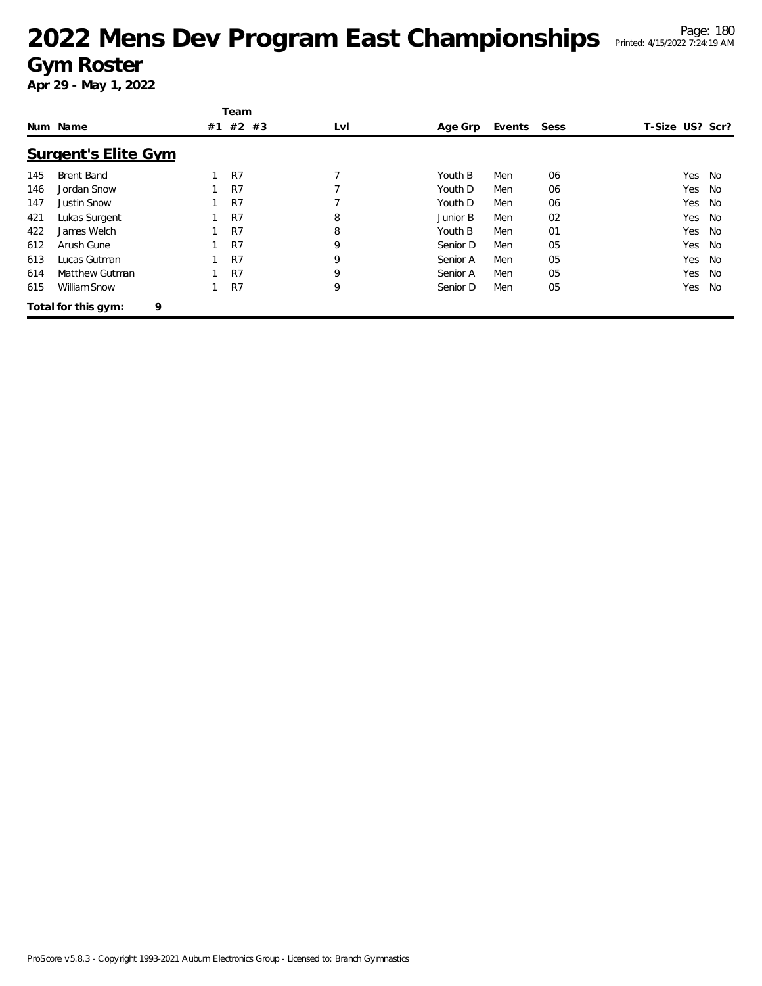|     |                            |    | Team  |                          |          |             |    |                 |           |
|-----|----------------------------|----|-------|--------------------------|----------|-------------|----|-----------------|-----------|
|     | Num Name                   | #1 | #2 #3 | LvI                      | Age Grp  | Events Sess |    | T-Size US? Scr? |           |
|     | <b>Surgent's Elite Gym</b> |    |       |                          |          |             |    |                 |           |
| 145 | Brent Band                 |    | R7    | $\overline{\phantom{a}}$ | Youth B  | Men         | 06 | Yes             | No        |
| 146 | Jordan Snow                |    | R7    |                          | Youth D  | Men         | 06 | Yes             | No        |
| 147 | <b>Justin Snow</b>         |    | R7    |                          | Youth D  | Men         | 06 | Yes             | <b>No</b> |
| 421 | Lukas Surgent              |    | R7    | 8                        | Junior B | Men         | 02 | Yes             | No        |
| 422 | James Welch                |    | R7    | 8                        | Youth B  | Men         | 01 | Yes             | No        |
| 612 | Arush Gune                 |    | R7    | 9                        | Senior D | Men         | 05 | Yes             | No        |
| 613 | Lucas Gutman               |    | R7    | 9                        | Senior A | Men         | 05 | Yes             | No        |
| 614 | Matthew Gutman             |    | R7    | 9                        | Senior A | Men         | 05 | Yes             | <b>No</b> |
| 615 | William Snow               |    | R7    | 9                        | Senior D | Men         | 05 | Yes             | <b>No</b> |
|     | 9<br>Total for this gym:   |    |       |                          |          |             |    |                 |           |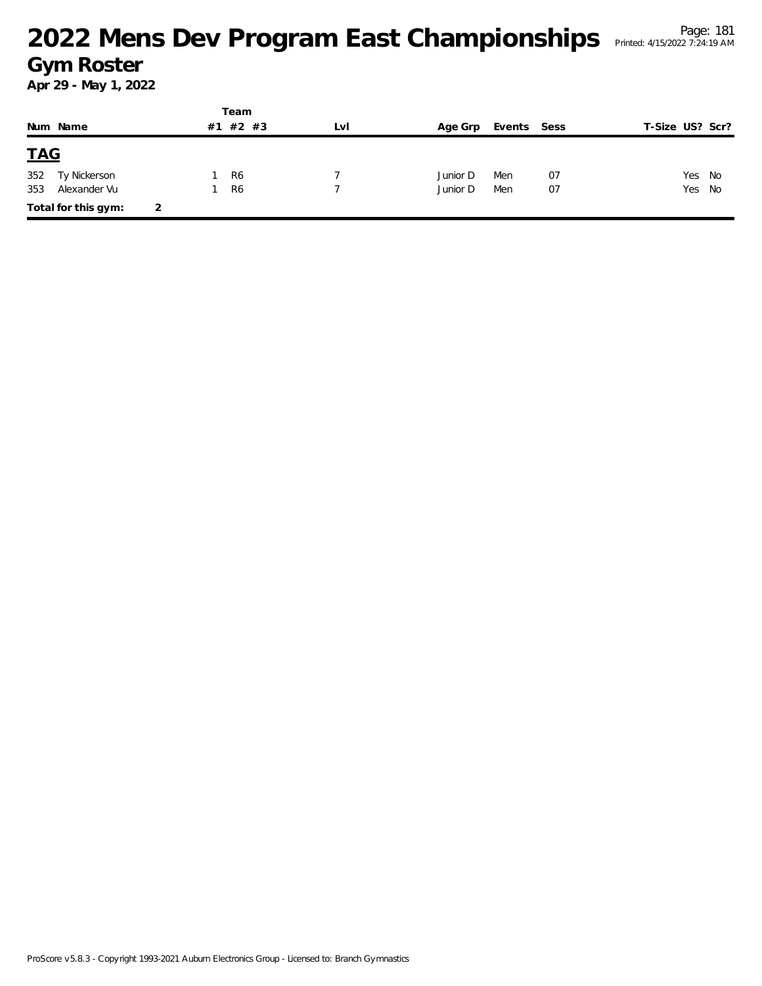|            |                     |   |    | Team           |     |          |             |    |                 |      |
|------------|---------------------|---|----|----------------|-----|----------|-------------|----|-----------------|------|
|            | Num Name            |   | #1 | #2 #3          | LVI | Age Grp  | Events Sess |    | T-Size US? Scr? |      |
| <u>TAG</u> |                     |   |    |                |     |          |             |    |                 |      |
| 352        | Ty Nickerson        |   |    | R <sub>6</sub> |     | Junior D | Men         | 07 | Yes             | - No |
| 353        | Alexander Vu        |   |    | R <sub>6</sub> |     | Junior D | Men         | 07 | Yes No          |      |
|            | Total for this gym: | 2 |    |                |     |          |             |    |                 |      |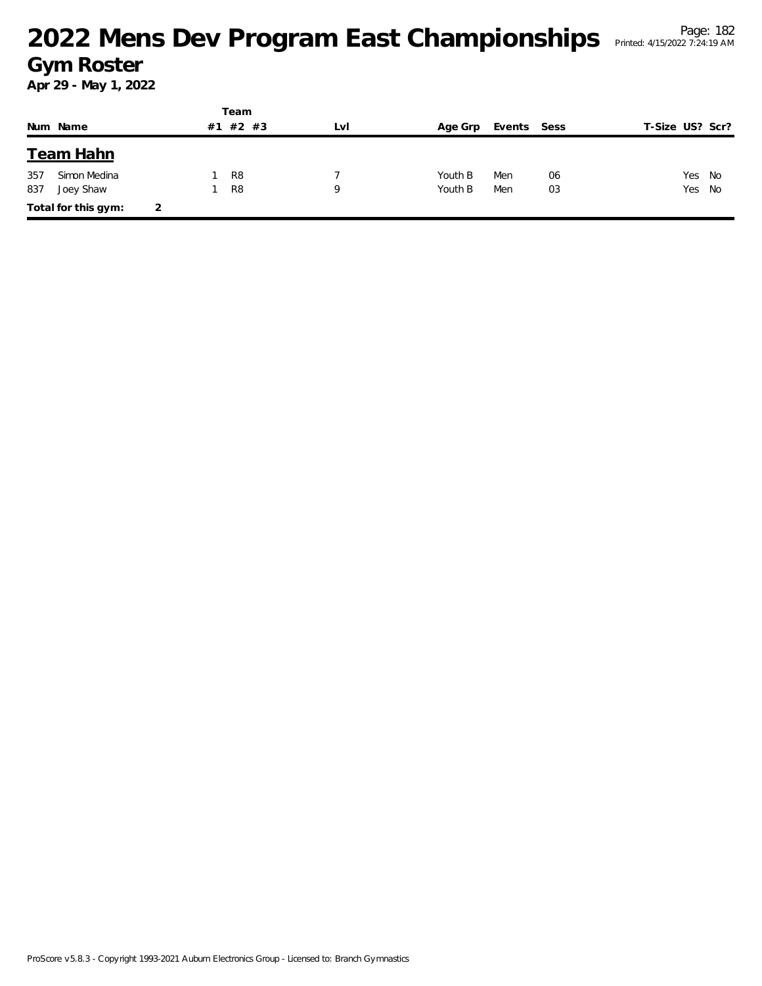|     |                     |   |    | Team           |     |         |             |    |                 |        |
|-----|---------------------|---|----|----------------|-----|---------|-------------|----|-----------------|--------|
|     | Num Name            |   | #1 | #2 #3          | LvI | Age Grp | Events Sess |    | T-Size US? Scr? |        |
|     | Team Hahn           |   |    |                |     |         |             |    |                 |        |
| 357 | Simon Medina        |   |    | R8             |     | Youth B | Men         | 06 | Yes             | No     |
| 837 | Joey Shaw           |   |    | R <sub>8</sub> | 9   | Youth B | Men         | 03 |                 | Yes No |
|     | Total for this gym: | 2 |    |                |     |         |             |    |                 |        |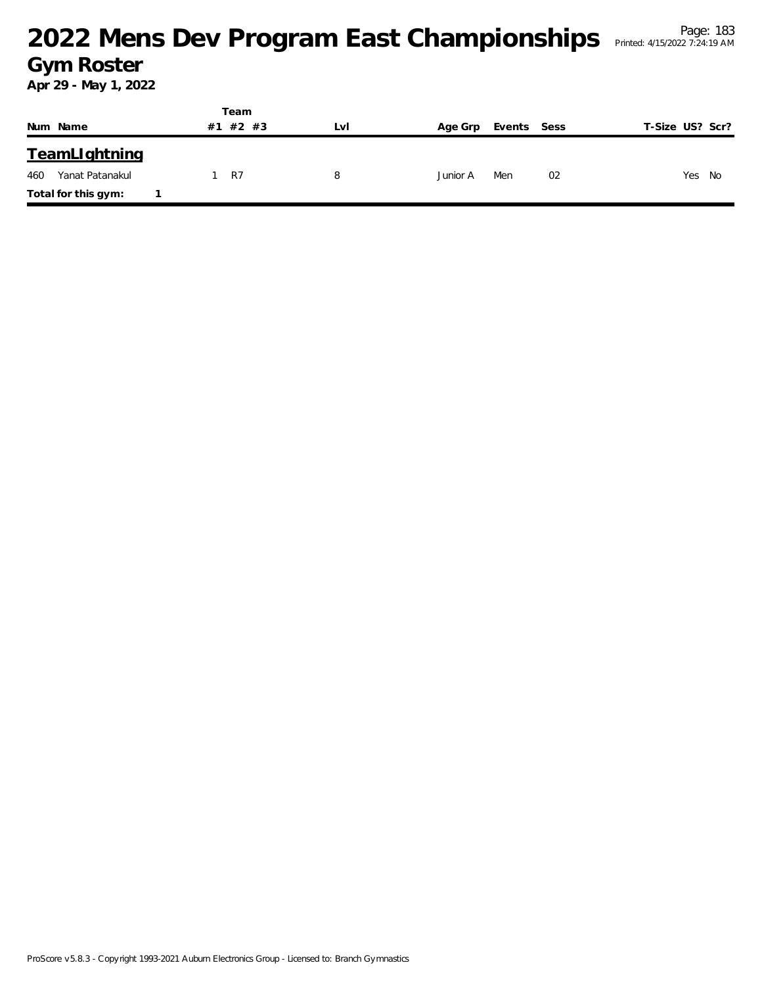|                        |    | Team    |     |          |             |                 |
|------------------------|----|---------|-----|----------|-------------|-----------------|
| Num Name               | #1 | $#2$ #3 | Lvi | Age Grp  | Events Sess | T-Size US? Scr? |
| <b>TeamLlghtning</b>   |    |         |     |          |             |                 |
| Yanat Patanakul<br>460 |    | R7      | 8   | Junior A | 02<br>Men   | Yes<br>No       |
| Total for this gym:    |    |         |     |          |             |                 |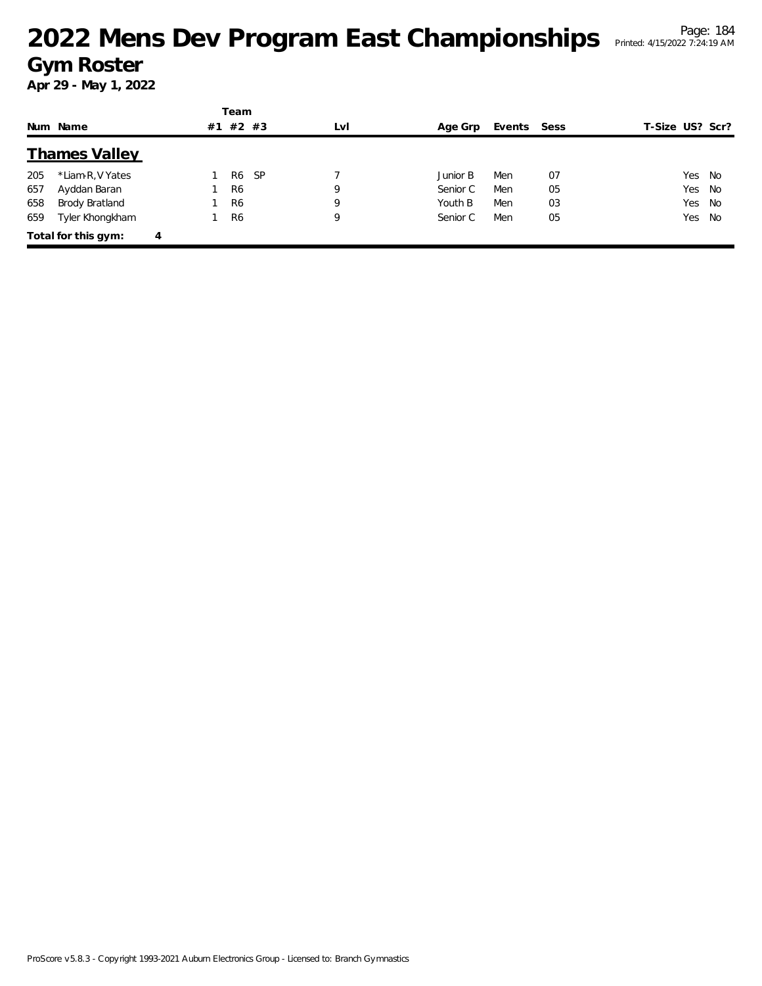|     |                      |   |    | Team           |           |     |          |             |    |                 |        |
|-----|----------------------|---|----|----------------|-----------|-----|----------|-------------|----|-----------------|--------|
|     | Num Name             |   | #1 | $#2$ #3        |           | LvI | Age Grp  | Events Sess |    | T-Size US? Scr? |        |
|     | <b>Thames Valley</b> |   |    |                |           |     |          |             |    |                 |        |
| 205 | *Liam-R, V Yates     |   |    | R6             | <b>SP</b> |     | Junior B | Men         | 07 |                 | Yes No |
| 657 | Ayddan Baran         |   |    | R <sub>6</sub> |           | 9   | Senior C | Men         | 05 |                 | Yes No |
| 658 | Brody Bratland       |   |    | R <sub>6</sub> |           | 9   | Youth B  | Men         | 03 |                 | Yes No |
| 659 | Tyler Khongkham      |   |    | R <sub>6</sub> |           | 9   | Senior C | Men         | 05 |                 | Yes No |
|     | Total for this gym:  | 4 |    |                |           |     |          |             |    |                 |        |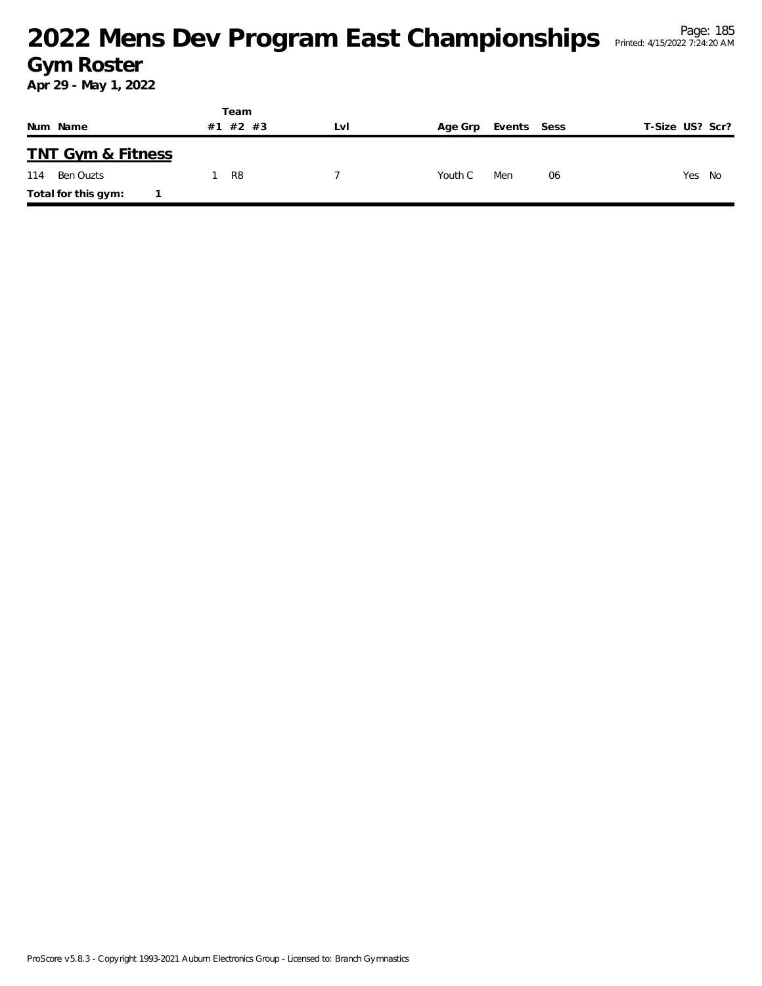|     |                              |    | Team           |     |         |             |    |                 |        |  |
|-----|------------------------------|----|----------------|-----|---------|-------------|----|-----------------|--------|--|
|     | Num Name                     | #1 | #2 #3          | Lvi | Age Grp | Events Sess |    | T-Size US? Scr? |        |  |
|     | <b>TNT Gym &amp; Fitness</b> |    |                |     |         |             |    |                 |        |  |
| 114 | Ben Ouzts                    |    | R <sub>8</sub> |     | Youth C | Men         | 06 |                 | Yes No |  |
|     | Total for this gym:          |    |                |     |         |             |    |                 |        |  |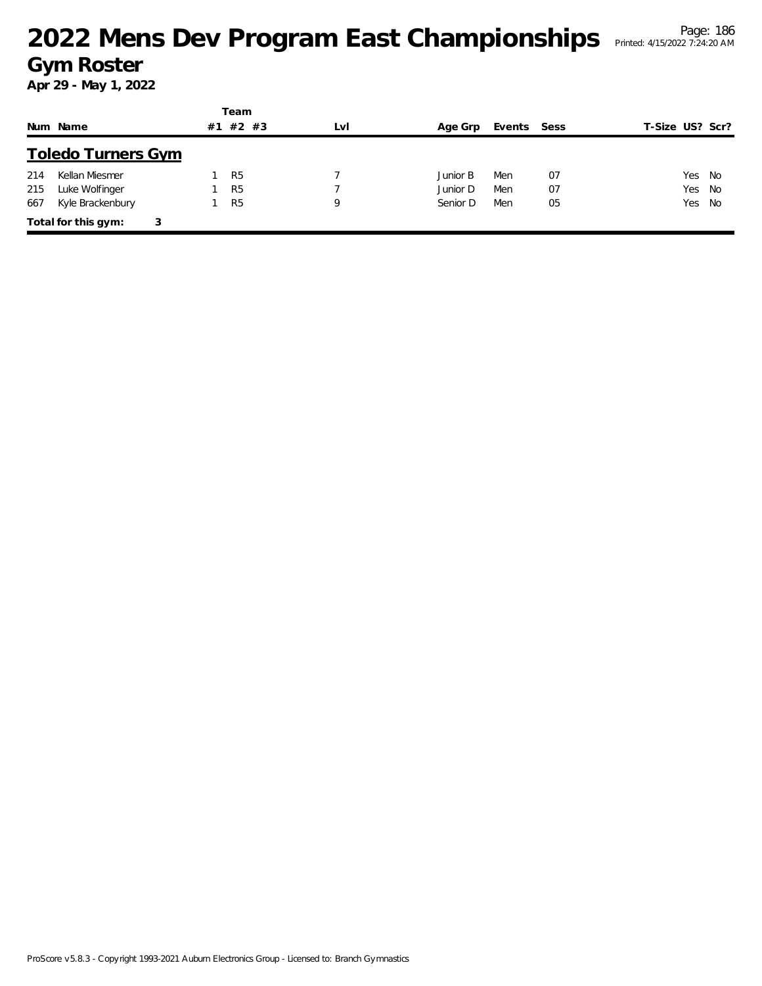|     |                           |    | Team           |     |          |             |    |                 |  |
|-----|---------------------------|----|----------------|-----|----------|-------------|----|-----------------|--|
|     | Num Name                  | #1 | #2 #3          | LvI | Age Grp  | Events Sess |    | T-Size US? Scr? |  |
|     | <b>Toledo Turners Gym</b> |    |                |     |          |             |    |                 |  |
| 214 | Kellan Miesmer            |    | R <sub>5</sub> |     | Junior B | Men         | 07 | Yes No          |  |
| 215 | Luke Wolfinger            |    | R <sub>5</sub> |     | Junior D | Men         | 07 | Yes No          |  |
| 667 | Kyle Brackenbury          |    | R <sub>5</sub> | 9   | Senior D | Men         | 05 | Yes No          |  |
|     | Total for this gym:<br>3  |    |                |     |          |             |    |                 |  |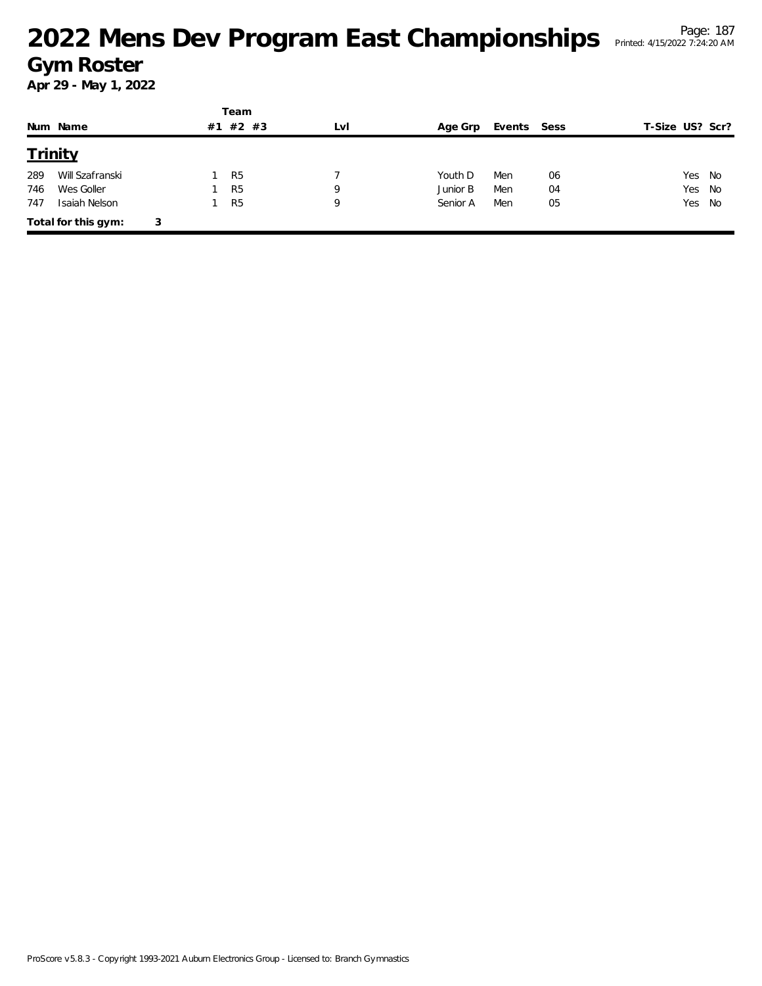|     |                     |   |    | Team           |     |          |             |    |                 |  |
|-----|---------------------|---|----|----------------|-----|----------|-------------|----|-----------------|--|
|     | Num Name            |   | #1 | $#2$ #3        | LvI | Age Grp  | Events Sess |    | T-Size US? Scr? |  |
|     | Trinity             |   |    |                |     |          |             |    |                 |  |
| 289 | Will Szafranski     |   |    | R <sub>5</sub> |     | Youth D  | Men         | 06 | Yes No          |  |
| 746 | Wes Goller          |   |    | R <sub>5</sub> | 9   | Junior B | Men         | 04 | Yes<br>No       |  |
| 747 | Isaiah Nelson       |   |    | R <sub>5</sub> | 9   | Senior A | Men         | 05 | Yes No          |  |
|     | Total for this gym: | 3 |    |                |     |          |             |    |                 |  |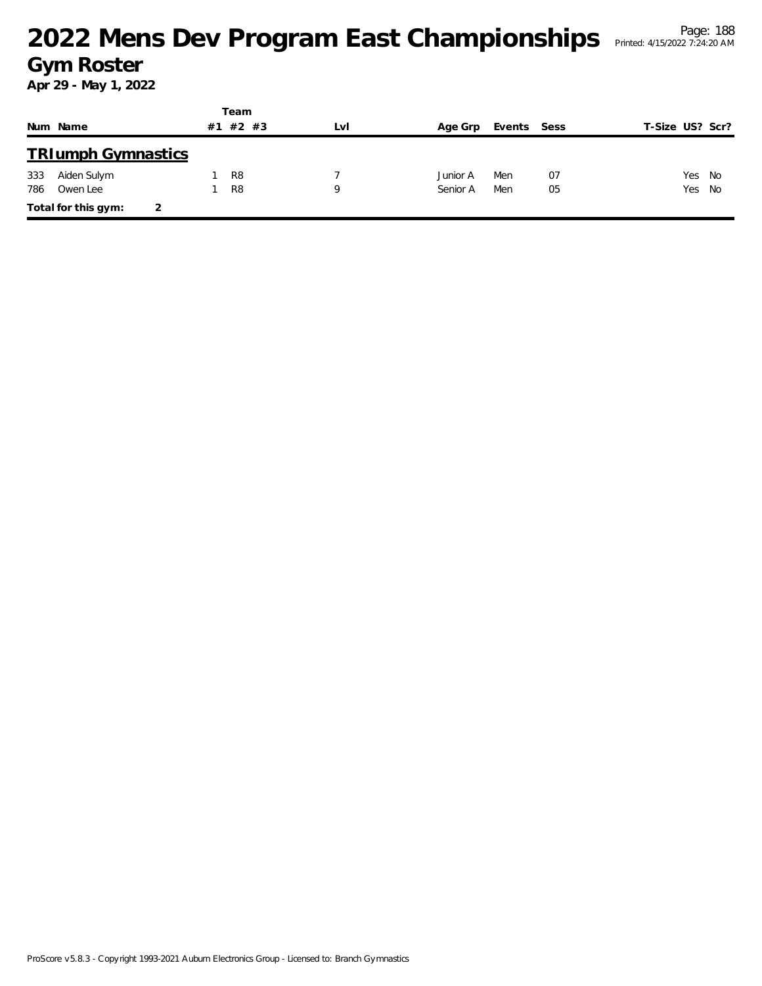|     |                           |    | Team           |     |          |             |    |                 |  |
|-----|---------------------------|----|----------------|-----|----------|-------------|----|-----------------|--|
|     | Num Name                  | #1 | #2 #3          | Lvi | Age Grp  | Events Sess |    | T-Size US? Scr? |  |
|     | <b>TRIumph Gymnastics</b> |    |                |     |          |             |    |                 |  |
| 333 | Aiden Sulym               |    | R <sub>8</sub> |     | Junior A | Men         | 07 | Yes No          |  |
| 786 | Owen Lee                  |    | R <sub>8</sub> | 9   | Senior A | Men         | 05 | Yes No          |  |
|     | Total for this gym:<br>2  |    |                |     |          |             |    |                 |  |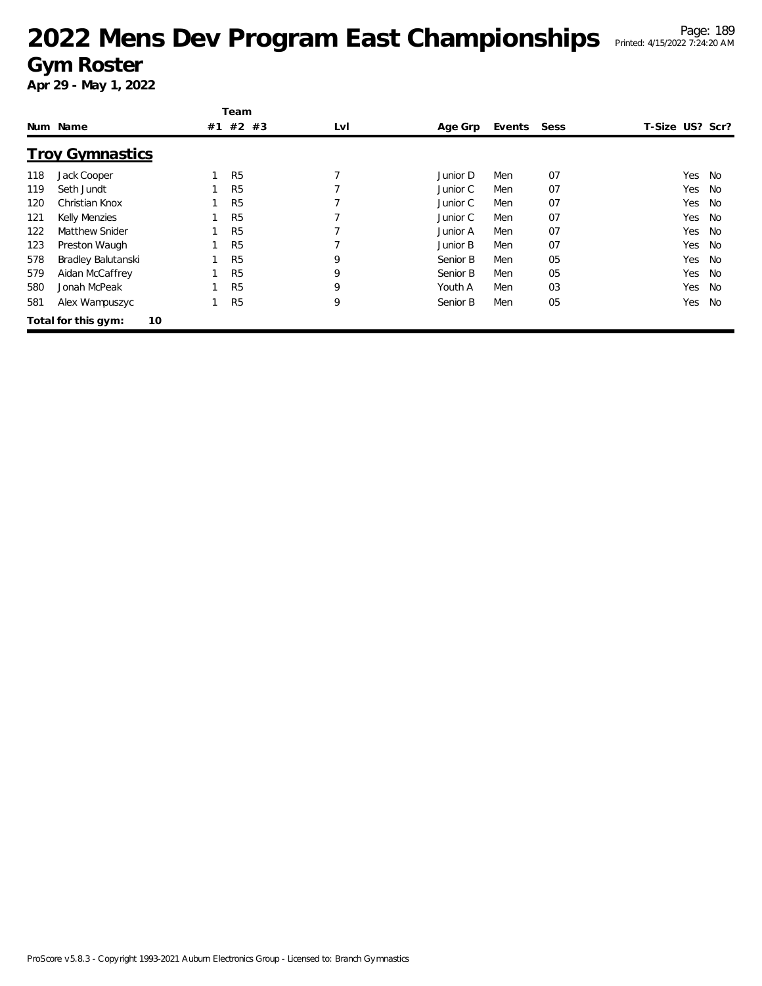|     |                           | Team           |     |          |        |      |                 |           |
|-----|---------------------------|----------------|-----|----------|--------|------|-----------------|-----------|
|     | Num Name                  | #1 #2 #3       | LvI | Age Grp  | Events | Sess | T-Size US? Scr? |           |
|     | <b>Troy Gymnastics</b>    |                |     |          |        |      |                 |           |
| 118 | Jack Cooper               | R <sub>5</sub> |     | Junior D | Men    | 07   | Yes             | No        |
| 119 | Seth Jundt                | R <sub>5</sub> |     | Junior C | Men    | 07   | Yes             | No        |
| 120 | Christian Knox            | R <sub>5</sub> |     | Junior C | Men    | 07   | Yes             | No        |
| 121 | <b>Kelly Menzies</b>      | R <sub>5</sub> |     | Junior C | Men    | 07   | Yes             | <b>No</b> |
| 122 | Matthew Snider            | R <sub>5</sub> |     | Junior A | Men    | 07   | Yes             | <b>No</b> |
| 123 | Preston Waugh             | R <sub>5</sub> |     | Junior B | Men    | 07   | Yes             | No        |
| 578 | Bradley Balutanski        | R <sub>5</sub> | 9   | Senior B | Men    | 05   | Yes             | <b>No</b> |
| 579 | Aidan McCaffrey           | R <sub>5</sub> | 9   | Senior B | Men    | 05   | Yes             | <b>No</b> |
| 580 | Jonah McPeak              | R <sub>5</sub> | 9   | Youth A  | Men    | 03   | Yes             | <b>No</b> |
| 581 | Alex Wampuszyc            | R <sub>5</sub> | 9   | Senior B | Men    | 05   | Yes             | No        |
|     | 10<br>Total for this gym: |                |     |          |        |      |                 |           |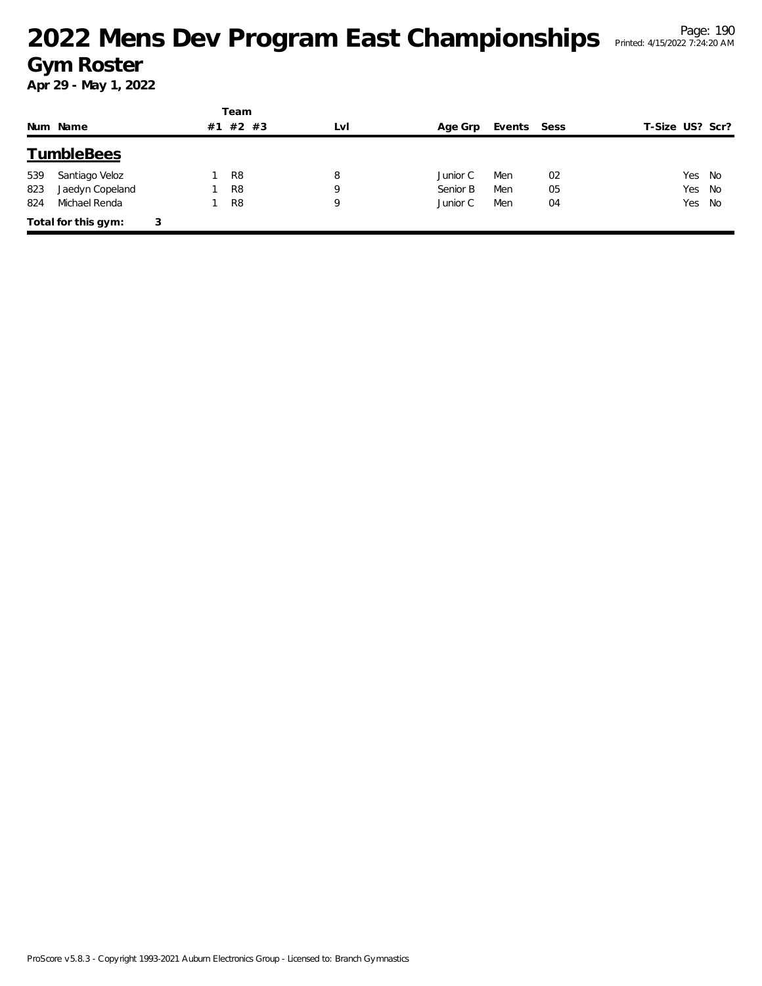|     |                     |   |    | Team           |     |          |             |    |                 |
|-----|---------------------|---|----|----------------|-----|----------|-------------|----|-----------------|
|     | Num Name            |   | #1 | $#2$ #3        | LvI | Age Grp  | Events Sess |    | T-Size US? Scr? |
|     | <b>TumbleBees</b>   |   |    |                |     |          |             |    |                 |
| 539 | Santiago Veloz      |   |    | R <sub>8</sub> | 8   | Junior C | Men         | 02 | Yes No          |
| 823 | Jaedyn Copeland     |   |    | R <sub>8</sub> | Q   | Senior B | Men         | 05 | Yes No          |
| 824 | Michael Renda       |   |    | R <sub>8</sub> | 9   | Junior C | Men         | 04 | Yes No          |
|     | Total for this gym: | 3 |    |                |     |          |             |    |                 |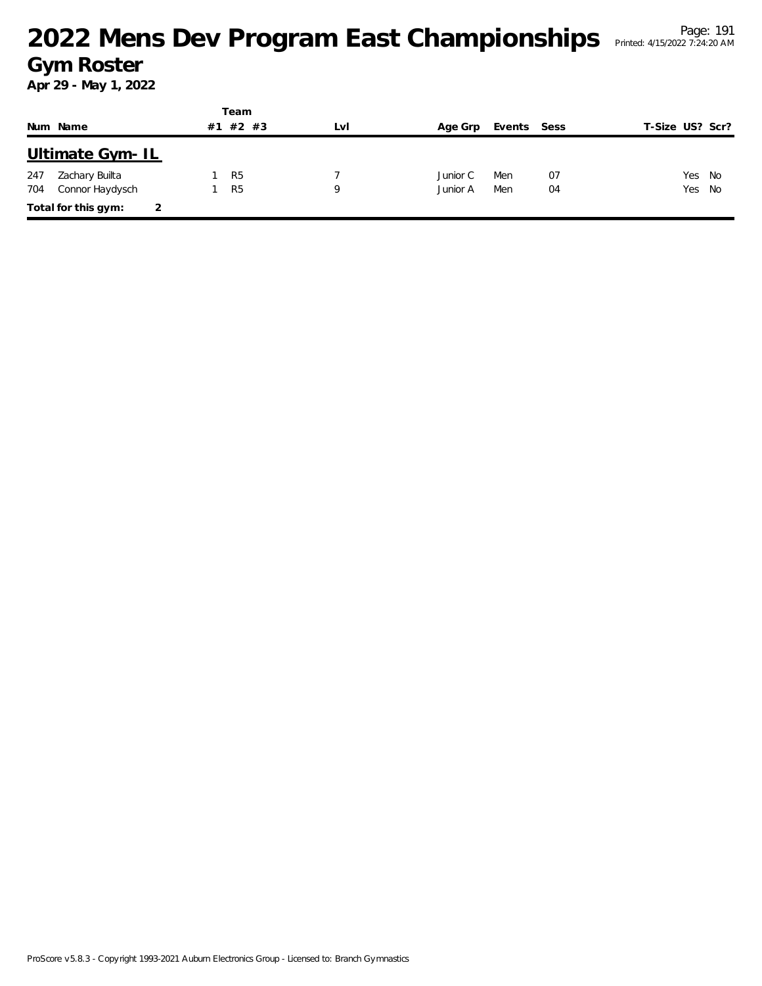|     |                     |    | Team           |     |          |             |    |                 |  |
|-----|---------------------|----|----------------|-----|----------|-------------|----|-----------------|--|
|     | Num Name            | #1 | $#2$ #3        | LvI | Age Grp  | Events Sess |    | T-Size US? Scr? |  |
|     | Ultimate Gym-IL     |    |                |     |          |             |    |                 |  |
| 247 | Zachary Builta      |    | R <sub>5</sub> |     | Junior C | Men         | 07 | Yes No          |  |
| 704 | Connor Haydysch     |    | R <sub>5</sub> | Q   | Junior A | Men         | 04 | Yes No          |  |
|     | Total for this gym: |    |                |     |          |             |    |                 |  |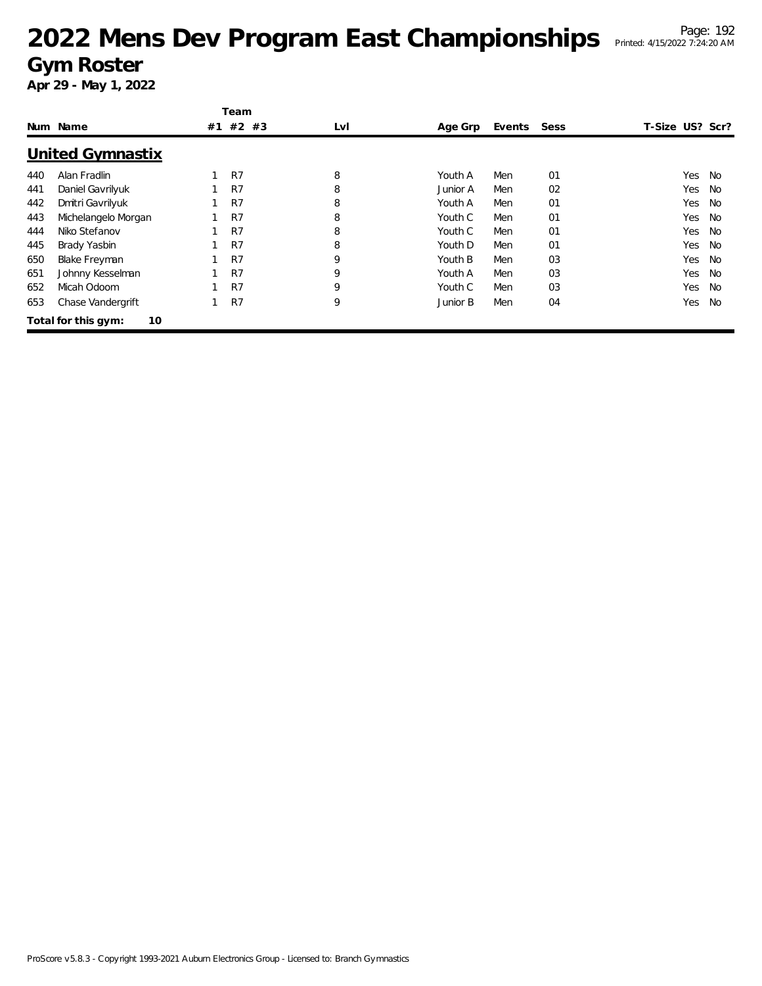|     |                           |    | Team           |     |          |        |      |                 |           |
|-----|---------------------------|----|----------------|-----|----------|--------|------|-----------------|-----------|
|     | Num Name                  | #1 | #2 #3          | LvI | Age Grp  | Events | Sess | T-Size US? Scr? |           |
|     | United Gymnastix          |    |                |     |          |        |      |                 |           |
| 440 | Alan Fradlin              |    | R7             | 8   | Youth A  | Men    | 01   | Yes             | No        |
| 441 | Daniel Gavrilyuk          |    | R7             | 8   | Junior A | Men    | 02   | Yes             | No        |
| 442 | Dmitri Gavrilyuk          |    | R <sub>7</sub> | 8   | Youth A  | Men    | 01   | Yes             | No        |
| 443 | Michelangelo Morgan       |    | R <sub>7</sub> | 8   | Youth C  | Men    | 01   | Yes             | <b>No</b> |
| 444 | Niko Stefanov             |    | R7             | 8   | Youth C  | Men    | 01   | Yes             | No        |
| 445 | Brady Yasbin              |    | R7             | 8   | Youth D  | Men    | 01   | Yes             | No.       |
| 650 | <b>Blake Freyman</b>      |    | R7             | 9   | Youth B  | Men    | 03   | Yes             | <b>No</b> |
| 651 | Johnny Kesselman          |    | R7             | 9   | Youth A  | Men    | 03   | Yes             | No        |
| 652 | Micah Odoom               |    | R <sub>7</sub> | 9   | Youth C  | Men    | 03   | Yes             | No        |
| 653 | Chase Vandergrift         |    | R <sub>7</sub> | 9   | Junior B | Men    | 04   | Yes             | <b>No</b> |
|     | 10<br>Total for this gym: |    |                |     |          |        |      |                 |           |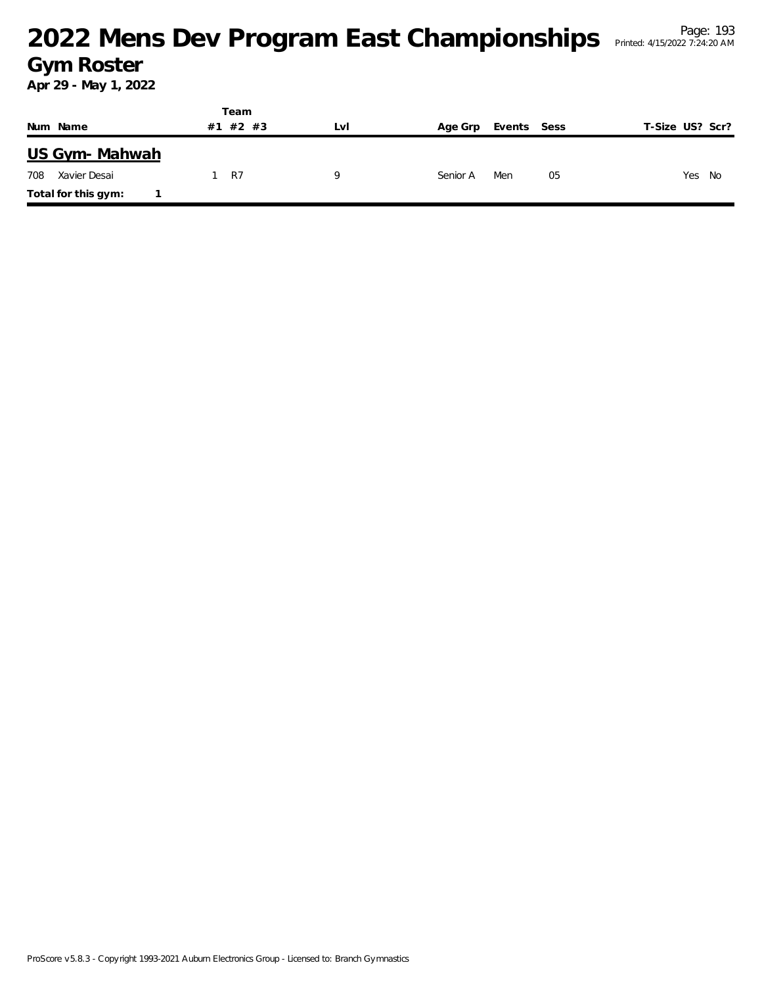|                     | Team        |     |                        |                 |
|---------------------|-------------|-----|------------------------|-----------------|
| Num Name            | #2 #3<br>#1 | LvI | Events Sess<br>Age Grp | T-Size US? Scr? |
| US Gym- Mahwah      |             |     |                        |                 |
| 708<br>Xavier Desai | 1 R7        |     | Men<br>Senior A        | Yes No<br>05    |
| Total for this gym: |             |     |                        |                 |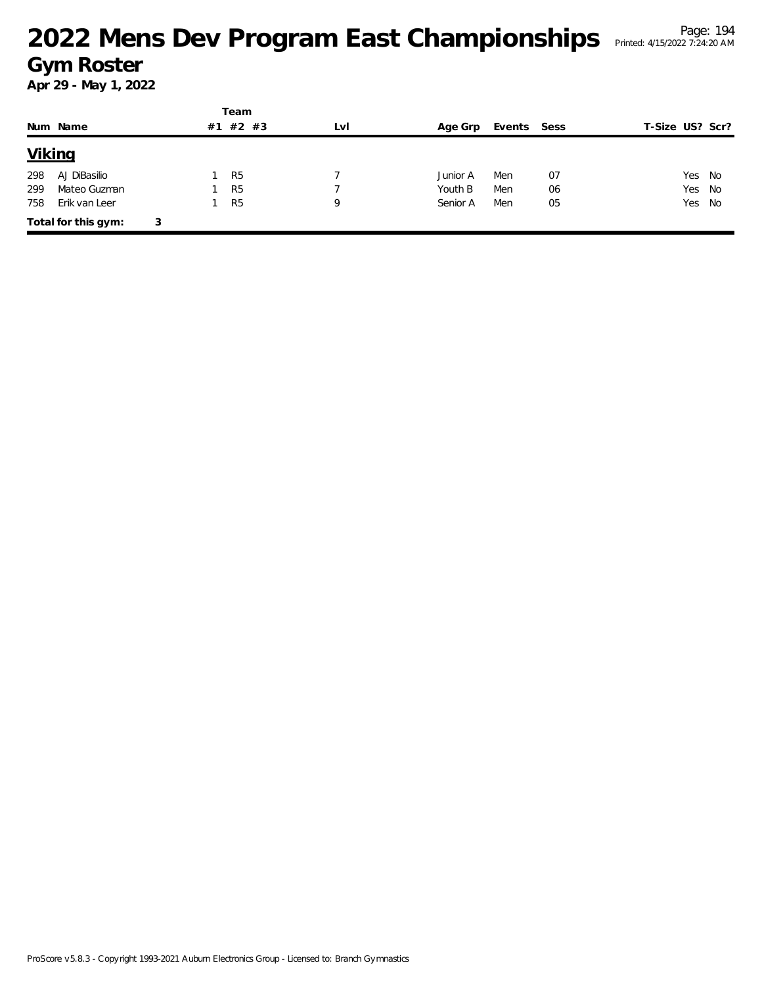|               |                     |   |    | Team           |     |          |             |    |                 |
|---------------|---------------------|---|----|----------------|-----|----------|-------------|----|-----------------|
|               | Num Name            |   | #1 | #2 #3          | LvI | Age Grp  | Events Sess |    | T-Size US? Scr? |
| <b>Viking</b> |                     |   |    |                |     |          |             |    |                 |
| 298           | AJ DiBasilio        |   |    | R <sub>5</sub> |     | Junior A | Men         | 07 | Yes No          |
| 299           | Mateo Guzman        |   |    | R <sub>5</sub> |     | Youth B  | Men         | 06 | Yes<br>No       |
| 758           | Erik van Leer       |   |    | R <sub>5</sub> | 9   | Senior A | Men         | 05 | Yes No          |
|               | Total for this gym: | 3 |    |                |     |          |             |    |                 |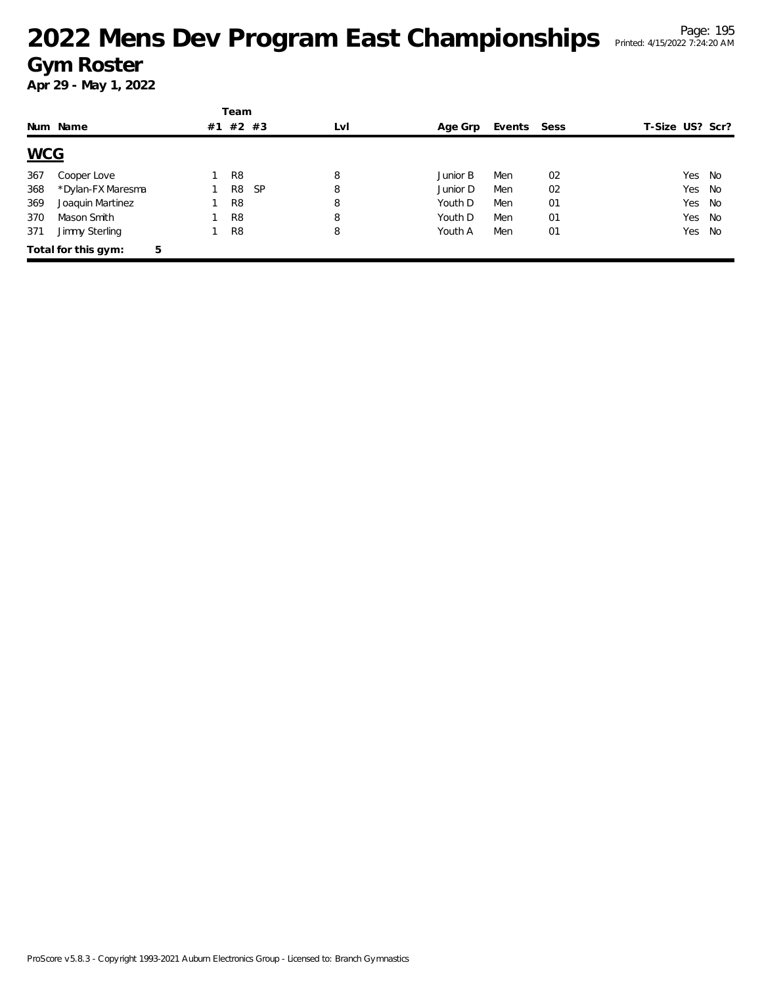|            |                          |    | Team                        |     |          |        |      |                 |        |      |
|------------|--------------------------|----|-----------------------------|-----|----------|--------|------|-----------------|--------|------|
|            | Num Name                 | #1 | #2 #3                       | LvI | Age Grp  | Events | Sess | T-Size US? Scr? |        |      |
| <b>WCG</b> |                          |    |                             |     |          |        |      |                 |        |      |
| 367        | Cooper Love              |    | R <sub>8</sub>              | 8   | Junior B | Men    | 02   |                 | Yes No |      |
| 368        | *Dylan-FX Maresma        |    | <b>SP</b><br>R <sub>8</sub> | 8   | Junior D | Men    | 02   |                 | Yes No |      |
| 369        | Joaquin Martinez         |    | R <sub>8</sub>              | 8   | Youth D  | Men    | 01   |                 | Yes No |      |
| 370        | Mason Smith              |    | R <sub>8</sub>              | 8   | Youth D  | Men    | 01   |                 | Yes No |      |
| 371        | Jimmy Sterling           |    | R <sub>8</sub>              | 8   | Youth A  | Men    | 01   |                 | Yes    | - No |
|            | 5<br>Total for this gym: |    |                             |     |          |        |      |                 |        |      |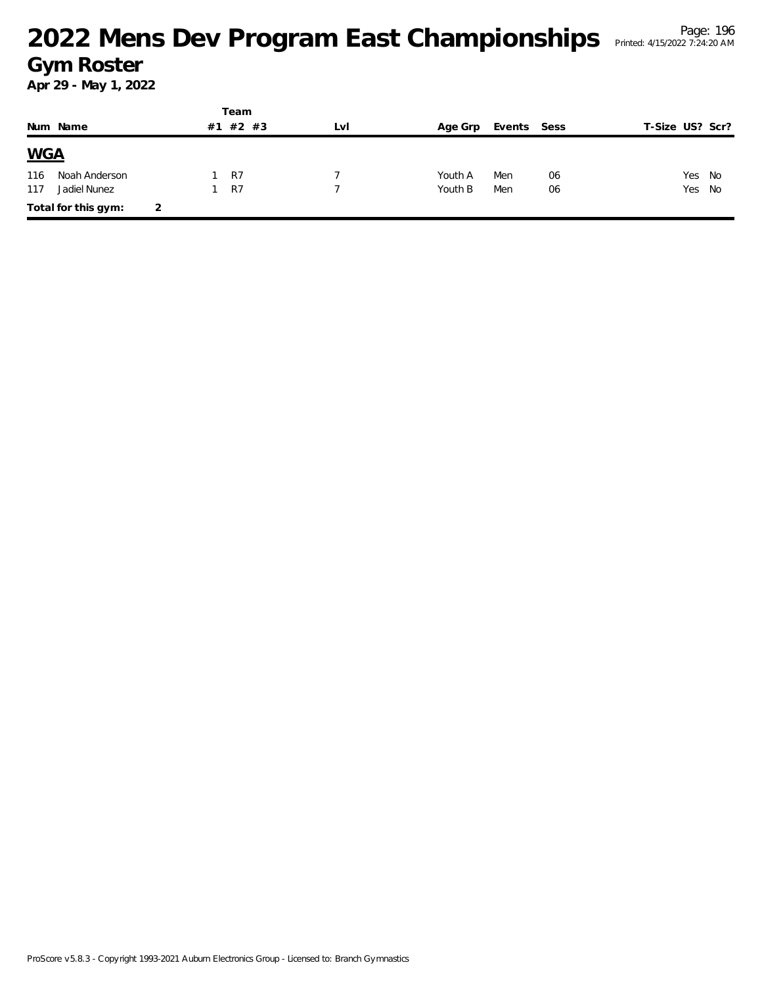|            |                     |   |    | Team  |     |         |             |    |                 |    |
|------------|---------------------|---|----|-------|-----|---------|-------------|----|-----------------|----|
|            | Num Name            |   | #1 | #2 #3 | LVI | Age Grp | Events Sess |    | T-Size US? Scr? |    |
| <b>WGA</b> |                     |   |    |       |     |         |             |    |                 |    |
| 116        | Noah Anderson       |   |    | R7    |     | Youth A | Men         | 06 | Yes             | No |
| 117        | Jadiel Nunez        |   |    | R7    |     | Youth B | Men         | 06 | Yes             | No |
|            | Total for this gym: | 2 |    |       |     |         |             |    |                 |    |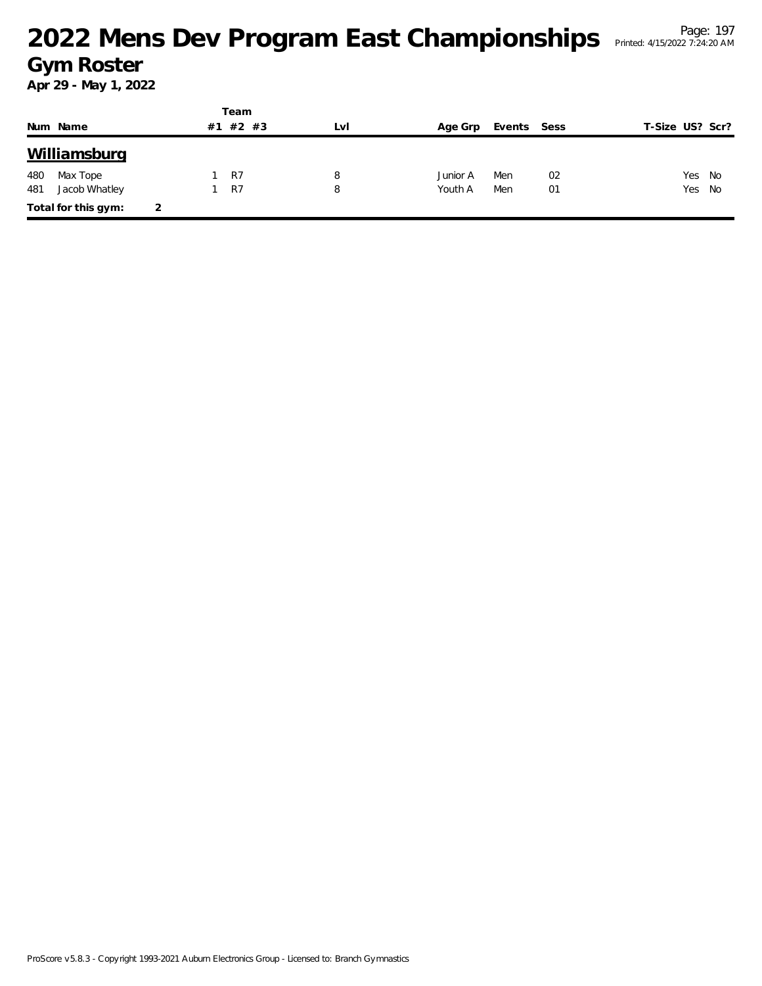|     |                     |   |    | Team    |     |          |             |    |                 |    |
|-----|---------------------|---|----|---------|-----|----------|-------------|----|-----------------|----|
|     | Num Name            |   | #1 | $#2$ #3 | Lvl | Age Grp  | Events Sess |    | T-Size US? Scr? |    |
|     | Williamsburg        |   |    |         |     |          |             |    |                 |    |
| 480 | Max Tope            |   |    | R7      | 8   | Junior A | Men         | 02 | Yes             | No |
| 481 | Jacob Whatley       |   |    | R7      | 8   | Youth A  | Men         | 01 | Yes No          |    |
|     | Total for this gym: | 2 |    |         |     |          |             |    |                 |    |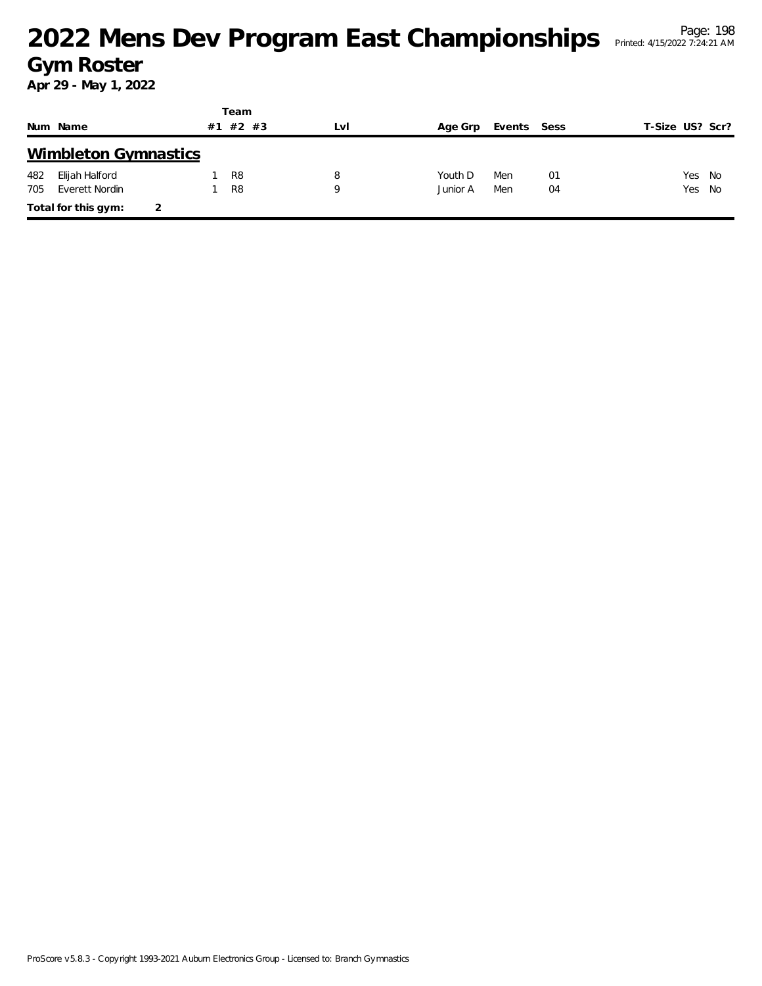|     |                             |    | Team           |     |          |             |    |                 |        |
|-----|-----------------------------|----|----------------|-----|----------|-------------|----|-----------------|--------|
|     | Num Name                    | #1 | #2 #3          | LvI | Age Grp  | Events Sess |    | T-Size US? Scr? |        |
|     | <b>Wimbleton Gymnastics</b> |    |                |     |          |             |    |                 |        |
| 482 | Elijah Halford              |    | R <sub>8</sub> | 8   | Youth D  | Men         | 01 |                 | Yes No |
| 705 | Everett Nordin              |    | R <sub>8</sub> | Q   | Junior A | Men         | 04 |                 | Yes No |
|     | Total for this gym:         |    |                |     |          |             |    |                 |        |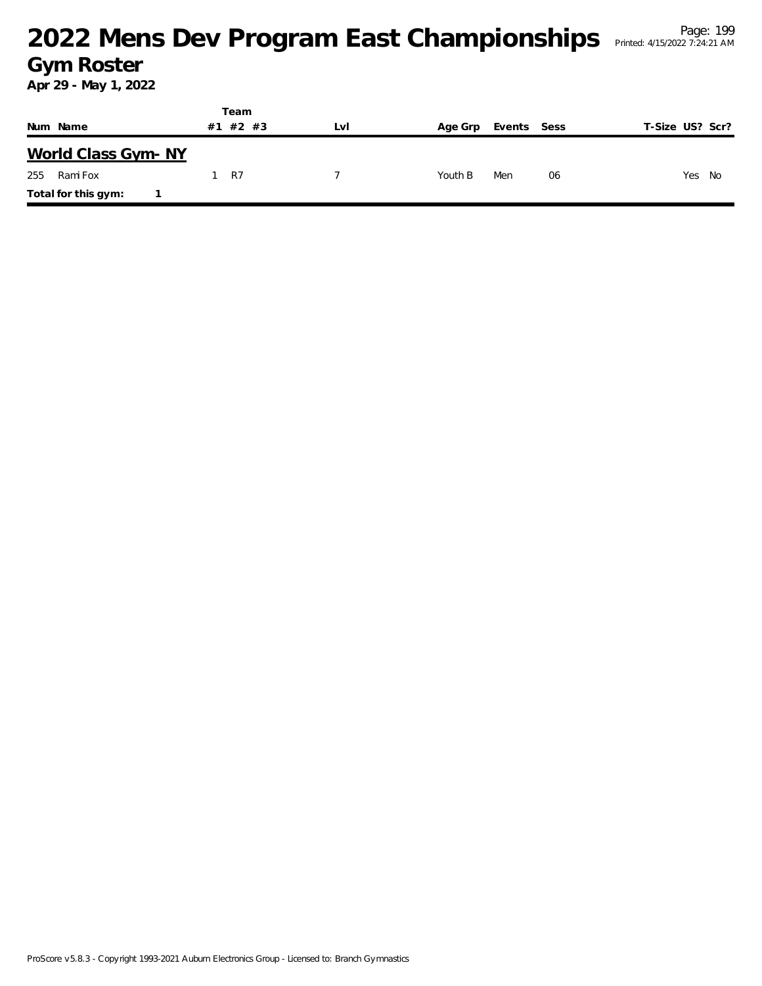|                     | Team        |     |                        |                 |  |
|---------------------|-------------|-----|------------------------|-----------------|--|
| Num Name            | #2 #3<br>#1 | LvI | Events Sess<br>Age Grp | T-Size US? Scr? |  |
| World Class Gym-NY  |             |     |                        |                 |  |
| Rami Fox<br>255     | R7          |     | Youth B<br>Men<br>06   | Yes<br>No       |  |
| Total for this gym: |             |     |                        |                 |  |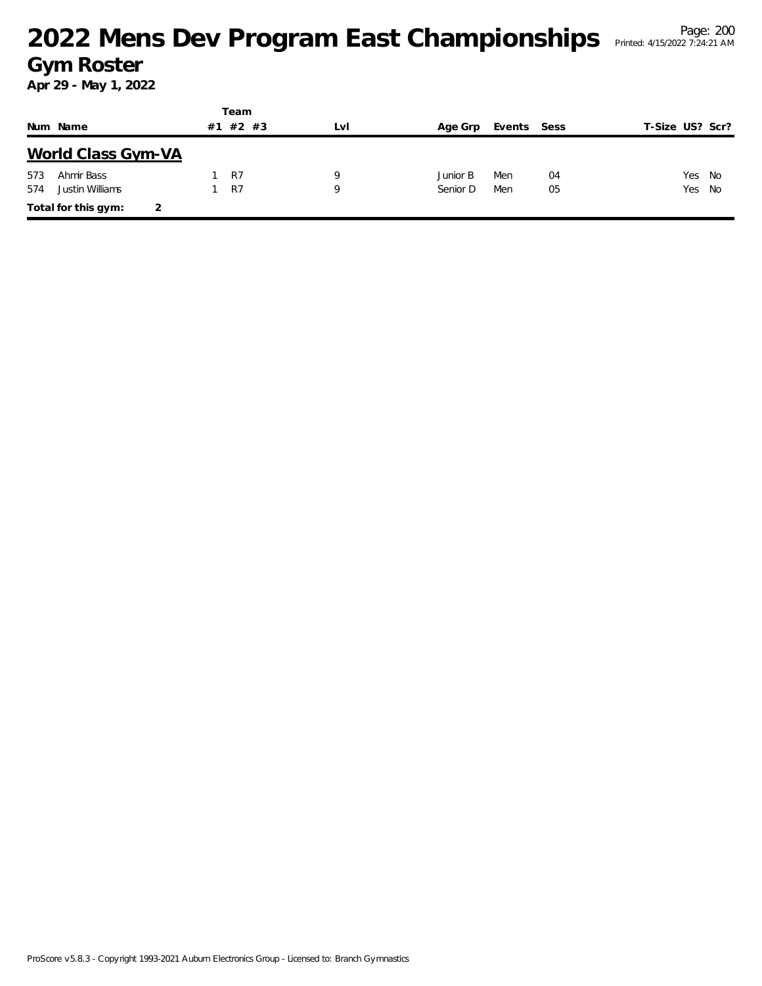|     |                     |    | Team  |     |          |             |    |                 |  |
|-----|---------------------|----|-------|-----|----------|-------------|----|-----------------|--|
|     | Num Name            | #1 | #2 #3 | LvI | Age Grp  | Events Sess |    | T-Size US? Scr? |  |
|     | World Class Gym-VA  |    |       |     |          |             |    |                 |  |
| 573 | Ahmir Bass          |    | R7    | Q   | Junior B | Men         | 04 | Yes No          |  |
| 574 | Justin Williams     |    | R7    | Q   | Senior D | Men         | 05 | Yes No          |  |
|     | Total for this gym: | 2  |       |     |          |             |    |                 |  |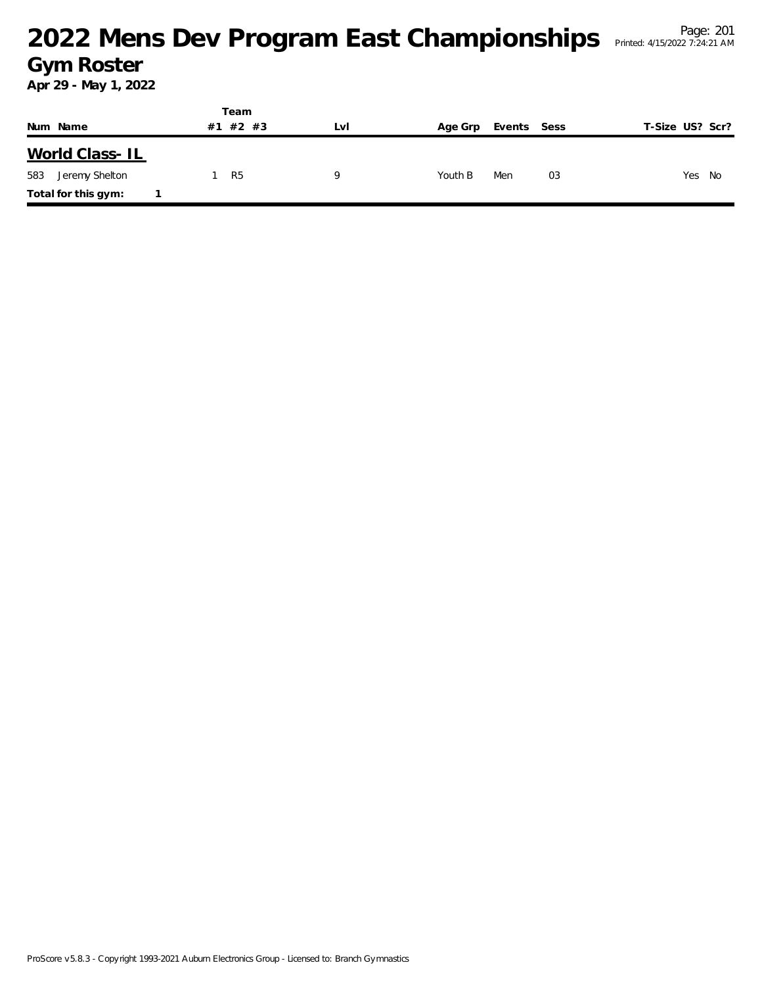|                       | Team           |            |         |             |                 |
|-----------------------|----------------|------------|---------|-------------|-----------------|
| Num Name              | $#2$ #3<br>#1  | <b>LVI</b> | Age Grp | Events Sess | T-Size US? Scr? |
| World Class-IL        |                |            |         |             |                 |
| 583<br>Jeremy Shelton | R <sub>5</sub> | Q          | Youth B | Men<br>03   | Yes<br>No       |
| Total for this gym:   |                |            |         |             |                 |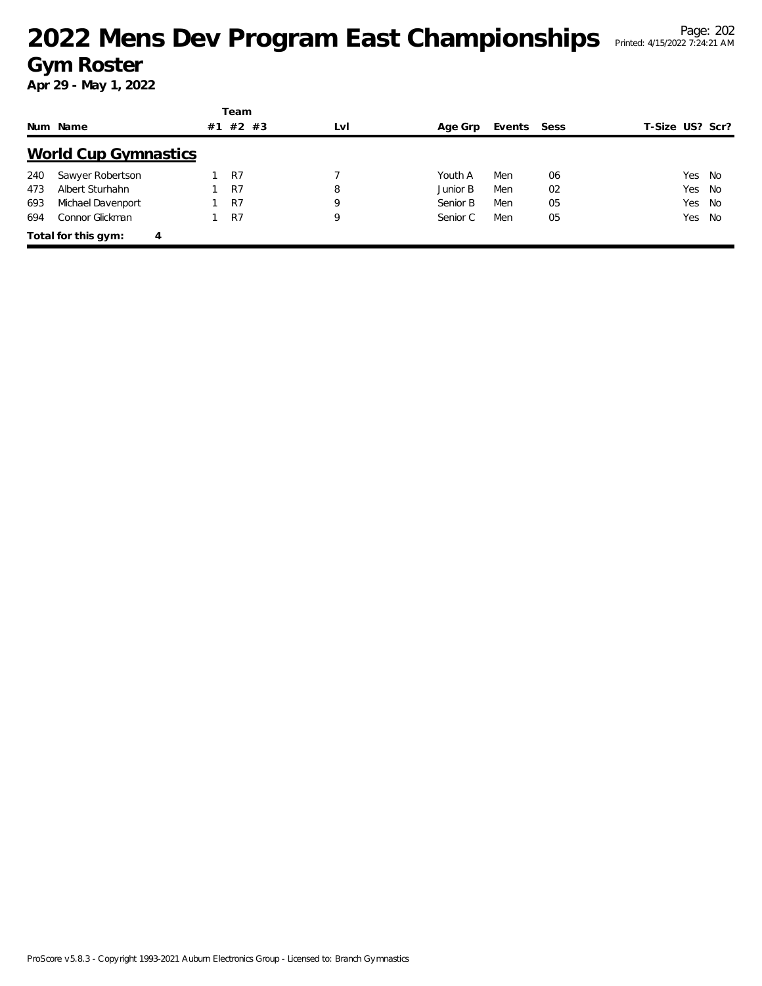|     |                             |    | Team    |     |          |             |    |                 |  |
|-----|-----------------------------|----|---------|-----|----------|-------------|----|-----------------|--|
|     | Num Name                    | #1 | $#2$ #3 | LvI | Age Grp  | Events Sess |    | T-Size US? Scr? |  |
|     | <b>World Cup Gymnastics</b> |    |         |     |          |             |    |                 |  |
| 240 | Sawyer Robertson            |    | R7      |     | Youth A  | Men         | 06 | Yes No          |  |
| 473 | Albert Sturhahn             |    | R7      | 8   | Junior B | Men         | 02 | Yes No          |  |
| 693 | Michael Davenport           |    | R7      | 9   | Senior B | Men         | 05 | Yes No          |  |
| 694 | Connor Glickman             |    | R7      | 9   | Senior C | Men         | 05 | Yes No          |  |
|     | Total for this gym:<br>4    |    |         |     |          |             |    |                 |  |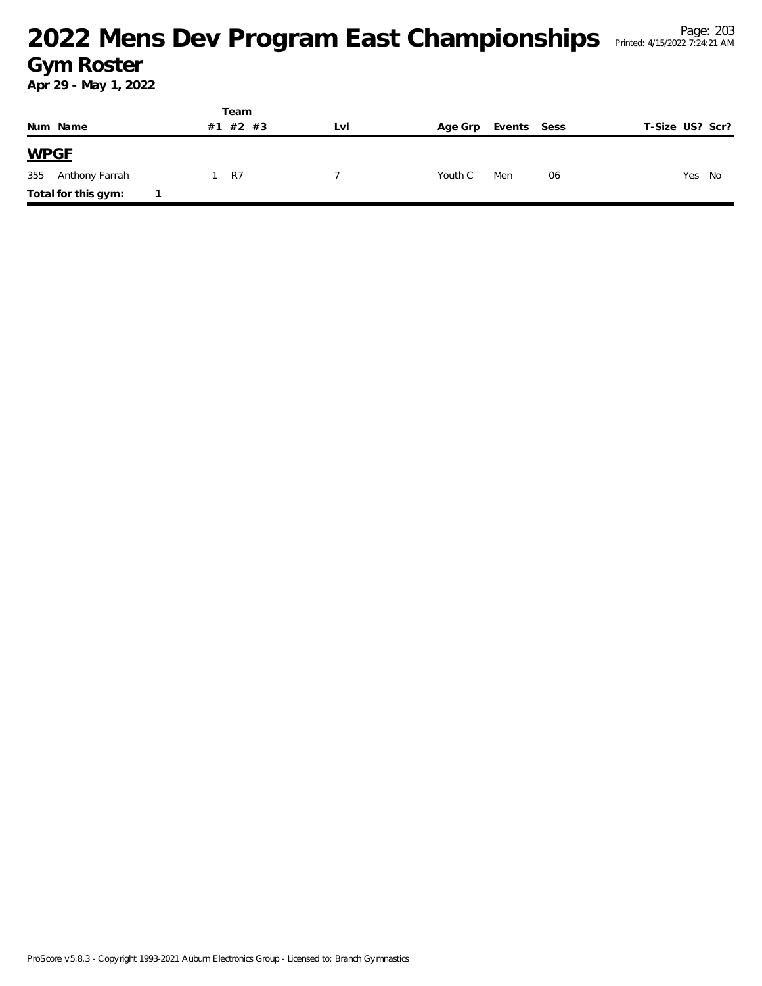|                       | Team        |     |         |             |                 |  |
|-----------------------|-------------|-----|---------|-------------|-----------------|--|
| Num Name              | #2 #3<br>#1 | Lvi | Age Grp | Events Sess | T-Size US? Scr? |  |
| <b>WPGF</b>           |             |     |         |             |                 |  |
| 355<br>Anthony Farrah | R7          |     | Youth C | Men<br>06   | Yes No          |  |
| Total for this gym:   |             |     |         |             |                 |  |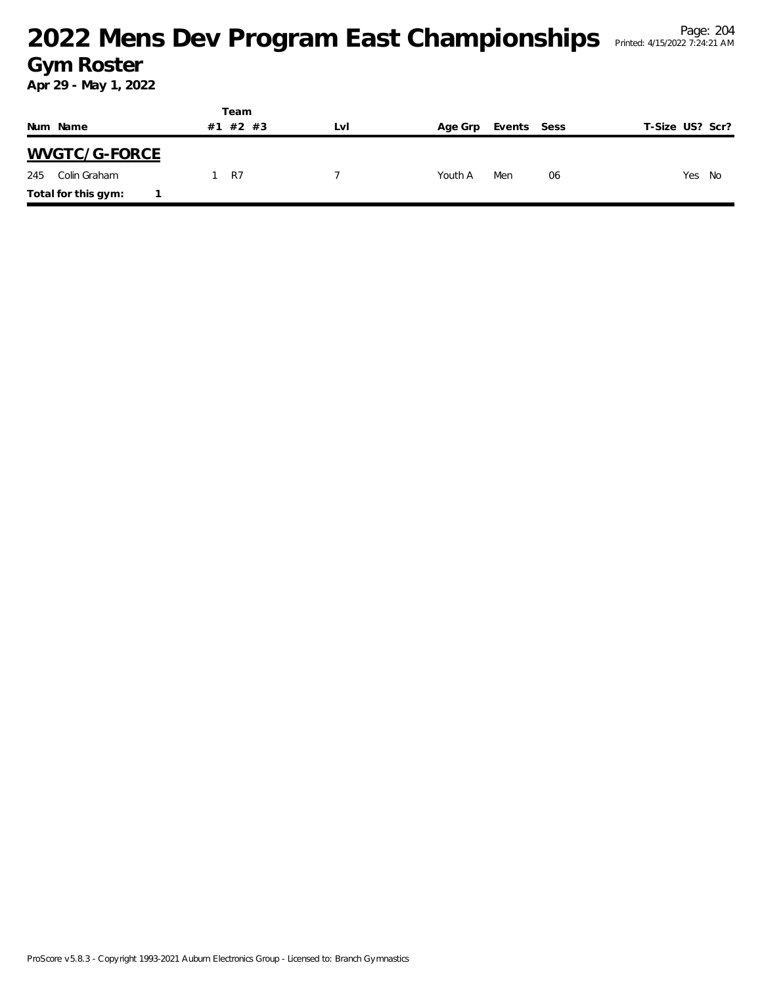|                     | Team        |     |         |             |                 |  |
|---------------------|-------------|-----|---------|-------------|-----------------|--|
| Num Name            | #2 #3<br>#1 | LvI | Age Grp | Events Sess | T-Size US? Scr? |  |
| WVGTC/G-FORCE       |             |     |         |             |                 |  |
| Colin Graham<br>245 | -R7         |     | Youth A | Men<br>06   | Yes No          |  |
| Total for this gym: |             |     |         |             |                 |  |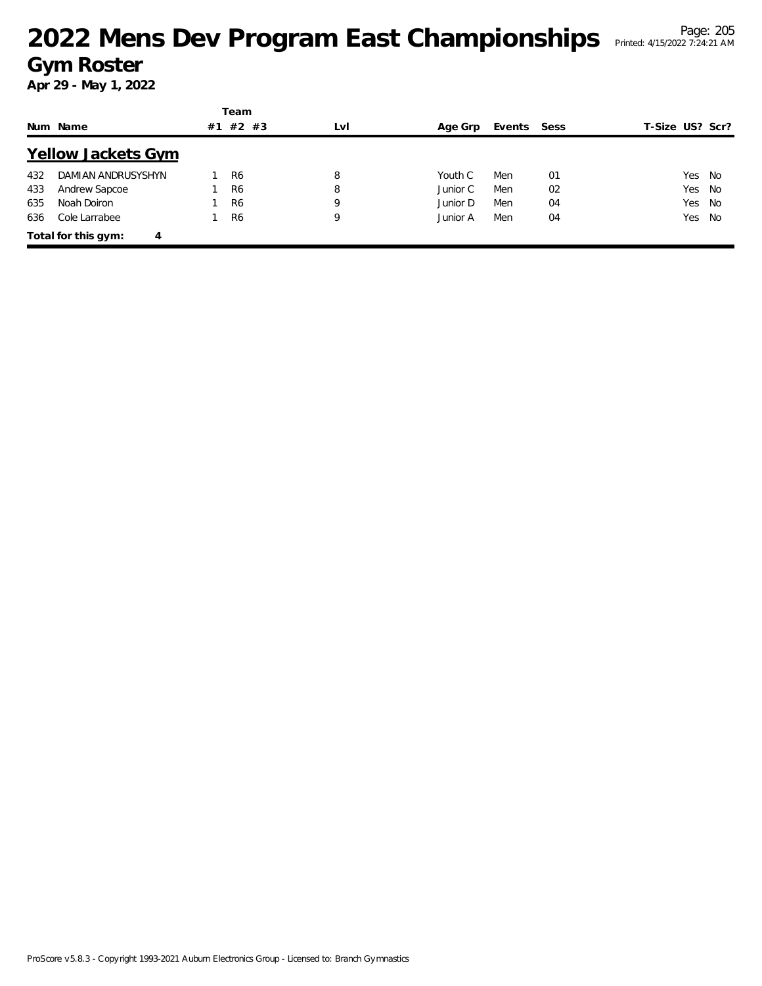|          |                           | Team |                |     |          |             |    |                 |  |
|----------|---------------------------|------|----------------|-----|----------|-------------|----|-----------------|--|
| Num Name |                           |      | $#2$ #3        | LvI | Age Grp  | Events Sess |    | T-Size US? Scr? |  |
|          | <b>Yellow Jackets Gym</b> |      |                |     |          |             |    |                 |  |
| 432      | DAMIAN ANDRUSYSHYN        |      | R <sub>6</sub> | 8   | Youth C  | Men         | 01 | Yes No          |  |
| 433      | Andrew Sapcoe             |      | R <sub>6</sub> | 8   | Junior C | Men         | 02 | Yes No          |  |
| 635      | Noah Doiron               |      | R <sub>6</sub> | 9   | Junior D | Men         | 04 | Yes No          |  |
| 636      | Cole Larrabee             |      | R <sub>6</sub> | 9   | Junior A | Men         | 04 | Yes No          |  |
|          | Total for this gym:<br>4  |      |                |     |          |             |    |                 |  |